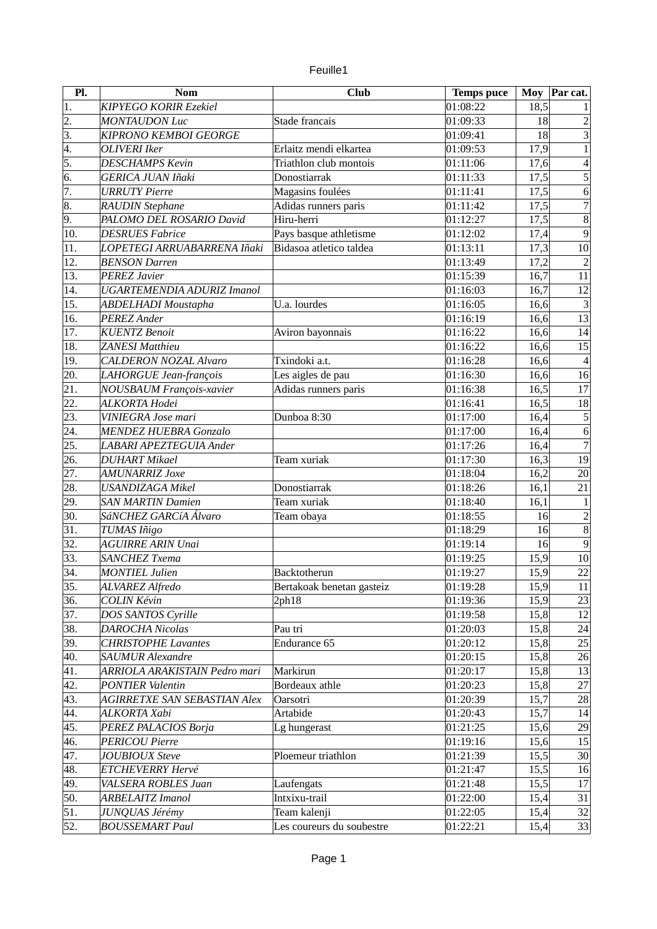| euille |  |
|--------|--|
|        |  |

| Pl.               | Nom                                 | <b>Club</b>               | <b>Temps puce</b> |       | Moy Par cat.                     |
|-------------------|-------------------------------------|---------------------------|-------------------|-------|----------------------------------|
| $\overline{1}$    | <b>KIPYEGO KORIR Ezekiel</b>        |                           | 01:08:22          | 18,5  |                                  |
| 2.                | <b>MONTAUDON Luc</b>                | Stade francais            | 01:09:33          | 18    | $\overline{a}$                   |
| 3.                | <b>KIPRONO KEMBOI GEORGE</b>        |                           | 01:09:41          | 18    | $\overline{3}$                   |
| 4.                | <b>OLIVERI</b> Iker                 | Erlaitz mendi elkartea    | 01:09:53          | 17,9  | $\mathbf{1}$                     |
| 5.                | <b>DESCHAMPS Kevin</b>              | Triathlon club montois    | 01:11:06          | 17,6  | $\overline{\mathcal{L}}$         |
| 6.                | <b>GERICA JUAN Iñaki</b>            | Donostiarrak              | 01:11:33          | 17,5  | $\overline{5}$                   |
| 7.                | <b>URRUTY Pierre</b>                | Magasins foulées          | 01:11:41          | 17,5  | $\overline{6}$                   |
| 8.                | <b>RAUDIN Stephane</b>              | Adidas runners paris      | 01:11:42          | 17,5  | $\overline{7}$                   |
| $\overline{9}$ .  | PALOMO DEL ROSARIO David            | Hiru-herri                | 01:12:27          | 17,5  | $\overline{8}$                   |
| 10.               | <b>DESRUES Fabrice</b>              | Pays basque athletisme    | 01:12:02          | 17,4  | $\overline{9}$                   |
| $\overline{11}$ . | LOPETEGI ARRUABARRENA Iñaki         | Bidasoa atletico taldea   | 01:13:11          | 17,3  | 10                               |
| 12.               | <b>BENSON Darren</b>                |                           | 01:13:49          | 17,2  | $\overline{a}$                   |
| 13.               | <b>PEREZ Javier</b>                 |                           | 01:15:39          | 16,7  | $\overline{11}$                  |
| 14.               | <b>UGARTEMENDIA ADURIZ Imanol</b>   |                           | 01:16:03          | 16,7  | $\overline{12}$                  |
| 15.               | <b>ABDELHADI Moustapha</b>          | U.a. lourdes              | 01:16:05          | 16,6  | $\overline{3}$                   |
| 16.               | <b>PEREZ</b> Ander                  |                           | 01:16:19          | 16,6  | $\overline{13}$                  |
| 17.               | <b>KUENTZ Benoit</b>                | Aviron bayonnais          | 01:16:22          | 16,6  | 14                               |
| 18.               | <b>ZANESI Matthieu</b>              |                           | 01:16:22          | 16,6  | 15                               |
| 19.               | <b>CALDERON NOZAL Alvaro</b>        | Txindoki a.t.             | 01:16:28          | 16, 6 | $\overline{4}$                   |
| $\overline{20}$ . |                                     |                           | 01:16:30          | 16,6  | 16                               |
| 21.               | LAHORGUE Jean-françois              | Les aigles de pau         |                   |       | 17                               |
|                   | <b>NOUSBAUM François-xavier</b>     | Adidas runners paris      | 01:16:38          | 16,5  |                                  |
| 22.               | ALKORTA Hodei                       |                           | 01:16:41          | 16,5  | 18                               |
| 23.               | VINIEGRA Jose mari                  | Dunboa 8:30               | 01:17:00          | 16,4  | $\overline{5}$                   |
| 24.               | <b>MENDEZ HUEBRA Gonzalo</b>        |                           | 01:17:00          | 16,4  | $\overline{6}$<br>$\overline{7}$ |
| 25.               | LABARI APEZTEGUIA Ander             |                           | 01:17:26          | 16,4  |                                  |
| 26.               | <b>DUHART Mikael</b>                | Team xuriak               | 01:17:30          | 16,3  | 19                               |
| 27.               | <b>AMUNARRIZ Joxe</b>               |                           | 01:18:04          | 16,2  | 20                               |
| 28.               | <b>USANDIZAGA Mikel</b>             | Donostiarrak              | 01:18:26          | 16,1  | 21                               |
| 29.               | <b>SAN MARTIN Damien</b>            | Team xuriak               | 01:18:40          | 16,1  | $\mathbf 1$                      |
| 30.               | SáNCHEZ GARCíA Álvaro               | Team obaya                | 01:18:55          | 16    | $\overline{2}$                   |
| 31.               | TUMAS Iñigo                         |                           | 01:18:29          | 16    | $\overline{8}$                   |
| 32.               | <b>AGUIRRE ARIN Unai</b>            |                           | 01:19:14          | 16    | $\overline{9}$                   |
| 33.               | <b>SANCHEZ Txema</b>                |                           | 01:19:25          | 15,9  | 10                               |
| 34.               | <b>MONTIEL Julien</b>               | Backtotherun              | 01:19:27          | 15,9  | 22                               |
| 35.               | ALVAREZ Alfredo                     | Bertakoak benetan gasteiz | 01:19:28          | 15,9  | 11                               |
| 36.               | <b>COLIN Kévin</b>                  | 2ph18                     | 01:19:36          | 15,9  | 23                               |
| 37.               | DOS SANTOS Cyrille                  |                           | 01:19:58          | 15,8  | 12                               |
| 38.               | <b>DAROCHA Nicolas</b>              | Pau tri                   | 01:20:03          | 15,8  | 24                               |
| 39.               | <b>CHRISTOPHE Lavantes</b>          | Endurance 65              | 01:20:12          | 15,8  | 25                               |
| 40.               | <b>SAUMUR Alexandre</b>             |                           | 01:20:15          | 15,8  | 26                               |
| 41.               | ARRIOLA ARAKISTAIN Pedro mari       | Markirun                  | 01:20:17          | 15,8  | 13                               |
| 42.               | <b>PONTIER Valentin</b>             | Bordeaux athle            | 01:20:23          | 15,8  | 27                               |
| 43.               | <b>AGIRRETXE SAN SEBASTIAN Alex</b> | Oarsotri                  | 01:20:39          | 15,7  | 28                               |
| 44.               | ALKORTA Xabi                        | Artabide                  | 01:20:43          | 15,7  | 14                               |
| 45.               | PEREZ PALACIOS Borja                | Lg hungerast              | 01:21:25          | 15,6  | 29                               |
| 46.               | <b>PERICOU Pierre</b>               |                           | 01:19:16          | 15,6  | 15                               |
| 47.               | <b>JOUBIOUX Steve</b>               | Ploemeur triathlon        | 01:21:39          | 15,5  | $\overline{30}$                  |
| 48.               | ETCHEVERRY Hervé                    |                           | 01:21:47          | 15,5  | 16                               |
| 49.               | VALSERA ROBLES Juan                 | Laufengats                | 01:21:48          | 15,5  | $17\,$                           |
| 50.               | <b>ARBELAITZ Imanol</b>             | Intxixu-trail             | 01:22:00          | 15,4  | 31                               |
| 51.               | JUNQUAS Jérémy                      | Team kalenji              | 01:22:05          | 15,4  | 32                               |
| 52.               | <b>BOUSSEMART Paul</b>              | Les coureurs du soubestre | 01:22:21          | 15,4  | 33                               |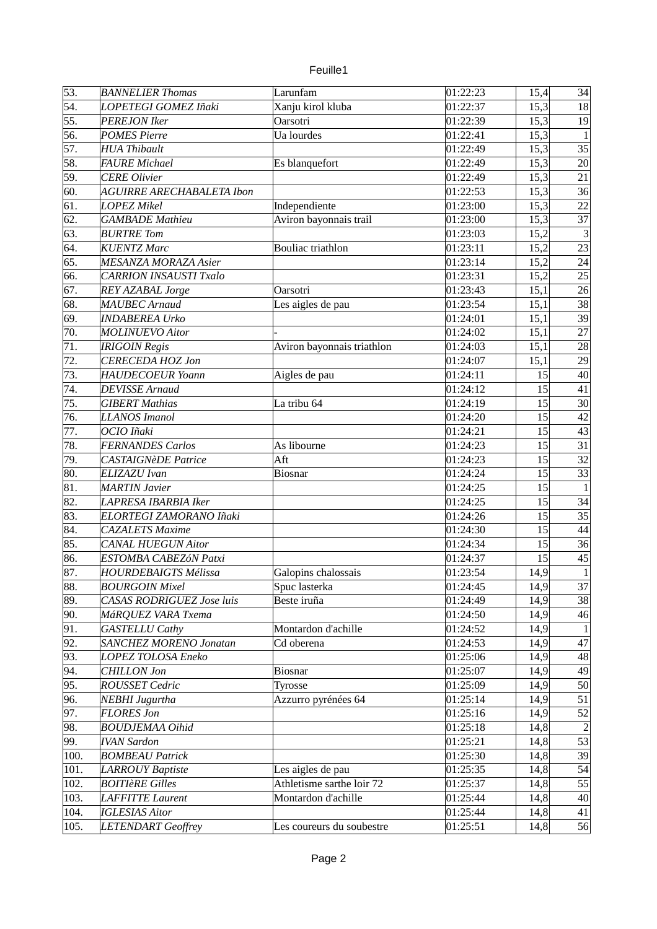| 53.              | <b>BANNELIER Thomas</b>          | Larunfam                   | 01:22:23               | 15,4 | 34                   |
|------------------|----------------------------------|----------------------------|------------------------|------|----------------------|
| 54.              | LOPETEGI GOMEZ Iñaki             | Xanju kirol kluba          | $\overline{0}$ 1:22:37 | 15,3 | 18                   |
| 55.              | <b>PEREJON Iker</b>              | Oarsotri                   | 01:22:39               | 15,3 | 19                   |
| 56.              | <b>POMES Pierre</b>              | Ua lourdes                 | 01:22:41               | 15,3 | $\mathbf{1}$         |
| 57.              | <b>HUA Thibault</b>              |                            | 01:22:49               | 15,3 | 35                   |
| 58.              | <b>FAURE Michael</b>             | Es blanquefort             | 01:22:49               | 15,3 | 20                   |
| 59.              | <b>CERE Olivier</b>              |                            | 01:22:49               | 15,3 | 21                   |
| 60.              | <b>AGUIRRE ARECHABALETA Ibon</b> |                            | 01:22:53               | 15,3 | 36                   |
| 61.              | <b>LOPEZ Mikel</b>               | Independiente              | 01:23:00               | 15,3 | 22                   |
| $\overline{62.}$ | <b>GAMBADE</b> Mathieu           | Aviron bayonnais trail     | 01:23:00               | 15,3 | 37                   |
| 63.              | <b>BURTRE Tom</b>                |                            | 01:23:03               | 15,2 | $\overline{3}$       |
| 64.              | <b>KUENTZ Marc</b>               | <b>Bouliac</b> triathlon   | 01:23:11               | 15,2 | 23                   |
| 65.              | <b>MESANZA MORAZA Asier</b>      |                            | 01:23:14               | 15,2 | 24                   |
| 66.              | <b>CARRION INSAUSTI Txalo</b>    |                            | 01:23:31               | 15,2 | 25                   |
| 67.              | REY AZABAL Jorge                 | Oarsotri                   | 01:23:43               | 15,1 | 26                   |
| 68.              | <b>MAUBEC</b> Arnaud             | Les aigles de pau          | 01:23:54               | 15,1 | 38                   |
| 69.              | <b>INDABEREA Urko</b>            |                            | 01:24:01               | 15,1 | 39                   |
| 70.              | <b>MOLINUEVO Aitor</b>           |                            | 01:24:02               | 15,1 | 27                   |
| 71.              | <b>IRIGOIN Regis</b>             | Aviron bayonnais triathlon | 01:24:03               | 15,1 | 28                   |
| $\overline{72.}$ | <b>CERECEDA HOZ Jon</b>          |                            | 01:24:07               | 15,1 | 29                   |
| 73.              | <b>HAUDECOEUR Yoann</b>          | Aigles de pau              | 01:24:11               | 15   | 40                   |
| 74.              | <b>DEVISSE Arnaud</b>            |                            | 01:24:12               | 15   | 41                   |
| 75.              | <b>GIBERT Mathias</b>            | La tribu 64                | 01:24:19               | 15   | 30 <sup>°</sup>      |
| 76.              | <b>LLANOS Imanol</b>             |                            | 01:24:20               | 15   | 42                   |
| 77.              | OCIO Iñaki                       |                            | 01:24:21               | 15   | 43                   |
| 78.              | <b>FERNANDES Carlos</b>          | As libourne                | 01:24:23               | 15   | 31                   |
| 79.              | <b>CASTAIGNèDE Patrice</b>       | Aft                        | 01:24:23               | 15   | 32                   |
| 80.              | ELIZAZU Ivan                     | <b>Biosnar</b>             | 01:24:24               | 15   | 33                   |
| 81.              | <b>MARTIN Javier</b>             |                            | 01:24:25               | 15   | $\mathbf{1}$         |
| 82.              | LAPRESA IBARBIA Iker             |                            | 01:24:25               | 15   | 34                   |
| 83.              | ELORTEGI ZAMORANO Iñaki          |                            | 01:24:26               | 15   | 35                   |
|                  |                                  |                            | 01:24:30               |      |                      |
| 84.              | <b>CAZALETS Maxime</b>           |                            |                        | 15   | 44                   |
| 85.              | <b>CANAL HUEGUN Aitor</b>        |                            | 01:24:34               | 15   | 36                   |
| 86.<br>87.       | ESTOMBA CABEZÓN Patxi            |                            | 01:24:37               | 15   | 45<br>$\overline{1}$ |
|                  | <b>HOURDEBAIGTS Mélissa</b>      | Galopins chalossais        | 01:23:54               | 14,9 |                      |
| 88.              | <b>BOURGOIN Mixel</b>            | Spuc lasterka              | 01:24:45               | 14,9 | 37                   |
| 89.              | CASAS RODRIGUEZ Jose luis        | Beste iruña                | 01:24:49               | 14,9 | 38                   |
| 90.              | MáRQUEZ VARA Txema               |                            | 01:24:50               | 14,9 | 46                   |
| 91.              | <b>GASTELLU Cathy</b>            | Montardon d'achille        | 01:24:52               | 14,9 | $\mathbf{1}$         |
| 92.              | <b>SANCHEZ MORENO Jonatan</b>    | $\overline{C}$ d oberena   | 01:24:53               | 14,9 | 47                   |
| 93.              | LOPEZ TOLOSA Eneko               |                            | 01:25:06               | 14,9 | 48                   |
| 94.              | <b>CHILLON Jon</b>               | <b>Biosnar</b>             | 01:25:07               | 14,9 | 49                   |
| 95.              | ROUSSET Cedric                   | Tyrosse                    | 01:25:09               | 14,9 | 50                   |
| 96.              | <b>NEBHI Jugurtha</b>            | Azzurro pyrénées 64        | 01:25:14               | 14,9 | 51                   |
| 97.              | <b>FLORES Jon</b>                |                            | 01:25:16               | 14,9 | 52                   |
| 98.              | <b>BOUDJEMAA Oihid</b>           |                            | 01:25:18               | 14,8 | $\overline{2}$       |
| 99.              | <b>IVAN Sardon</b>               |                            | 01:25:21               | 14,8 | 53                   |
| 100.             | <b>BOMBEAU Patrick</b>           |                            | 01:25:30               | 14,8 | 39                   |
| 101.             | <b>LARROUY Baptiste</b>          | Les aigles de pau          | 01:25:35               | 14,8 | 54                   |
| 102.             | <b>BOITIÈRE Gilles</b>           | Athletisme sarthe loir 72  | 01:25:37               | 14,8 | 55                   |
| 103.             | <b>LAFFITTE Laurent</b>          | Montardon d'achille        | 01:25:44               | 14,8 | 40                   |
| 104.             | <b>IGLESIAS Aitor</b>            |                            | 01:25:44               | 14,8 | 41                   |
| 105.             | <b>LETENDART</b> Geoffrey        | Les coureurs du soubestre  | 01:25:51               | 14,8 | 56                   |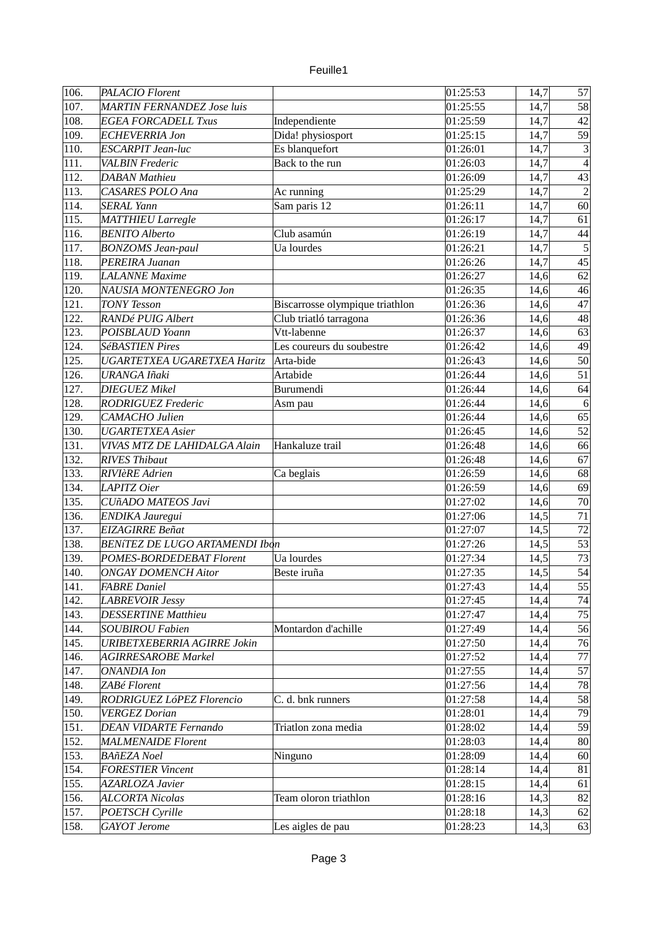| 106. | <b>PALACIO</b> Florent                |                                    | 01:25:53 | 14,7 | 57                      |
|------|---------------------------------------|------------------------------------|----------|------|-------------------------|
| 107. | <b>MARTIN FERNANDEZ Jose luis</b>     |                                    | 01:25:55 | 14,7 | 58                      |
| 108. | <b>EGEA FORCADELL Txus</b>            | Independiente                      | 01:25:59 | 14,7 | 42                      |
| 109. | <b>ECHEVERRIA Jon</b>                 | Dida! physiosport                  | 01:25:15 | 14,7 | 59                      |
| 110. | <b>ESCARPIT Jean-luc</b>              | Es blanquefort                     | 01:26:01 | 14,7 | 3                       |
| 111. | <b>VALBIN</b> Frederic                | Back to the run                    | 01:26:03 | 14,7 | $\overline{4}$          |
| 112. | <b>DABAN Mathieu</b>                  |                                    | 01:26:09 | 14,7 | 43                      |
| 113. | <b>CASARES POLO Ana</b>               | Ac running                         | 01:25:29 | 14,7 | $\overline{a}$          |
| 114. | <b>SERAL Yann</b>                     | Sam paris 12                       | 01:26:11 | 14,7 | 60                      |
| 115. | <b>MATTHIEU Larregle</b>              |                                    | 01:26:17 | 14,7 | 61                      |
| 116. | <b>BENITO Alberto</b>                 | Club asamún                        | 01:26:19 | 14,7 | 44                      |
| 117. | <b>BONZOMS</b> Jean-paul              | Ua lourdes                         | 01:26:21 | 14,7 | $\overline{\mathbf{5}}$ |
| 118. | PEREIRA Juanan                        |                                    | 01:26:26 | 14,7 | 45                      |
|      |                                       |                                    |          |      | 62                      |
| 119. | <b>LALANNE Maxime</b>                 |                                    | 01:26:27 | 14,6 |                         |
| 120. | NAUSIA MONTENEGRO Jon                 |                                    | 01:26:35 | 14,6 | 46<br>$\overline{47}$   |
| 121. | <b>TONY Tesson</b>                    | Biscarrosse olympique triathlon    | 01:26:36 | 14,6 |                         |
| 122. | RANDé PUIG Albert                     | Club triatló tarragona             | 01:26:36 | 14,6 | 48                      |
| 123. | POISBLAUD Yoann                       | $\overline{\mathrm{V}}$ tt-labenne | 01:26:37 | 14,6 | 63                      |
| 124. | <b>SéBASTIEN Pires</b>                | Les coureurs du soubestre          | 01:26:42 | 14,6 | 49                      |
| 125. | UGARTETXEA UGARETXEA Haritz           | Arta-bide                          | 01:26:43 | 14,6 | 50                      |
| 126. | <b>URANGA Iñaki</b>                   | Artabide                           | 01:26:44 | 14,6 | $\overline{51}$         |
| 127. | <b>DIEGUEZ Mikel</b>                  | Burumendi                          | 01:26:44 | 14,6 | 64                      |
| 128. | <b>RODRIGUEZ Frederic</b>             | Asm pau                            | 01:26:44 | 14,6 | $6 \overline{6}$        |
| 129. | CAMACHO Julien                        |                                    | 01:26:44 | 14,6 | 65                      |
| 130. | <b>UGARTETXEA Asier</b>               |                                    | 01:26:45 | 14,6 | 52                      |
| 131. | VIVAS MTZ DE LAHIDALGA Alain          | Hankaluze trail                    | 01:26:48 | 14,6 | 66                      |
| 132. | <b>RIVES Thibaut</b>                  |                                    | 01:26:48 | 14,6 | 67                      |
| 133. | <b>RIVIèRE Adrien</b>                 | Ca beglais                         | 01:26:59 | 14,6 | 68                      |
| 134. | <b>LAPITZ Oier</b>                    |                                    | 01:26:59 | 14,6 | 69                      |
| 135. | CUñADO MATEOS Javi                    |                                    | 01:27:02 | 14,6 | 70                      |
| 136. | <b>ENDIKA Jauregui</b>                |                                    | 01:27:06 | 14,5 | $\overline{71}$         |
| 137. | <b>EIZAGIRRE Beñat</b>                |                                    | 01:27:07 | 14,5 | $\overline{72}$         |
| 138. | <b>BENÍTEZ DE LUGO ARTAMENDI Ibon</b> |                                    | 01:27:26 | 14,5 | 53                      |
| 139. | <b>POMES-BORDEDEBAT Florent</b>       | Ua lourdes                         | 01:27:34 | 14,5 | 73                      |
| 140. | <b>ONGAY DOMENCH Aitor</b>            | Beste iruña                        | 01:27:35 | 14,5 | $\overline{54}$         |
| 141. | <b>FABRE Daniel</b>                   |                                    | 01:27:43 | 14,4 | 55                      |
| 142. | <b>LABREVOIR Jessy</b>                |                                    | 01:27:45 | 14,4 | 74                      |
| 143. | <b>DESSERTINE Matthieu</b>            |                                    | 01:27:47 | 14,4 | 75                      |
| 144. | <b>SOUBIROU Fabien</b>                | Montardon d'achille                | 01:27:49 | 14,4 | 56                      |
| 145. | URIBETXEBERRIA AGIRRE Jokin           |                                    | 01:27:50 | 14,4 | 76                      |
| 146. | <b>AGIRRESAROBE Markel</b>            |                                    | 01:27:52 | 14,4 | 77                      |
| 147. | <b>ONANDIA</b> Ion                    |                                    | 01:27:55 | 14,4 | 57                      |
| 148. | ZABé Florent                          |                                    | 01:27:56 | 14,4 | 78                      |
| 149. | RODRIGUEZ LóPEZ Florencio             | C. d. bnk runners                  | 01:27:58 | 14,4 | $\overline{58}$         |
| 150. | <b>VERGEZ Dorian</b>                  |                                    | 01:28:01 | 14,4 | 79                      |
| 151. | <b>DEAN VIDARTE Fernando</b>          | Triatlon zona media                | 01:28:02 | 14,4 | 59                      |
| 152. | <b>MALMENAIDE Florent</b>             |                                    | 01:28:03 | 14,4 | 80                      |
| 153. | <b>BAñEZA</b> Noel                    | Ninguno                            | 01:28:09 | 14,4 | 60                      |
| 154. | <b>FORESTIER Vincent</b>              |                                    | 01:28:14 | 14,4 | 81                      |
| 155. | <b>AZARLOZA Javier</b>                |                                    | 01:28:15 | 14,4 | 61                      |
| 156. | <b>ALCORTA Nicolas</b>                | Team oloron triathlon              | 01:28:16 | 14,3 | 82                      |
| 157. | POETSCH Cyrille                       |                                    | 01:28:18 | 14,3 | 62                      |
| 158. | <b>GAYOT</b> Jerome                   | Les aigles de pau                  | 01:28:23 | 14,3 | 63                      |
|      |                                       |                                    |          |      |                         |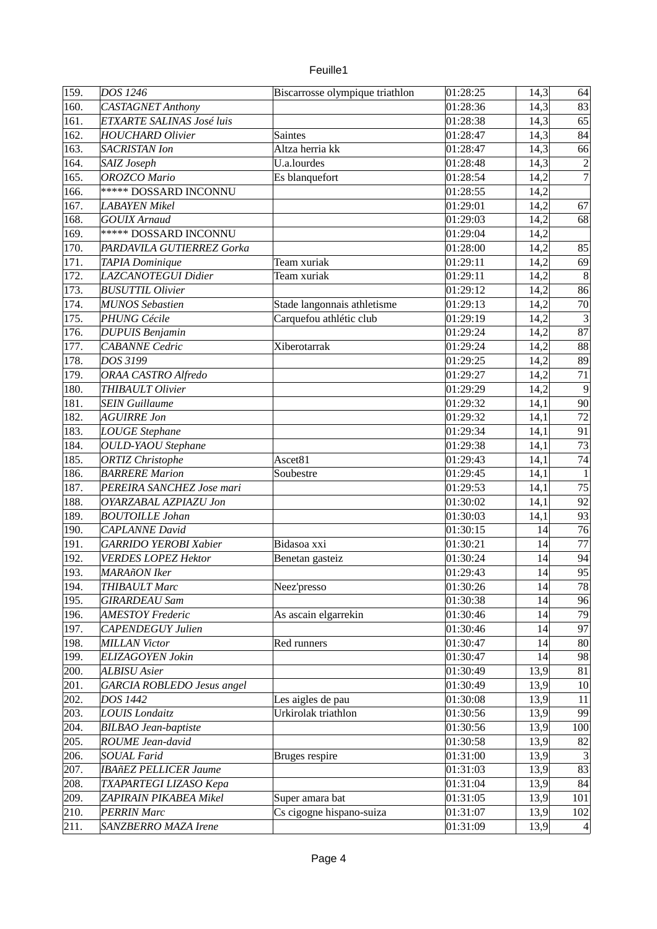| euille. |  |
|---------|--|
|         |  |

| 159. | DOS 1246                                        | Biscarrosse olympique triathlon | 01:28:25             | 14,3 | 64              |
|------|-------------------------------------------------|---------------------------------|----------------------|------|-----------------|
| 160. | <b>CASTAGNET Anthony</b>                        |                                 | 01:28:36             | 14,3 | 83              |
| 161. | ETXARTE SALINAS José luis                       |                                 | 01:28:38             | 14,3 | 65              |
| 162. | <b>HOUCHARD Olivier</b>                         | <b>Saintes</b>                  | 01:28:47             | 14,3 | 84              |
| 163. | <b>SACRISTAN Ion</b>                            | Altza herria kk                 | 01:28:47             | 14,3 | 66              |
| 164. | SAIZ Joseph                                     | U.a.lourdes                     | 01:28:48             | 14,3 | $\overline{a}$  |
| 165. | <b>OROZCO Mario</b>                             | Es blanquefort                  | 01:28:54             | 14,2 | $\overline{7}$  |
| 166. | ***** DOSSARD INCONNU                           |                                 | 01:28:55             | 14,2 |                 |
| 167. | <b>LABAYEN Mikel</b>                            |                                 | 01:29:01             | 14,2 | 67              |
| 168. | <b>GOUIX Arnaud</b>                             |                                 | 01:29:03             | 14,2 | 68              |
| 169. | ***** DOSSARD INCONNU                           |                                 | 01:29:04             |      |                 |
|      |                                                 |                                 |                      | 14,2 |                 |
| 170. | PARDAVILA GUTIERREZ Gorka                       |                                 | 01:28:00             | 14,2 | 85              |
| 171. | TAPIA Dominique                                 | Team xuriak                     | 01:29:11             | 14,2 | 69              |
| 172. | LAZCANOTEGUI Didier                             | Team xuriak                     | 01:29:11             | 14,2 | $\vert 8 \vert$ |
| 173. | <b>BUSUTTIL Olivier</b>                         |                                 | 01:29:12             | 14,2 | 86              |
| 174. | <b>MUNOS Sebastien</b>                          | Stade langonnais athletisme     | 01:29:13             | 14,2 | 70              |
| 175. | PHUNG Cécile                                    | Carquefou athlétic club         | 01:29:19             | 14,2 | $\overline{3}$  |
| 176. | <b>DUPUIS Benjamin</b>                          |                                 | 01:29:24             | 14,2 | 87              |
| 177. | <b>CABANNE</b> Cedric                           | Xiberotarrak                    | 01:29:24             | 14,2 | 88              |
| 178. | DOS 3199                                        |                                 | 01:29:25             | 14,2 | 89              |
| 179. | <b>ORAA CASTRO Alfredo</b>                      |                                 | 01:29:27             | 14,2 | $\overline{71}$ |
| 180. | THIBAULT Olivier                                |                                 | 01:29:29             | 14,2 | 9               |
| 181. | <b>SEIN Guillaume</b>                           |                                 | 01:29:32             | 14,1 | 90              |
| 182. | <b>AGUIRRE Jon</b>                              |                                 | 01:29:32             | 14,1 | $\overline{72}$ |
| 183. | <b>LOUGE Stephane</b>                           |                                 | 01:29:34             | 14,1 | 91              |
| 184. | <b>OULD-YAOU</b> Stephane                       |                                 | 01:29:38             | 14,1 | 73              |
| 185. | <b>ORTIZ Christophe</b>                         | Ascet81                         | 01:29:43             | 14,1 | 74              |
| 186. | <b>BARRERE Marion</b>                           | Soubestre                       | 01:29:45             | 14,1 | $\mathbf{1}$    |
| 187. | PEREIRA SANCHEZ Jose mari                       |                                 | 01:29:53             | 14,1 | $\overline{75}$ |
| 188. | OYARZABAL AZPIAZU Jon                           |                                 | 01:30:02             | 14,1 | 92              |
| 189. | <b>BOUTOILLE Johan</b>                          |                                 | 01:30:03             | 14,1 | 93              |
| 190. | <b>CAPLANNE</b> David                           |                                 | 01:30:15             | 14   | 76              |
| 191. | <b>GARRIDO YEROBI Xabier</b>                    | Bidasoa xxi                     | 01:30:21             | 14   | 77              |
| 192. | <b>VERDES LOPEZ Hektor</b>                      | Benetan gasteiz                 | 01:30:24             | 14   | 94              |
| 193. | <b>MARAñON</b> Iker                             |                                 | 01:29:43             | 14   | 95              |
| 194. | THIBAULT Marc                                   | Neez'presso                     | 01:30:26             | 14   | 78              |
| 195. | <b>GIRARDEAU Sam</b>                            |                                 | 01:30:38             | 14   | 96              |
| 196. | <b>AMESTOY Frederic</b>                         | As ascain elgarrekin            | 01:30:46             | 14   | 79              |
| 197. | CAPENDEGUY Julien                               |                                 | 01:30:46             | 14   | 97              |
| 198. | <b>MILLAN Victor</b>                            | Red runners                     | 01:30:47             | 14   | 80              |
| 199. | ELIZAGOYEN Jokin                                |                                 | 01:30:47             | 14   | 98              |
| 200. | <b>ALBISU</b> Asier                             |                                 | 01:30:49             | 13,9 | 81              |
| 201. | GARCIA ROBLEDO Jesus angel                      |                                 | 01:30:49             | 13,9 | 10              |
| 202. | DOS 1442                                        | Les aigles de pau               | 01:30:08             | 13,9 | 11              |
|      |                                                 | Urkirolak triathlon             |                      |      |                 |
| 203. | <b>LOUIS Londaitz</b>                           |                                 | 01:30:56             | 13,9 | 99              |
| 204. | <b>BILBAO</b> Jean-baptiste<br>ROUME Jean-david |                                 | 01:30:56<br>01:30:58 | 13,9 | 100<br>82       |
| 205. |                                                 |                                 |                      | 13,9 |                 |
| 206. | <b>SOUAL Farid</b>                              | Bruges respire                  | 01:31:00             | 13,9 | $\overline{3}$  |
| 207. | <b>IBAñEZ PELLICER Jaume</b>                    |                                 | 01:31:03             | 13,9 | 83              |
| 208. | TXAPARTEGI LIZASO Kepa                          |                                 | 01:31:04             | 13,9 | 84              |
| 209. | ZAPIRAIN PIKABEA Mikel                          | Super amara bat                 | 01:31:05             | 13,9 | 101             |
| 210. | <b>PERRIN Marc</b>                              | Cs cigogne hispano-suiza        | 01:31:07             | 13,9 | 102             |
| 211. | SANZBERRO MAZA Irene                            |                                 | 01:31:09             | 13,9 | $\vert 4 \vert$ |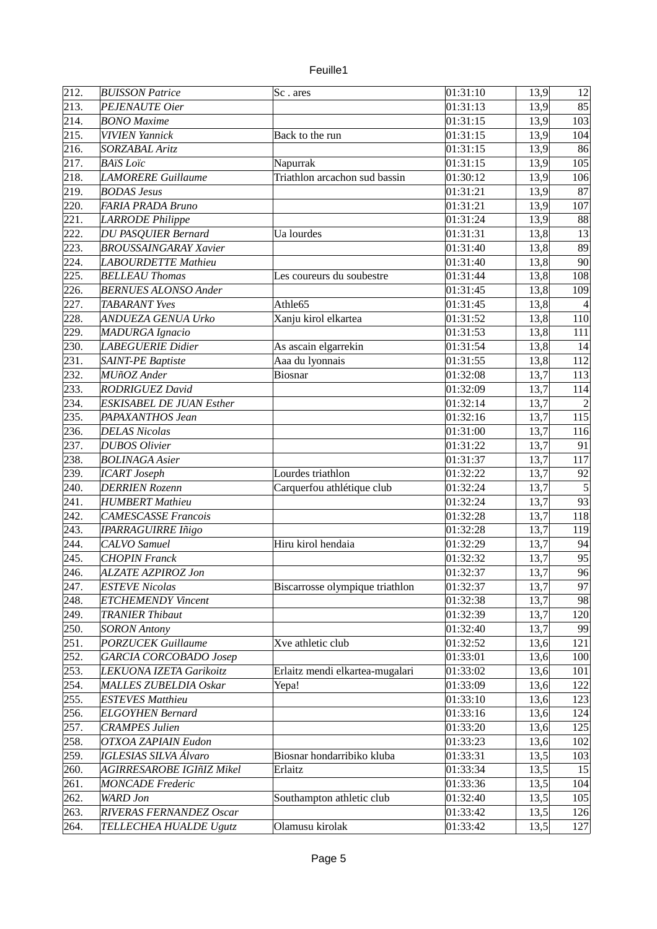| unlle |  |
|-------|--|
|       |  |

| 213.<br>01:31:13<br>85<br>PEJENAUTE Oier<br>13,9<br>214.<br>01:31:15<br>13,9<br>103<br><b>BONO</b> Maxime<br>215.<br><b>VIVIEN Yannick</b><br>Back to the run<br>01:31:15<br>13,9<br>104<br>216.<br><b>SORZABAL Aritz</b><br>01:31:15<br>13,9<br>86<br>217.<br><b>BAïS</b> Loïc<br>Napurrak<br>105<br>01:31:15<br>13,9<br>Triathlon arcachon sud bassin<br>218.<br><b>LAMORERE Guillaume</b><br>01:30:12<br>13,9<br>106<br>219.<br><b>BODAS Jesus</b><br>87<br>01:31:21<br>13,9<br>220.<br>FARIA PRADA Bruno<br>01:31:21<br>13,9<br>107<br>221.<br>88<br>LARRODE Philippe<br>01:31:24<br>13,9<br>222.<br><b>DU PASQUIER Bernard</b><br>Ua lourdes<br>01:31:31<br>13,8<br>13<br>223.<br><b>BROUSSAINGARAY Xavier</b><br>01:31:40<br>13,8<br>89<br>224.<br>90<br><b>LABOURDETTE Mathieu</b><br>01:31:40<br>13,8<br>225.<br>13,8<br>01:31:44<br>108<br><b>BELLEAU Thomas</b><br>Les coureurs du soubestre<br>226.<br>13,8<br><b>BERNUES ALONSO Ander</b><br>01:31:45<br>109<br>13,8<br>227.<br>Athle65<br>01:31:45<br><b>TABARANT Yves</b><br>228.<br>Xanju kirol elkartea<br>13,8<br><b>ANDUEZA GENUA Urko</b><br>01:31:52<br>110<br>229.<br><b>MADURGA Ignacio</b><br>01:31:53<br>13,8<br>111<br>230.<br>LABEGUERIE Didier<br>As ascain elgarrekin<br>01:31:54<br>13,8<br>14<br>231.<br>SAINT-PE Baptiste<br>Aaa du lyonnais<br>13,8<br>112<br>01:31:55<br>232.<br>MUñOZ Ander<br>01:32:08<br>13,7<br>113<br>Biosnar<br>233.<br><b>RODRIGUEZ David</b><br>01:32:09<br>13,7<br>114<br>234.<br>01:32:14<br>13,7<br><b>ESKISABEL DE JUAN Esther</b><br>$\overline{2}$<br>235.<br>PAPAXANTHOS Jean<br>01:32:16<br>115<br>13,7<br>236.<br><b>DELAS Nicolas</b><br>01:31:00<br>13,7<br>116<br>237.<br><b>DUBOS Olivier</b><br>01:31:22<br>13,7<br>91<br>238.<br>13,7<br>117<br><b>BOLINAGA Asier</b><br>01:31:37<br>239.<br>92<br><b>ICART</b> Joseph<br>Lourdes triathlon<br>13,7<br>01:32:22<br>240.<br>$\overline{5}$<br>Carquerfou athlétique club<br><b>DERRIEN Rozenn</b><br>13,7<br>01:32:24<br>93<br>241.<br>13,7<br><b>HUMBERT Mathieu</b><br>01:32:24<br>242.<br>13,7<br>118<br><b>CAMESCASSE Francois</b><br>01:32:28<br>243.<br><b>IPARRAGUIRRE Iñigo</b><br>01:32:28<br>13,7<br>119<br>244.<br>Hiru kirol hendaia<br><b>CALVO</b> Samuel<br>01:32:29<br>13,7<br>94<br>245.<br>13,7<br>95<br><b>CHOPIN Franck</b><br>01:32:32<br>96<br>246.<br>13,7<br><b>ALZATE AZPIROZ Jon</b><br>01:32:37<br>13,7<br>247.<br><b>ESTEVE Nicolas</b><br>Biscarrosse olympique triathlon<br>97<br>01:32:37<br>248.<br><b>ETCHEMENDY Vincent</b><br>13,7<br>98<br>01:32:38<br>249.<br>01:32:39<br>13,7<br>120<br><b>TRANIER Thibaut</b><br>01:32:40<br>13,7<br>250.<br><b>SORON Antony</b><br>99<br><b>PORZUCEK Guillaume</b><br>251.<br>Xve athletic club<br>01:32:52<br>121<br>13,6<br>252.<br><b>GARCIA CORCOBADO Josep</b><br>01:33:01<br>13,6<br>100<br>253.<br>Erlaitz mendi elkartea-mugalari<br>01:33:02<br>LEKUONA IZETA Garikoitz<br>13,6<br>101<br>254.<br>MALLES ZUBELDIA Oskar<br>01:33:09<br>13,6<br>122<br>Yepa!<br>255.<br><b>ESTEVES Matthieu</b><br>01:33:10<br>13,6<br>123<br>256.<br><b>ELGOYHEN Bernard</b><br>01:33:16<br>13,6<br>124<br>257.<br><b>CRAMPES Julien</b><br>01:33:20<br>13,6<br>125<br>258.<br><b>OTXOA ZAPIAIN Eudon</b><br>01:33:23<br>13,6<br>102<br><b>IGLESIAS SILVA Álvaro</b><br>259.<br>Biosnar hondarribiko kluba<br>01:33:31<br>13,5<br>103<br>260.<br>AGIRRESAROBE IGIñIZ Mikel<br>01:33:34<br>13,5<br>Erlaitz<br>15<br>261.<br><b>MONCADE</b> Frederic<br>01:33:36<br>13,5<br>104<br>262.<br><b>WARD</b> Jon<br>Southampton athletic club<br>01:32:40<br>13,5<br>105<br>263.<br>RIVERAS FERNANDEZ Oscar<br>01:33:42<br>13,5<br>126<br>264.<br>Olamusu kirolak<br>01:33:42<br>13,5<br>127<br>TELLECHEA HUALDE Ugutz | 212. | <b>BUISSON Patrice</b> | Sc. ares | 01:31:10 | 13,9 | 12 |
|--------------------------------------------------------------------------------------------------------------------------------------------------------------------------------------------------------------------------------------------------------------------------------------------------------------------------------------------------------------------------------------------------------------------------------------------------------------------------------------------------------------------------------------------------------------------------------------------------------------------------------------------------------------------------------------------------------------------------------------------------------------------------------------------------------------------------------------------------------------------------------------------------------------------------------------------------------------------------------------------------------------------------------------------------------------------------------------------------------------------------------------------------------------------------------------------------------------------------------------------------------------------------------------------------------------------------------------------------------------------------------------------------------------------------------------------------------------------------------------------------------------------------------------------------------------------------------------------------------------------------------------------------------------------------------------------------------------------------------------------------------------------------------------------------------------------------------------------------------------------------------------------------------------------------------------------------------------------------------------------------------------------------------------------------------------------------------------------------------------------------------------------------------------------------------------------------------------------------------------------------------------------------------------------------------------------------------------------------------------------------------------------------------------------------------------------------------------------------------------------------------------------------------------------------------------------------------------------------------------------------------------------------------------------------------------------------------------------------------------------------------------------------------------------------------------------------------------------------------------------------------------------------------------------------------------------------------------------------------------------------------------------------------------------------------------------------------------------------------------------------------------------------------------------------------------------------------------------------------------------------------------------------------------------------------------------------------------------------------------------------------------------------------------------------------------------------------------------------------------------------------------------------------------------------------------------------------------------------------------------------------------------------------------------------------------------------------------------------------------------------------|------|------------------------|----------|----------|------|----|
|                                                                                                                                                                                                                                                                                                                                                                                                                                                                                                                                                                                                                                                                                                                                                                                                                                                                                                                                                                                                                                                                                                                                                                                                                                                                                                                                                                                                                                                                                                                                                                                                                                                                                                                                                                                                                                                                                                                                                                                                                                                                                                                                                                                                                                                                                                                                                                                                                                                                                                                                                                                                                                                                                                                                                                                                                                                                                                                                                                                                                                                                                                                                                                                                                                                                                                                                                                                                                                                                                                                                                                                                                                                                                                                                                        |      |                        |          |          |      |    |
|                                                                                                                                                                                                                                                                                                                                                                                                                                                                                                                                                                                                                                                                                                                                                                                                                                                                                                                                                                                                                                                                                                                                                                                                                                                                                                                                                                                                                                                                                                                                                                                                                                                                                                                                                                                                                                                                                                                                                                                                                                                                                                                                                                                                                                                                                                                                                                                                                                                                                                                                                                                                                                                                                                                                                                                                                                                                                                                                                                                                                                                                                                                                                                                                                                                                                                                                                                                                                                                                                                                                                                                                                                                                                                                                                        |      |                        |          |          |      |    |
|                                                                                                                                                                                                                                                                                                                                                                                                                                                                                                                                                                                                                                                                                                                                                                                                                                                                                                                                                                                                                                                                                                                                                                                                                                                                                                                                                                                                                                                                                                                                                                                                                                                                                                                                                                                                                                                                                                                                                                                                                                                                                                                                                                                                                                                                                                                                                                                                                                                                                                                                                                                                                                                                                                                                                                                                                                                                                                                                                                                                                                                                                                                                                                                                                                                                                                                                                                                                                                                                                                                                                                                                                                                                                                                                                        |      |                        |          |          |      |    |
|                                                                                                                                                                                                                                                                                                                                                                                                                                                                                                                                                                                                                                                                                                                                                                                                                                                                                                                                                                                                                                                                                                                                                                                                                                                                                                                                                                                                                                                                                                                                                                                                                                                                                                                                                                                                                                                                                                                                                                                                                                                                                                                                                                                                                                                                                                                                                                                                                                                                                                                                                                                                                                                                                                                                                                                                                                                                                                                                                                                                                                                                                                                                                                                                                                                                                                                                                                                                                                                                                                                                                                                                                                                                                                                                                        |      |                        |          |          |      |    |
|                                                                                                                                                                                                                                                                                                                                                                                                                                                                                                                                                                                                                                                                                                                                                                                                                                                                                                                                                                                                                                                                                                                                                                                                                                                                                                                                                                                                                                                                                                                                                                                                                                                                                                                                                                                                                                                                                                                                                                                                                                                                                                                                                                                                                                                                                                                                                                                                                                                                                                                                                                                                                                                                                                                                                                                                                                                                                                                                                                                                                                                                                                                                                                                                                                                                                                                                                                                                                                                                                                                                                                                                                                                                                                                                                        |      |                        |          |          |      |    |
|                                                                                                                                                                                                                                                                                                                                                                                                                                                                                                                                                                                                                                                                                                                                                                                                                                                                                                                                                                                                                                                                                                                                                                                                                                                                                                                                                                                                                                                                                                                                                                                                                                                                                                                                                                                                                                                                                                                                                                                                                                                                                                                                                                                                                                                                                                                                                                                                                                                                                                                                                                                                                                                                                                                                                                                                                                                                                                                                                                                                                                                                                                                                                                                                                                                                                                                                                                                                                                                                                                                                                                                                                                                                                                                                                        |      |                        |          |          |      |    |
|                                                                                                                                                                                                                                                                                                                                                                                                                                                                                                                                                                                                                                                                                                                                                                                                                                                                                                                                                                                                                                                                                                                                                                                                                                                                                                                                                                                                                                                                                                                                                                                                                                                                                                                                                                                                                                                                                                                                                                                                                                                                                                                                                                                                                                                                                                                                                                                                                                                                                                                                                                                                                                                                                                                                                                                                                                                                                                                                                                                                                                                                                                                                                                                                                                                                                                                                                                                                                                                                                                                                                                                                                                                                                                                                                        |      |                        |          |          |      |    |
|                                                                                                                                                                                                                                                                                                                                                                                                                                                                                                                                                                                                                                                                                                                                                                                                                                                                                                                                                                                                                                                                                                                                                                                                                                                                                                                                                                                                                                                                                                                                                                                                                                                                                                                                                                                                                                                                                                                                                                                                                                                                                                                                                                                                                                                                                                                                                                                                                                                                                                                                                                                                                                                                                                                                                                                                                                                                                                                                                                                                                                                                                                                                                                                                                                                                                                                                                                                                                                                                                                                                                                                                                                                                                                                                                        |      |                        |          |          |      |    |
|                                                                                                                                                                                                                                                                                                                                                                                                                                                                                                                                                                                                                                                                                                                                                                                                                                                                                                                                                                                                                                                                                                                                                                                                                                                                                                                                                                                                                                                                                                                                                                                                                                                                                                                                                                                                                                                                                                                                                                                                                                                                                                                                                                                                                                                                                                                                                                                                                                                                                                                                                                                                                                                                                                                                                                                                                                                                                                                                                                                                                                                                                                                                                                                                                                                                                                                                                                                                                                                                                                                                                                                                                                                                                                                                                        |      |                        |          |          |      |    |
|                                                                                                                                                                                                                                                                                                                                                                                                                                                                                                                                                                                                                                                                                                                                                                                                                                                                                                                                                                                                                                                                                                                                                                                                                                                                                                                                                                                                                                                                                                                                                                                                                                                                                                                                                                                                                                                                                                                                                                                                                                                                                                                                                                                                                                                                                                                                                                                                                                                                                                                                                                                                                                                                                                                                                                                                                                                                                                                                                                                                                                                                                                                                                                                                                                                                                                                                                                                                                                                                                                                                                                                                                                                                                                                                                        |      |                        |          |          |      |    |
|                                                                                                                                                                                                                                                                                                                                                                                                                                                                                                                                                                                                                                                                                                                                                                                                                                                                                                                                                                                                                                                                                                                                                                                                                                                                                                                                                                                                                                                                                                                                                                                                                                                                                                                                                                                                                                                                                                                                                                                                                                                                                                                                                                                                                                                                                                                                                                                                                                                                                                                                                                                                                                                                                                                                                                                                                                                                                                                                                                                                                                                                                                                                                                                                                                                                                                                                                                                                                                                                                                                                                                                                                                                                                                                                                        |      |                        |          |          |      |    |
|                                                                                                                                                                                                                                                                                                                                                                                                                                                                                                                                                                                                                                                                                                                                                                                                                                                                                                                                                                                                                                                                                                                                                                                                                                                                                                                                                                                                                                                                                                                                                                                                                                                                                                                                                                                                                                                                                                                                                                                                                                                                                                                                                                                                                                                                                                                                                                                                                                                                                                                                                                                                                                                                                                                                                                                                                                                                                                                                                                                                                                                                                                                                                                                                                                                                                                                                                                                                                                                                                                                                                                                                                                                                                                                                                        |      |                        |          |          |      |    |
|                                                                                                                                                                                                                                                                                                                                                                                                                                                                                                                                                                                                                                                                                                                                                                                                                                                                                                                                                                                                                                                                                                                                                                                                                                                                                                                                                                                                                                                                                                                                                                                                                                                                                                                                                                                                                                                                                                                                                                                                                                                                                                                                                                                                                                                                                                                                                                                                                                                                                                                                                                                                                                                                                                                                                                                                                                                                                                                                                                                                                                                                                                                                                                                                                                                                                                                                                                                                                                                                                                                                                                                                                                                                                                                                                        |      |                        |          |          |      |    |
|                                                                                                                                                                                                                                                                                                                                                                                                                                                                                                                                                                                                                                                                                                                                                                                                                                                                                                                                                                                                                                                                                                                                                                                                                                                                                                                                                                                                                                                                                                                                                                                                                                                                                                                                                                                                                                                                                                                                                                                                                                                                                                                                                                                                                                                                                                                                                                                                                                                                                                                                                                                                                                                                                                                                                                                                                                                                                                                                                                                                                                                                                                                                                                                                                                                                                                                                                                                                                                                                                                                                                                                                                                                                                                                                                        |      |                        |          |          |      |    |
|                                                                                                                                                                                                                                                                                                                                                                                                                                                                                                                                                                                                                                                                                                                                                                                                                                                                                                                                                                                                                                                                                                                                                                                                                                                                                                                                                                                                                                                                                                                                                                                                                                                                                                                                                                                                                                                                                                                                                                                                                                                                                                                                                                                                                                                                                                                                                                                                                                                                                                                                                                                                                                                                                                                                                                                                                                                                                                                                                                                                                                                                                                                                                                                                                                                                                                                                                                                                                                                                                                                                                                                                                                                                                                                                                        |      |                        |          |          |      |    |
|                                                                                                                                                                                                                                                                                                                                                                                                                                                                                                                                                                                                                                                                                                                                                                                                                                                                                                                                                                                                                                                                                                                                                                                                                                                                                                                                                                                                                                                                                                                                                                                                                                                                                                                                                                                                                                                                                                                                                                                                                                                                                                                                                                                                                                                                                                                                                                                                                                                                                                                                                                                                                                                                                                                                                                                                                                                                                                                                                                                                                                                                                                                                                                                                                                                                                                                                                                                                                                                                                                                                                                                                                                                                                                                                                        |      |                        |          |          |      |    |
|                                                                                                                                                                                                                                                                                                                                                                                                                                                                                                                                                                                                                                                                                                                                                                                                                                                                                                                                                                                                                                                                                                                                                                                                                                                                                                                                                                                                                                                                                                                                                                                                                                                                                                                                                                                                                                                                                                                                                                                                                                                                                                                                                                                                                                                                                                                                                                                                                                                                                                                                                                                                                                                                                                                                                                                                                                                                                                                                                                                                                                                                                                                                                                                                                                                                                                                                                                                                                                                                                                                                                                                                                                                                                                                                                        |      |                        |          |          |      |    |
|                                                                                                                                                                                                                                                                                                                                                                                                                                                                                                                                                                                                                                                                                                                                                                                                                                                                                                                                                                                                                                                                                                                                                                                                                                                                                                                                                                                                                                                                                                                                                                                                                                                                                                                                                                                                                                                                                                                                                                                                                                                                                                                                                                                                                                                                                                                                                                                                                                                                                                                                                                                                                                                                                                                                                                                                                                                                                                                                                                                                                                                                                                                                                                                                                                                                                                                                                                                                                                                                                                                                                                                                                                                                                                                                                        |      |                        |          |          |      |    |
|                                                                                                                                                                                                                                                                                                                                                                                                                                                                                                                                                                                                                                                                                                                                                                                                                                                                                                                                                                                                                                                                                                                                                                                                                                                                                                                                                                                                                                                                                                                                                                                                                                                                                                                                                                                                                                                                                                                                                                                                                                                                                                                                                                                                                                                                                                                                                                                                                                                                                                                                                                                                                                                                                                                                                                                                                                                                                                                                                                                                                                                                                                                                                                                                                                                                                                                                                                                                                                                                                                                                                                                                                                                                                                                                                        |      |                        |          |          |      |    |
|                                                                                                                                                                                                                                                                                                                                                                                                                                                                                                                                                                                                                                                                                                                                                                                                                                                                                                                                                                                                                                                                                                                                                                                                                                                                                                                                                                                                                                                                                                                                                                                                                                                                                                                                                                                                                                                                                                                                                                                                                                                                                                                                                                                                                                                                                                                                                                                                                                                                                                                                                                                                                                                                                                                                                                                                                                                                                                                                                                                                                                                                                                                                                                                                                                                                                                                                                                                                                                                                                                                                                                                                                                                                                                                                                        |      |                        |          |          |      |    |
|                                                                                                                                                                                                                                                                                                                                                                                                                                                                                                                                                                                                                                                                                                                                                                                                                                                                                                                                                                                                                                                                                                                                                                                                                                                                                                                                                                                                                                                                                                                                                                                                                                                                                                                                                                                                                                                                                                                                                                                                                                                                                                                                                                                                                                                                                                                                                                                                                                                                                                                                                                                                                                                                                                                                                                                                                                                                                                                                                                                                                                                                                                                                                                                                                                                                                                                                                                                                                                                                                                                                                                                                                                                                                                                                                        |      |                        |          |          |      |    |
|                                                                                                                                                                                                                                                                                                                                                                                                                                                                                                                                                                                                                                                                                                                                                                                                                                                                                                                                                                                                                                                                                                                                                                                                                                                                                                                                                                                                                                                                                                                                                                                                                                                                                                                                                                                                                                                                                                                                                                                                                                                                                                                                                                                                                                                                                                                                                                                                                                                                                                                                                                                                                                                                                                                                                                                                                                                                                                                                                                                                                                                                                                                                                                                                                                                                                                                                                                                                                                                                                                                                                                                                                                                                                                                                                        |      |                        |          |          |      |    |
|                                                                                                                                                                                                                                                                                                                                                                                                                                                                                                                                                                                                                                                                                                                                                                                                                                                                                                                                                                                                                                                                                                                                                                                                                                                                                                                                                                                                                                                                                                                                                                                                                                                                                                                                                                                                                                                                                                                                                                                                                                                                                                                                                                                                                                                                                                                                                                                                                                                                                                                                                                                                                                                                                                                                                                                                                                                                                                                                                                                                                                                                                                                                                                                                                                                                                                                                                                                                                                                                                                                                                                                                                                                                                                                                                        |      |                        |          |          |      |    |
|                                                                                                                                                                                                                                                                                                                                                                                                                                                                                                                                                                                                                                                                                                                                                                                                                                                                                                                                                                                                                                                                                                                                                                                                                                                                                                                                                                                                                                                                                                                                                                                                                                                                                                                                                                                                                                                                                                                                                                                                                                                                                                                                                                                                                                                                                                                                                                                                                                                                                                                                                                                                                                                                                                                                                                                                                                                                                                                                                                                                                                                                                                                                                                                                                                                                                                                                                                                                                                                                                                                                                                                                                                                                                                                                                        |      |                        |          |          |      |    |
|                                                                                                                                                                                                                                                                                                                                                                                                                                                                                                                                                                                                                                                                                                                                                                                                                                                                                                                                                                                                                                                                                                                                                                                                                                                                                                                                                                                                                                                                                                                                                                                                                                                                                                                                                                                                                                                                                                                                                                                                                                                                                                                                                                                                                                                                                                                                                                                                                                                                                                                                                                                                                                                                                                                                                                                                                                                                                                                                                                                                                                                                                                                                                                                                                                                                                                                                                                                                                                                                                                                                                                                                                                                                                                                                                        |      |                        |          |          |      |    |
|                                                                                                                                                                                                                                                                                                                                                                                                                                                                                                                                                                                                                                                                                                                                                                                                                                                                                                                                                                                                                                                                                                                                                                                                                                                                                                                                                                                                                                                                                                                                                                                                                                                                                                                                                                                                                                                                                                                                                                                                                                                                                                                                                                                                                                                                                                                                                                                                                                                                                                                                                                                                                                                                                                                                                                                                                                                                                                                                                                                                                                                                                                                                                                                                                                                                                                                                                                                                                                                                                                                                                                                                                                                                                                                                                        |      |                        |          |          |      |    |
|                                                                                                                                                                                                                                                                                                                                                                                                                                                                                                                                                                                                                                                                                                                                                                                                                                                                                                                                                                                                                                                                                                                                                                                                                                                                                                                                                                                                                                                                                                                                                                                                                                                                                                                                                                                                                                                                                                                                                                                                                                                                                                                                                                                                                                                                                                                                                                                                                                                                                                                                                                                                                                                                                                                                                                                                                                                                                                                                                                                                                                                                                                                                                                                                                                                                                                                                                                                                                                                                                                                                                                                                                                                                                                                                                        |      |                        |          |          |      |    |
|                                                                                                                                                                                                                                                                                                                                                                                                                                                                                                                                                                                                                                                                                                                                                                                                                                                                                                                                                                                                                                                                                                                                                                                                                                                                                                                                                                                                                                                                                                                                                                                                                                                                                                                                                                                                                                                                                                                                                                                                                                                                                                                                                                                                                                                                                                                                                                                                                                                                                                                                                                                                                                                                                                                                                                                                                                                                                                                                                                                                                                                                                                                                                                                                                                                                                                                                                                                                                                                                                                                                                                                                                                                                                                                                                        |      |                        |          |          |      |    |
|                                                                                                                                                                                                                                                                                                                                                                                                                                                                                                                                                                                                                                                                                                                                                                                                                                                                                                                                                                                                                                                                                                                                                                                                                                                                                                                                                                                                                                                                                                                                                                                                                                                                                                                                                                                                                                                                                                                                                                                                                                                                                                                                                                                                                                                                                                                                                                                                                                                                                                                                                                                                                                                                                                                                                                                                                                                                                                                                                                                                                                                                                                                                                                                                                                                                                                                                                                                                                                                                                                                                                                                                                                                                                                                                                        |      |                        |          |          |      |    |
|                                                                                                                                                                                                                                                                                                                                                                                                                                                                                                                                                                                                                                                                                                                                                                                                                                                                                                                                                                                                                                                                                                                                                                                                                                                                                                                                                                                                                                                                                                                                                                                                                                                                                                                                                                                                                                                                                                                                                                                                                                                                                                                                                                                                                                                                                                                                                                                                                                                                                                                                                                                                                                                                                                                                                                                                                                                                                                                                                                                                                                                                                                                                                                                                                                                                                                                                                                                                                                                                                                                                                                                                                                                                                                                                                        |      |                        |          |          |      |    |
|                                                                                                                                                                                                                                                                                                                                                                                                                                                                                                                                                                                                                                                                                                                                                                                                                                                                                                                                                                                                                                                                                                                                                                                                                                                                                                                                                                                                                                                                                                                                                                                                                                                                                                                                                                                                                                                                                                                                                                                                                                                                                                                                                                                                                                                                                                                                                                                                                                                                                                                                                                                                                                                                                                                                                                                                                                                                                                                                                                                                                                                                                                                                                                                                                                                                                                                                                                                                                                                                                                                                                                                                                                                                                                                                                        |      |                        |          |          |      |    |
|                                                                                                                                                                                                                                                                                                                                                                                                                                                                                                                                                                                                                                                                                                                                                                                                                                                                                                                                                                                                                                                                                                                                                                                                                                                                                                                                                                                                                                                                                                                                                                                                                                                                                                                                                                                                                                                                                                                                                                                                                                                                                                                                                                                                                                                                                                                                                                                                                                                                                                                                                                                                                                                                                                                                                                                                                                                                                                                                                                                                                                                                                                                                                                                                                                                                                                                                                                                                                                                                                                                                                                                                                                                                                                                                                        |      |                        |          |          |      |    |
|                                                                                                                                                                                                                                                                                                                                                                                                                                                                                                                                                                                                                                                                                                                                                                                                                                                                                                                                                                                                                                                                                                                                                                                                                                                                                                                                                                                                                                                                                                                                                                                                                                                                                                                                                                                                                                                                                                                                                                                                                                                                                                                                                                                                                                                                                                                                                                                                                                                                                                                                                                                                                                                                                                                                                                                                                                                                                                                                                                                                                                                                                                                                                                                                                                                                                                                                                                                                                                                                                                                                                                                                                                                                                                                                                        |      |                        |          |          |      |    |
|                                                                                                                                                                                                                                                                                                                                                                                                                                                                                                                                                                                                                                                                                                                                                                                                                                                                                                                                                                                                                                                                                                                                                                                                                                                                                                                                                                                                                                                                                                                                                                                                                                                                                                                                                                                                                                                                                                                                                                                                                                                                                                                                                                                                                                                                                                                                                                                                                                                                                                                                                                                                                                                                                                                                                                                                                                                                                                                                                                                                                                                                                                                                                                                                                                                                                                                                                                                                                                                                                                                                                                                                                                                                                                                                                        |      |                        |          |          |      |    |
|                                                                                                                                                                                                                                                                                                                                                                                                                                                                                                                                                                                                                                                                                                                                                                                                                                                                                                                                                                                                                                                                                                                                                                                                                                                                                                                                                                                                                                                                                                                                                                                                                                                                                                                                                                                                                                                                                                                                                                                                                                                                                                                                                                                                                                                                                                                                                                                                                                                                                                                                                                                                                                                                                                                                                                                                                                                                                                                                                                                                                                                                                                                                                                                                                                                                                                                                                                                                                                                                                                                                                                                                                                                                                                                                                        |      |                        |          |          |      |    |
|                                                                                                                                                                                                                                                                                                                                                                                                                                                                                                                                                                                                                                                                                                                                                                                                                                                                                                                                                                                                                                                                                                                                                                                                                                                                                                                                                                                                                                                                                                                                                                                                                                                                                                                                                                                                                                                                                                                                                                                                                                                                                                                                                                                                                                                                                                                                                                                                                                                                                                                                                                                                                                                                                                                                                                                                                                                                                                                                                                                                                                                                                                                                                                                                                                                                                                                                                                                                                                                                                                                                                                                                                                                                                                                                                        |      |                        |          |          |      |    |
|                                                                                                                                                                                                                                                                                                                                                                                                                                                                                                                                                                                                                                                                                                                                                                                                                                                                                                                                                                                                                                                                                                                                                                                                                                                                                                                                                                                                                                                                                                                                                                                                                                                                                                                                                                                                                                                                                                                                                                                                                                                                                                                                                                                                                                                                                                                                                                                                                                                                                                                                                                                                                                                                                                                                                                                                                                                                                                                                                                                                                                                                                                                                                                                                                                                                                                                                                                                                                                                                                                                                                                                                                                                                                                                                                        |      |                        |          |          |      |    |
|                                                                                                                                                                                                                                                                                                                                                                                                                                                                                                                                                                                                                                                                                                                                                                                                                                                                                                                                                                                                                                                                                                                                                                                                                                                                                                                                                                                                                                                                                                                                                                                                                                                                                                                                                                                                                                                                                                                                                                                                                                                                                                                                                                                                                                                                                                                                                                                                                                                                                                                                                                                                                                                                                                                                                                                                                                                                                                                                                                                                                                                                                                                                                                                                                                                                                                                                                                                                                                                                                                                                                                                                                                                                                                                                                        |      |                        |          |          |      |    |
|                                                                                                                                                                                                                                                                                                                                                                                                                                                                                                                                                                                                                                                                                                                                                                                                                                                                                                                                                                                                                                                                                                                                                                                                                                                                                                                                                                                                                                                                                                                                                                                                                                                                                                                                                                                                                                                                                                                                                                                                                                                                                                                                                                                                                                                                                                                                                                                                                                                                                                                                                                                                                                                                                                                                                                                                                                                                                                                                                                                                                                                                                                                                                                                                                                                                                                                                                                                                                                                                                                                                                                                                                                                                                                                                                        |      |                        |          |          |      |    |
|                                                                                                                                                                                                                                                                                                                                                                                                                                                                                                                                                                                                                                                                                                                                                                                                                                                                                                                                                                                                                                                                                                                                                                                                                                                                                                                                                                                                                                                                                                                                                                                                                                                                                                                                                                                                                                                                                                                                                                                                                                                                                                                                                                                                                                                                                                                                                                                                                                                                                                                                                                                                                                                                                                                                                                                                                                                                                                                                                                                                                                                                                                                                                                                                                                                                                                                                                                                                                                                                                                                                                                                                                                                                                                                                                        |      |                        |          |          |      |    |
|                                                                                                                                                                                                                                                                                                                                                                                                                                                                                                                                                                                                                                                                                                                                                                                                                                                                                                                                                                                                                                                                                                                                                                                                                                                                                                                                                                                                                                                                                                                                                                                                                                                                                                                                                                                                                                                                                                                                                                                                                                                                                                                                                                                                                                                                                                                                                                                                                                                                                                                                                                                                                                                                                                                                                                                                                                                                                                                                                                                                                                                                                                                                                                                                                                                                                                                                                                                                                                                                                                                                                                                                                                                                                                                                                        |      |                        |          |          |      |    |
|                                                                                                                                                                                                                                                                                                                                                                                                                                                                                                                                                                                                                                                                                                                                                                                                                                                                                                                                                                                                                                                                                                                                                                                                                                                                                                                                                                                                                                                                                                                                                                                                                                                                                                                                                                                                                                                                                                                                                                                                                                                                                                                                                                                                                                                                                                                                                                                                                                                                                                                                                                                                                                                                                                                                                                                                                                                                                                                                                                                                                                                                                                                                                                                                                                                                                                                                                                                                                                                                                                                                                                                                                                                                                                                                                        |      |                        |          |          |      |    |
|                                                                                                                                                                                                                                                                                                                                                                                                                                                                                                                                                                                                                                                                                                                                                                                                                                                                                                                                                                                                                                                                                                                                                                                                                                                                                                                                                                                                                                                                                                                                                                                                                                                                                                                                                                                                                                                                                                                                                                                                                                                                                                                                                                                                                                                                                                                                                                                                                                                                                                                                                                                                                                                                                                                                                                                                                                                                                                                                                                                                                                                                                                                                                                                                                                                                                                                                                                                                                                                                                                                                                                                                                                                                                                                                                        |      |                        |          |          |      |    |
|                                                                                                                                                                                                                                                                                                                                                                                                                                                                                                                                                                                                                                                                                                                                                                                                                                                                                                                                                                                                                                                                                                                                                                                                                                                                                                                                                                                                                                                                                                                                                                                                                                                                                                                                                                                                                                                                                                                                                                                                                                                                                                                                                                                                                                                                                                                                                                                                                                                                                                                                                                                                                                                                                                                                                                                                                                                                                                                                                                                                                                                                                                                                                                                                                                                                                                                                                                                                                                                                                                                                                                                                                                                                                                                                                        |      |                        |          |          |      |    |
|                                                                                                                                                                                                                                                                                                                                                                                                                                                                                                                                                                                                                                                                                                                                                                                                                                                                                                                                                                                                                                                                                                                                                                                                                                                                                                                                                                                                                                                                                                                                                                                                                                                                                                                                                                                                                                                                                                                                                                                                                                                                                                                                                                                                                                                                                                                                                                                                                                                                                                                                                                                                                                                                                                                                                                                                                                                                                                                                                                                                                                                                                                                                                                                                                                                                                                                                                                                                                                                                                                                                                                                                                                                                                                                                                        |      |                        |          |          |      |    |
|                                                                                                                                                                                                                                                                                                                                                                                                                                                                                                                                                                                                                                                                                                                                                                                                                                                                                                                                                                                                                                                                                                                                                                                                                                                                                                                                                                                                                                                                                                                                                                                                                                                                                                                                                                                                                                                                                                                                                                                                                                                                                                                                                                                                                                                                                                                                                                                                                                                                                                                                                                                                                                                                                                                                                                                                                                                                                                                                                                                                                                                                                                                                                                                                                                                                                                                                                                                                                                                                                                                                                                                                                                                                                                                                                        |      |                        |          |          |      |    |
|                                                                                                                                                                                                                                                                                                                                                                                                                                                                                                                                                                                                                                                                                                                                                                                                                                                                                                                                                                                                                                                                                                                                                                                                                                                                                                                                                                                                                                                                                                                                                                                                                                                                                                                                                                                                                                                                                                                                                                                                                                                                                                                                                                                                                                                                                                                                                                                                                                                                                                                                                                                                                                                                                                                                                                                                                                                                                                                                                                                                                                                                                                                                                                                                                                                                                                                                                                                                                                                                                                                                                                                                                                                                                                                                                        |      |                        |          |          |      |    |
|                                                                                                                                                                                                                                                                                                                                                                                                                                                                                                                                                                                                                                                                                                                                                                                                                                                                                                                                                                                                                                                                                                                                                                                                                                                                                                                                                                                                                                                                                                                                                                                                                                                                                                                                                                                                                                                                                                                                                                                                                                                                                                                                                                                                                                                                                                                                                                                                                                                                                                                                                                                                                                                                                                                                                                                                                                                                                                                                                                                                                                                                                                                                                                                                                                                                                                                                                                                                                                                                                                                                                                                                                                                                                                                                                        |      |                        |          |          |      |    |
|                                                                                                                                                                                                                                                                                                                                                                                                                                                                                                                                                                                                                                                                                                                                                                                                                                                                                                                                                                                                                                                                                                                                                                                                                                                                                                                                                                                                                                                                                                                                                                                                                                                                                                                                                                                                                                                                                                                                                                                                                                                                                                                                                                                                                                                                                                                                                                                                                                                                                                                                                                                                                                                                                                                                                                                                                                                                                                                                                                                                                                                                                                                                                                                                                                                                                                                                                                                                                                                                                                                                                                                                                                                                                                                                                        |      |                        |          |          |      |    |
|                                                                                                                                                                                                                                                                                                                                                                                                                                                                                                                                                                                                                                                                                                                                                                                                                                                                                                                                                                                                                                                                                                                                                                                                                                                                                                                                                                                                                                                                                                                                                                                                                                                                                                                                                                                                                                                                                                                                                                                                                                                                                                                                                                                                                                                                                                                                                                                                                                                                                                                                                                                                                                                                                                                                                                                                                                                                                                                                                                                                                                                                                                                                                                                                                                                                                                                                                                                                                                                                                                                                                                                                                                                                                                                                                        |      |                        |          |          |      |    |
|                                                                                                                                                                                                                                                                                                                                                                                                                                                                                                                                                                                                                                                                                                                                                                                                                                                                                                                                                                                                                                                                                                                                                                                                                                                                                                                                                                                                                                                                                                                                                                                                                                                                                                                                                                                                                                                                                                                                                                                                                                                                                                                                                                                                                                                                                                                                                                                                                                                                                                                                                                                                                                                                                                                                                                                                                                                                                                                                                                                                                                                                                                                                                                                                                                                                                                                                                                                                                                                                                                                                                                                                                                                                                                                                                        |      |                        |          |          |      |    |
|                                                                                                                                                                                                                                                                                                                                                                                                                                                                                                                                                                                                                                                                                                                                                                                                                                                                                                                                                                                                                                                                                                                                                                                                                                                                                                                                                                                                                                                                                                                                                                                                                                                                                                                                                                                                                                                                                                                                                                                                                                                                                                                                                                                                                                                                                                                                                                                                                                                                                                                                                                                                                                                                                                                                                                                                                                                                                                                                                                                                                                                                                                                                                                                                                                                                                                                                                                                                                                                                                                                                                                                                                                                                                                                                                        |      |                        |          |          |      |    |
|                                                                                                                                                                                                                                                                                                                                                                                                                                                                                                                                                                                                                                                                                                                                                                                                                                                                                                                                                                                                                                                                                                                                                                                                                                                                                                                                                                                                                                                                                                                                                                                                                                                                                                                                                                                                                                                                                                                                                                                                                                                                                                                                                                                                                                                                                                                                                                                                                                                                                                                                                                                                                                                                                                                                                                                                                                                                                                                                                                                                                                                                                                                                                                                                                                                                                                                                                                                                                                                                                                                                                                                                                                                                                                                                                        |      |                        |          |          |      |    |
|                                                                                                                                                                                                                                                                                                                                                                                                                                                                                                                                                                                                                                                                                                                                                                                                                                                                                                                                                                                                                                                                                                                                                                                                                                                                                                                                                                                                                                                                                                                                                                                                                                                                                                                                                                                                                                                                                                                                                                                                                                                                                                                                                                                                                                                                                                                                                                                                                                                                                                                                                                                                                                                                                                                                                                                                                                                                                                                                                                                                                                                                                                                                                                                                                                                                                                                                                                                                                                                                                                                                                                                                                                                                                                                                                        |      |                        |          |          |      |    |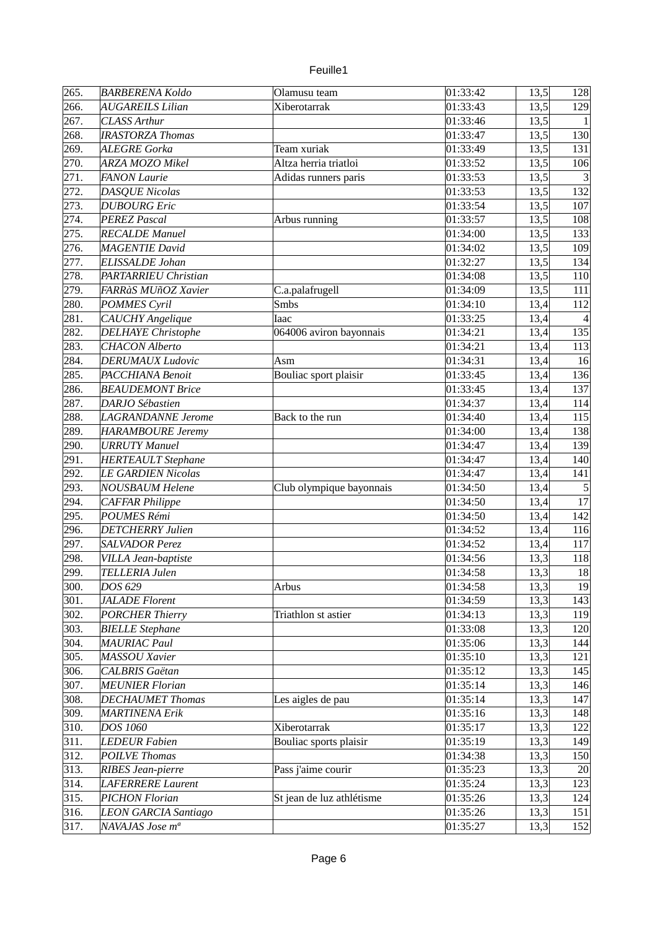| 265.         | <b>BARBERENA Koldo</b>                           | Olamusu team              | 01:33:42             | 13,5         | 128            |
|--------------|--------------------------------------------------|---------------------------|----------------------|--------------|----------------|
| 266.         | <b>AUGAREILS Lilian</b>                          | Xiberotarrak              | 01:33:43             | 13,5         | 129            |
| 267.         | <b>CLASS Arthur</b>                              |                           | 01:33:46             | 13,5         | 1 <sup>1</sup> |
| 268.         | <b>IRASTORZA Thomas</b>                          |                           | 01:33:47             | 13,5         | 130            |
| 269.         | <b>ALEGRE Gorka</b>                              | Team xuriak               | 01:33:49             | 13,5         | 131            |
| 270.         | <b>ARZA MOZO Mikel</b>                           | Altza herria triatloi     | 01:33:52             | 13,5         | 106            |
| 271.         | <b>FANON Laurie</b>                              | Adidas runners paris      | 01:33:53             | 13,5         | 3              |
| 272.         | <b>DASQUE Nicolas</b>                            |                           | 01:33:53             | 13,5         | 132            |
| 273.         | <b>DUBOURG</b> Eric                              |                           | 01:33:54             | 13,5         | 107            |
| 274.         | <b>PEREZ Pascal</b>                              | Arbus running             | 01:33:57             | 13,5         | 108            |
| 275.         | <b>RECALDE Manuel</b>                            |                           | 01:34:00             | 13,5         | 133            |
| 276.         | MAGENTIE David                                   |                           | 01:34:02             | 13,5         | 109            |
| 277.         | ELISSALDE Johan                                  |                           | 01:32:27             | 13,5         | 134            |
| 278.         | PARTARRIEU Christian                             |                           | 01:34:08             | 13,5         | 110            |
| 279.         | FARRàS MUñOZ Xavier                              | C.a.palafrugell           | 01:34:09             | 13,5         | 111            |
| 280.         | POMMES Cyril                                     | Smbs                      | 01:34:10             | 13,4         | 112            |
| 281.         | CAUCHY Angelique                                 | Iaac                      | 01:33:25             | 13,4         | 4              |
| 282.         | <b>DELHAYE Christophe</b>                        | 064006 aviron bayonnais   | 01:34:21             | 13,4         | 135            |
| 283.         | <b>CHACON</b> Alberto                            |                           | 01:34:21             | 13,4         | 113            |
| 284.         | <b>DERUMAUX Ludovic</b>                          | Asm                       | 01:34:31             | 13,4         | 16             |
| 285.         | PACCHIANA Benoit                                 | Bouliac sport plaisir     | 01:33:45             | 13,4         | 136            |
| 286.         | <b>BEAUDEMONT Brice</b>                          |                           | 01:33:45             | 13,4         | 137            |
| 287.         | DARJO Sébastien                                  |                           | 01:34:37             | 13,4         | 114            |
| 288.         | <b>LAGRANDANNE</b> Jerome                        | Back to the run           | 01:34:40             | 13,4         | 115            |
| 289.         | <b>HARAMBOURE Jeremy</b>                         |                           | 01:34:00             | 13,4         | 138            |
| 290.         | <b>URRUTY Manuel</b>                             |                           | 01:34:47             | 13,4         | 139            |
| 291.         | <b>HERTEAULT Stephane</b>                        |                           | 01:34:47             | 13,4         | 140            |
| 292.         | <b>LE GARDIEN Nicolas</b>                        |                           | 01:34:47             | 13,4         | 141            |
| 293.         | <b>NOUSBAUM Helene</b>                           | Club olympique bayonnais  | 01:34:50             | 13,4         | 5              |
| 294.         | <b>CAFFAR Philippe</b>                           |                           | 01:34:50             | 13,4         | 17             |
| 295.         | <b>POUMES Rémi</b>                               |                           | 01:34:50             | 13,4         | 142            |
| 296.         |                                                  |                           | 01:34:52             |              | 116            |
| 297.         | <b>DETCHERRY Julien</b><br><b>SALVADOR Perez</b> |                           | 01:34:52             | 13,4         | 117            |
|              |                                                  |                           |                      | 13,4         |                |
| 298.<br>299. | VILLA Jean-baptiste<br>TELLERIA Julen            |                           | 01:34:56<br>01:34:58 | 13,3<br>13,3 | 118<br>18      |
|              |                                                  |                           |                      |              |                |
| 300.         | DOS 629                                          | Arbus                     | 01:34:58             | 13,3         | 19             |
| 301.         | <b>JALADE Florent</b>                            |                           | 01:34:59             | 13,3         | 143            |
| 302.         | <b>PORCHER Thierry</b>                           | Triathlon st astier       | 01:34:13             | 13,3         | 119            |
| 303.         | <b>BIELLE Stephane</b>                           |                           | 01:33:08             | 13,3         | 120            |
| 304.         | <b>MAURIAC Paul</b>                              |                           | 01:35:06             | 13,3         | 144            |
| 305.         | <b>MASSOU</b> Xavier                             |                           | 01:35:10             | 13,3         | 121            |
| 306.         | CALBRIS Gaëtan                                   |                           | 01:35:12             | 13,3         | 145            |
| 307.         | <b>MEUNIER Florian</b>                           |                           | 01:35:14             | 13,3         | 146            |
| 308.         | <b>DECHAUMET Thomas</b>                          | Les aigles de pau         | 01:35:14             | 13,3         | 147            |
| 309.         | <b>MARTINENA Erik</b>                            |                           | 01:35:16             | 13,3         | 148            |
| 310.         | <b>DOS 1060</b>                                  | Xiberotarrak              | 01:35:17             | 13,3         | 122            |
| 311.         | <b>LEDEUR Fabien</b>                             | Bouliac sports plaisir    | 01:35:19             | 13,3         | 149            |
| 312.         | <b>POILVE Thomas</b>                             |                           | 01:34:38             | 13,3         | 150            |
| 313.         | <b>RIBES Jean-pierre</b>                         | Pass j'aime courir        | 01:35:23             | 13,3         | 20             |
| 314.         | <b>LAFERRERE Laurent</b>                         |                           | 01:35:24             | 13,3         | 123            |
| 315.         | <b>PICHON Florian</b>                            | St jean de luz athlétisme | 01:35:26             | 13,3         | 124            |
| 316.         | <b>LEON GARCIA Santiago</b>                      |                           | 01:35:26             | 13,3         | 151            |
| 317.         | NAVAJAS Jose m <sup>a</sup>                      |                           | 01:35:27             | 13,3         | 152            |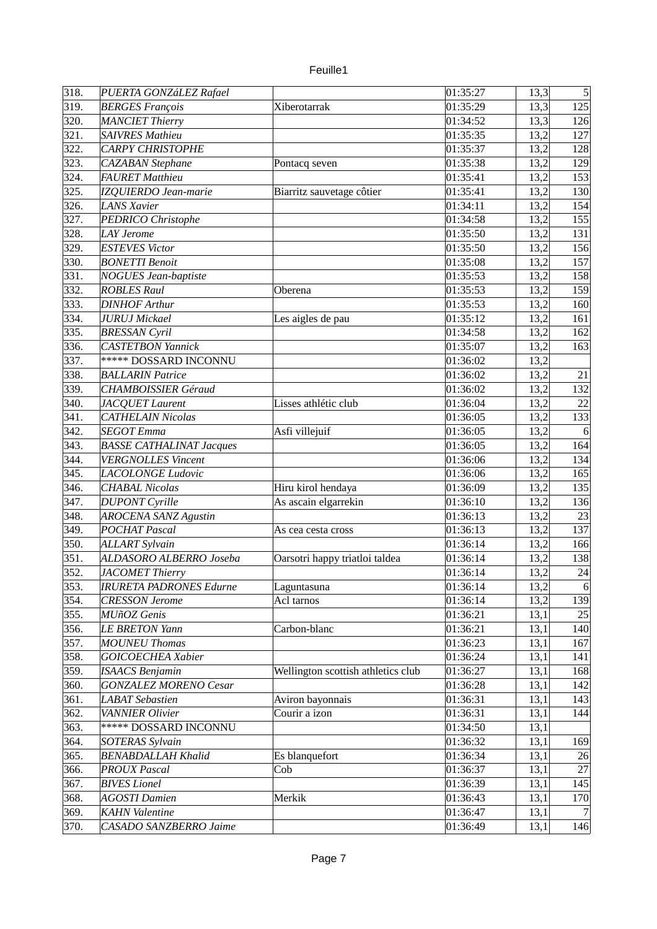| 318. | PUERTA GONZáLEZ Rafael          |                                    | 01:35:27 | 13,3 | $\vert$          |
|------|---------------------------------|------------------------------------|----------|------|------------------|
| 319. | <b>BERGES François</b>          | Xiberotarrak                       | 01:35:29 | 13,3 | 125              |
| 320. | MANCIET Thierry                 |                                    | 01:34:52 | 13,3 | 126              |
| 321. | <b>SAIVRES Mathieu</b>          |                                    | 01:35:35 | 13,2 | 127              |
| 322. | <b>CARPY CHRISTOPHE</b>         |                                    | 01:35:37 | 13,2 | 128              |
| 323. | <b>CAZABAN</b> Stephane         | Pontacq seven                      | 01:35:38 | 13,2 | 129              |
| 324. | <b>FAURET Matthieu</b>          |                                    | 01:35:41 | 13,2 | 153              |
| 325. | IZQUIERDO Jean-marie            |                                    | 01:35:41 | 13,2 | 130              |
| 326. | <b>LANS Xavier</b>              | Biarritz sauvetage côtier          | 01:34:11 | 13,2 | 154              |
|      |                                 |                                    | 01:34:58 |      |                  |
| 327. | <b>PEDRICO Christophe</b>       |                                    |          | 13,2 | 155              |
| 328. | <b>LAY Jerome</b>               |                                    | 01:35:50 | 13,2 | 131              |
| 329. | <b>ESTEVES Victor</b>           |                                    | 01:35:50 | 13,2 | 156              |
| 330. | <b>BONETTI Benoit</b>           |                                    | 01:35:08 | 13,2 | 157              |
| 331. | <b>NOGUES Jean-baptiste</b>     |                                    | 01:35:53 | 13,2 | 158              |
| 332. | <b>ROBLES Raul</b>              | Oberena                            | 01:35:53 | 13,2 | 159              |
| 333. | <b>DINHOF Arthur</b>            |                                    | 01:35:53 | 13,2 | 160              |
| 334. | <b>JURUJ</b> Mickael            | Les aigles de pau                  | 01:35:12 | 13,2 | 161              |
| 335. | <b>BRESSAN Cyril</b>            |                                    | 01:34:58 | 13,2 | 162              |
| 336. | <b>CASTETBON Yannick</b>        |                                    | 01:35:07 | 13,2 | 163              |
| 337. | <b>***** DOSSARD INCONNU</b>    |                                    | 01:36:02 | 13,2 |                  |
| 338. | <b>BALLARIN Patrice</b>         |                                    | 01:36:02 | 13,2 | 21               |
| 339. | <b>CHAMBOISSIER Géraud</b>      |                                    | 01:36:02 | 13,2 | 132              |
| 340. | JACQUET Laurent                 | Lisses athlétic club               | 01:36:04 | 13,2 | 22               |
| 341. | <b>CATHELAIN Nicolas</b>        |                                    | 01:36:05 | 13,2 | 133              |
| 342. | <b>SEGOT</b> Emma               | Asfi villejuif                     | 01:36:05 | 13,2 | $6 \overline{6}$ |
| 343. | <b>BASSE CATHALINAT Jacques</b> |                                    | 01:36:05 | 13,2 | 164              |
| 344. | <b>VERGNOLLES Vincent</b>       |                                    | 01:36:06 | 13,2 | 134              |
| 345. | <b>LACOLONGE Ludovic</b>        |                                    | 01:36:06 | 13,2 | 165              |
| 346. | <b>CHABAL Nicolas</b>           | Hiru kirol hendaya                 | 01:36:09 | 13,2 | 135              |
| 347. | <b>DUPONT</b> Cyrille           | As ascain elgarrekin               | 01:36:10 | 13,2 | 136              |
| 348. | <b>AROCENA SANZ Agustin</b>     |                                    | 01:36:13 | 13,2 | 23               |
| 349. | <b>POCHAT Pascal</b>            | As cea cesta cross                 | 01:36:13 | 13,2 | 137              |
| 350. | <b>ALLART Sylvain</b>           |                                    | 01:36:14 | 13,2 | 166              |
| 351. | ALDASORO ALBERRO Joseba         | Oarsotri happy triatloi taldea     | 01:36:14 | 13,2 | 138              |
| 352. | <b>JACOMET Thierry</b>          |                                    | 01:36:14 | 13,2 | 24               |
| 353. | <b>IRURETA PADRONES Edurne</b>  | Laguntasuna                        | 01:36:14 | 13,2 | 6                |
|      |                                 |                                    |          |      |                  |
| 354. | <b>CRESSON Jerome</b>           | Acl tarnos                         | 01:36:14 | 13,2 | 139              |
| 355. | <b>MUñOZ</b> Genis              |                                    | 01:36:21 | 13,1 | 25               |
| 356. | <b>LE BRETON Yann</b>           | Carbon-blanc                       | 01:36:21 | 13,1 | 140              |
| 357. | <b>MOUNEU Thomas</b>            |                                    | 01:36:23 | 13,1 | 167              |
| 358. | GOICOECHEA Xabier               |                                    | 01:36:24 | 13,1 | 141              |
| 359. | <b>ISAACS Benjamin</b>          | Wellington scottish athletics club | 01:36:27 | 13,1 | 168              |
| 360. | <b>GONZALEZ MORENO Cesar</b>    |                                    | 01:36:28 | 13,1 | 142              |
| 361. | <b>LABAT</b> Sebastien          | Aviron bayonnais                   | 01:36:31 | 13,1 | 143              |
| 362. | VANNIER Olivier                 | Courir a izon                      | 01:36:31 | 13,1 | 144              |
| 363. | ***** DOSSARD INCONNU           |                                    | 01:34:50 | 13,1 |                  |
| 364. | <b>SOTERAS Sylvain</b>          |                                    | 01:36:32 | 13,1 | 169              |
| 365. | <b>BENABDALLAH Khalid</b>       | Es blanquefort                     | 01:36:34 | 13,1 | 26               |
| 366. | <b>PROUX Pascal</b>             | Cob                                | 01:36:37 | 13,1 | 27               |
| 367. | <b>BIVES</b> Lionel             |                                    | 01:36:39 | 13,1 | 145              |
| 368. | <b>AGOSTI Damien</b>            | Merkik                             | 01:36:43 | 13,1 | 170              |
| 369. | <b>KAHN</b> Valentine           |                                    | 01:36:47 | 13,1 | 7                |
| 370. | CASADO SANZBERRO Jaime          |                                    | 01:36:49 | 13,1 | 146              |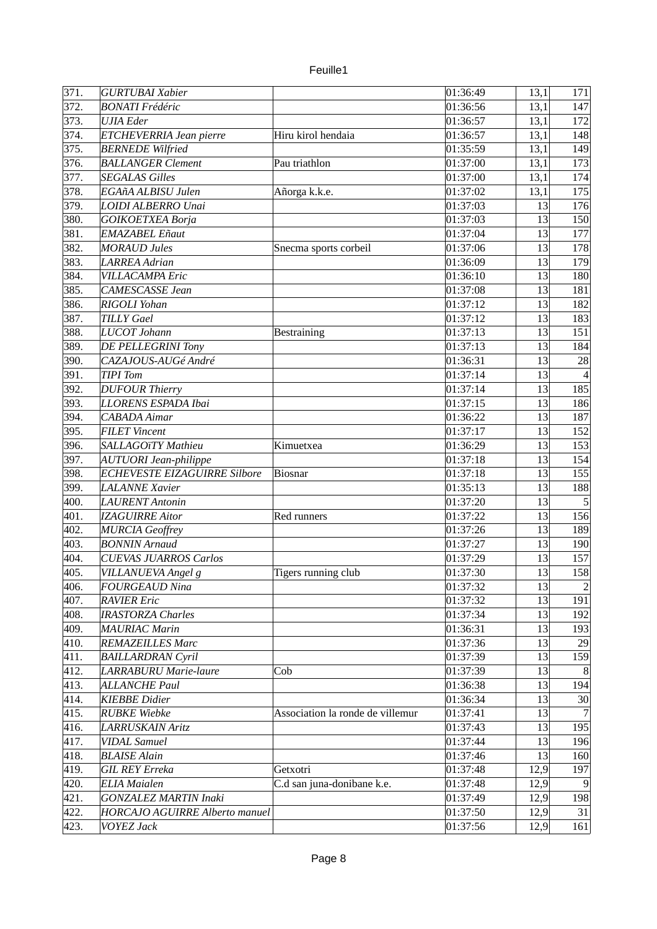| 371. | <b>GURTUBAI Xabier</b>                              |                                  | 01:36:49 | 13,1 | 171              |
|------|-----------------------------------------------------|----------------------------------|----------|------|------------------|
| 372. | <b>BONATI</b> Frédéric                              |                                  | 01:36:56 | 13,1 | 147              |
| 373. | <b>UJIA</b> Eder                                    |                                  | 01:36:57 | 13,1 | 172              |
| 374. | ETCHEVERRIA Jean pierre                             | Hiru kirol hendaia               | 01:36:57 | 13,1 |                  |
| 375. |                                                     |                                  |          |      | 148              |
|      | <b>BERNEDE</b> Wilfried<br><b>BALLANGER Clement</b> |                                  | 01:35:59 | 13,1 | 149              |
| 376. |                                                     | Pau triathlon                    | 01:37:00 | 13,1 | 173              |
| 377. | <b>SEGALAS Gilles</b>                               |                                  | 01:37:00 | 13,1 | 174              |
| 378. | EGAñA ALBISU Julen                                  | Añorga k.k.e.                    | 01:37:02 | 13,1 | 175              |
| 379. | LOIDI ALBERRO Unai                                  |                                  | 01:37:03 | 13   | 176              |
| 380. | <b>GOIKOETXEA Borja</b>                             |                                  | 01:37:03 | 13   | 150              |
| 381. | <b>EMAZABEL Eñaut</b>                               |                                  | 01:37:04 | 13   | 177              |
| 382. | <b>MORAUD Jules</b>                                 | Snecma sports corbeil            | 01:37:06 | 13   | 178              |
| 383. | <b>LARREA</b> Adrian                                |                                  | 01:36:09 | 13   | 179              |
| 384. | <b>VILLACAMPA Eric</b>                              |                                  | 01:36:10 | 13   | 180              |
| 385. | CAMESCASSE Jean                                     |                                  | 01:37:08 | 13   | 181              |
| 386. | RIGOLI Yohan                                        |                                  | 01:37:12 | 13   | 182              |
| 387. | <b>TILLY Gael</b>                                   |                                  | 01:37:12 | 13   | 183              |
| 388. | LUCOT Johann                                        | <b>Bestraining</b>               | 01:37:13 | 13   | 151              |
| 389. | DE PELLEGRINI Tony                                  |                                  | 01:37:13 | 13   | 184              |
| 390. | CAZAJOUS-AUGé André                                 |                                  | 01:36:31 | 13   | 28               |
| 391. | <b>TIPI</b> Tom                                     |                                  | 01:37:14 | 13   |                  |
| 392. | <b>DUFOUR Thierry</b>                               |                                  | 01:37:14 | 13   | 185              |
| 393. | LLORENS ESPADA Ibai                                 |                                  | 01:37:15 | 13   | 186              |
| 394. | CABADA Aimar                                        |                                  | 01:36:22 | 13   | 187              |
| 395. | <b>FILET Vincent</b>                                |                                  | 01:37:17 | 13   | 152              |
| 396. | SALLAGOïTY Mathieu                                  | Kimuetxea                        | 01:36:29 | 13   | 153              |
| 397. | AUTUORI Jean-philippe                               |                                  | 01:37:18 | 13   | 154              |
| 398. | <b>ECHEVESTE EIZAGUIRRE Silbore</b>                 | Biosnar                          | 01:37:18 | 13   | 155              |
| 399. | <b>LALANNE</b> Xavier                               |                                  | 01:35:13 | 13   | 188              |
| 400. | <b>LAURENT</b> Antonin                              |                                  | 01:37:20 | 13   | $5\overline{)}$  |
| 401. | <b>IZAGUIRRE Aitor</b>                              | Red runners                      | 01:37:22 | 13   | 156              |
| 402. | <b>MURCIA Geoffrey</b>                              |                                  | 01:37:26 | 13   | 189              |
| 403. | <b>BONNIN</b> Arnaud                                |                                  | 01:37:27 | 13   | 190              |
| 404. | <b>CUEVAS JUARROS Carlos</b>                        |                                  | 01:37:29 | 13   | 157              |
| 405. | VILLANUEVA Angel g                                  |                                  | 01:37:30 | 13   | 158              |
|      | <b>FOURGEAUD Nina</b>                               | Tigers running club              |          | 13   | $\left 2\right $ |
| 406. |                                                     |                                  | 01:37:32 | 13   | 191              |
| 407. | <b>RAVIER Eric</b>                                  |                                  | 01:37:32 |      |                  |
| 408. | <b>IRASTORZA Charles</b>                            |                                  | 01:37:34 | 13   | 192              |
| 409. | <b>MAURIAC Marin</b>                                |                                  | 01:36:31 | 13   | 193              |
| 410. | <b>REMAZEILLES Marc</b>                             |                                  | 01:37:36 | 13   | 29               |
| 411. | <b>BAILLARDRAN Cyril</b>                            |                                  | 01:37:39 | 13   | 159              |
| 412. | LARRABURU Marie-laure                               | Cob                              | 01:37:39 | 13   | 8                |
| 413. | <b>ALLANCHE Paul</b>                                |                                  | 01:36:38 | 13   | 194              |
| 414. | <b>KIEBBE Didier</b>                                |                                  | 01:36:34 | 13   | 30               |
| 415. | <b>RUBKE</b> Wiebke                                 | Association la ronde de villemur | 01:37:41 | 13   | 7                |
| 416. | <b>LARRUSKAIN Aritz</b>                             |                                  | 01:37:43 | 13   | 195              |
| 417. | <b>VIDAL Samuel</b>                                 |                                  | 01:37:44 | 13   | 196              |
| 418. | <b>BLAISE Alain</b>                                 |                                  | 01:37:46 | 13   | 160              |
| 419. | <b>GIL REY Erreka</b>                               | Getxotri                         | 01:37:48 | 12,9 | 197              |
| 420. | <b>ELIA</b> Maialen                                 | C.d san juna-donibane k.e.       | 01:37:48 | 12,9 | $\vert 9 \vert$  |
| 421. | <b>GONZALEZ MARTIN Inaki</b>                        |                                  | 01:37:49 | 12,9 | 198              |
| 422. | <b>HORCAJO AGUIRRE Alberto manuel</b>               |                                  | 01:37:50 | 12,9 | 31               |
| 423. | <b>VOYEZ Jack</b>                                   |                                  | 01:37:56 | 12,9 | 161              |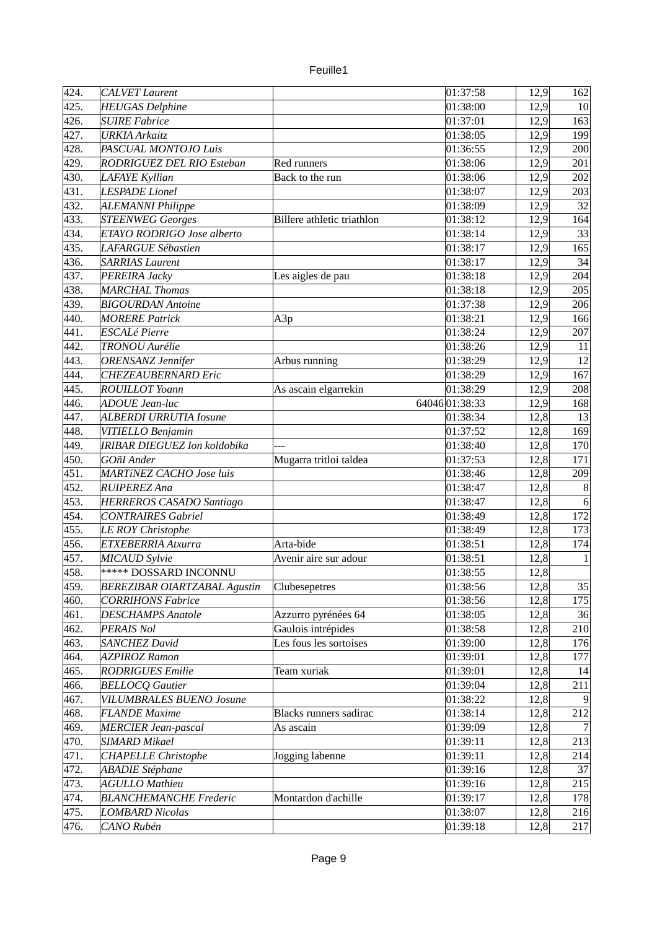| euile |  |
|-------|--|
|       |  |

| 424. | <b>CALVET Laurent</b>               |                                   | 01:37:58      | 12,9         | 162              |
|------|-------------------------------------|-----------------------------------|---------------|--------------|------------------|
| 425. | <b>HEUGAS Delphine</b>              |                                   | 01:38:00      | 12,9         | 10               |
| 426. | <b>SUIRE Fabrice</b>                |                                   | 01:37:01      | 12,9         | 163              |
| 427. | <b>URKIA Arkaitz</b>                |                                   | 01:38:05      | 12,9         | 199              |
| 428. | PASCUAL MONTOJO Luis                |                                   | 01:36:55      | 12,9         | 200              |
| 429. | RODRIGUEZ DEL RIO Esteban           | Red runners                       | 01:38:06      | 12,9         | 201              |
| 430. | <b>LAFAYE Kyllian</b>               | Back to the run                   | 01:38:06      | 12,9         | 202              |
| 431. | <b>LESPADE</b> Lionel               |                                   | 01:38:07      | 12,9         | 203              |
| 432. | <b>ALEMANNI Philippe</b>            |                                   | 01:38:09      | 12,9         | 32               |
| 433. | <b>STEENWEG Georges</b>             | <b>Billere</b> athletic triathlon | 01:38:12      | 12,9         | 164              |
| 434. | ETAYO RODRIGO Jose alberto          |                                   | 01:38:14      | 12,9         | 33               |
| 435. | <b>LAFARGUE Sébastien</b>           |                                   | 01:38:17      |              | 165              |
|      |                                     |                                   |               | 12,9         |                  |
| 436. | <b>SARRIAS Laurent</b>              |                                   | 01:38:17      | 12,9         | 34               |
| 437. | PEREIRA Jacky                       | Les aigles de pau                 | 01:38:18      | 12,9         | 204              |
| 438. | <b>MARCHAL Thomas</b>               |                                   | 01:38:18      | 12,9         | 205              |
| 439. | <b>BIGOURDAN Antoine</b>            |                                   | 01:37:38      | 12,9         | 206              |
| 440. | <b>MORERE Patrick</b>               | A3p                               | 01:38:21      | 12,9         | 166              |
| 441. | <b>ESCALé Pierre</b>                |                                   | 01:38:24      | 12,9         | 207              |
| 442. | <b>TRONOU</b> Aurélie               |                                   | 01:38:26      | 12,9         | 11               |
| 443. | <b>ORENSANZ</b> Jennifer            | Arbus running                     | 01:38:29      | 12,9         | 12               |
| 444. | <b>CHEZEAUBERNARD Eric</b>          |                                   | 01:38:29      | 12,9         | 167              |
| 445. | <b>ROUILLOT Yoann</b>               | As ascain elgarrekin              | 01:38:29      | 12,9         | 208              |
| 446. | <b>ADOUE Jean-luc</b>               |                                   | 6404601:38:33 | 12,9         | 168              |
| 447. | <b>ALBERDI URRUTIA Iosune</b>       |                                   | 01:38:34      | 12,8         | 13               |
| 448. | VITIELLO Benjamin                   |                                   | 01:37:52      | 12,8         | 169              |
| 449. | IRIBAR DIEGUEZ Ion koldobika        |                                   | 01:38:40      | 12,8         | 170              |
| 450. | GOñI Ander                          | Mugarra tritloi taldea            | 01:37:53      | 12,8         | 171              |
| 451. | MARTÍNEZ CACHO Jose luis            |                                   | 01:38:46      | 12,8         | 209              |
| 452. | <b>RUIPEREZ Ana</b>                 |                                   | 01:38:47      | 12,8         | $\boldsymbol{8}$ |
| 453. | HERREROS CASADO Santiago            |                                   | 01:38:47      | 12,8         | $6\phantom{.}6$  |
| 454. | <b>CONTRAIRES Gabriel</b>           |                                   | 01:38:49      | 12,8         | 172              |
| 455. | <b>LE ROY Christophe</b>            |                                   | 01:38:49      | 12,8         | 173              |
| 456. | ETXEBERRIA Atxurra                  | Arta-bide                         | 01:38:51      | 12,8         | 174              |
| 457. | <b>MICAUD</b> Sylvie                | Avenir aire sur adour             | 01:38:51      | 12,8         | $\mathbf{1}$     |
| 458. | <b>***** DOSSARD INCONNU</b>        |                                   | 01:38:55      | 12,8         |                  |
| 459. | <b>BEREZIBAR OIARTZABAL Agustin</b> | Clubesepetres                     | 01:38:56      | 12,8         | 35               |
| 460. | <b>CORRIHONS Fabrice</b>            |                                   | 01:38:56      | 12,8         | 175              |
| 461. | <b>DESCHAMPS Anatole</b>            | Azzurro pyrénées 64               | 01:38:05      | 12,8         | 36               |
| 462. | <b>PERAIS Nol</b>                   | Gaulois intrépides                | 01:38:58      | 12,8         | 210              |
| 463. | <b>SANCHEZ David</b>                | Les fous les sortoises            | 01:39:00      | 12,8         | 176              |
| 464. | <b>AZPIROZ Ramon</b>                |                                   | 01:39:01      |              | 177              |
| 465. | <b>RODRIGUES Emilie</b>             | Team xuriak                       | 01:39:01      | 12,8<br>12,8 |                  |
|      |                                     |                                   | 01:39:04      |              | 14               |
| 466. | <b>BELLOCQ Gautier</b>              |                                   |               | 12,8         | 211              |
| 467. | <b>VILUMBRALES BUENO Josune</b>     |                                   | 01:38:22      | 12,8         |                  |
| 468. | <b>FLANDE Maxime</b>                | Blacks runners sadirac            | 01:38:14      | 12,8         | 212              |
| 469. | <b>MERCIER Jean-pascal</b>          | As ascain                         | 01:39:09      | 12,8         |                  |
| 470. | <b>SIMARD Mikael</b>                |                                   | 01:39:11      | 12,8         | 213              |
| 471. | <b>CHAPELLE Christophe</b>          | Jogging labenne                   | 01:39:11      | 12,8         | 214              |
| 472. | <b>ABADIE Stéphane</b>              |                                   | 01:39:16      | 12,8         | 37               |
| 473. | <b>AGULLO Mathieu</b>               |                                   | 01:39:16      | 12,8         | 215              |
| 474. | <b>BLANCHEMANCHE Frederic</b>       | Montardon d'achille               | 01:39:17      | 12,8         | 178              |
| 475. | <b>LOMBARD Nicolas</b>              |                                   | 01:38:07      | 12,8         | 216              |
| 476. | CANO Rubén                          |                                   | 01:39:18      | 12,8         | 217              |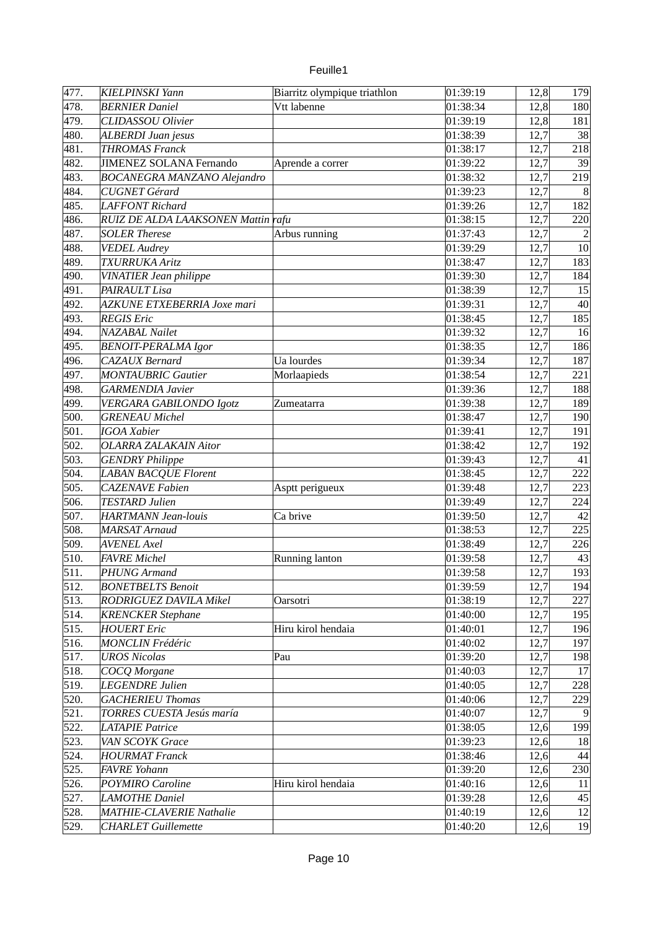| 477. | <b>KIELPINSKI Yann</b>             | Biarritz olympique triathlon | 01:39:19 | 12,8 | 179             |
|------|------------------------------------|------------------------------|----------|------|-----------------|
| 478. | <b>BERNIER Daniel</b>              | Vtt labenne                  | 01:38:34 | 12,8 | 180             |
| 479. | <b>CLIDASSOU Olivier</b>           |                              | 01:39:19 | 12,8 | 181             |
| 480. | ALBERDI Juan jesus                 |                              | 01:38:39 | 12,7 | 38              |
| 481. | <b>THROMAS Franck</b>              |                              | 01:38:17 | 12,7 | 218             |
| 482. | <b>JIMENEZ SOLANA Fernando</b>     | Aprende a correr             | 01:39:22 | 12,7 | 39              |
| 483. | <b>BOCANEGRA MANZANO Alejandro</b> |                              | 01:38:32 | 12,7 | 219             |
| 484. | <b>CUGNET Gérard</b>               |                              | 01:39:23 | 12,7 | 8               |
| 485. | LAFFONT Richard                    |                              | 01:39:26 | 12,7 | 182             |
| 486. | RUIZ DE ALDA LAAKSONEN Mattin rafu |                              | 01:38:15 | 12,7 | 220             |
| 487. | <b>SOLER Therese</b>               | Arbus running                | 01:37:43 | 12,7 | $\overline{2}$  |
| 488. | <b>VEDEL Audrey</b>                |                              | 01:39:29 | 12,7 | 10              |
| 489. | <b>TXURRUKA Aritz</b>              |                              | 01:38:47 | 12,7 | 183             |
| 490. | VINATIER Jean philippe             |                              | 01:39:30 | 12,7 | 184             |
| 491. | PAIRAULT Lisa                      |                              | 01:38:39 | 12,7 | 15              |
| 492. | AZKUNE ETXEBERRIA Joxe mari        |                              | 01:39:31 | 12,7 | 40              |
| 493. | <b>REGIS Eric</b>                  |                              | 01:38:45 | 12,7 | 185             |
| 494. | <b>NAZABAL Nailet</b>              |                              | 01:39:32 | 12,7 | 16              |
| 495. | <b>BENOIT-PERALMA Igor</b>         |                              | 01:38:35 | 12,7 | 186             |
| 496. | <b>CAZAUX Bernard</b>              | <b>Ua</b> lourdes            | 01:39:34 | 12,7 | 187             |
| 497. | <b>MONTAUBRIC Gautier</b>          | Morlaapieds                  | 01:38:54 | 12,7 | 221             |
| 498. |                                    |                              | 01:39:36 |      |                 |
|      | <b>GARMENDIA Javier</b>            |                              |          | 12,7 | 188             |
| 499. | VERGARA GABILONDO Igotz            | Zumeatarra                   | 01:39:38 | 12,7 | 189             |
| 500. | <b>GRENEAU</b> Michel              |                              | 01:38:47 | 12,7 | 190             |
| 501. | <b>IGOA</b> Xabier                 |                              | 01:39:41 | 12,7 | 191             |
| 502. | <b>OLARRA ZALAKAIN Aitor</b>       |                              | 01:38:42 | 12,7 | 192             |
| 503. | <b>GENDRY Philippe</b>             |                              | 01:39:43 | 12,7 | 41              |
| 504. | <b>LABAN BACQUE Florent</b>        |                              | 01:38:45 | 12,7 | 222             |
| 505. | <b>CAZENAVE Fabien</b>             | Asptt perigueux              | 01:39:48 | 12,7 | 223             |
| 506. | <b>TESTARD Julien</b>              |                              | 01:39:49 | 12,7 | 224             |
| 507. | <b>HARTMANN Jean-louis</b>         | Ca brive                     | 01:39:50 | 12,7 | 42              |
| 508. | MARSAT Arnaud                      |                              | 01:38:53 | 12,7 | 225             |
| 509. | <b>AVENEL Axel</b>                 |                              | 01:38:49 | 12,7 | 226             |
| 510. | <b>FAVRE</b> Michel                | Running lanton               | 01:39:58 | 12,7 | 43              |
| 511. | <b>PHUNG Armand</b>                |                              | 01:39:58 | 12,7 | 193             |
| 512. | <b>BONETBELTS Benoit</b>           |                              | 01:39:59 | 12,7 | 194             |
| 513. | RODRIGUEZ DAVILA Mikel             | Oarsotri                     | 01:38:19 | 12,7 | 227             |
| 514. | <b>KRENCKER Stephane</b>           |                              | 01:40:00 | 12,7 | 195             |
| 515. | <b>HOUERT Eric</b>                 | Hiru kirol hendaia           | 01:40:01 | 12,7 | 196             |
| 516. | <b>MONCLIN Frédéric</b>            |                              | 01:40:02 | 12,7 | 197             |
| 517. | <b>UROS Nicolas</b>                | Pau                          | 01:39:20 | 12,7 | 198             |
| 518. | <b>COCQ</b> Morgane                |                              | 01:40:03 | 12,7 | 17              |
| 519. | <b>LEGENDRE Julien</b>             |                              | 01:40:05 | 12,7 | 228             |
| 520. | <b>GACHERIEU Thomas</b>            |                              | 01:40:06 | 12,7 | 229             |
| 521. | TORRES CUESTA Jesús maría          |                              | 01:40:07 | 12,7 | $\vert 9 \vert$ |
| 522. | <b>LATAPIE Patrice</b>             |                              | 01:38:05 | 12,6 | 199             |
| 523. | VAN SCOYK Grace                    |                              | 01:39:23 | 12,6 | 18              |
| 524. | <b>HOURMAT Franck</b>              |                              | 01:38:46 | 12,6 | 44              |
| 525. | <b>FAVRE</b> Yohann                |                              | 01:39:20 | 12,6 | 230             |
| 526. | <b>POYMIRO Caroline</b>            | Hiru kirol hendaia           | 01:40:16 | 12,6 | 11              |
| 527. | <b>LAMOTHE Daniel</b>              |                              | 01:39:28 | 12,6 | 45              |
| 528. | <b>MATHIE-CLAVERIE Nathalie</b>    |                              | 01:40:19 | 12,6 | 12              |
| 529. | <b>CHARLET</b> Guillemette         |                              | 01:40:20 | 12,6 | 19              |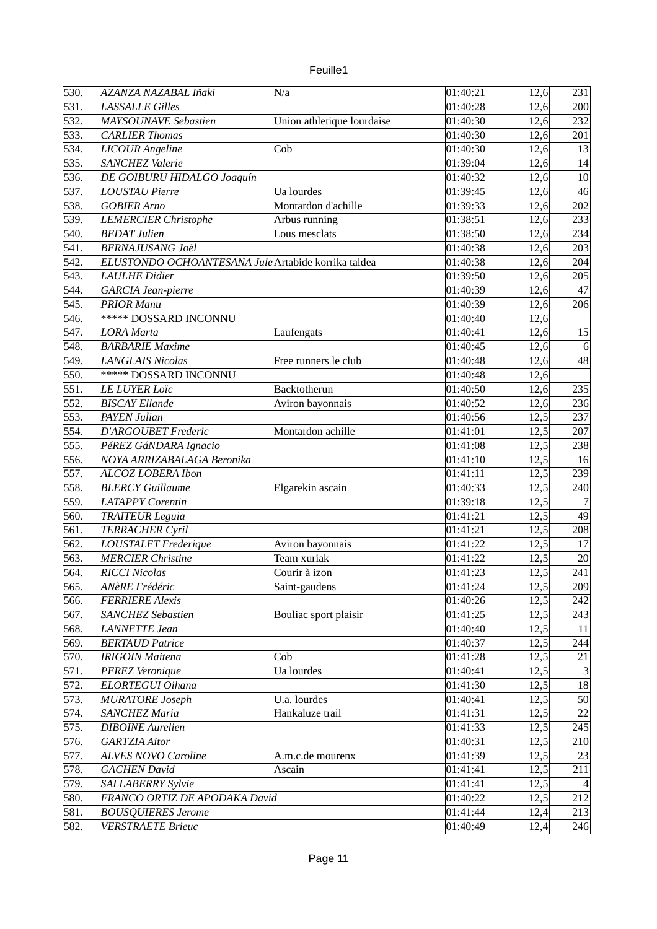| unlle |  |
|-------|--|
|       |  |

| 530. | AZANZA NAZABAL Iñaki                                | N/a                        | 01:40:21 | 12,6 | 231             |
|------|-----------------------------------------------------|----------------------------|----------|------|-----------------|
| 531. | <b>LASSALLE Gilles</b>                              |                            | 01:40:28 | 12,6 | 200             |
| 532. | <b>MAYSOUNAVE Sebastien</b>                         | Union athletique lourdaise | 01:40:30 | 12,6 | 232             |
| 533. | <b>CARLIER Thomas</b>                               |                            | 01:40:30 | 12,6 | 201             |
| 534. | LICOUR Angeline                                     | Cob                        | 01:40:30 | 12,6 | 13              |
| 535. | <b>SANCHEZ Valerie</b>                              |                            | 01:39:04 | 12,6 | 14              |
| 536. | DE GOIBURU HIDALGO Joaquín                          |                            | 01:40:32 | 12,6 | 10              |
| 537. | <b>LOUSTAU Pierre</b>                               | Ua lourdes                 | 01:39:45 | 12,6 | 46              |
| 538. | <b>GOBIER Arno</b>                                  | Montardon d'achille        | 01:39:33 | 12,6 | 202             |
| 539. | <b>LEMERCIER Christophe</b>                         | Arbus running              | 01:38:51 | 12,6 | 233             |
| 540. | <b>BEDAT Julien</b>                                 | Lous mesclats              | 01:38:50 | 12,6 | 234             |
| 541. | <b>BERNAJUSANG Joël</b>                             |                            | 01:40:38 | 12,6 | 203             |
| 542. | ELUSTONDO OCHOANTESANA Jule Artabide korrika taldea |                            | 01:40:38 | 12,6 | 204             |
| 543. | <b>LAULHE Didier</b>                                |                            | 01:39:50 | 12,6 | 205             |
|      |                                                     |                            |          |      |                 |
| 544. | GARCIA Jean-pierre                                  |                            | 01:40:39 | 12,6 | 47              |
| 545. | <b>PRIOR Manu</b>                                   |                            | 01:40:39 | 12,6 | 206             |
| 546. | <b>***** DOSSARD INCONNU</b>                        |                            | 01:40:40 | 12,6 |                 |
| 547. | <b>LORA</b> Marta                                   | Laufengats                 | 01:40:41 | 12,6 | 15              |
| 548. | <b>BARBARIE Maxime</b>                              |                            | 01:40:45 | 12,6 | $\vert 6 \vert$ |
| 549. | <b>LANGLAIS Nicolas</b>                             | Free runners le club       | 01:40:48 | 12,6 | 48              |
| 550. | <b>***** DOSSARD INCONNU</b>                        |                            | 01:40:48 | 12,6 |                 |
| 551. | <b>LE LUYER Loïc</b>                                | Backtotherun               | 01:40:50 | 12,6 | 235             |
| 552. | <b>BISCAY Ellande</b>                               | Aviron bayonnais           | 01:40:52 | 12,6 | 236             |
| 553. | <b>PAYEN Julian</b>                                 |                            | 01:40:56 | 12,5 | 237             |
| 554. | <b>D'ARGOUBET Frederic</b>                          | Montardon achille          | 01:41:01 | 12,5 | 207             |
| 555. | PéREZ GáNDARA Ignacio                               |                            | 01:41:08 | 12,5 | 238             |
| 556. | NOYA ARRIZABALAGA Beronika                          |                            | 01:41:10 | 12,5 | 16              |
| 557. | ALCOZ LOBERA Ibon                                   |                            | 01:41:11 | 12,5 | 239             |
| 558. | <b>BLERCY Guillaume</b>                             | Elgarekin ascain           | 01:40:33 | 12,5 | 240             |
| 559. | <b>LATAPPY</b> Corentin                             |                            | 01:39:18 | 12,5 |                 |
| 560. | <b>TRAITEUR Leguia</b>                              |                            | 01:41:21 | 12,5 | 49              |
| 561. | <b>TERRACHER Cyril</b>                              |                            | 01:41:21 | 12,5 | 208             |
| 562. | <b>LOUSTALET Frederique</b>                         | Aviron bayonnais           | 01:41:22 | 12,5 | 17              |
| 563. | <b>MERCIER Christine</b>                            | Team xuriak                | 01:41:22 | 12,5 | 20              |
| 564. | <b>RICCI Nicolas</b>                                | Courir à izon              | 01:41:23 | 12,5 | 241             |
| 565. | <b>ANèRE Frédéric</b>                               | Saint-gaudens              | 01:41:24 | 12,5 | 209             |
| 566. | <b>FERRIERE Alexis</b>                              |                            | 01:40:26 | 12,5 | 242             |
| 567. | <b>SANCHEZ Sebastien</b>                            | Bouliac sport plaisir      | 01:41:25 | 12,5 | 243             |
| 568. | <b>LANNETTE Jean</b>                                |                            | 01:40:40 | 12,5 | 11              |
| 569. | <b>BERTAUD Patrice</b>                              |                            | 01:40:37 | 12,5 | 244             |
| 570. | <b>IRIGOIN Maitena</b>                              | Cob                        | 01:41:28 | 12,5 | 21              |
| 571. | PEREZ Veronique                                     | Ua lourdes                 | 01:40:41 | 12,5 | $\mathbf{3}$    |
| 572. | <b>ELORTEGUI Oihana</b>                             |                            | 01:41:30 | 12,5 | 18              |
| 573. | <b>MURATORE Joseph</b>                              | U.a. lourdes               | 01:40:41 | 12,5 | 50              |
| 574. | <b>SANCHEZ Maria</b>                                | Hankaluze trail            | 01:41:31 | 12,5 | 22              |
| 575. | <b>DIBOINE</b> Aurelien                             |                            | 01:41:33 | 12,5 | 245             |
| 576. | <b>GARTZIA Aitor</b>                                |                            | 01:40:31 | 12,5 | 210             |
| 577. | <b>ALVES NOVO Caroline</b>                          | A.m.c.de mourenx           | 01:41:39 | 12,5 | 23              |
| 578. | <b>GACHEN</b> David                                 | Ascain                     | 01:41:41 | 12,5 | 211             |
| 579. | SALLABERRY Sylvie                                   |                            | 01:41:41 | 12,5 |                 |
| 580. | FRANCO ORTIZ DE APODAKA David                       |                            | 01:40:22 | 12,5 | 212             |
| 581. | <b>BOUSQUIERES Jerome</b>                           |                            | 01:41:44 | 12,4 | 213             |
| 582. | <b>VERSTRAETE Brieuc</b>                            |                            | 01:40:49 | 12,4 | 246             |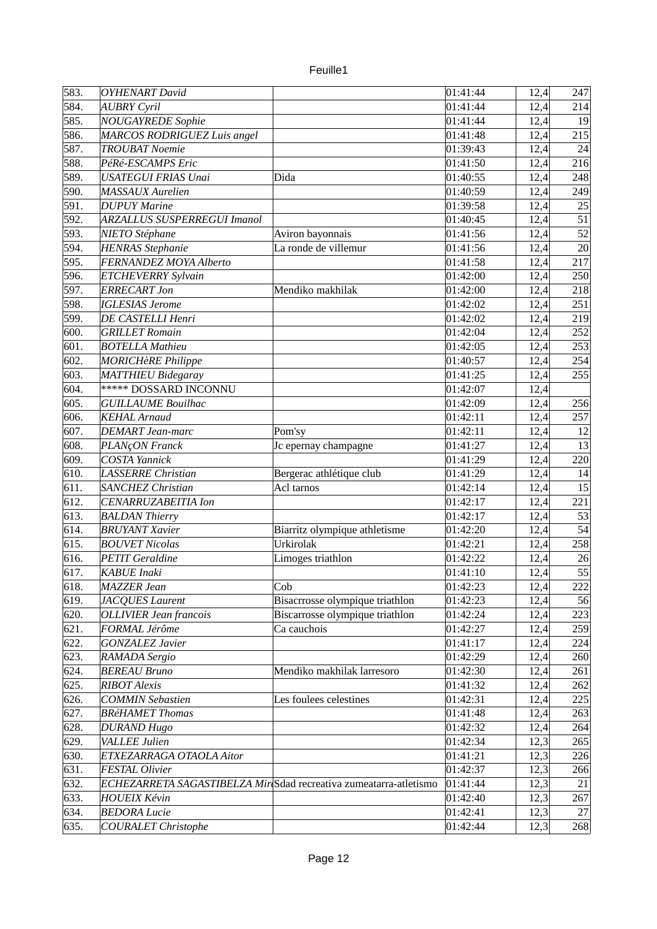| u rille |  |
|---------|--|
|         |  |

| 583.               | <b>OYHENART</b> David                                             |                                 | 01:41:44             | 12,4 | 247 |
|--------------------|-------------------------------------------------------------------|---------------------------------|----------------------|------|-----|
| 584.               | <b>AUBRY Cyril</b>                                                |                                 | 01:41:44             | 12,4 | 214 |
| 585.               | <b>NOUGAYREDE Sophie</b>                                          |                                 | 01:41:44             | 12,4 | 19  |
| 586.               | MARCOS RODRIGUEZ Luis angel                                       |                                 | 01:41:48             | 12,4 | 215 |
| 587.               | <b>TROUBAT Noemie</b>                                             |                                 | 01:39:43             | 12,4 | 24  |
| 588.               | PéRé-ESCAMPS Eric                                                 |                                 | 01:41:50             | 12,4 | 216 |
| 589.               | <b>USATEGUI FRIAS Unai</b>                                        | Dida                            | 01:40:55             | 12,4 | 248 |
| 590.               | <b>MASSAUX</b> Aurelien                                           |                                 | 01:40:59             | 12,4 | 249 |
| 591.               | <b>DUPUY Marine</b>                                               |                                 | 01:39:58             | 12,4 | 25  |
| 592.               | <b>ARZALLUS SUSPERREGUI Imanol</b>                                |                                 | 01:40:45             | 12,4 | 51  |
| 593.               | NIETO Stéphane                                                    | Aviron bayonnais                | 01:41:56             | 12,4 | 52  |
| 594.               | <b>HENRAS Stephanie</b>                                           | La ronde de villemur            | 01:41:56             | 12,4 | 20  |
| 595.               | FERNANDEZ MOYA Alberto                                            |                                 | 01:41:58             | 12,4 | 217 |
| 596.               | <b>ETCHEVERRY Sylvain</b>                                         |                                 | 01:42:00             | 12,4 | 250 |
| 597.               | <b>ERRECART Jon</b>                                               | Mendiko makhilak                | 01:42:00             | 12,4 | 218 |
| 598.               | <b>IGLESIAS Jerome</b>                                            |                                 | 01:42:02             | 12,4 | 251 |
| 599.               | DE CASTELLI Henri                                                 |                                 | 01:42:02             | 12,4 | 219 |
| 600.               | <b>GRILLET</b> Romain                                             |                                 | 01:42:04             | 12,4 | 252 |
| 601.               | <b>BOTELLA Mathieu</b>                                            |                                 | 01:42:05             | 12,4 | 253 |
| $\overline{602}$ . | <b>MORICHèRE Philippe</b>                                         |                                 | 01:40:57             | 12,4 | 254 |
| 603.               | <b>MATTHIEU Bidegaray</b>                                         |                                 | 01:41:25             | 12,4 | 255 |
| 604.               | ***** DOSSARD INCONNU                                             |                                 | 01:42:07             | 12,4 |     |
| 605.               | <b>GUILLAUME Bouilhac</b>                                         |                                 | 01:42:09             | 12,4 | 256 |
| 606.               | <b>KEHAL Arnaud</b>                                               |                                 | 01:42:11             | 12,4 | 257 |
| 607.               | <b>DEMART</b> Jean-marc                                           | Pom'sy                          | 01:42:11             | 12,4 | 12  |
| 608.               | PLANçON Franck                                                    | Jc epernay champagne            | 01:41:27             | 12,4 | 13  |
| 609.               | <b>COSTA Yannick</b>                                              |                                 | 01:41:29             | 12,4 | 220 |
| 610.               | <b>LASSERRE</b> Christian                                         | Bergerac athlétique club        | 01:41:29             | 12,4 | 14  |
| 611.               | <b>SANCHEZ Christian</b>                                          | Acl tarnos                      | 01:42:14             | 12,4 | 15  |
| 612.               | CENARRUZABEITIA Ion                                               |                                 | 01:42:17             | 12,4 | 221 |
| 613.               | <b>BALDAN Thierry</b>                                             |                                 | 01:42:17             | 12,4 | 53  |
| 614.               | <b>BRUYANT Xavier</b>                                             | Biarritz olympique athletisme   | 01:42:20             | 12,4 | 54  |
| 615.               | <b>BOUVET Nicolas</b>                                             | Urkirolak                       | 01:42:21             | 12,4 | 258 |
| 616.               | <b>PETIT Geraldine</b>                                            | Limoges triathlon               | 01:42:22             | 12,4 | 26  |
| 617.               | <b>KABUE</b> Inaki                                                |                                 | 01:41:10             | 12,4 | 55  |
| 618.               | <b>MAZZER Jean</b>                                                | Cob                             | 01:42:23             | 12,4 | 222 |
| 619.               | JACQUES Laurent                                                   | Bisacrrosse olympique triathlon | 01:42:23             | 12,4 | 56  |
| 620.               | <b>OLLIVIER Jean francois</b>                                     | Biscarrosse olympique triathlon | 01:42:24             | 12,4 | 223 |
| 621.               | FORMAL Jérôme                                                     | Ca cauchois                     | 01:42:27             | 12,4 | 259 |
| 622.               | <b>GONZALEZ Javier</b>                                            |                                 | 01:41:17             | 12,4 | 224 |
| 623.               | RAMADA Sergio                                                     |                                 | 01:42:29             | 12,4 | 260 |
| 624.               | <b>BEREAU Bruno</b>                                               | Mendiko makhilak larresoro      | 01:42:30             |      | 261 |
| 625.               | <b>RIBOT</b> Alexis                                               |                                 |                      | 12,4 | 262 |
| 626.               | <b>COMMIN Sebastien</b>                                           | Les foulees celestines          | 01:41:32<br>01:42:31 | 12,4 |     |
|                    |                                                                   |                                 |                      | 12,4 | 225 |
| 627.               | <b>BRéHAMET Thomas</b>                                            |                                 | 01:41:48             | 12,4 | 263 |
| 628.               | <b>DURAND Hugo</b>                                                |                                 | 01:42:32             | 12,4 | 264 |
| 629.               | VALLEE Julien                                                     |                                 | 01:42:34             | 12,3 | 265 |
| 630.               | ETXEZARRAGA OTAOLA Aitor                                          |                                 | 01:41:21             | 12,3 | 226 |
| 631.               | FESTAL Olivier                                                    |                                 | 01:42:37             | 12,3 | 266 |
| 632.               | ECHEZARRETA SAGASTIBELZA Mir Sdad recreativa zumeatarra-atletismo |                                 | 01:41:44             | 12,3 | 21  |
| 633.               | <b>HOUEIX Kévin</b>                                               |                                 | 01:42:40             | 12,3 | 267 |
| 634.               | <b>BEDORA Lucie</b>                                               |                                 | 01:42:41             | 12,3 | 27  |
| 635.               | <b>COURALET Christophe</b>                                        |                                 | 01:42:44             | 12,3 | 268 |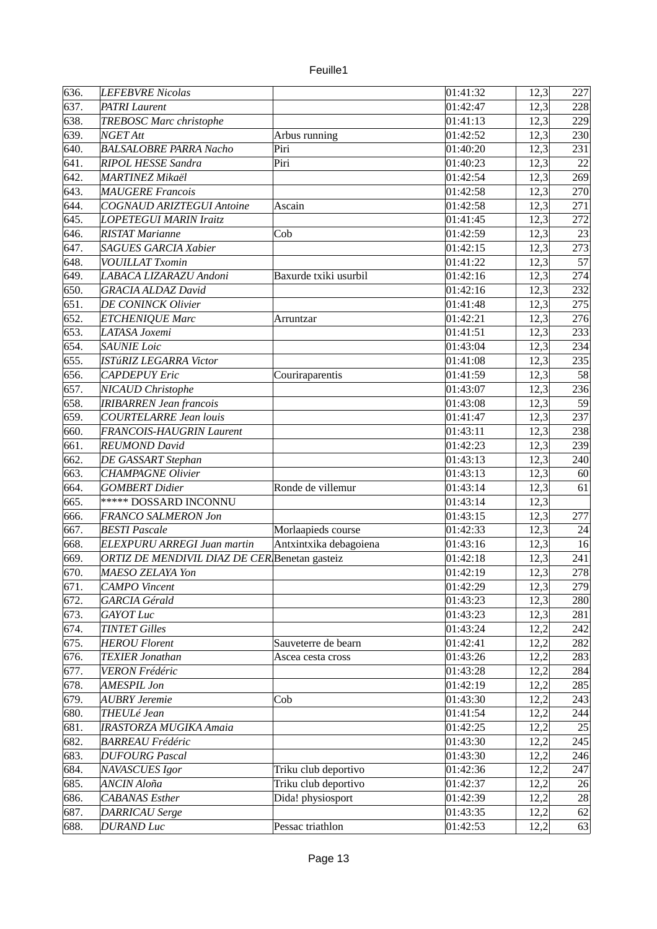| unlle |  |
|-------|--|
|       |  |

| 636.               | <b>LEFEBVRE Nicolas</b>                       |                        | 01:41:32 | 12,3 | 227 |
|--------------------|-----------------------------------------------|------------------------|----------|------|-----|
| 637.               | <b>PATRI Laurent</b>                          |                        | 01:42:47 | 12,3 | 228 |
| 638.               | <b>TREBOSC Marc christophe</b>                |                        | 01:41:13 | 12,3 | 229 |
| 639.               | NGET Att                                      | Arbus running          | 01:42:52 | 12,3 | 230 |
| 640.               | <b>BALSALOBRE PARRA Nacho</b>                 | Piri                   | 01:40:20 | 12,3 | 231 |
| 641.               | RIPOL HESSE Sandra                            | Piri                   | 01:40:23 | 12,3 | 22  |
| 642.               | <b>MARTINEZ Mikaël</b>                        |                        | 01:42:54 | 12,3 | 269 |
| 643.               | <b>MAUGERE Francois</b>                       |                        | 01:42:58 | 12,3 | 270 |
| 644.               | <b>COGNAUD ARIZTEGUI Antoine</b>              | Ascain                 | 01:42:58 | 12,3 | 271 |
| 645.               | <b>LOPETEGUI MARIN Iraitz</b>                 |                        | 01:41:45 | 12,3 | 272 |
| 646.               | <b>RISTAT Marianne</b>                        | Cob                    | 01:42:59 | 12,3 | 23  |
| 647.               | <b>SAGUES GARCIA Xabier</b>                   |                        | 01:42:15 | 12,3 | 273 |
| 648.               | <b>VOUILLAT Txomin</b>                        |                        | 01:41:22 | 12,3 | 57  |
| 649.               | LABACA LIZARAZU Andoni                        | Baxurde txiki usurbil  | 01:42:16 | 12,3 | 274 |
| 650.               | <b>GRACIA ALDAZ David</b>                     |                        | 01:42:16 | 12,3 | 232 |
| 651.               | <b>DE CONINCK Olivier</b>                     |                        | 01:41:48 | 12,3 | 275 |
| 652.               | <b>ETCHENIQUE Marc</b>                        | Arruntzar              | 01:42:21 | 12,3 | 276 |
| 653.               | LATASA Joxemi                                 |                        | 01:41:51 | 12,3 | 233 |
| 654.               | <b>SAUNIE Loic</b>                            |                        | 01:43:04 | 12,3 | 234 |
| 655.               | <b>ISTúRIZ LEGARRA Victor</b>                 |                        | 01:41:08 | 12,3 | 235 |
| 656.               | <b>CAPDEPUY Eric</b>                          | Couriraparentis        | 01:41:59 | 12,3 | 58  |
| 657.               | NICAUD Christophe                             |                        | 01:43:07 | 12,3 | 236 |
| 658.               | <b>IRIBARREN Jean francois</b>                |                        | 01:43:08 | 12,3 | 59  |
| 659.               | <b>COURTELARRE Jean louis</b>                 |                        | 01:41:47 | 12,3 | 237 |
| 660.               | FRANCOIS-HAUGRIN Laurent                      |                        | 01:43:11 | 12,3 | 238 |
| 661.               | <b>REUMOND David</b>                          |                        | 01:42:23 | 12,3 | 239 |
| 662.               | DE GASSART Stephan                            |                        | 01:43:13 | 12,3 | 240 |
| 663.               | <b>CHAMPAGNE Olivier</b>                      |                        | 01:43:13 | 12,3 | 60  |
| 664.               | <b>GOMBERT</b> Didier                         | Ronde de villemur      | 01:43:14 | 12,3 | 61  |
| 665.               | ***** DOSSARD INCONNU                         |                        | 01:43:14 |      |     |
| 666.               | FRANCO SALMERON Jon                           |                        |          | 12,3 | 277 |
|                    |                                               |                        | 01:43:15 | 12,3 |     |
| 667.               | <b>BESTI Pascale</b>                          | Morlaapieds course     | 01:42:33 | 12,3 | 24  |
| 668.               | <b>ELEXPURU ARREGI Juan martin</b>            | Antxintxika debagoiena | 01:43:16 | 12,3 | 16  |
| 669.               | ORTIZ DE MENDIVIL DIAZ DE CER Benetan gasteiz |                        | 01:42:18 | 12,3 | 241 |
| 670.               | MAESO ZELAYA Yon                              |                        | 01:42:19 | 12,3 | 278 |
| 671.               | <b>CAMPO</b> Vincent                          |                        | 01:42:29 | 12,3 | 279 |
| $\overline{6}$ 72. | <b>GARCIA Gérald</b>                          |                        | 01:43:23 | 12,3 | 280 |
| 673.               | <b>GAYOT Luc</b>                              |                        | 01:43:23 | 12,3 | 281 |
| 674.               | <b>TINTET Gilles</b>                          |                        | 01:43:24 | 12,2 | 242 |
| 675.               | <b>HEROU Florent</b>                          | Sauveterre de bearn    | 01:42:41 | 12,2 | 282 |
| 676.               | <b>TEXIER Jonathan</b>                        | Ascea cesta cross      | 01:43:26 | 12,2 | 283 |
| 677.               | <b>VERON Frédéric</b>                         |                        | 01:43:28 | 12,2 | 284 |
| 678.               | AMESPIL Jon                                   |                        | 01:42:19 | 12,2 | 285 |
| 679.               | AUBRY Jeremie                                 | Cob                    | 01:43:30 | 12,2 | 243 |
| 680.               | THEULé Jean                                   |                        | 01:41:54 | 12,2 | 244 |
| 681.               | IRASTORZA MUGIKA Amaia                        |                        | 01:42:25 | 12,2 | 25  |
| 682.               | <b>BARREAU Frédéric</b>                       |                        | 01:43:30 | 12,2 | 245 |
| 683.               | <b>DUFOURG Pascal</b>                         |                        | 01:43:30 | 12,2 | 246 |
| 684.               | NAVASCUES Igor                                | Triku club deportivo   | 01:42:36 | 12,2 | 247 |
| 685.               | ANCIN Aloña                                   | Triku club deportivo   | 01:42:37 | 12,2 | 26  |
| 686.               | <b>CABANAS</b> Esther                         | Dida! physiosport      | 01:42:39 | 12,2 | 28  |
| 687.               | DARRICAU Serge                                |                        | 01:43:35 | 12,2 | 62  |
| 688.               | <b>DURAND Luc</b>                             | Pessac triathlon       | 01:42:53 | 12,2 | 63  |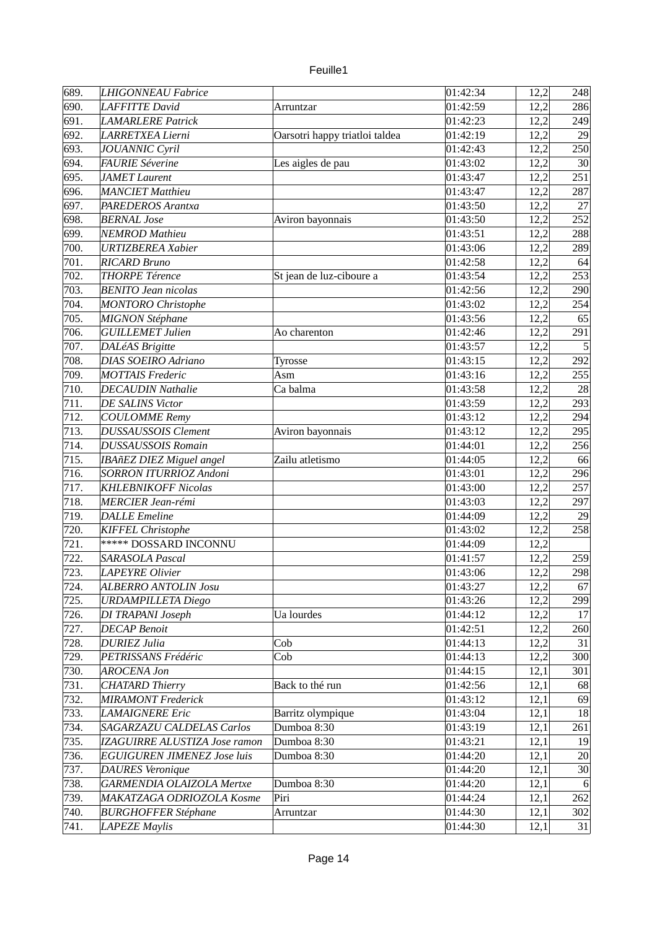| unlle |  |
|-------|--|
|       |  |

| 690.<br>01:42:59<br>LAFFITTE David<br>12,2<br>286<br>Arruntzar<br>691.<br><b>LAMARLERE Patrick</b><br>01:42:23<br>12,2<br>249<br>692.<br>LARRETXEA Lierni<br>01:42:19<br>12,2<br>29<br>Oarsotri happy triatloi taldea<br>693.<br>JOUANNIC Cyril<br>01:42:43<br>12,2<br>250<br>694.<br>30 <sup>°</sup><br><b>FAURIE Séverine</b><br>01:43:02<br>12,2<br>Les aigles de pau<br>695.<br>251<br>JAMET Laurent<br>01:43:47<br>12,2<br>696.<br><b>MANCIET Matthieu</b><br>287<br>01:43:47<br>12,2<br>697.<br>01:43:50<br>27<br><b>PAREDEROS Arantxa</b><br>12,2<br>252<br>698.<br><b>BERNAL</b> Jose<br>01:43:50<br>12,2<br>Aviron bayonnais<br>699.<br>NEMROD Mathieu<br>01:43:51<br>12,2<br>288<br>700.<br>289<br><b>URTIZBEREA Xabier</b><br>01:43:06<br>12,2<br>701.<br><b>RICARD Bruno</b><br>01:42:58<br>64<br>12,2<br>702.<br><b>THORPE Térence</b><br>253<br>01:43:54<br>12,2<br>St jean de luz-ciboure a<br>703.<br>12,2<br><b>BENITO Jean nicolas</b><br>01:42:56<br>290<br>704.<br><b>MONTORO</b> Christophe<br>01:43:02<br>12,2<br>254<br>705.<br>MIGNON Stéphane<br>12,2<br>65<br>01:43:56<br>706.<br>291<br><b>GUILLEMET Julien</b><br>Ao charenton<br>01:42:46<br>12,2<br>707.<br>5<br>DALéAS Brigitte<br>12,2<br>01:43:57<br>708.<br>292<br><b>DIAS SOEIRO Adriano</b><br>01:43:15<br>Tyrosse<br>12,2<br>709.<br><b>MOTTAIS Frederic</b><br>01:43:16<br>255<br>Asm<br>12,2<br>710.<br>28<br>Ca balma<br>12,2<br><b>DECAUDIN Nathalie</b><br>01:43:58<br>711.<br><b>DE SALINS Victor</b><br>293<br>01:43:59<br>12,2<br>712.<br><b>COULOMME</b> Remy<br>01:43:12<br>12,2<br>294<br>713.<br>01:43:12<br><b>DUSSAUSSOIS Clement</b><br>12,2<br>295<br>Aviron bayonnais<br><b>DUSSAUSSOIS Romain</b><br>256<br>714.<br>01:44:01<br>12,2<br>715.<br>12,2<br>IBAñEZ DIEZ Miguel angel<br>Zailu atletismo<br>01:44:05<br>66<br>716.<br><b>SORRON ITURRIOZ Andoni</b><br>296<br>01:43:01<br>12,2<br>717.<br><b>KHLEBNIKOFF Nicolas</b><br>01:43:00<br>12,2<br>257<br>718.<br>MERCIER Jean-rémi<br>12,2<br>01:43:03<br>297<br>719.<br><b>DALLE</b> Emeline<br>12,2<br>29<br>01:44:09<br>720.<br>KIFFEL Christophe<br>01:43:02<br>258<br>12,2<br><b>***** DOSSARD INCONNU</b><br>721.<br>01:44:09<br>12,2<br>722.<br>SARASOLA Pascal<br>01:41:57<br>12,2<br>259<br>723.<br>12,2<br>298<br><b>LAPEYRE Olivier</b><br>01:43:06<br>12,2<br>01:43:27<br>67<br>724.<br><b>ALBERRO ANTOLIN Josu</b><br>725.<br><b>URDAMPILLETA Diego</b><br>01:43:26<br>12,2<br>299<br>726.<br>Ua lourdes<br>01:44:12<br>17<br>DI TRAPANI Joseph<br>12,2<br>727.<br><b>DECAP</b> Benoit<br>01:42:51<br>12,2<br>260<br>728.<br><b>DURIEZ Julia</b><br>Cob<br>31<br>01:44:13<br>12,2<br>Cob<br>729.<br>PETRISSANS Frédéric<br>01:44:13<br>12,2<br>300<br>730.<br>01:44:15<br><b>AROCENA Jon</b><br>12,1<br>301<br>731.<br>Back to thé run<br><b>CHATARD</b> Thierry<br>01:42:56<br>12,1<br>68<br>732.<br><b>MIRAMONT</b> Frederick<br>69<br>01:43:12<br>12,1<br>733.<br>18<br><b>LAMAIGNERE Eric</b><br>Barritz olympique<br>01:43:04<br>12,1 | 689. | <b>LHIGONNEAU Fabrice</b> |             | 01:42:34 | 12,2 | 248 |
|---------------------------------------------------------------------------------------------------------------------------------------------------------------------------------------------------------------------------------------------------------------------------------------------------------------------------------------------------------------------------------------------------------------------------------------------------------------------------------------------------------------------------------------------------------------------------------------------------------------------------------------------------------------------------------------------------------------------------------------------------------------------------------------------------------------------------------------------------------------------------------------------------------------------------------------------------------------------------------------------------------------------------------------------------------------------------------------------------------------------------------------------------------------------------------------------------------------------------------------------------------------------------------------------------------------------------------------------------------------------------------------------------------------------------------------------------------------------------------------------------------------------------------------------------------------------------------------------------------------------------------------------------------------------------------------------------------------------------------------------------------------------------------------------------------------------------------------------------------------------------------------------------------------------------------------------------------------------------------------------------------------------------------------------------------------------------------------------------------------------------------------------------------------------------------------------------------------------------------------------------------------------------------------------------------------------------------------------------------------------------------------------------------------------------------------------------------------------------------------------------------------------------------------------------------------------------------------------------------------------------------------------------------------------------------------------------------------------------------------------------------------------------------------------------------------------------------------------------------------------------------------------------------------------------------------------------------------------------------------------------------------------|------|---------------------------|-------------|----------|------|-----|
|                                                                                                                                                                                                                                                                                                                                                                                                                                                                                                                                                                                                                                                                                                                                                                                                                                                                                                                                                                                                                                                                                                                                                                                                                                                                                                                                                                                                                                                                                                                                                                                                                                                                                                                                                                                                                                                                                                                                                                                                                                                                                                                                                                                                                                                                                                                                                                                                                                                                                                                                                                                                                                                                                                                                                                                                                                                                                                                                                                                                                     |      |                           |             |          |      |     |
|                                                                                                                                                                                                                                                                                                                                                                                                                                                                                                                                                                                                                                                                                                                                                                                                                                                                                                                                                                                                                                                                                                                                                                                                                                                                                                                                                                                                                                                                                                                                                                                                                                                                                                                                                                                                                                                                                                                                                                                                                                                                                                                                                                                                                                                                                                                                                                                                                                                                                                                                                                                                                                                                                                                                                                                                                                                                                                                                                                                                                     |      |                           |             |          |      |     |
|                                                                                                                                                                                                                                                                                                                                                                                                                                                                                                                                                                                                                                                                                                                                                                                                                                                                                                                                                                                                                                                                                                                                                                                                                                                                                                                                                                                                                                                                                                                                                                                                                                                                                                                                                                                                                                                                                                                                                                                                                                                                                                                                                                                                                                                                                                                                                                                                                                                                                                                                                                                                                                                                                                                                                                                                                                                                                                                                                                                                                     |      |                           |             |          |      |     |
|                                                                                                                                                                                                                                                                                                                                                                                                                                                                                                                                                                                                                                                                                                                                                                                                                                                                                                                                                                                                                                                                                                                                                                                                                                                                                                                                                                                                                                                                                                                                                                                                                                                                                                                                                                                                                                                                                                                                                                                                                                                                                                                                                                                                                                                                                                                                                                                                                                                                                                                                                                                                                                                                                                                                                                                                                                                                                                                                                                                                                     |      |                           |             |          |      |     |
|                                                                                                                                                                                                                                                                                                                                                                                                                                                                                                                                                                                                                                                                                                                                                                                                                                                                                                                                                                                                                                                                                                                                                                                                                                                                                                                                                                                                                                                                                                                                                                                                                                                                                                                                                                                                                                                                                                                                                                                                                                                                                                                                                                                                                                                                                                                                                                                                                                                                                                                                                                                                                                                                                                                                                                                                                                                                                                                                                                                                                     |      |                           |             |          |      |     |
|                                                                                                                                                                                                                                                                                                                                                                                                                                                                                                                                                                                                                                                                                                                                                                                                                                                                                                                                                                                                                                                                                                                                                                                                                                                                                                                                                                                                                                                                                                                                                                                                                                                                                                                                                                                                                                                                                                                                                                                                                                                                                                                                                                                                                                                                                                                                                                                                                                                                                                                                                                                                                                                                                                                                                                                                                                                                                                                                                                                                                     |      |                           |             |          |      |     |
|                                                                                                                                                                                                                                                                                                                                                                                                                                                                                                                                                                                                                                                                                                                                                                                                                                                                                                                                                                                                                                                                                                                                                                                                                                                                                                                                                                                                                                                                                                                                                                                                                                                                                                                                                                                                                                                                                                                                                                                                                                                                                                                                                                                                                                                                                                                                                                                                                                                                                                                                                                                                                                                                                                                                                                                                                                                                                                                                                                                                                     |      |                           |             |          |      |     |
|                                                                                                                                                                                                                                                                                                                                                                                                                                                                                                                                                                                                                                                                                                                                                                                                                                                                                                                                                                                                                                                                                                                                                                                                                                                                                                                                                                                                                                                                                                                                                                                                                                                                                                                                                                                                                                                                                                                                                                                                                                                                                                                                                                                                                                                                                                                                                                                                                                                                                                                                                                                                                                                                                                                                                                                                                                                                                                                                                                                                                     |      |                           |             |          |      |     |
|                                                                                                                                                                                                                                                                                                                                                                                                                                                                                                                                                                                                                                                                                                                                                                                                                                                                                                                                                                                                                                                                                                                                                                                                                                                                                                                                                                                                                                                                                                                                                                                                                                                                                                                                                                                                                                                                                                                                                                                                                                                                                                                                                                                                                                                                                                                                                                                                                                                                                                                                                                                                                                                                                                                                                                                                                                                                                                                                                                                                                     |      |                           |             |          |      |     |
|                                                                                                                                                                                                                                                                                                                                                                                                                                                                                                                                                                                                                                                                                                                                                                                                                                                                                                                                                                                                                                                                                                                                                                                                                                                                                                                                                                                                                                                                                                                                                                                                                                                                                                                                                                                                                                                                                                                                                                                                                                                                                                                                                                                                                                                                                                                                                                                                                                                                                                                                                                                                                                                                                                                                                                                                                                                                                                                                                                                                                     |      |                           |             |          |      |     |
|                                                                                                                                                                                                                                                                                                                                                                                                                                                                                                                                                                                                                                                                                                                                                                                                                                                                                                                                                                                                                                                                                                                                                                                                                                                                                                                                                                                                                                                                                                                                                                                                                                                                                                                                                                                                                                                                                                                                                                                                                                                                                                                                                                                                                                                                                                                                                                                                                                                                                                                                                                                                                                                                                                                                                                                                                                                                                                                                                                                                                     |      |                           |             |          |      |     |
|                                                                                                                                                                                                                                                                                                                                                                                                                                                                                                                                                                                                                                                                                                                                                                                                                                                                                                                                                                                                                                                                                                                                                                                                                                                                                                                                                                                                                                                                                                                                                                                                                                                                                                                                                                                                                                                                                                                                                                                                                                                                                                                                                                                                                                                                                                                                                                                                                                                                                                                                                                                                                                                                                                                                                                                                                                                                                                                                                                                                                     |      |                           |             |          |      |     |
|                                                                                                                                                                                                                                                                                                                                                                                                                                                                                                                                                                                                                                                                                                                                                                                                                                                                                                                                                                                                                                                                                                                                                                                                                                                                                                                                                                                                                                                                                                                                                                                                                                                                                                                                                                                                                                                                                                                                                                                                                                                                                                                                                                                                                                                                                                                                                                                                                                                                                                                                                                                                                                                                                                                                                                                                                                                                                                                                                                                                                     |      |                           |             |          |      |     |
|                                                                                                                                                                                                                                                                                                                                                                                                                                                                                                                                                                                                                                                                                                                                                                                                                                                                                                                                                                                                                                                                                                                                                                                                                                                                                                                                                                                                                                                                                                                                                                                                                                                                                                                                                                                                                                                                                                                                                                                                                                                                                                                                                                                                                                                                                                                                                                                                                                                                                                                                                                                                                                                                                                                                                                                                                                                                                                                                                                                                                     |      |                           |             |          |      |     |
|                                                                                                                                                                                                                                                                                                                                                                                                                                                                                                                                                                                                                                                                                                                                                                                                                                                                                                                                                                                                                                                                                                                                                                                                                                                                                                                                                                                                                                                                                                                                                                                                                                                                                                                                                                                                                                                                                                                                                                                                                                                                                                                                                                                                                                                                                                                                                                                                                                                                                                                                                                                                                                                                                                                                                                                                                                                                                                                                                                                                                     |      |                           |             |          |      |     |
|                                                                                                                                                                                                                                                                                                                                                                                                                                                                                                                                                                                                                                                                                                                                                                                                                                                                                                                                                                                                                                                                                                                                                                                                                                                                                                                                                                                                                                                                                                                                                                                                                                                                                                                                                                                                                                                                                                                                                                                                                                                                                                                                                                                                                                                                                                                                                                                                                                                                                                                                                                                                                                                                                                                                                                                                                                                                                                                                                                                                                     |      |                           |             |          |      |     |
|                                                                                                                                                                                                                                                                                                                                                                                                                                                                                                                                                                                                                                                                                                                                                                                                                                                                                                                                                                                                                                                                                                                                                                                                                                                                                                                                                                                                                                                                                                                                                                                                                                                                                                                                                                                                                                                                                                                                                                                                                                                                                                                                                                                                                                                                                                                                                                                                                                                                                                                                                                                                                                                                                                                                                                                                                                                                                                                                                                                                                     |      |                           |             |          |      |     |
|                                                                                                                                                                                                                                                                                                                                                                                                                                                                                                                                                                                                                                                                                                                                                                                                                                                                                                                                                                                                                                                                                                                                                                                                                                                                                                                                                                                                                                                                                                                                                                                                                                                                                                                                                                                                                                                                                                                                                                                                                                                                                                                                                                                                                                                                                                                                                                                                                                                                                                                                                                                                                                                                                                                                                                                                                                                                                                                                                                                                                     |      |                           |             |          |      |     |
|                                                                                                                                                                                                                                                                                                                                                                                                                                                                                                                                                                                                                                                                                                                                                                                                                                                                                                                                                                                                                                                                                                                                                                                                                                                                                                                                                                                                                                                                                                                                                                                                                                                                                                                                                                                                                                                                                                                                                                                                                                                                                                                                                                                                                                                                                                                                                                                                                                                                                                                                                                                                                                                                                                                                                                                                                                                                                                                                                                                                                     |      |                           |             |          |      |     |
|                                                                                                                                                                                                                                                                                                                                                                                                                                                                                                                                                                                                                                                                                                                                                                                                                                                                                                                                                                                                                                                                                                                                                                                                                                                                                                                                                                                                                                                                                                                                                                                                                                                                                                                                                                                                                                                                                                                                                                                                                                                                                                                                                                                                                                                                                                                                                                                                                                                                                                                                                                                                                                                                                                                                                                                                                                                                                                                                                                                                                     |      |                           |             |          |      |     |
|                                                                                                                                                                                                                                                                                                                                                                                                                                                                                                                                                                                                                                                                                                                                                                                                                                                                                                                                                                                                                                                                                                                                                                                                                                                                                                                                                                                                                                                                                                                                                                                                                                                                                                                                                                                                                                                                                                                                                                                                                                                                                                                                                                                                                                                                                                                                                                                                                                                                                                                                                                                                                                                                                                                                                                                                                                                                                                                                                                                                                     |      |                           |             |          |      |     |
|                                                                                                                                                                                                                                                                                                                                                                                                                                                                                                                                                                                                                                                                                                                                                                                                                                                                                                                                                                                                                                                                                                                                                                                                                                                                                                                                                                                                                                                                                                                                                                                                                                                                                                                                                                                                                                                                                                                                                                                                                                                                                                                                                                                                                                                                                                                                                                                                                                                                                                                                                                                                                                                                                                                                                                                                                                                                                                                                                                                                                     |      |                           |             |          |      |     |
|                                                                                                                                                                                                                                                                                                                                                                                                                                                                                                                                                                                                                                                                                                                                                                                                                                                                                                                                                                                                                                                                                                                                                                                                                                                                                                                                                                                                                                                                                                                                                                                                                                                                                                                                                                                                                                                                                                                                                                                                                                                                                                                                                                                                                                                                                                                                                                                                                                                                                                                                                                                                                                                                                                                                                                                                                                                                                                                                                                                                                     |      |                           |             |          |      |     |
|                                                                                                                                                                                                                                                                                                                                                                                                                                                                                                                                                                                                                                                                                                                                                                                                                                                                                                                                                                                                                                                                                                                                                                                                                                                                                                                                                                                                                                                                                                                                                                                                                                                                                                                                                                                                                                                                                                                                                                                                                                                                                                                                                                                                                                                                                                                                                                                                                                                                                                                                                                                                                                                                                                                                                                                                                                                                                                                                                                                                                     |      |                           |             |          |      |     |
|                                                                                                                                                                                                                                                                                                                                                                                                                                                                                                                                                                                                                                                                                                                                                                                                                                                                                                                                                                                                                                                                                                                                                                                                                                                                                                                                                                                                                                                                                                                                                                                                                                                                                                                                                                                                                                                                                                                                                                                                                                                                                                                                                                                                                                                                                                                                                                                                                                                                                                                                                                                                                                                                                                                                                                                                                                                                                                                                                                                                                     |      |                           |             |          |      |     |
|                                                                                                                                                                                                                                                                                                                                                                                                                                                                                                                                                                                                                                                                                                                                                                                                                                                                                                                                                                                                                                                                                                                                                                                                                                                                                                                                                                                                                                                                                                                                                                                                                                                                                                                                                                                                                                                                                                                                                                                                                                                                                                                                                                                                                                                                                                                                                                                                                                                                                                                                                                                                                                                                                                                                                                                                                                                                                                                                                                                                                     |      |                           |             |          |      |     |
|                                                                                                                                                                                                                                                                                                                                                                                                                                                                                                                                                                                                                                                                                                                                                                                                                                                                                                                                                                                                                                                                                                                                                                                                                                                                                                                                                                                                                                                                                                                                                                                                                                                                                                                                                                                                                                                                                                                                                                                                                                                                                                                                                                                                                                                                                                                                                                                                                                                                                                                                                                                                                                                                                                                                                                                                                                                                                                                                                                                                                     |      |                           |             |          |      |     |
|                                                                                                                                                                                                                                                                                                                                                                                                                                                                                                                                                                                                                                                                                                                                                                                                                                                                                                                                                                                                                                                                                                                                                                                                                                                                                                                                                                                                                                                                                                                                                                                                                                                                                                                                                                                                                                                                                                                                                                                                                                                                                                                                                                                                                                                                                                                                                                                                                                                                                                                                                                                                                                                                                                                                                                                                                                                                                                                                                                                                                     |      |                           |             |          |      |     |
|                                                                                                                                                                                                                                                                                                                                                                                                                                                                                                                                                                                                                                                                                                                                                                                                                                                                                                                                                                                                                                                                                                                                                                                                                                                                                                                                                                                                                                                                                                                                                                                                                                                                                                                                                                                                                                                                                                                                                                                                                                                                                                                                                                                                                                                                                                                                                                                                                                                                                                                                                                                                                                                                                                                                                                                                                                                                                                                                                                                                                     |      |                           |             |          |      |     |
|                                                                                                                                                                                                                                                                                                                                                                                                                                                                                                                                                                                                                                                                                                                                                                                                                                                                                                                                                                                                                                                                                                                                                                                                                                                                                                                                                                                                                                                                                                                                                                                                                                                                                                                                                                                                                                                                                                                                                                                                                                                                                                                                                                                                                                                                                                                                                                                                                                                                                                                                                                                                                                                                                                                                                                                                                                                                                                                                                                                                                     |      |                           |             |          |      |     |
|                                                                                                                                                                                                                                                                                                                                                                                                                                                                                                                                                                                                                                                                                                                                                                                                                                                                                                                                                                                                                                                                                                                                                                                                                                                                                                                                                                                                                                                                                                                                                                                                                                                                                                                                                                                                                                                                                                                                                                                                                                                                                                                                                                                                                                                                                                                                                                                                                                                                                                                                                                                                                                                                                                                                                                                                                                                                                                                                                                                                                     |      |                           |             |          |      |     |
|                                                                                                                                                                                                                                                                                                                                                                                                                                                                                                                                                                                                                                                                                                                                                                                                                                                                                                                                                                                                                                                                                                                                                                                                                                                                                                                                                                                                                                                                                                                                                                                                                                                                                                                                                                                                                                                                                                                                                                                                                                                                                                                                                                                                                                                                                                                                                                                                                                                                                                                                                                                                                                                                                                                                                                                                                                                                                                                                                                                                                     |      |                           |             |          |      |     |
|                                                                                                                                                                                                                                                                                                                                                                                                                                                                                                                                                                                                                                                                                                                                                                                                                                                                                                                                                                                                                                                                                                                                                                                                                                                                                                                                                                                                                                                                                                                                                                                                                                                                                                                                                                                                                                                                                                                                                                                                                                                                                                                                                                                                                                                                                                                                                                                                                                                                                                                                                                                                                                                                                                                                                                                                                                                                                                                                                                                                                     |      |                           |             |          |      |     |
|                                                                                                                                                                                                                                                                                                                                                                                                                                                                                                                                                                                                                                                                                                                                                                                                                                                                                                                                                                                                                                                                                                                                                                                                                                                                                                                                                                                                                                                                                                                                                                                                                                                                                                                                                                                                                                                                                                                                                                                                                                                                                                                                                                                                                                                                                                                                                                                                                                                                                                                                                                                                                                                                                                                                                                                                                                                                                                                                                                                                                     |      |                           |             |          |      |     |
|                                                                                                                                                                                                                                                                                                                                                                                                                                                                                                                                                                                                                                                                                                                                                                                                                                                                                                                                                                                                                                                                                                                                                                                                                                                                                                                                                                                                                                                                                                                                                                                                                                                                                                                                                                                                                                                                                                                                                                                                                                                                                                                                                                                                                                                                                                                                                                                                                                                                                                                                                                                                                                                                                                                                                                                                                                                                                                                                                                                                                     |      |                           |             |          |      |     |
|                                                                                                                                                                                                                                                                                                                                                                                                                                                                                                                                                                                                                                                                                                                                                                                                                                                                                                                                                                                                                                                                                                                                                                                                                                                                                                                                                                                                                                                                                                                                                                                                                                                                                                                                                                                                                                                                                                                                                                                                                                                                                                                                                                                                                                                                                                                                                                                                                                                                                                                                                                                                                                                                                                                                                                                                                                                                                                                                                                                                                     |      |                           |             |          |      |     |
|                                                                                                                                                                                                                                                                                                                                                                                                                                                                                                                                                                                                                                                                                                                                                                                                                                                                                                                                                                                                                                                                                                                                                                                                                                                                                                                                                                                                                                                                                                                                                                                                                                                                                                                                                                                                                                                                                                                                                                                                                                                                                                                                                                                                                                                                                                                                                                                                                                                                                                                                                                                                                                                                                                                                                                                                                                                                                                                                                                                                                     |      |                           |             |          |      |     |
|                                                                                                                                                                                                                                                                                                                                                                                                                                                                                                                                                                                                                                                                                                                                                                                                                                                                                                                                                                                                                                                                                                                                                                                                                                                                                                                                                                                                                                                                                                                                                                                                                                                                                                                                                                                                                                                                                                                                                                                                                                                                                                                                                                                                                                                                                                                                                                                                                                                                                                                                                                                                                                                                                                                                                                                                                                                                                                                                                                                                                     |      |                           |             |          |      |     |
|                                                                                                                                                                                                                                                                                                                                                                                                                                                                                                                                                                                                                                                                                                                                                                                                                                                                                                                                                                                                                                                                                                                                                                                                                                                                                                                                                                                                                                                                                                                                                                                                                                                                                                                                                                                                                                                                                                                                                                                                                                                                                                                                                                                                                                                                                                                                                                                                                                                                                                                                                                                                                                                                                                                                                                                                                                                                                                                                                                                                                     |      |                           |             |          |      |     |
|                                                                                                                                                                                                                                                                                                                                                                                                                                                                                                                                                                                                                                                                                                                                                                                                                                                                                                                                                                                                                                                                                                                                                                                                                                                                                                                                                                                                                                                                                                                                                                                                                                                                                                                                                                                                                                                                                                                                                                                                                                                                                                                                                                                                                                                                                                                                                                                                                                                                                                                                                                                                                                                                                                                                                                                                                                                                                                                                                                                                                     |      |                           |             |          |      |     |
|                                                                                                                                                                                                                                                                                                                                                                                                                                                                                                                                                                                                                                                                                                                                                                                                                                                                                                                                                                                                                                                                                                                                                                                                                                                                                                                                                                                                                                                                                                                                                                                                                                                                                                                                                                                                                                                                                                                                                                                                                                                                                                                                                                                                                                                                                                                                                                                                                                                                                                                                                                                                                                                                                                                                                                                                                                                                                                                                                                                                                     |      |                           |             |          |      |     |
|                                                                                                                                                                                                                                                                                                                                                                                                                                                                                                                                                                                                                                                                                                                                                                                                                                                                                                                                                                                                                                                                                                                                                                                                                                                                                                                                                                                                                                                                                                                                                                                                                                                                                                                                                                                                                                                                                                                                                                                                                                                                                                                                                                                                                                                                                                                                                                                                                                                                                                                                                                                                                                                                                                                                                                                                                                                                                                                                                                                                                     |      |                           |             |          |      |     |
|                                                                                                                                                                                                                                                                                                                                                                                                                                                                                                                                                                                                                                                                                                                                                                                                                                                                                                                                                                                                                                                                                                                                                                                                                                                                                                                                                                                                                                                                                                                                                                                                                                                                                                                                                                                                                                                                                                                                                                                                                                                                                                                                                                                                                                                                                                                                                                                                                                                                                                                                                                                                                                                                                                                                                                                                                                                                                                                                                                                                                     |      |                           |             |          |      |     |
|                                                                                                                                                                                                                                                                                                                                                                                                                                                                                                                                                                                                                                                                                                                                                                                                                                                                                                                                                                                                                                                                                                                                                                                                                                                                                                                                                                                                                                                                                                                                                                                                                                                                                                                                                                                                                                                                                                                                                                                                                                                                                                                                                                                                                                                                                                                                                                                                                                                                                                                                                                                                                                                                                                                                                                                                                                                                                                                                                                                                                     |      |                           |             |          |      |     |
|                                                                                                                                                                                                                                                                                                                                                                                                                                                                                                                                                                                                                                                                                                                                                                                                                                                                                                                                                                                                                                                                                                                                                                                                                                                                                                                                                                                                                                                                                                                                                                                                                                                                                                                                                                                                                                                                                                                                                                                                                                                                                                                                                                                                                                                                                                                                                                                                                                                                                                                                                                                                                                                                                                                                                                                                                                                                                                                                                                                                                     |      |                           |             |          |      |     |
|                                                                                                                                                                                                                                                                                                                                                                                                                                                                                                                                                                                                                                                                                                                                                                                                                                                                                                                                                                                                                                                                                                                                                                                                                                                                                                                                                                                                                                                                                                                                                                                                                                                                                                                                                                                                                                                                                                                                                                                                                                                                                                                                                                                                                                                                                                                                                                                                                                                                                                                                                                                                                                                                                                                                                                                                                                                                                                                                                                                                                     | 734. | SAGARZAZU CALDELAS Carlos | Dumboa 8:30 | 01:43:19 | 12,1 | 261 |
| Dumboa 8:30<br>735.<br>IZAGUIRRE ALUSTIZA Jose ramon<br>01:43:21<br>12,1<br>19                                                                                                                                                                                                                                                                                                                                                                                                                                                                                                                                                                                                                                                                                                                                                                                                                                                                                                                                                                                                                                                                                                                                                                                                                                                                                                                                                                                                                                                                                                                                                                                                                                                                                                                                                                                                                                                                                                                                                                                                                                                                                                                                                                                                                                                                                                                                                                                                                                                                                                                                                                                                                                                                                                                                                                                                                                                                                                                                      |      |                           |             |          |      |     |
| 20<br>736.<br><b>EGUIGUREN JIMENEZ Jose luis</b><br>Dumboa 8:30<br>01:44:20<br>12,1                                                                                                                                                                                                                                                                                                                                                                                                                                                                                                                                                                                                                                                                                                                                                                                                                                                                                                                                                                                                                                                                                                                                                                                                                                                                                                                                                                                                                                                                                                                                                                                                                                                                                                                                                                                                                                                                                                                                                                                                                                                                                                                                                                                                                                                                                                                                                                                                                                                                                                                                                                                                                                                                                                                                                                                                                                                                                                                                 |      |                           |             |          |      |     |
| 30 <sup>2</sup><br>737.<br><b>DAURES</b> Veronique<br>01:44:20<br>12,1                                                                                                                                                                                                                                                                                                                                                                                                                                                                                                                                                                                                                                                                                                                                                                                                                                                                                                                                                                                                                                                                                                                                                                                                                                                                                                                                                                                                                                                                                                                                                                                                                                                                                                                                                                                                                                                                                                                                                                                                                                                                                                                                                                                                                                                                                                                                                                                                                                                                                                                                                                                                                                                                                                                                                                                                                                                                                                                                              |      |                           |             |          |      |     |
| <b>GARMENDIA OLAIZOLA Mertxe</b><br>738.<br>Dumboa 8:30<br>01:44:20<br>12,1<br>$\vert 6 \vert$                                                                                                                                                                                                                                                                                                                                                                                                                                                                                                                                                                                                                                                                                                                                                                                                                                                                                                                                                                                                                                                                                                                                                                                                                                                                                                                                                                                                                                                                                                                                                                                                                                                                                                                                                                                                                                                                                                                                                                                                                                                                                                                                                                                                                                                                                                                                                                                                                                                                                                                                                                                                                                                                                                                                                                                                                                                                                                                      |      |                           |             |          |      |     |
| 262<br>739.<br>Piri<br>MAKATZAGA ODRIOZOLA Kosme<br>01:44:24<br>12,1                                                                                                                                                                                                                                                                                                                                                                                                                                                                                                                                                                                                                                                                                                                                                                                                                                                                                                                                                                                                                                                                                                                                                                                                                                                                                                                                                                                                                                                                                                                                                                                                                                                                                                                                                                                                                                                                                                                                                                                                                                                                                                                                                                                                                                                                                                                                                                                                                                                                                                                                                                                                                                                                                                                                                                                                                                                                                                                                                |      |                           |             |          |      |     |
| 740.<br>01:44:30<br><b>BURGHOFFER Stéphane</b><br>12,1<br>302<br>Arruntzar                                                                                                                                                                                                                                                                                                                                                                                                                                                                                                                                                                                                                                                                                                                                                                                                                                                                                                                                                                                                                                                                                                                                                                                                                                                                                                                                                                                                                                                                                                                                                                                                                                                                                                                                                                                                                                                                                                                                                                                                                                                                                                                                                                                                                                                                                                                                                                                                                                                                                                                                                                                                                                                                                                                                                                                                                                                                                                                                          |      |                           |             |          |      |     |
| <b>LAPEZE Maylis</b><br>01:44:30<br>741.<br>31<br>12,1                                                                                                                                                                                                                                                                                                                                                                                                                                                                                                                                                                                                                                                                                                                                                                                                                                                                                                                                                                                                                                                                                                                                                                                                                                                                                                                                                                                                                                                                                                                                                                                                                                                                                                                                                                                                                                                                                                                                                                                                                                                                                                                                                                                                                                                                                                                                                                                                                                                                                                                                                                                                                                                                                                                                                                                                                                                                                                                                                              |      |                           |             |          |      |     |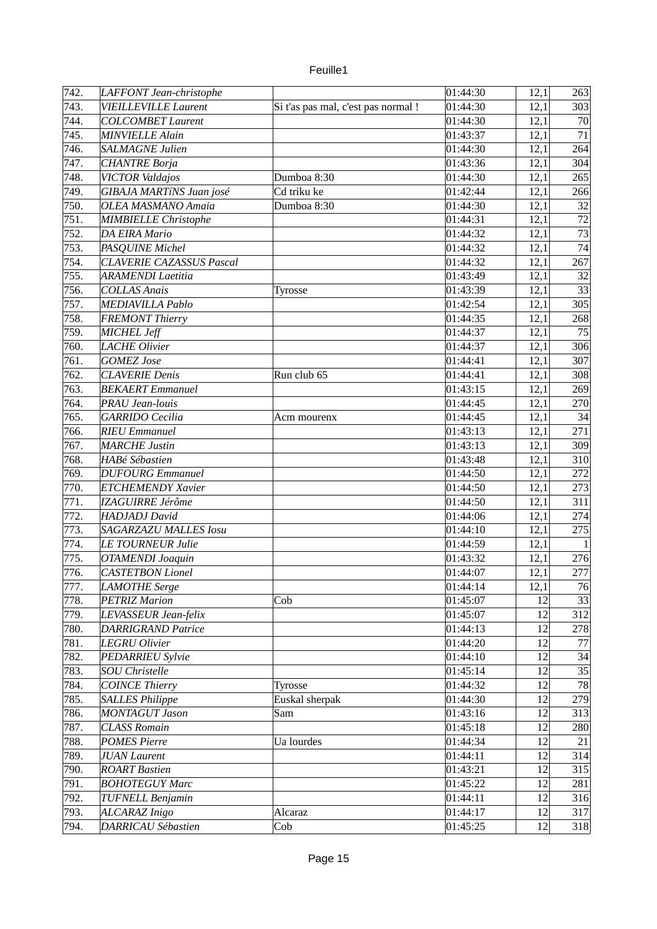| 742. | LAFFONT Jean-christophe         |                                     | 01:44:30 | 12,1 | 263          |
|------|---------------------------------|-------------------------------------|----------|------|--------------|
| 743. | <b>VIEILLEVILLE Laurent</b>     | Si t'as pas mal, c'est pas normal ! | 01:44:30 | 12,1 | 303          |
| 744. | <b>COLCOMBET Laurent</b>        |                                     | 01:44:30 | 12,1 | 70           |
| 745. | <b>MINVIELLE Alain</b>          |                                     | 01:43:37 | 12,1 | 71           |
| 746. | SALMAGNE Julien                 |                                     | 01:44:30 | 12,1 | 264          |
| 747. | <b>CHANTRE Borja</b>            |                                     | 01:43:36 | 12,1 | 304          |
| 748. | <b>VICTOR Valdajos</b>          | Dumboa 8:30                         | 01:44:30 | 12,1 | 265          |
| 749. | GIBAJA MARTÍNS Juan josé        | Cd triku ke                         | 01:42:44 | 12,1 | 266          |
| 750. | <b>OLEA MASMANO Amaia</b>       | Dumboa 8:30                         | 01:44:30 | 12,1 | 32           |
| 751. | <b>MIMBIELLE Christophe</b>     |                                     | 01:44:31 | 12,1 | 72           |
| 752. | <b>DA EIRA Mario</b>            |                                     | 01:44:32 | 12,1 | 73           |
| 753. | PASQUINE Michel                 |                                     | 01:44:32 | 12,1 | 74           |
| 754. | <b>CLAVERIE CAZASSUS Pascal</b> |                                     | 01:44:32 | 12,1 | 267          |
| 755. | <b>ARAMENDI Laetitia</b>        |                                     | 01:43:49 | 12,1 | 32           |
| 756. | <b>COLLAS Anais</b>             | Tyrosse                             | 01:43:39 | 12,1 | 33           |
| 757. | <b>MEDIAVILLA Pablo</b>         |                                     | 01:42:54 | 12,1 | 305          |
| 758. | <b>FREMONT Thierry</b>          |                                     | 01:44:35 | 12,1 | 268          |
| 759. | MICHEL Jeff                     |                                     | 01:44:37 | 12,1 | 75           |
| 760. | <b>LACHE Olivier</b>            |                                     | 01:44:37 | 12,1 | 306          |
| 761. | <b>GOMEZ</b> Jose               |                                     | 01:44:41 | 12,1 | 307          |
| 762. | <b>CLAVERIE Denis</b>           | Run club 65                         | 01:44:41 | 12,1 | 308          |
| 763. |                                 |                                     |          |      |              |
|      | <b>BEKAERT</b> Emmanuel         |                                     | 01:43:15 | 12,1 | 269          |
| 764. | <b>PRAU Jean-louis</b>          |                                     | 01:44:45 | 12,1 | 270          |
| 765. | <b>GARRIDO</b> Cecilia          | Acm mourenx                         | 01:44:45 | 12,1 | 34           |
| 766. | <b>RIEU Emmanuel</b>            |                                     | 01:43:13 | 12,1 | 271          |
| 767. | <b>MARCHE Justin</b>            |                                     | 01:43:13 | 12,1 | 309          |
| 768. | <b>HABé Sébastien</b>           |                                     | 01:43:48 | 12,1 | 310          |
| 769. | <b>DUFOURG</b> Emmanuel         |                                     | 01:44:50 | 12,1 | 272          |
| 770. | <b>ETCHEMENDY Xavier</b>        |                                     | 01:44:50 | 12,1 | 273          |
| 771. | <b>IZAGUIRRE Jérôme</b>         |                                     | 01:44:50 | 12,1 | 311          |
| 772. | HADJADJ David                   |                                     | 01:44:06 | 12,1 | 274          |
| 773. | <b>SAGARZAZU MALLES Iosu</b>    |                                     | 01:44:10 | 12,1 | 275          |
| 774. | LE TOURNEUR Julie               |                                     | 01:44:59 | 12,1 | $\mathbf{1}$ |
| 775. | <b>OTAMENDI Joaquin</b>         |                                     | 01:43:32 | 12,1 | 276          |
| 776. | <b>CASTETBON Lionel</b>         |                                     | 01:44:07 | 12,1 | 277          |
| 777. | <b>LAMOTHE Serge</b>            |                                     | 01:44:14 | 12,1 | 76           |
| 778. | <b>PETRIZ Marion</b>            | Cob                                 | 01:45:07 | 12   | 33           |
| 779. | LEVASSEUR Jean-felix            |                                     | 01:45:07 | 12   | 312          |
| 780. | <b>DARRIGRAND Patrice</b>       |                                     | 01:44:13 | 12   | 278          |
| 781. | <b>LEGRU Olivier</b>            |                                     | 01:44:20 | 12   | 77           |
| 782. | <b>PEDARRIEU Sylvie</b>         |                                     | 01:44:10 | 12   | 34           |
| 783. | <b>SOU Christelle</b>           |                                     | 01:45:14 | 12   | 35           |
| 784. | <b>COINCE Thierry</b>           | Tyrosse                             | 01:44:32 | 12   | 78           |
| 785. | <b>SALLES Philippe</b>          | Euskal sherpak                      | 01:44:30 | 12   | 279          |
| 786. | <b>MONTAGUT Jason</b>           | Sam                                 | 01:43:16 | 12   | 313          |
| 787. | <b>CLASS Romain</b>             |                                     | 01:45:18 | 12   | 280          |
| 788. | <b>POMES Pierre</b>             | Ua lourdes                          | 01:44:34 | 12   | 21           |
| 789. | <b>JUAN Laurent</b>             |                                     | 01:44:11 | 12   | 314          |
| 790. | <b>ROART Bastien</b>            |                                     | 01:43:21 | 12   | 315          |
| 791. | <b>BOHOTEGUY Marc</b>           |                                     | 01:45:22 | 12   | 281          |
| 792. | <b>TUFNELL Benjamin</b>         |                                     | 01:44:11 | 12   | 316          |
| 793. | ALCARAZ Inigo                   | Alcaraz                             | 01:44:17 | 12   | 317          |
| 794. | DARRICAU Sébastien              | Cob                                 | 01:45:25 | 12   | 318          |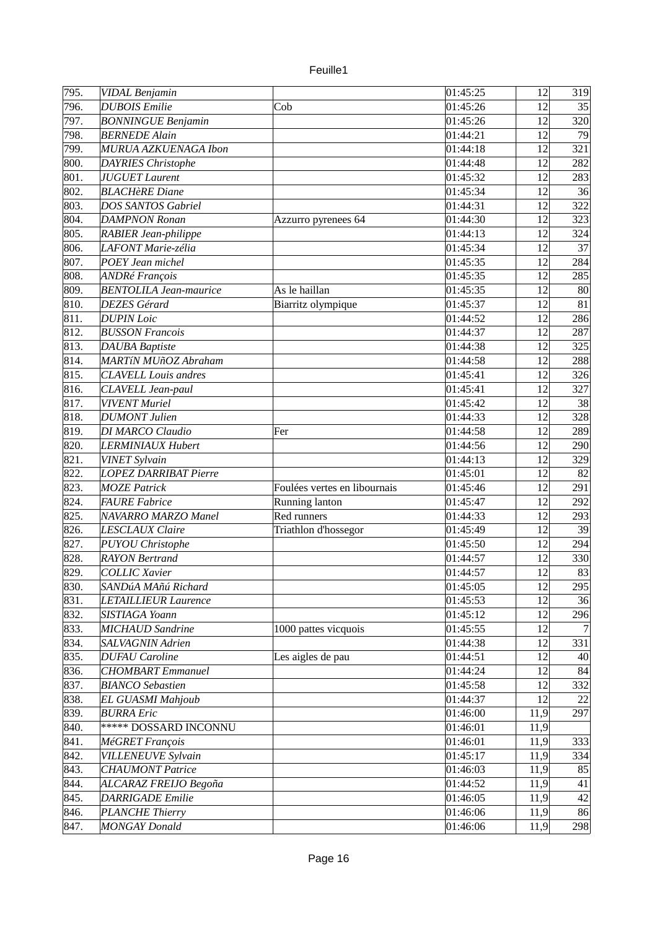| u rille |  |
|---------|--|
|         |  |

| 795.              | VIDAL Benjamin                |                               | 01:45:25 | 12   | 319 |
|-------------------|-------------------------------|-------------------------------|----------|------|-----|
| 796.              | <b>DUBOIS</b> Emilie          | Cob                           | 01:45:26 | 12   | 35  |
| 797.              | <b>BONNINGUE Benjamin</b>     |                               | 01:45:26 | 12   | 320 |
| 798.              | <b>BERNEDE Alain</b>          |                               | 01:44:21 | 12   | 79  |
| 799.              | MURUA AZKUENAGA Ibon          |                               | 01:44:18 | 12   | 321 |
| 800.              | <b>DAYRIES Christophe</b>     |                               | 01:44:48 | 12   | 282 |
| 801.              | <b>JUGUET Laurent</b>         |                               | 01:45:32 | 12   | 283 |
| 802.              | <b>BLACHèRE</b> Diane         |                               | 01:45:34 | 12   | 36  |
| 803.              | <b>DOS SANTOS Gabriel</b>     |                               | 01:44:31 | 12   | 322 |
| 804.              | <b>DAMPNON Ronan</b>          | Azzurro pyrenees 64           | 01:44:30 | 12   | 323 |
| 805.              | RABIER Jean-philippe          |                               | 01:44:13 | 12   | 324 |
| 806.              | LAFONT Marie-zélia            |                               | 01:45:34 | 12   | 37  |
| 807.              | POEY Jean michel              |                               | 01:45:35 | 12   | 284 |
| 808.              | ANDRé François                |                               | 01:45:35 | 12   | 285 |
| 809.              | <b>BENTOLILA Jean-maurice</b> | As le haillan                 | 01:45:35 | 12   | 80  |
| 810.              | <b>DEZES Gérard</b>           | Biarritz olympique            | 01:45:37 | 12   | 81  |
| 811.              | <b>DUPIN</b> Loic             |                               | 01:44:52 | 12   | 286 |
| $\overline{8}12.$ | <b>BUSSON Francois</b>        |                               | 01:44:37 | 12   | 287 |
| 813.              | <b>DAUBA</b> Baptiste         |                               | 01:44:38 | 12   | 325 |
| 814.              | <b>MARTÍN MUñOZ Abraham</b>   |                               | 01:44:58 | 12   | 288 |
| 815.              | <b>CLAVELL Louis andres</b>   |                               | 01:45:41 | 12   | 326 |
| 816.              | CLAVELL Jean-paul             |                               | 01:45:41 | 12   | 327 |
| 817.              | <b>VIVENT</b> Muriel          |                               | 01:45:42 | 12   | 38  |
| 818.              | <b>DUMONT Julien</b>          |                               | 01:44:33 | 12   | 328 |
| 819.              | DI MARCO Claudio              | Fer                           | 01:44:58 | 12   | 289 |
| 820.              | <b>LERMINIAUX Hubert</b>      |                               | 01:44:56 | 12   | 290 |
| 821.              | <b>VINET Sylvain</b>          |                               | 01:44:13 | 12   | 329 |
| 822.              | <b>LOPEZ DARRIBAT Pierre</b>  |                               | 01:45:01 | 12   | 82  |
| 823.              | <b>MOZE Patrick</b>           | Foulées vertes en libournais  | 01:45:46 | 12   | 291 |
| 824.              | <b>FAURE</b> Fabrice          |                               | 01:45:47 | 12   | 292 |
| 825.              | <b>NAVARRO MARZO Manel</b>    | Running lanton<br>Red runners | 01:44:33 | 12   | 293 |
|                   |                               |                               |          |      |     |
| 826.              | <b>LESCLAUX Claire</b>        | Triathlon d'hossegor          | 01:45:49 | 12   | 39  |
| 827.              | <b>PUYOU Christophe</b>       |                               | 01:45:50 | 12   | 294 |
| 828.              | <b>RAYON</b> Bertrand         |                               | 01:44:57 | 12   | 330 |
| 829.              | <b>COLLIC Xavier</b>          |                               | 01:44:57 | 12   | 83  |
| 830.              | SANDúA MAñú Richard           |                               | 01:45:05 | 12   | 295 |
| 831.              | <b>LETAILLIEUR Laurence</b>   |                               | 01:45:53 | 12   | 36  |
| 832.              | SISTIAGA Yoann                |                               | 01:45:12 | 12   | 296 |
| 833.              | <b>MICHAUD Sandrine</b>       | 1000 pattes vicquois          | 01:45:55 | 12   | 7   |
| 834.              | <b>SALVAGNIN Adrien</b>       |                               | 01:44:38 | 12   | 331 |
| 835.              | <b>DUFAU</b> Caroline         | Les aigles de pau             | 01:44:51 | 12   | 40  |
| 836.              | <b>CHOMBART</b> Emmanuel      |                               | 01:44:24 | 12   | 84  |
| 837.              | <b>BIANCO</b> Sebastien       |                               | 01:45:58 | 12   | 332 |
| 838.              | <b>EL GUASMI Mahjoub</b>      |                               | 01:44:37 | 12   | 22  |
| 839.              | <b>BURRA Eric</b>             |                               | 01:46:00 | 11,9 | 297 |
| 840.              | ***** DOSSARD INCONNU         |                               | 01:46:01 | 11,9 |     |
| 841.              | MéGRET François               |                               | 01:46:01 | 11,9 | 333 |
| 842.              | VILLENEUVE Sylvain            |                               | 01:45:17 | 11,9 | 334 |
| 843.              | <b>CHAUMONT Patrice</b>       |                               | 01:46:03 | 11,9 | 85  |
| 844.              | ALCARAZ FREIJO Begoña         |                               | 01:44:52 | 11,9 | 41  |
| 845.              | <b>DARRIGADE</b> Emilie       |                               | 01:46:05 | 11,9 | 42  |
| 846.              | <b>PLANCHE Thierry</b>        |                               | 01:46:06 | 11,9 | 86  |
| 847.              | <b>MONGAY Donald</b>          |                               | 01:46:06 | 11,9 | 298 |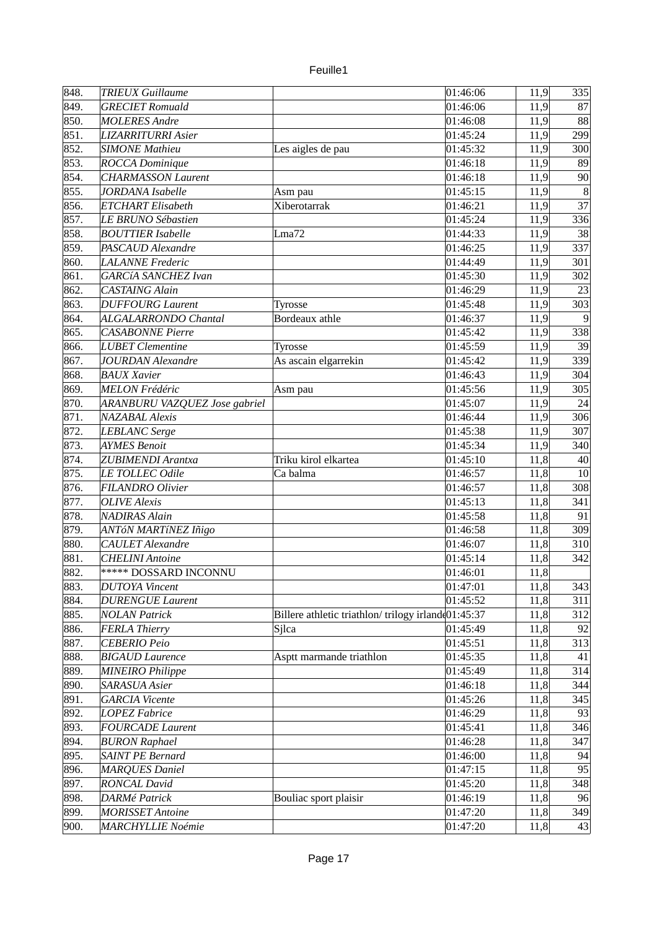| 848. | <b>TRIEUX Guillaume</b>              |                                                    | 01:46:06 | 11,9         | 335               |
|------|--------------------------------------|----------------------------------------------------|----------|--------------|-------------------|
| 849. | <b>GRECIET</b> Romuald               |                                                    | 01:46:06 | 11,9         | 87                |
| 850. | <b>MOLERES Andre</b>                 |                                                    | 01:46:08 | 11,9         | 88                |
| 851. | <b>LIZARRITURRI Asier</b>            |                                                    | 01:45:24 | 11,9         | 299               |
| 852. | <b>SIMONE Mathieu</b>                | Les aigles de pau                                  | 01:45:32 | 11,9         | 300               |
| 853. | ROCCA Dominique                      |                                                    | 01:46:18 | 11,9         | 89                |
| 854. | <b>CHARMASSON Laurent</b>            |                                                    | 01:46:18 | 11,9         | 90                |
| 855. | JORDANA Isabelle                     | Asm pau                                            | 01:45:15 | 11,9         | $\lvert 8 \rvert$ |
| 856. | <b>ETCHART</b> Elisabeth             | Xiberotarrak                                       | 01:46:21 | 11,9         | 37                |
| 857. | LE BRUNO Sébastien                   |                                                    | 01:45:24 | 11,9         | 336               |
| 858. | <b>BOUTTIER Isabelle</b>             | Lma72                                              | 01:44:33 | 11,9         | 38                |
| 859. | PASCAUD Alexandre                    |                                                    | 01:46:25 |              | 337               |
|      |                                      |                                                    |          | 11,9         |                   |
| 860. | <b>LALANNE</b> Frederic              |                                                    | 01:44:49 | 11,9         | 301               |
| 861. | <b>GARCÍA SANCHEZ Ivan</b>           |                                                    | 01:45:30 | 11,9         | 302               |
| 862. | <b>CASTAING Alain</b>                |                                                    | 01:46:29 | 11,9         | 23                |
| 863. | <b>DUFFOURG Laurent</b>              | <b>Tyrosse</b>                                     | 01:45:48 | 11,9         | 303               |
| 864. | ALGALARRONDO Chantal                 | Bordeaux athle                                     | 01:46:37 | 11,9         | 9                 |
| 865. | <b>CASABONNE</b> Pierre              |                                                    | 01:45:42 | 11,9         | 338               |
| 866. | <b>LUBET</b> Clementine              | Tyrosse                                            | 01:45:59 | 11,9         | 39                |
| 867. | <b>JOURDAN Alexandre</b>             | As ascain elgarrekin                               | 01:45:42 | 11,9         | 339               |
| 868. | <b>BAUX Xavier</b>                   |                                                    | 01:46:43 | 11,9         | 304               |
| 869. | <b>MELON Frédéric</b>                | Asm pau                                            | 01:45:56 | 11,9         | 305               |
| 870. | <b>ARANBURU VAZQUEZ Jose gabriel</b> |                                                    | 01:45:07 | 11,9         | 24                |
| 871. | <b>NAZABAL Alexis</b>                |                                                    | 01:46:44 | 11,9         | 306               |
| 872. | <b>LEBLANC</b> Serge                 |                                                    | 01:45:38 | 11,9         | 307               |
| 873. | <b>AYMES Benoit</b>                  |                                                    | 01:45:34 | 11,9         | 340               |
| 874. | <b>ZUBIMENDI Arantxa</b>             | Triku kirol elkartea                               | 01:45:10 | 11,8         | 40                |
| 875. | LE TOLLEC Odile                      | Ca balma                                           | 01:46:57 | 11,8         | 10                |
| 876. | FILANDRO Olivier                     |                                                    | 01:46:57 | 11,8         | 308               |
| 877. | <b>OLIVE</b> Alexis                  |                                                    | 01:45:13 | 11,8         | 341               |
| 878. | <b>NADIRAS Alain</b>                 |                                                    | 01:45:58 | 11,8         | 91                |
| 879. | ANTóN MARTíNEZ Iñigo                 |                                                    | 01:46:58 | 11,8         | 309               |
| 880. | <b>CAULET</b> Alexandre              |                                                    | 01:46:07 | 11,8         | 310               |
| 881. | <b>CHELINI</b> Antoine               |                                                    | 01:45:14 | 11,8         | 342               |
| 882. | ***** DOSSARD INCONNU                |                                                    | 01:46:01 | 11,8         |                   |
| 883. | <b>DUTOYA Vincent</b>                |                                                    | 01:47:01 | 11,8         | 343               |
| 884. | <b>DURENGUE Laurent</b>              |                                                    | 01:45:52 | 11,8         | 311               |
| 885. | <b>NOLAN Patrick</b>                 | Billere athletic triathlon/trilogy irland(01:45:37 |          | 11,8         | 312               |
| 886. | <b>FERLA Thierry</b>                 | Sjlca                                              | 01:45:49 | 11,8         | 92                |
| 887. | <b>CEBERIO Peio</b>                  |                                                    | 01:45:51 | 11,8         | 313               |
| 888. | <b>BIGAUD Laurence</b>               | Asptt marmande triathlon                           | 01:45:35 |              | 41                |
| 889. | <b>MINEIRO Philippe</b>              |                                                    | 01:45:49 | 11,8<br>11,8 | 314               |
| 890. |                                      |                                                    |          |              |                   |
|      | SARASUA Asier                        |                                                    | 01:46:18 | 11,8         | 344               |
| 891. | <b>GARCIA</b> Vicente                |                                                    | 01:45:26 | 11,8         | 345               |
| 892. | <b>LOPEZ Fabrice</b>                 |                                                    | 01:46:29 | 11,8         | 93                |
| 893. | <b>FOURCADE Laurent</b>              |                                                    | 01:45:41 | 11,8         | 346               |
| 894. | <b>BURON Raphael</b>                 |                                                    | 01:46:28 | 11,8         | 347               |
| 895. | <b>SAINT PE Bernard</b>              |                                                    | 01:46:00 | 11,8         | 94                |
| 896. | <b>MARQUES Daniel</b>                |                                                    | 01:47:15 | 11,8         | 95                |
| 897. | <b>RONCAL David</b>                  |                                                    | 01:45:20 | 11,8         | 348               |
| 898. | DARMé Patrick                        | Bouliac sport plaisir                              | 01:46:19 | 11,8         | 96                |
| 899. | <b>MORISSET Antoine</b>              |                                                    | 01:47:20 | 11,8         | 349               |
| 900. | <b>MARCHYLLIE Noémie</b>             |                                                    | 01:47:20 | 11,8         | 43                |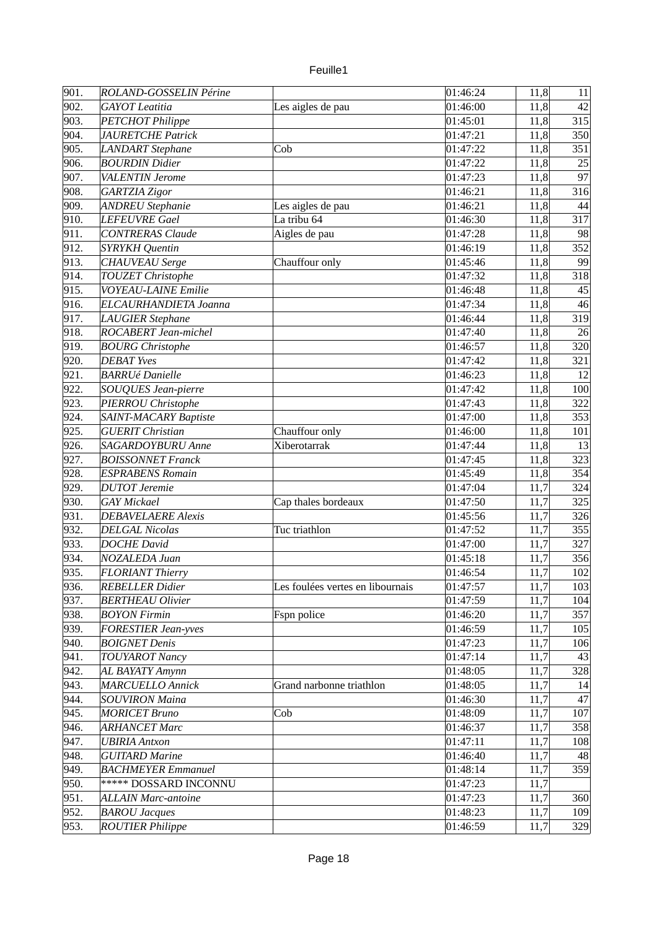| 901.<br>ROLAND-GOSSELIN Périne<br>01:46:24<br>11,8<br>11<br>902.<br>01:46:00<br>42<br><b>GAYOT</b> Leatitia<br>11,8<br>Les aigles de pau<br>903.<br>315<br><b>PETCHOT Philippe</b><br>01:45:01<br>11,8<br>904.<br><b>JAURETCHE Patrick</b><br>01:47:21<br>11,8<br>350<br>905.<br><b>LANDART</b> Stephane<br>Cob<br>01:47:22<br>11,8<br>351<br>906.<br><b>BOURDIN Didier</b><br>11,8<br>25<br>01:47:22<br>907.<br>97<br>11,8<br><b>VALENTIN Jerome</b><br>01:47:23<br>908.<br>11,8<br>316<br><b>GARTZIA Zigor</b><br>01:46:21<br>909.<br><b>ANDREU Stephanie</b><br>01:46:21<br>Les aigles de pau<br>11,8<br>44<br>910.<br>La tribu 64<br>317<br><b>LEFEUVRE Gael</b><br>01:46:30<br>11,8<br>911.<br>Aigles de pau<br><b>CONTRERAS Claude</b><br>01:47:28<br>11,8<br>98<br>912.<br>352<br><b>SYRYKH Quentin</b><br>01:46:19<br>11,8<br>913.<br><b>CHAUVEAU</b> Serge<br>99<br>Chauffour only<br>01:45:46<br>11,8<br>TOUZET Christophe<br>11,8<br>318<br>914.<br>01:47:32<br>915.<br>11,8<br>VOYEAU-LAINE Emilie<br>45<br>01:46:48<br>916.<br>ELCAURHANDIETA Joanna<br>01:47:34<br>11,8<br>46<br>917.<br>11,8<br>319<br><b>LAUGIER Stephane</b><br>01:46:44 |
|-----------------------------------------------------------------------------------------------------------------------------------------------------------------------------------------------------------------------------------------------------------------------------------------------------------------------------------------------------------------------------------------------------------------------------------------------------------------------------------------------------------------------------------------------------------------------------------------------------------------------------------------------------------------------------------------------------------------------------------------------------------------------------------------------------------------------------------------------------------------------------------------------------------------------------------------------------------------------------------------------------------------------------------------------------------------------------------------------------------------------------------------------------------|
|                                                                                                                                                                                                                                                                                                                                                                                                                                                                                                                                                                                                                                                                                                                                                                                                                                                                                                                                                                                                                                                                                                                                                           |
|                                                                                                                                                                                                                                                                                                                                                                                                                                                                                                                                                                                                                                                                                                                                                                                                                                                                                                                                                                                                                                                                                                                                                           |
|                                                                                                                                                                                                                                                                                                                                                                                                                                                                                                                                                                                                                                                                                                                                                                                                                                                                                                                                                                                                                                                                                                                                                           |
|                                                                                                                                                                                                                                                                                                                                                                                                                                                                                                                                                                                                                                                                                                                                                                                                                                                                                                                                                                                                                                                                                                                                                           |
|                                                                                                                                                                                                                                                                                                                                                                                                                                                                                                                                                                                                                                                                                                                                                                                                                                                                                                                                                                                                                                                                                                                                                           |
|                                                                                                                                                                                                                                                                                                                                                                                                                                                                                                                                                                                                                                                                                                                                                                                                                                                                                                                                                                                                                                                                                                                                                           |
|                                                                                                                                                                                                                                                                                                                                                                                                                                                                                                                                                                                                                                                                                                                                                                                                                                                                                                                                                                                                                                                                                                                                                           |
|                                                                                                                                                                                                                                                                                                                                                                                                                                                                                                                                                                                                                                                                                                                                                                                                                                                                                                                                                                                                                                                                                                                                                           |
|                                                                                                                                                                                                                                                                                                                                                                                                                                                                                                                                                                                                                                                                                                                                                                                                                                                                                                                                                                                                                                                                                                                                                           |
|                                                                                                                                                                                                                                                                                                                                                                                                                                                                                                                                                                                                                                                                                                                                                                                                                                                                                                                                                                                                                                                                                                                                                           |
|                                                                                                                                                                                                                                                                                                                                                                                                                                                                                                                                                                                                                                                                                                                                                                                                                                                                                                                                                                                                                                                                                                                                                           |
|                                                                                                                                                                                                                                                                                                                                                                                                                                                                                                                                                                                                                                                                                                                                                                                                                                                                                                                                                                                                                                                                                                                                                           |
|                                                                                                                                                                                                                                                                                                                                                                                                                                                                                                                                                                                                                                                                                                                                                                                                                                                                                                                                                                                                                                                                                                                                                           |
|                                                                                                                                                                                                                                                                                                                                                                                                                                                                                                                                                                                                                                                                                                                                                                                                                                                                                                                                                                                                                                                                                                                                                           |
|                                                                                                                                                                                                                                                                                                                                                                                                                                                                                                                                                                                                                                                                                                                                                                                                                                                                                                                                                                                                                                                                                                                                                           |
|                                                                                                                                                                                                                                                                                                                                                                                                                                                                                                                                                                                                                                                                                                                                                                                                                                                                                                                                                                                                                                                                                                                                                           |
|                                                                                                                                                                                                                                                                                                                                                                                                                                                                                                                                                                                                                                                                                                                                                                                                                                                                                                                                                                                                                                                                                                                                                           |
| 918.<br>ROCABERT Jean-michel<br>01:47:40<br>11,8<br>26                                                                                                                                                                                                                                                                                                                                                                                                                                                                                                                                                                                                                                                                                                                                                                                                                                                                                                                                                                                                                                                                                                    |
| 919.<br>11,8<br><b>BOURG Christophe</b><br>01:46:57<br>320                                                                                                                                                                                                                                                                                                                                                                                                                                                                                                                                                                                                                                                                                                                                                                                                                                                                                                                                                                                                                                                                                                |
| 920.<br><b>DEBAT Yves</b><br>01:47:42<br>11,8<br>321                                                                                                                                                                                                                                                                                                                                                                                                                                                                                                                                                                                                                                                                                                                                                                                                                                                                                                                                                                                                                                                                                                      |
| 921.<br><b>BARRUé Danielle</b><br>01:46:23<br>11,8<br>12                                                                                                                                                                                                                                                                                                                                                                                                                                                                                                                                                                                                                                                                                                                                                                                                                                                                                                                                                                                                                                                                                                  |
| 922.<br><b>SOUQUES Jean-pierre</b><br>01:47:42<br>11,8<br>100                                                                                                                                                                                                                                                                                                                                                                                                                                                                                                                                                                                                                                                                                                                                                                                                                                                                                                                                                                                                                                                                                             |
| 923.<br>PIERROU Christophe<br>11,8<br>322<br>01:47:43                                                                                                                                                                                                                                                                                                                                                                                                                                                                                                                                                                                                                                                                                                                                                                                                                                                                                                                                                                                                                                                                                                     |
| 924.<br>SAINT-MACARY Baptiste<br>01:47:00<br>11,8<br>353                                                                                                                                                                                                                                                                                                                                                                                                                                                                                                                                                                                                                                                                                                                                                                                                                                                                                                                                                                                                                                                                                                  |
| 925.<br><b>GUERIT Christian</b><br>Chauffour only<br>01:46:00<br>11,8<br>101                                                                                                                                                                                                                                                                                                                                                                                                                                                                                                                                                                                                                                                                                                                                                                                                                                                                                                                                                                                                                                                                              |
| 926.<br>SAGARDOYBURU Anne<br>Xiberotarrak<br>01:47:44<br>11,8<br>13                                                                                                                                                                                                                                                                                                                                                                                                                                                                                                                                                                                                                                                                                                                                                                                                                                                                                                                                                                                                                                                                                       |
| 927.<br><b>BOISSONNET Franck</b><br>01:47:45<br>11,8<br>323                                                                                                                                                                                                                                                                                                                                                                                                                                                                                                                                                                                                                                                                                                                                                                                                                                                                                                                                                                                                                                                                                               |
| 928.<br>11,8<br>354<br><b>ESPRABENS Romain</b><br>01:45:49                                                                                                                                                                                                                                                                                                                                                                                                                                                                                                                                                                                                                                                                                                                                                                                                                                                                                                                                                                                                                                                                                                |
| 929.<br><b>DUTOT</b> Jeremie<br>11,7<br>324<br>01:47:04                                                                                                                                                                                                                                                                                                                                                                                                                                                                                                                                                                                                                                                                                                                                                                                                                                                                                                                                                                                                                                                                                                   |
| 930.<br><b>GAY</b> Mickael<br>11,7<br>325<br>Cap thales bordeaux<br>01:47:50                                                                                                                                                                                                                                                                                                                                                                                                                                                                                                                                                                                                                                                                                                                                                                                                                                                                                                                                                                                                                                                                              |
| 931.<br>11,7<br>326<br><b>DEBAVELAERE Alexis</b><br>01:45:56                                                                                                                                                                                                                                                                                                                                                                                                                                                                                                                                                                                                                                                                                                                                                                                                                                                                                                                                                                                                                                                                                              |
| 932.<br><b>DELGAL Nicolas</b><br>Tuc triathlon<br>01:47:52<br>11,7<br>355                                                                                                                                                                                                                                                                                                                                                                                                                                                                                                                                                                                                                                                                                                                                                                                                                                                                                                                                                                                                                                                                                 |
| 933.<br><b>DOCHE David</b><br>01:47:00<br>11,7<br>327                                                                                                                                                                                                                                                                                                                                                                                                                                                                                                                                                                                                                                                                                                                                                                                                                                                                                                                                                                                                                                                                                                     |
| 934.<br>11,7<br><b>NOZALEDA Juan</b><br>01:45:18<br>356                                                                                                                                                                                                                                                                                                                                                                                                                                                                                                                                                                                                                                                                                                                                                                                                                                                                                                                                                                                                                                                                                                   |
| 935.<br>11,7<br><b>FLORIANT Thierry</b><br>102<br>01:46:54                                                                                                                                                                                                                                                                                                                                                                                                                                                                                                                                                                                                                                                                                                                                                                                                                                                                                                                                                                                                                                                                                                |
| 11,7<br>Les foulées vertes en libournais<br>936.<br><b>REBELLER Didier</b><br>103<br>01:47:57                                                                                                                                                                                                                                                                                                                                                                                                                                                                                                                                                                                                                                                                                                                                                                                                                                                                                                                                                                                                                                                             |
| 937.<br>01:47:59<br>11,7<br><b>BERTHEAU Olivier</b><br>104                                                                                                                                                                                                                                                                                                                                                                                                                                                                                                                                                                                                                                                                                                                                                                                                                                                                                                                                                                                                                                                                                                |
| 938.<br>11,7<br>357<br><b>BOYON Firmin</b><br>Fspn police<br>01:46:20                                                                                                                                                                                                                                                                                                                                                                                                                                                                                                                                                                                                                                                                                                                                                                                                                                                                                                                                                                                                                                                                                     |
| 11,7<br>939.<br><b>FORESTIER Jean-yves</b><br>01:46:59<br>105                                                                                                                                                                                                                                                                                                                                                                                                                                                                                                                                                                                                                                                                                                                                                                                                                                                                                                                                                                                                                                                                                             |
| 940.<br><b>BOIGNET Denis</b><br>01:47:23<br>11,7<br>106                                                                                                                                                                                                                                                                                                                                                                                                                                                                                                                                                                                                                                                                                                                                                                                                                                                                                                                                                                                                                                                                                                   |
| 941.<br><b>TOUYAROT Nancy</b><br>01:47:14<br>11,7<br>43                                                                                                                                                                                                                                                                                                                                                                                                                                                                                                                                                                                                                                                                                                                                                                                                                                                                                                                                                                                                                                                                                                   |
| 942.<br>01:48:05<br>11,7<br>AL BAYATY Amynn<br>328                                                                                                                                                                                                                                                                                                                                                                                                                                                                                                                                                                                                                                                                                                                                                                                                                                                                                                                                                                                                                                                                                                        |
| 943.<br>Grand narbonne triathlon<br>01:48:05<br>11,7<br><b>MARCUELLO Annick</b><br>14                                                                                                                                                                                                                                                                                                                                                                                                                                                                                                                                                                                                                                                                                                                                                                                                                                                                                                                                                                                                                                                                     |
| 47<br>944.<br>01:46:30<br><b>SOUVIRON Maina</b><br>11,7                                                                                                                                                                                                                                                                                                                                                                                                                                                                                                                                                                                                                                                                                                                                                                                                                                                                                                                                                                                                                                                                                                   |
| 945.<br><b>MORICET Bruno</b><br>Cob<br>01:48:09<br>11,7<br>107                                                                                                                                                                                                                                                                                                                                                                                                                                                                                                                                                                                                                                                                                                                                                                                                                                                                                                                                                                                                                                                                                            |
| 11,7<br>946.<br><b>ARHANCET Marc</b><br>01:46:37<br>358                                                                                                                                                                                                                                                                                                                                                                                                                                                                                                                                                                                                                                                                                                                                                                                                                                                                                                                                                                                                                                                                                                   |
| 947.<br>01:47:11<br>11,7<br><b>UBIRIA Antxon</b><br>108                                                                                                                                                                                                                                                                                                                                                                                                                                                                                                                                                                                                                                                                                                                                                                                                                                                                                                                                                                                                                                                                                                   |
| 948.<br><b>GUITARD Marine</b><br>01:46:40<br>11,7<br>48                                                                                                                                                                                                                                                                                                                                                                                                                                                                                                                                                                                                                                                                                                                                                                                                                                                                                                                                                                                                                                                                                                   |
| 949.<br>359<br><b>BACHMEYER Emmanuel</b><br>01:48:14<br>11,7                                                                                                                                                                                                                                                                                                                                                                                                                                                                                                                                                                                                                                                                                                                                                                                                                                                                                                                                                                                                                                                                                              |
| <b>***** DOSSARD INCONNU</b><br>11,7<br>950.<br>01:47:23                                                                                                                                                                                                                                                                                                                                                                                                                                                                                                                                                                                                                                                                                                                                                                                                                                                                                                                                                                                                                                                                                                  |
| 951.<br><b>ALLAIN Marc-antoine</b><br>01:47:23<br>11,7<br>360                                                                                                                                                                                                                                                                                                                                                                                                                                                                                                                                                                                                                                                                                                                                                                                                                                                                                                                                                                                                                                                                                             |
| 952.<br><b>BAROU Jacques</b><br>01:48:23<br>11,7<br>109                                                                                                                                                                                                                                                                                                                                                                                                                                                                                                                                                                                                                                                                                                                                                                                                                                                                                                                                                                                                                                                                                                   |
| 953.<br><b>ROUTIER Philippe</b><br>01:46:59<br>11,7<br>329                                                                                                                                                                                                                                                                                                                                                                                                                                                                                                                                                                                                                                                                                                                                                                                                                                                                                                                                                                                                                                                                                                |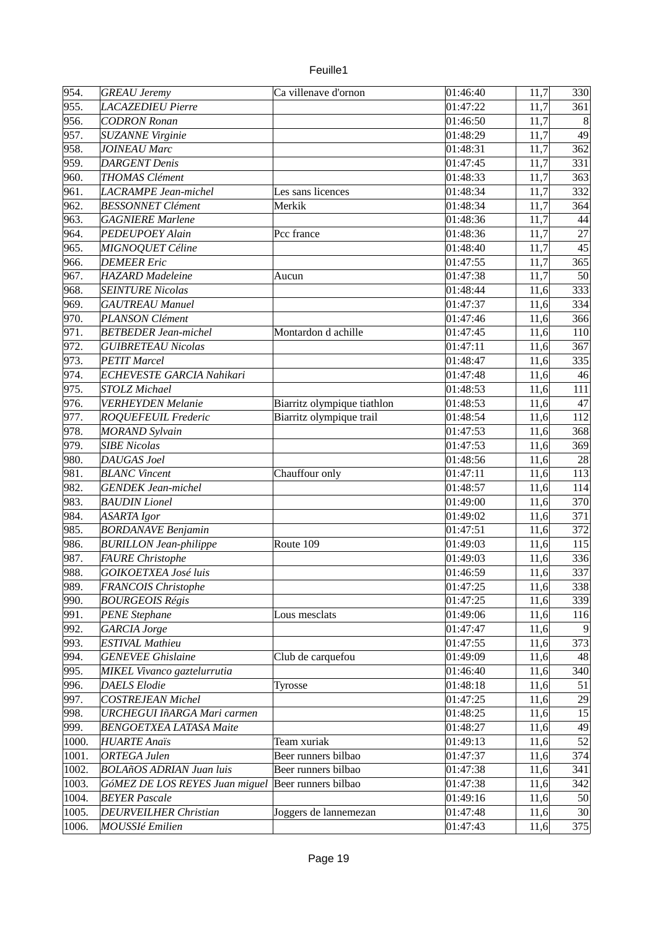| euille <sup>®</sup> |  |
|---------------------|--|
|                     |  |

| 954.  | <b>GREAU</b> Jeremy                    | Ca villenave d'ornon        | 01:46:40 | 11,7 | 330             |
|-------|----------------------------------------|-----------------------------|----------|------|-----------------|
| 955.  | LACAZEDIEU Pierre                      |                             | 01:47:22 | 11,7 | 361             |
| 956.  | <b>CODRON Ronan</b>                    |                             | 01:46:50 | 11,7 | 8               |
| 957.  | <b>SUZANNE Virginie</b>                |                             | 01:48:29 | 11,7 | 49              |
| 958.  | <b>JOINEAU Marc</b>                    |                             | 01:48:31 | 11,7 | 362             |
| 959.  | <b>DARGENT Denis</b>                   |                             | 01:47:45 | 11,7 | 331             |
| 960.  | <b>THOMAS Clément</b>                  |                             | 01:48:33 | 11,7 | 363             |
| 961.  | LACRAMPE Jean-michel                   | Les sans licences           | 01:48:34 | 11,7 | 332             |
| 962.  | <b>BESSONNET Clément</b>               | Merkik                      | 01:48:34 | 11,7 | 364             |
| 963.  | <b>GAGNIERE Marlene</b>                |                             | 01:48:36 | 11,7 | 44              |
| 964.  | PEDEUPOEY Alain                        | Pcc france                  | 01:48:36 | 11,7 | 27              |
| 965.  | MIGNOQUET Céline                       |                             | 01:48:40 | 11,7 | 45              |
| 966.  | <b>DEMEER Eric</b>                     |                             | 01:47:55 | 11,7 | 365             |
| 967.  | <b>HAZARD</b> Madeleine                | Aucun                       | 01:47:38 | 11,7 | 50              |
| 968.  | <b>SEINTURE Nicolas</b>                |                             | 01:48:44 | 11,6 | 333             |
| 969.  | <b>GAUTREAU Manuel</b>                 |                             | 01:47:37 | 11,6 | 334             |
| 970.  | PLANSON Clément                        |                             | 01:47:46 | 11,6 | 366             |
| 971.  | <b>BETBEDER Jean-michel</b>            | Montardon d achille         | 01:47:45 | 11,6 | 110             |
| 972.  | <b>GUIBRETEAU Nicolas</b>              |                             | 01:47:11 | 11,6 | 367             |
| 973.  | <b>PETIT Marcel</b>                    |                             | 01:48:47 | 11,6 | 335             |
| 974.  | ECHEVESTE GARCIA Nahikari              |                             | 01:47:48 | 11,6 | 46              |
| 975.  | <b>STOLZ Michael</b>                   |                             | 01:48:53 | 11,6 | 111             |
| 976.  | <b>VERHEYDEN Melanie</b>               | Biarritz olympique tiathlon | 01:48:53 | 11,6 | 47              |
| 977.  | <b>ROQUEFEUIL Frederic</b>             | Biarritz olympique trail    | 01:48:54 | 11,6 | 112             |
| 978.  | <b>MORAND</b> Sylvain                  |                             | 01:47:53 | 11,6 | 368             |
| 979.  | <b>SIBE Nicolas</b>                    |                             | 01:47:53 | 11,6 | 369             |
| 980.  | DAUGAS Joel                            |                             | 01:48:56 | 11,6 | 28              |
| 981.  | <b>BLANC Vincent</b>                   | Chauffour only              | 01:47:11 | 11,6 | 113             |
| 982.  | <b>GENDEK Jean-michel</b>              |                             | 01:48:57 | 11,6 | 114             |
| 983.  | <b>BAUDIN</b> Lionel                   |                             | 01:49:00 | 11,6 | 370             |
| 984.  | ASARTA Igor                            |                             | 01:49:02 | 11,6 | 371             |
| 985.  | <b>BORDANAVE Benjamin</b>              |                             | 01:47:51 | 11,6 | 372             |
| 986.  | <b>BURILLON Jean-philippe</b>          | Route 109                   | 01:49:03 | 11,6 | 115             |
| 987.  | <b>FAURE</b> Christophe                |                             | 01:49:03 | 11,6 | 336             |
| 988.  | <b>GOIKOETXEA José luis</b>            |                             | 01:46:59 | 11,6 | 337             |
| 989.  |                                        |                             |          |      | 338             |
|       | FRANCOIS Christophe                    |                             | 01:47:25 | 11,6 |                 |
| 990.  | <b>BOURGEOIS Régis</b>                 |                             | 01:47:25 | 11,6 | 339             |
| 991.  | <b>PENE Stephane</b>                   | Lous mesclats               | 01:49:06 | 11,6 | 116<br>-9       |
| 992.  | GARCIA Jorge<br><b>ESTIVAL Mathieu</b> |                             | 01:47:47 | 11,6 |                 |
| 993.  |                                        |                             | 01:47:55 | 11,6 | 373             |
| 994.  | <b>GENEVEE Ghislaine</b>               | Club de carquefou           | 01:49:09 | 11,6 | 48              |
| 995.  | MIKEL Vivanco gaztelurrutia            |                             | 01:46:40 | 11,6 | 340             |
| 996.  | <b>DAELS</b> Elodie                    | Tyrosse                     | 01:48:18 | 11,6 | 51              |
| 997.  | <b>COSTREJEAN Michel</b>               |                             | 01:47:25 | 11,6 | 29              |
| 998.  | URCHEGUI IñARGA Mari carmen            |                             | 01:48:25 | 11,6 | 15              |
| 999.  | <b>BENGOETXEA LATASA Maite</b>         |                             | 01:48:27 | 11,6 | 49              |
| 1000. | <b>HUARTE Anaïs</b>                    | Team xuriak                 | 01:49:13 | 11,6 | 52              |
| 1001. | <b>ORTEGA</b> Julen                    | Beer runners bilbao         | 01:47:37 | 11,6 | 374             |
| 1002. | <b>BOLAñOS ADRIAN Juan luis</b>        | Beer runners bilbao         | 01:47:38 | 11,6 | 341             |
| 1003. | GóMEZ DE LOS REYES Juan miguel         | Beer runners bilbao         | 01:47:38 | 11,6 | 342             |
| 1004. | <b>BEYER Pascale</b>                   |                             | 01:49:16 | 11,6 | 50              |
| 1005. | <b>DEURVEILHER Christian</b>           | Joggers de lannemezan       | 01:47:48 | 11,6 | 30 <sup>2</sup> |
| 1006. | <b>MOUSSIé Emilien</b>                 |                             | 01:47:43 | 11,6 | 375             |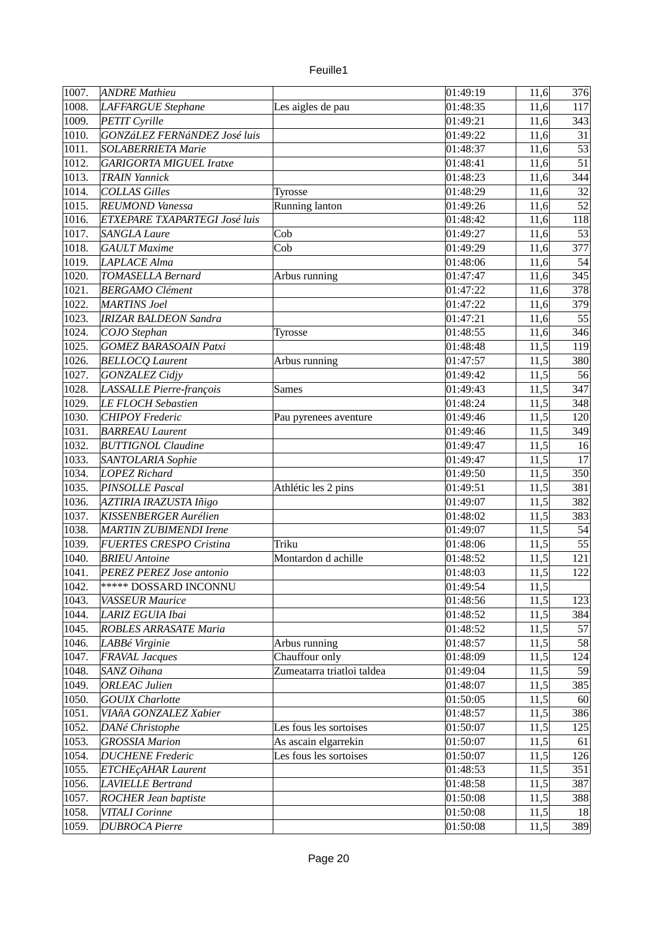| uille |  |
|-------|--|
|       |  |

| 1007. | <b>ANDRE Mathieu</b>           |                            | 01:49:19 | 11,6 | 376 |
|-------|--------------------------------|----------------------------|----------|------|-----|
| 1008. | LAFFARGUE Stephane             | Les aigles de pau          | 01:48:35 | 11,6 | 117 |
| 1009. | PETIT Cyrille                  |                            | 01:49:21 | 11,6 | 343 |
| 1010. | GONZáLEZ FERNáNDEZ José luis   |                            | 01:49:22 | 11,6 | 31  |
| 1011. | <b>SOLABERRIETA Marie</b>      |                            | 01:48:37 | 11,6 | 53  |
| 1012. | <b>GARIGORTA MIGUEL Iratxe</b> |                            | 01:48:41 | 11,6 | 51  |
| 1013. | <b>TRAIN Yannick</b>           |                            | 01:48:23 | 11,6 | 344 |
| 1014. | <b>COLLAS Gilles</b>           |                            | 01:48:29 | 11,6 | 32  |
| 1015. | <b>REUMOND Vanessa</b>         | Tyrosse                    | 01:49:26 | 11,6 | 52  |
|       |                                | Running lanton             |          |      |     |
| 1016. | ETXEPARE TXAPARTEGI José luis  |                            | 01:48:42 | 11,6 | 118 |
| 1017. | <b>SANGLA Laure</b>            | Cob                        | 01:49:27 | 11,6 | 53  |
| 1018. | <b>GAULT</b> Maxime            | Cob                        | 01:49:29 | 11,6 | 377 |
| 1019. | <b>LAPLACE Alma</b>            |                            | 01:48:06 | 11,6 | 54  |
| 1020. | <b>TOMASELLA Bernard</b>       | Arbus running              | 01:47:47 | 11,6 | 345 |
| 1021. | <b>BERGAMO Clément</b>         |                            | 01:47:22 | 11,6 | 378 |
| 1022. | <b>MARTINS Joel</b>            |                            | 01:47:22 | 11,6 | 379 |
| 1023. | <b>IRIZAR BALDEON Sandra</b>   |                            | 01:47:21 | 11,6 | 55  |
| 1024. | COJO Stephan                   | Tyrosse                    | 01:48:55 | 11,6 | 346 |
| 1025. | <b>GOMEZ BARASOAIN Patxi</b>   |                            | 01:48:48 | 11,5 | 119 |
| 1026. | <b>BELLOCQ Laurent</b>         | Arbus running              | 01:47:57 | 11,5 | 380 |
| 1027. | <b>GONZALEZ Cidjy</b>          |                            | 01:49:42 | 11,5 | 56  |
| 1028. | LASSALLE Pierre-françois       | <b>Sames</b>               | 01:49:43 | 11,5 | 347 |
| 1029. | <b>LE FLOCH Sebastien</b>      |                            | 01:48:24 | 11,5 | 348 |
| 1030. | <b>CHIPOY Frederic</b>         | Pau pyrenees aventure      | 01:49:46 | 11,5 | 120 |
| 1031. | <b>BARREAU Laurent</b>         |                            | 01:49:46 | 11,5 | 349 |
| 1032. | <b>BUTTIGNOL Claudine</b>      |                            | 01:49:47 | 11,5 | 16  |
| 1033. | SANTOLARIA Sophie              |                            | 01:49:47 | 11,5 | 17  |
| 1034. | <b>LOPEZ Richard</b>           |                            | 01:49:50 | 11,5 | 350 |
| 1035. | PINSOLLE Pascal                | Athlétic les 2 pins        | 01:49:51 | 11,5 | 381 |
| 1036. | AZTIRIA IRAZUSTA Iñigo         |                            | 01:49:07 | 11,5 | 382 |
| 1037. | KISSENBERGER Aurélien          |                            | 01:48:02 | 11,5 | 383 |
| 1038. | <b>MARTIN ZUBIMENDI Irene</b>  |                            | 01:49:07 | 11,5 | 54  |
| 1039. | <b>FUERTES CRESPO Cristina</b> | Triku                      | 01:48:06 | 11,5 | 55  |
| 1040. | <b>BRIEU</b> Antoine           | Montardon d achille        | 01:48:52 | 11,5 | 121 |
|       |                                |                            |          |      |     |
| 1041. | PEREZ PEREZ Jose antonio       |                            | 01:48:03 | 11,5 | 122 |
| 1042. | <b>***** DOSSARD INCONNU</b>   |                            | 01:49:54 | 11,5 |     |
| 1043. | <b>VASSEUR Maurice</b>         |                            | 01:48:56 | 11,5 | 123 |
| 1044. | LARIZ EGUIA Ibai               |                            | 01:48:52 | 11,5 | 384 |
| 1045. | ROBLES ARRASATE Maria          |                            | 01:48:52 | 11,5 | 57  |
| 1046. | LABBé Virginie                 | Arbus running              | 01:48:57 | 11,5 | 58  |
| 1047. | <b>FRAVAL Jacques</b>          | Chauffour only             | 01:48:09 | 11,5 | 124 |
| 1048. | SANZ Oihana                    | Zumeatarra triatloi taldea | 01:49:04 | 11,5 | 59  |
| 1049. | <b>ORLEAC Julien</b>           |                            | 01:48:07 | 11,5 | 385 |
| 1050. | <b>GOUIX Charlotte</b>         |                            | 01:50:05 | 11,5 | 60  |
| 1051. | VIAñA GONZALEZ Xabier          |                            | 01:48:57 | 11,5 | 386 |
| 1052. | DANé Christophe                | Les fous les sortoises     | 01:50:07 | 11,5 | 125 |
| 1053. | <b>GROSSIA Marion</b>          | As ascain elgarrekin       | 01:50:07 | 11,5 | 61  |
| 1054. | <b>DUCHENE</b> Frederic        | Les fous les sortoises     | 01:50:07 | 11,5 | 126 |
| 1055. | ETCHEÇAHAR Laurent             |                            | 01:48:53 | 11,5 | 351 |
| 1056. | <b>LAVIELLE Bertrand</b>       |                            | 01:48:58 | 11,5 | 387 |
| 1057. | <b>ROCHER Jean baptiste</b>    |                            | 01:50:08 | 11,5 | 388 |
| 1058. | VITALI Corinne                 |                            | 01:50:08 | 11,5 | 18  |
| 1059. | <b>DUBROCA Pierre</b>          |                            | 01:50:08 | 11,5 | 389 |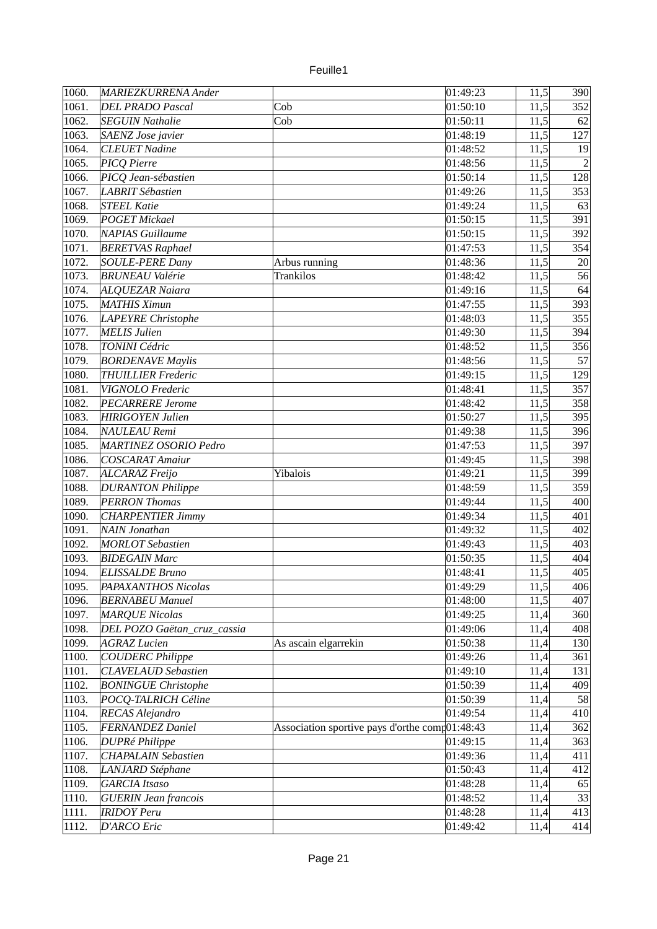| 1060. | MARIEZKURRENA Ander                                  |                                                        | 01:49:23             | 11,5 | 390 |
|-------|------------------------------------------------------|--------------------------------------------------------|----------------------|------|-----|
| 1061. | <b>DEL PRADO Pascal</b>                              | Cob                                                    | 01:50:10             | 11,5 | 352 |
| 1062. | <b>SEGUIN Nathalie</b>                               | Cob                                                    | 01:50:11             | 11,5 | 62  |
| 1063. | SAENZ Jose javier                                    |                                                        | 01:48:19             | 11,5 | 127 |
| 1064. | <b>CLEUET Nadine</b>                                 |                                                        | 01:48:52             | 11,5 | 19  |
| 1065. | PICQ Pierre                                          |                                                        | 01:48:56             | 11,5 |     |
| 1066. | PICQ Jean-sébastien                                  |                                                        | 01:50:14             | 11,5 | 128 |
| 1067. | <b>LABRIT Sébastien</b>                              |                                                        | 01:49:26             | 11,5 | 353 |
| 1068. | STEEL Katie                                          |                                                        | 01:49:24             | 11,5 | 63  |
| 1069. | <b>POGET Mickael</b>                                 |                                                        | 01:50:15             | 11,5 | 391 |
| 1070. | NAPIAS Guillaume                                     |                                                        | 01:50:15             | 11,5 | 392 |
| 1071. | <b>BERETVAS Raphael</b>                              |                                                        | 01:47:53             | 11,5 | 354 |
| 1072. | <b>SOULE-PERE Dany</b>                               | Arbus running                                          | 01:48:36             | 11,5 | 20  |
| 1073. | <b>BRUNEAU Valérie</b>                               | <b>Trankilos</b>                                       | 01:48:42             | 11,5 | 56  |
| 1074. | <b>ALQUEZAR Naiara</b>                               |                                                        | 01:49:16             | 11,5 | 64  |
| 1075. | MATHIS Ximun                                         |                                                        | 01:47:55             | 11,5 | 393 |
| 1076. | LAPEYRE Christophe                                   |                                                        | 01:48:03             | 11,5 | 355 |
| 1077. | MELIS Julien                                         |                                                        | 01:49:30             | 11,5 | 394 |
| 1078. | TONINI Cédric                                        |                                                        | 01:48:52             | 11,5 | 356 |
|       |                                                      |                                                        |                      |      | 57  |
| 1079. | <b>BORDENAVE Maylis</b><br><b>THUILLIER Frederic</b> |                                                        | 01:48:56<br>01:49:15 | 11,5 |     |
| 1080. |                                                      |                                                        |                      | 11,5 | 129 |
| 1081. | VIGNOLO Frederic                                     |                                                        | 01:48:41             | 11,5 | 357 |
| 1082. | <b>PECARRERE Jerome</b>                              |                                                        | 01:48:42             | 11,5 | 358 |
| 1083. | <b>HIRIGOYEN Julien</b>                              |                                                        | 01:50:27             | 11,5 | 395 |
| 1084. | NAULEAU Remi                                         |                                                        | 01:49:38             | 11,5 | 396 |
| 1085. | <b>MARTINEZ OSORIO Pedro</b>                         |                                                        | 01:47:53             | 11,5 | 397 |
| 1086. | COSCARAT Amaiur                                      |                                                        | 01:49:45             | 11,5 | 398 |
| 1087. | ALCARAZ Freijo                                       | Yibalois                                               | 01:49:21             | 11,5 | 399 |
| 1088. | <b>DURANTON Philippe</b>                             |                                                        | 01:48:59             | 11,5 | 359 |
| 1089. | <b>PERRON Thomas</b>                                 |                                                        | 01:49:44             | 11,5 | 400 |
| 1090. | <b>CHARPENTIER Jimmy</b>                             |                                                        | 01:49:34             | 11,5 | 401 |
| 1091. | NAIN Jonathan                                        |                                                        | 01:49:32             | 11,5 | 402 |
| 1092. | <b>MORLOT</b> Sebastien                              |                                                        | 01:49:43             | 11,5 | 403 |
| 1093. | <b>BIDEGAIN Marc</b>                                 |                                                        | 01:50:35             | 11,5 | 404 |
| 1094. | <b>ELISSALDE Bruno</b>                               |                                                        | 01:48:41             | 11,5 | 405 |
| 1095. | PAPAXANTHOS Nicolas                                  |                                                        | 01:49:29             | 11,5 | 406 |
| 1096. | <b>BERNABEU Manuel</b>                               |                                                        | 01:48:00             | 11,5 | 407 |
| 1097. | <b>MARQUE Nicolas</b>                                |                                                        | 01:49:25             | 11,4 | 360 |
| 1098. | DEL POZO Gaëtan_cruz_cassia                          |                                                        | 01:49:06             | 11,4 | 408 |
| 1099. | <b>AGRAZ</b> Lucien                                  | As ascain elgarrekin                                   | 01:50:38             | 11,4 | 130 |
| 1100. | <b>COUDERC Philippe</b>                              |                                                        | 01:49:26             | 11,4 | 361 |
| 1101. | <b>CLAVELAUD</b> Sebastien                           |                                                        | 01:49:10             | 11,4 | 131 |
| 1102. | <b>BONINGUE Christophe</b>                           |                                                        | 01:50:39             | 11,4 | 409 |
| 1103. | POCQ-TALRICH Céline                                  |                                                        | 01:50:39             | 11,4 | 58  |
| 1104. | RECAS Alejandro                                      |                                                        | 01:49:54             | 11,4 | 410 |
| 1105. | <b>FERNANDEZ Daniel</b>                              | Association sportive pays d'orthe com $\beta$ 01:48:43 |                      | 11,4 | 362 |
| 1106. | <b>DUPRé Philippe</b>                                |                                                        | 01:49:15             | 11,4 | 363 |
| 1107. | <b>CHAPALAIN Sebastien</b>                           |                                                        | 01:49:36             | 11,4 | 411 |
| 1108. | LANJARD Stéphane                                     |                                                        | 01:50:43             | 11,4 | 412 |
| 1109. | <b>GARCIA Itsaso</b>                                 |                                                        | 01:48:28             | 11,4 | 65  |
| 1110. | <b>GUERIN Jean francois</b>                          |                                                        | 01:48:52             | 11,4 | 33  |
| 1111. | <b>IRIDOY Peru</b>                                   |                                                        | 01:48:28             | 11,4 | 413 |
| 1112. | <b>D'ARCO Eric</b>                                   |                                                        | 01:49:42             | 11,4 | 414 |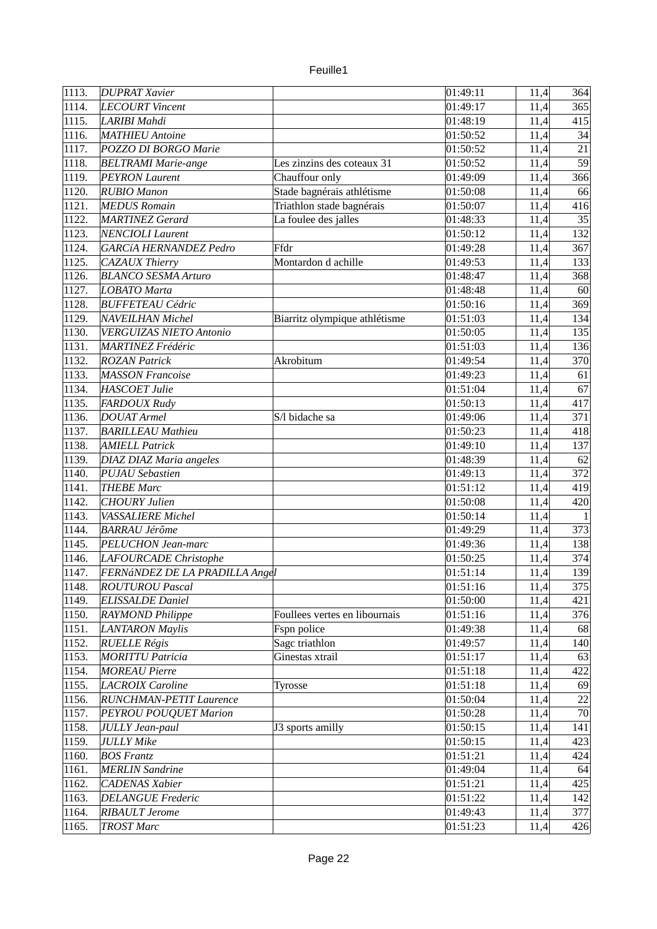| 1113. | <b>DUPRAT Xavier</b>           |                               | 01:49:11 | 11,4 | 364          |
|-------|--------------------------------|-------------------------------|----------|------|--------------|
| 1114. | LECOURT Vincent                |                               | 01:49:17 | 11,4 | 365          |
| 1115. | LARIBI Mahdi                   |                               | 01:48:19 | 11,4 | 415          |
| 1116. | <b>MATHIEU</b> Antoine         |                               | 01:50:52 | 11,4 | 34           |
| 1117. | POZZO DI BORGO Marie           |                               | 01:50:52 | 11,4 | 21           |
| 1118. | <b>BELTRAMI</b> Marie-ange     | Les zinzins des coteaux 31    | 01:50:52 | 11,4 | 59           |
| 1119. | <b>PEYRON Laurent</b>          | Chauffour only                | 01:49:09 | 11,4 | 366          |
| 1120. | <b>RUBIO Manon</b>             | Stade bagnérais athlétisme    | 01:50:08 | 11,4 | 66           |
| 1121. | <b>MEDUS Romain</b>            | Triathlon stade bagnérais     | 01:50:07 | 11,4 | 416          |
| 1122. | <b>MARTINEZ</b> Gerard         | La foulee des jalles          | 01:48:33 | 11,4 | 35           |
| 1123. | <b>NENCIOLI Laurent</b>        |                               | 01:50:12 | 11,4 | 132          |
| 1124. | GARCíA HERNANDEZ Pedro         | Ffdr                          | 01:49:28 | 11,4 | 367          |
| 1125. | <b>CAZAUX Thierry</b>          | Montardon d achille           | 01:49:53 | 11,4 | 133          |
| 1126. | <b>BLANCO SESMA Arturo</b>     |                               | 01:48:47 | 11,4 | 368          |
| 1127. | <b>LOBATO Marta</b>            |                               | 01:48:48 | 11,4 | 60           |
| 1128. | <b>BUFFETEAU Cédric</b>        |                               | 01:50:16 | 11,4 | 369          |
| 1129. | <b>NAVEILHAN Michel</b>        | Biarritz olympique athlétisme | 01:51:03 | 11,4 | 134          |
| 1130. | <b>VERGUIZAS NIETO Antonio</b> |                               | 01:50:05 | 11,4 | 135          |
| 1131. | <b>MARTINEZ Frédéric</b>       |                               | 01:51:03 | 11,4 | 136          |
| 1132. | <b>ROZAN Patrick</b>           | Akrobitum                     | 01:49:54 | 11,4 | 370          |
| 1133. | <b>MASSON Francoise</b>        |                               | 01:49:23 | 11,4 | 61           |
| 1134. | <b>HASCOET Julie</b>           |                               | 01:51:04 | 11,4 | 67           |
| 1135. | FARDOUX Rudy                   |                               | 01:50:13 | 11,4 | 417          |
| 1136. | <b>DOUAT Armel</b>             | S/l bidache sa                | 01:49:06 | 11,4 | 371          |
| 1137. | <b>BARILLEAU Mathieu</b>       |                               | 01:50:23 | 11,4 | 418          |
| 1138. | <b>AMIELL Patrick</b>          |                               | 01:49:10 | 11,4 | 137          |
| 1139. | <b>DIAZ DIAZ Maria angeles</b> |                               | 01:48:39 | 11,4 | 62           |
| 1140. | <b>PUJAU Sebastien</b>         |                               | 01:49:13 | 11,4 | 372          |
| 1141. | <b>THEBE Marc</b>              |                               | 01:51:12 | 11,4 | 419          |
| 1142. | <b>CHOURY Julien</b>           |                               | 01:50:08 | 11,4 | 420          |
| 1143. | <b>VASSALIERE Michel</b>       |                               | 01:50:14 | 11,4 | $\mathbf{1}$ |
| 1144. | <b>BARRAU Jérôme</b>           |                               | 01:49:29 | 11,4 | 373          |
| 1145. | PELUCHON Jean-marc             |                               | 01:49:36 | 11,4 | 138          |
| 1146. | LAFOURCADE Christophe          |                               | 01:50:25 | 11,4 | 374          |
| 1147. | FERNÁNDEZ DE LA PRADILLA Angel |                               | 01:51:14 | 11,4 | 139          |
| 1148. | <b>ROUTUROU Pascal</b>         |                               | 01:51:16 | 11,4 | 375          |
| 1149. | <b>ELISSALDE Daniel</b>        |                               | 01:50:00 | 11,4 | 421          |
| 1150. | <b>RAYMOND Philippe</b>        | Foullees vertes en libournais | 01:51:16 | 11,4 | 376          |
| 1151. | <b>LANTARON Maylis</b>         | Fspn police                   | 01:49:38 | 11,4 | 68           |
| 1152. | <b>RUELLE Régis</b>            | Sagc triathlon                | 01:49:57 |      | 140          |
|       | <b>MORITTU Patricia</b>        |                               | 01:51:17 | 11,4 |              |
| 1153. |                                | Ginestas xtrail               |          | 11,4 | 63<br>422    |
| 1154. | <b>MOREAU Pierre</b>           |                               | 01:51:18 | 11,4 |              |
| 1155. | <b>LACROIX Caroline</b>        | Tyrosse                       | 01:51:18 | 11,4 | 69           |
| 1156. | RUNCHMAN-PETIT Laurence        |                               | 01:50:04 | 11,4 | 22<br>70     |
| 1157. | PEYROU POUQUET Marion          |                               | 01:50:28 | 11,4 |              |
| 1158. | <b>JULLY Jean-paul</b>         | J3 sports amilly              | 01:50:15 | 11,4 | 141          |
| 1159. | <b>JULLY Mike</b>              |                               | 01:50:15 | 11,4 | 423          |
| 1160. | <b>BOS Frantz</b>              |                               | 01:51:21 | 11,4 | 424          |
| 1161. | <b>MERLIN</b> Sandrine         |                               | 01:49:04 | 11,4 | 64           |
| 1162. | <b>CADENAS Xabier</b>          |                               | 01:51:21 | 11,4 | 425          |
| 1163. | <b>DELANGUE Frederic</b>       |                               | 01:51:22 | 11,4 | 142          |
| 1164. | <b>RIBAULT Jerome</b>          |                               | 01:49:43 | 11,4 | 377          |
| 1165. | <b>TROST Marc</b>              |                               | 01:51:23 | 11,4 | 426          |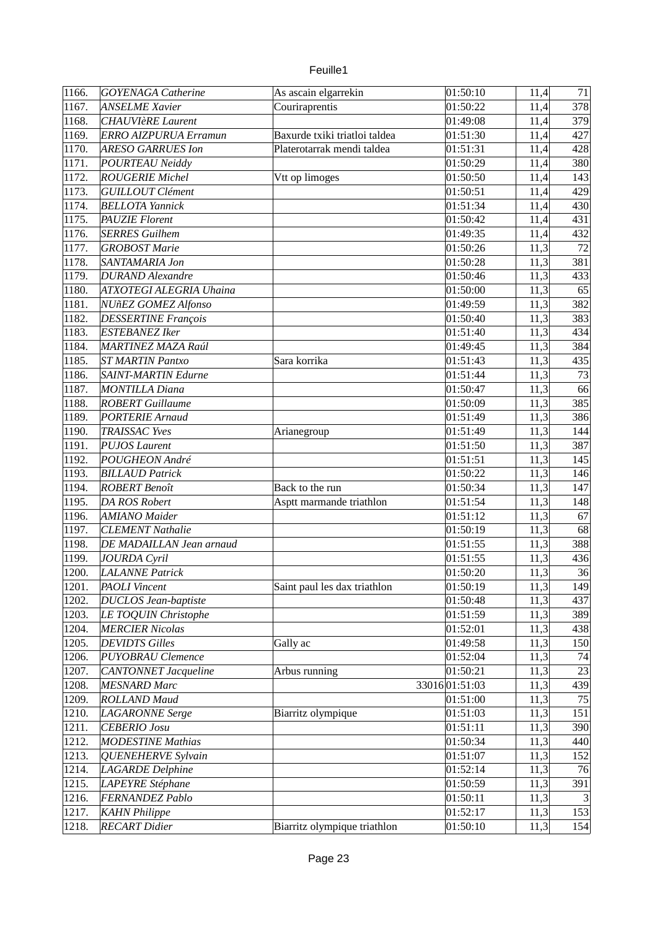| 1166. | <b>GOYENAGA Catherine</b>    | As ascain elgarrekin          | 01:50:10             | 11,4 | 71             |
|-------|------------------------------|-------------------------------|----------------------|------|----------------|
| 1167. | <b>ANSELME Xavier</b>        | Couriraprentis                | 01:50:22             | 11,4 | 378            |
| 1168. | <b>CHAUVIèRE</b> Laurent     |                               | 01:49:08             | 11,4 | 379            |
| 1169. | <b>ERRO AIZPURUA Erramun</b> | Baxurde txiki triatloi taldea | 01:51:30             | 11,4 | 427            |
| 1170. | <b>ARESO GARRUES Ion</b>     | Platerotarrak mendi taldea    | 01:51:31             | 11,4 | 428            |
| 1171. | <b>POURTEAU Neiddy</b>       |                               | 01:50:29             | 11,4 | 380            |
| 1172. | <b>ROUGERIE Michel</b>       |                               | 01:50:50             | 11,4 | 143            |
| 1173. |                              | Vtt op limoges                |                      |      |                |
|       | <b>GUILLOUT Clément</b>      |                               | 01:50:51<br>01:51:34 | 11,4 | 429            |
| 1174. | <b>BELLOTA Yannick</b>       |                               |                      | 11,4 | 430            |
| 1175. | <b>PAUZIE Florent</b>        |                               | 01:50:42             | 11,4 | 431            |
| 1176. | <b>SERRES</b> Guilhem        |                               | 01:49:35             | 11,4 | 432            |
| 1177. | <b>GROBOST Marie</b>         |                               | 01:50:26             | 11,3 | 72             |
| 1178. | SANTAMARIA Jon               |                               | 01:50:28             | 11,3 | 381            |
| 1179. | <b>DURAND</b> Alexandre      |                               | 01:50:46             | 11,3 | 433            |
| 1180. | ATXOTEGI ALEGRIA Uhaina      |                               | 01:50:00             | 11,3 | 65             |
| 1181. | NUñEZ GOMEZ Alfonso          |                               | 01:49:59             | 11,3 | 382            |
| 1182. | <b>DESSERTINE François</b>   |                               | 01:50:40             | 11,3 | 383            |
| 1183. | <b>ESTEBANEZ Iker</b>        |                               | 01:51:40             | 11,3 | 434            |
| 1184. | <b>MARTINEZ MAZA Raúl</b>    |                               | 01:49:45             | 11,3 | 384            |
| 1185. | <b>ST MARTIN Pantxo</b>      | Sara korrika                  | 01:51:43             | 11,3 | 435            |
| 1186. | <b>SAINT-MARTIN Edurne</b>   |                               | 01:51:44             | 11,3 | 73             |
| 1187. | <b>MONTILLA Diana</b>        |                               | 01:50:47             | 11,3 | 66             |
| 1188. | <b>ROBERT</b> Guillaume      |                               | 01:50:09             | 11,3 | 385            |
| 1189. | <b>PORTERIE Arnaud</b>       |                               | 01:51:49             | 11,3 | 386            |
| 1190. | <b>TRAISSAC Yves</b>         | Arianegroup                   | 01:51:49             | 11,3 | 144            |
| 1191. | PUJOS Laurent                |                               | 01:51:50             | 11,3 | 387            |
| 1192. | <b>POUGHEON André</b>        |                               | 01:51:51             | 11,3 | 145            |
| 1193. | <b>BILLAUD Patrick</b>       |                               | 01:50:22             | 11,3 | 146            |
| 1194. | <b>ROBERT Benoît</b>         | Back to the run               | 01:50:34             | 11,3 | 147            |
| 1195. | <b>DA ROS Robert</b>         | Asptt marmande triathlon      | 01:51:54             | 11,3 | 148            |
| 1196. | <b>AMIANO</b> Maider         |                               | 01:51:12             | 11,3 | 67             |
| 1197. | <b>CLEMENT</b> Nathalie      |                               | 01:50:19             | 11,3 | 68             |
| 1198. |                              |                               |                      |      | 388            |
|       | DE MADAILLAN Jean arnaud     |                               | 01:51:55             | 11,3 |                |
| 1199. | JOURDA Cyril                 |                               | 01:51:55             | 11,3 | 436            |
| 1200. | <b>LALANNE Patrick</b>       |                               | 01:50:20             | 11,3 | 36             |
| 1201. | <b>PAOLI</b> Vincent         | Saint paul les dax triathlon  | 01:50:19             | 11,3 | 149            |
| 1202. | <b>DUCLOS Jean-baptiste</b>  |                               | 01:50:48             | 11,3 | 437            |
| 1203. | LE TOQUIN Christophe         |                               | 01:51:59             | 11,3 | 389            |
| 1204. | <b>MERCIER Nicolas</b>       |                               | 01:52:01             | 11,3 | 438            |
| 1205. | <b>DEVIDTS Gilles</b>        | Gally ac                      | 01:49:58             | 11,3 | 150            |
| 1206. | <b>PUYOBRAU Clemence</b>     |                               | 01:52:04             | 11,3 | 74             |
| 1207. | <b>CANTONNET Jacqueline</b>  | Arbus running                 | 01:50:21             | 11,3 | 23             |
| 1208. | <b>MESNARD Marc</b>          |                               | 33016 01:51:03       | 11,3 | 439            |
| 1209. | <b>ROLLAND Maud</b>          |                               | 01:51:00             | 11,3 | 75             |
| 1210. | <b>LAGARONNE</b> Serge       | Biarritz olympique            | 01:51:03             | 11,3 | 151            |
| 1211. | <b>CEBERIO</b> Josu          |                               | 01:51:11             | 11,3 | 390            |
| 1212. | <b>MODESTINE Mathias</b>     |                               | 01:50:34             | 11,3 | 440            |
| 1213. | <b>QUENEHERVE Sylvain</b>    |                               | 01:51:07             | 11,3 | 152            |
| 1214. | <b>LAGARDE</b> Delphine      |                               | 01:52:14             | 11,3 | 76             |
| 1215. | LAPEYRE Stéphane             |                               | 01:50:59             | 11,3 | 391            |
| 1216. | FERNANDEZ Pablo              |                               | 01:50:11             | 11,3 | $\overline{3}$ |
| 1217. | <b>KAHN Philippe</b>         |                               | 01:52:17             | 11,3 | 153            |
| 1218. | <b>RECART</b> Didier         | Biarritz olympique triathlon  | 01:50:10             | 11,3 | 154            |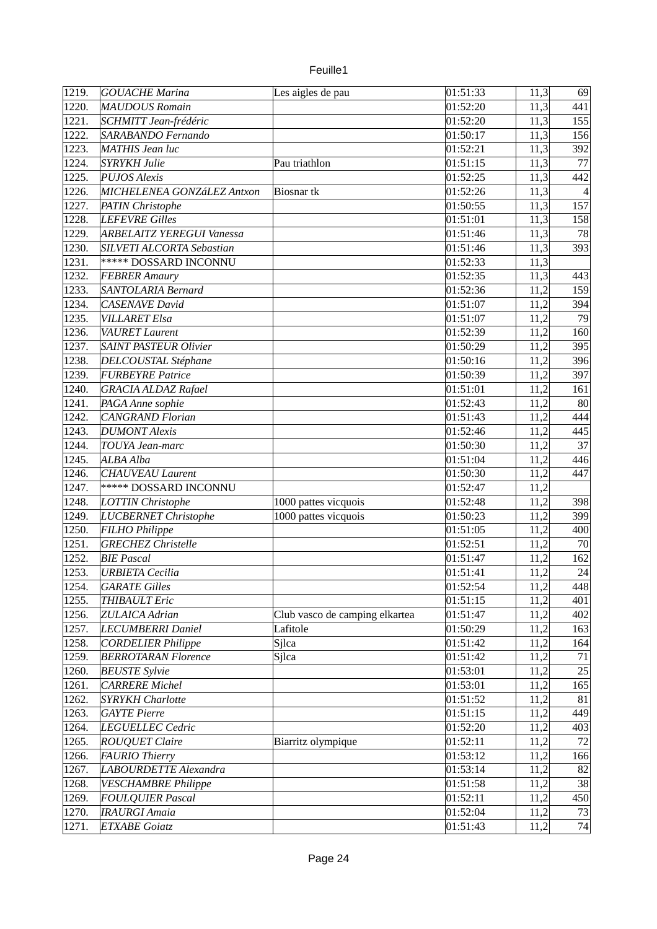| enille |  |
|--------|--|
|        |  |

| 1219. | <b>GOUACHE Marina</b>            | Les aigles de pau              | 01:51:33              | 11,3 | 69     |
|-------|----------------------------------|--------------------------------|-----------------------|------|--------|
| 1220. | <b>MAUDOUS Romain</b>            |                                | 01:52:20              | 11,3 | 441    |
| 1221. | SCHMITT Jean-frédéric            |                                | 01:52:20              | 11,3 | 155    |
| 1222. | SARABANDO Fernando               |                                | 01:50:17              | 11,3 | 156    |
| 1223. | <b>MATHIS Jean luc</b>           |                                | 01:52:21              | 11,3 | 392    |
| 1224. | <b>SYRYKH Julie</b>              | Pau triathlon                  | 01:51:15              | 11,3 | 77     |
| 1225. | <b>PUJOS Alexis</b>              |                                | 01:52:25              | 11,3 | 442    |
| 1226. | MICHELENEA GONZáLEZ Antxon       | Biosnar <sub>tk</sub>          | 01:52:26              | 11,3 | 4      |
| 1227. | PATIN Christophe                 |                                | 01:50:55              | 11,3 | 157    |
| 1228. | LEFEVRE Gilles                   |                                | 01:51:01              | 11,3 | 158    |
| 1229. | <b>ARBELAITZ YEREGUI Vanessa</b> |                                | $\overline{01:}51:46$ | 11,3 | 78     |
| 1230. | SILVETI ALCORTA Sebastian        |                                | 01:51:46              | 11,3 | 393    |
| 1231. | <b>***** DOSSARD INCONNU</b>     |                                | 01:52:33              | 11,3 |        |
| 1232. | <b>FEBRER Amaury</b>             |                                | 01:52:35              | 11,3 | 443    |
| 1233. | SANTOLARIA Bernard               |                                | 01:52:36              | 11,2 | 159    |
| 1234. | CASENAVE David                   |                                | 01:51:07              | 11,2 | 394    |
| 1235. | <b>VILLARET Elsa</b>             |                                | 01:51:07              | 11,2 | 79     |
| 1236. | <b>VAURET</b> Laurent            |                                | 01:52:39              | 11,2 | 160    |
| 1237. | <b>SAINT PASTEUR Olivier</b>     |                                | 01:50:29              | 11,2 | 395    |
| 1238. | DELCOUSTAL Stéphane              |                                | 01:50:16              | 11,2 | 396    |
| 1239. | <b>FURBEYRE Patrice</b>          |                                | 01:50:39              | 11,2 | 397    |
| 1240. | <b>GRACIA ALDAZ Rafael</b>       |                                | 01:51:01              | 11,2 | 161    |
| 1241. | PAGA Anne sophie                 |                                | 01:52:43              | 11,2 | 80     |
| 1242. | <b>CANGRAND Florian</b>          |                                | 01:51:43              |      | 444    |
|       |                                  |                                | 01:52:46              | 11,2 |        |
| 1243. | <b>DUMONT</b> Alexis             |                                |                       | 11,2 | 445    |
| 1244. | TOUYA Jean-marc                  |                                | 01:50:30              | 11,2 | 37     |
| 1245. | ALBA Alba                        |                                | 01:51:04              | 11,2 | 446    |
| 1246. | <b>CHAUVEAU Laurent</b>          |                                | 01:50:30              | 11,2 | 447    |
| 1247. | <b>***** DOSSARD INCONNU</b>     |                                | 01:52:47              | 11,2 |        |
| 1248. | LOTTIN Christophe                | 1000 pattes vicquois           | 01:52:48              | 11,2 | 398    |
| 1249. | LUCBERNET Christophe             | 1000 pattes vicquois           | 01:50:23              | 11,2 | 399    |
| 1250. | FILHO Philippe                   |                                | 01:51:05              | 11,2 | 400    |
| 1251. | <b>GRECHEZ</b> Christelle        |                                | 01:52:51              | 11,2 | 70     |
| 1252. | <b>BIE Pascal</b>                |                                | 01:51:47              | 11,2 | 162    |
| 1253. | <b>URBIETA Cecilia</b>           |                                | 01:51:41              | 11,2 | 24     |
| 1254. | <b>GARATE Gilles</b>             |                                | 01:52:54              | 11,2 | 448    |
| 1255. | <b>THIBAULT Eric</b>             |                                | 01:51:15              | 11,2 | 401    |
| 1256. | ZULAICA Adrian                   | Club vasco de camping elkartea | 01:51:47              | 11,2 | 402    |
| 1257. | LECUMBERRI Daniel                | Lafitole                       | 01:50:29              | 11,2 | 163    |
| 1258. | <b>CORDELIER Philippe</b>        | Sjlca                          | 01:51:42              | 11,2 | 164    |
| 1259. | <b>BERROTARAN Florence</b>       | Sjlca                          | 01:51:42              | 11,2 | $71\,$ |
| 1260. | <b>BEUSTE Sylvie</b>             |                                | 01:53:01              | 11,2 | 25     |
| 1261. | <b>CARRERE</b> Michel            |                                | 01:53:01              | 11,2 | 165    |
| 1262. | <b>SYRYKH Charlotte</b>          |                                | 01:51:52              | 11,2 | 81     |
| 1263. | <b>GAYTE Pierre</b>              |                                | 01:51:15              | 11,2 | 449    |
| 1264. | LEGUELLEC Cedric                 |                                | 01:52:20              | 11,2 | 403    |
| 1265. | <b>ROUQUET Claire</b>            | Biarritz olympique             | 01:52:11              | 11,2 | 72     |
| 1266. | <b>FAURIO</b> Thierry            |                                | 01:53:12              | 11,2 | 166    |
| 1267. | LABOURDETTE Alexandra            |                                | 01:53:14              | 11,2 | 82     |
| 1268. | <b>VESCHAMBRE Philippe</b>       |                                | 01:51:58              | 11,2 | 38     |
| 1269. | <b>FOULQUIER Pascal</b>          |                                | 01:52:11              | 11,2 | 450    |
| 1270. | <b>IRAURGI Amaia</b>             |                                | 01:52:04              | 11,2 | 73     |
| 1271. | <b>ETXABE Goiatz</b>             |                                | 01:51:43              | 11,2 | 74     |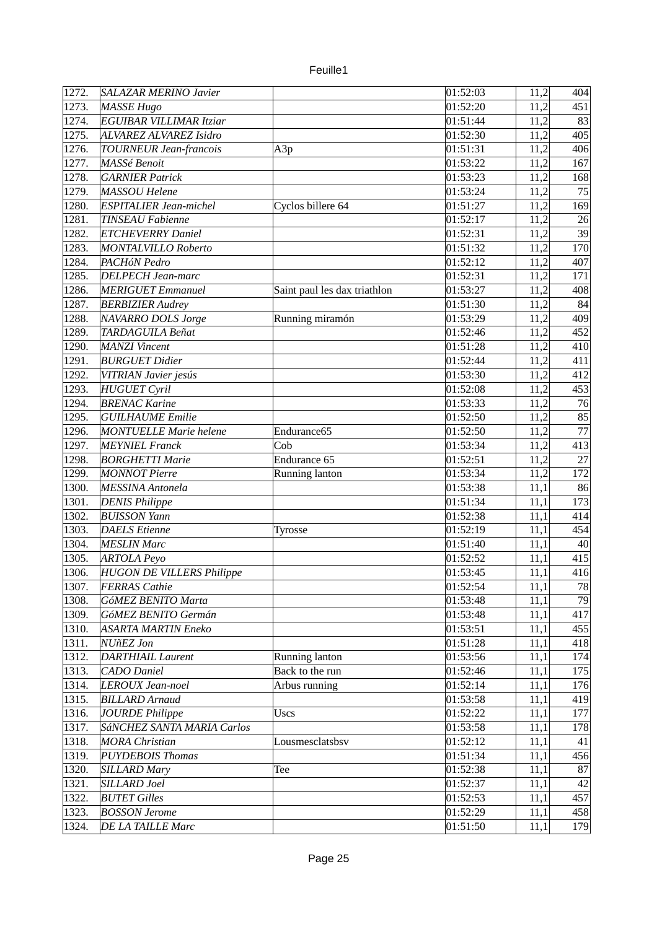| 1272. | <b>SALAZAR MERINO Javier</b>     |                              | 01:52:03               | 11,2 | 404 |
|-------|----------------------------------|------------------------------|------------------------|------|-----|
| 1273. | MASSE Hugo                       |                              | 01:52:20               | 11,2 | 451 |
| 1274. | EGUIBAR VILLIMAR Itziar          |                              | 01:51:44               | 11,2 | 83  |
| 1275. | ALVAREZ ALVAREZ Isidro           |                              | 01:52:30               | 11,2 | 405 |
| 1276. | <b>TOURNEUR Jean-francois</b>    | A3p                          | 01:51:31               | 11,2 | 406 |
| 1277. | MASSé Benoit                     |                              | 01:53:22               | 11,2 | 167 |
| 1278. | <b>GARNIER Patrick</b>           |                              | 01:53:23               | 11,2 | 168 |
| 1279. | <b>MASSOU Helene</b>             |                              | 01:53:24               | 11,2 | 75  |
| 1280. | <b>ESPITALIER Jean-michel</b>    | Cyclos billere 64            | 01:51:27               | 11,2 | 169 |
| 1281. | <b>TINSEAU Fabienne</b>          |                              | 01:52:17               | 11,2 | 26  |
| 1282. | <b>ETCHEVERRY Daniel</b>         |                              |                        |      | 39  |
|       | MONTALVILLO Roberto              |                              | 01:52:31               | 11,2 | 170 |
| 1283. |                                  |                              | 01:51:32               | 11,2 |     |
| 1284. | PACHóN Pedro                     |                              | 01:52:12               | 11,2 | 407 |
| 1285. | <b>DELPECH Jean-marc</b>         |                              | 01:52:31               | 11,2 | 171 |
| 1286. | <b>MERIGUET</b> Emmanuel         | Saint paul les dax triathlon | 01:53:27               | 11,2 | 408 |
| 1287. | <b>BERBIZIER Audrey</b>          |                              | 01:51:30               | 11,2 | 84  |
| 1288. | NAVARRO DOLS Jorge               | Running miramón              | 01:53:29               | 11,2 | 409 |
| 1289. | TARDAGUILA Beñat                 |                              | 01:52:46               | 11,2 | 452 |
| 1290. | <b>MANZI</b> Vincent             |                              | 01:51:28               | 11,2 | 410 |
| 1291. | <b>BURGUET Didier</b>            |                              | 01:52:44               | 11,2 | 411 |
| 1292. | VITRIAN Javier jesús             |                              | 01:53:30               | 11,2 | 412 |
| 1293. | <b>HUGUET Cyril</b>              |                              | 01:52:08               | 11,2 | 453 |
| 1294. | <b>BRENAC Karine</b>             |                              | 01:53:33               | 11,2 | 76  |
| 1295. | <b>GUILHAUME</b> Emilie          |                              | $\overline{0}$ 1:52:50 | 11,2 | 85  |
| 1296. | <b>MONTUELLE Marie helene</b>    | Endurance65                  | 01:52:50               | 11,2 | 77  |
| 1297. | <b>MEYNIEL Franck</b>            | Cob                          | 01:53:34               | 11,2 | 413 |
| 1298. | <b>BORGHETTI Marie</b>           | Endurance 65                 | 01:52:51               | 11,2 | 27  |
| 1299. | <b>MONNOT Pierre</b>             | Running lanton               | 01:53:34               | 11,2 | 172 |
| 1300. | <b>MESSINA Antonela</b>          |                              | 01:53:38               | 11,1 | 86  |
| 1301. | <b>DENIS Philippe</b>            |                              | 01:51:34               | 11,1 | 173 |
| 1302. | <b>BUISSON Yann</b>              |                              | 01:52:38               | 11,1 | 414 |
| 1303. | <b>DAELS</b> Etienne             | Tyrosse                      | 01:52:19               | 11,1 | 454 |
| 1304. | <b>MESLIN Marc</b>               |                              | 01:51:40               | 11,1 | 40  |
| 1305. | <b>ARTOLA Peyo</b>               |                              | 01:52:52               | 11,1 | 415 |
| 1306. | <b>HUGON DE VILLERS Philippe</b> |                              | 01:53:45               | 11,1 | 416 |
| 1307. | <b>FERRAS</b> Cathie             |                              | 01:52:54               | 11,1 | 78  |
| 1308. | GóMEZ BENITO Marta               |                              | 01:53:48               | 11,1 | 79  |
| 1309. | GóMEZ BENITO Germán              |                              | 01:53:48               | 11,1 | 417 |
| 1310. | ASARTA MARTIN Eneko              |                              | 01:53:51               | 11,1 | 455 |
| 1311. | NUñEZ Jon                        |                              | 01:51:28               | 11,1 | 418 |
| 1312. | <b>DARTHIAIL Laurent</b>         | Running lanton               | 01:53:56               | 11,1 | 174 |
| 1313. | CADO Daniel                      | Back to the run              | 01:52:46               | 11,1 | 175 |
| 1314. | LEROUX Jean-noel                 | Arbus running                | 01:52:14               | 11,1 | 176 |
| 1315. | <b>BILLARD</b> Arnaud            |                              | 01:53:58               | 11,1 | 419 |
| 1316. | <b>JOURDE Philippe</b>           | <b>Uscs</b>                  | 01:52:22               | 11,1 | 177 |
| 1317. | SáNCHEZ SANTA MARIA Carlos       |                              | 01:53:58               | 11,1 | 178 |
| 1318. | <b>MORA Christian</b>            | Lousmesclatsbsv              | 01:52:12               | 11,1 | 41  |
| 1319. | <b>PUYDEBOIS Thomas</b>          |                              | 01:51:34               | 11,1 | 456 |
| 1320. | <b>SILLARD Mary</b>              | Tee                          | 01:52:38               | 11,1 | 87  |
| 1321. | SILLARD Joel                     |                              | 01:52:37               | 11,1 | 42  |
| 1322. | <b>BUTET Gilles</b>              |                              |                        |      | 457 |
|       |                                  |                              | 01:52:53               | 11,1 |     |
| 1323. | <b>BOSSON Jerome</b>             |                              | 01:52:29               | 11,1 | 458 |
| 1324. | DE LA TAILLE Marc                |                              | 01:51:50               | 11,1 | 179 |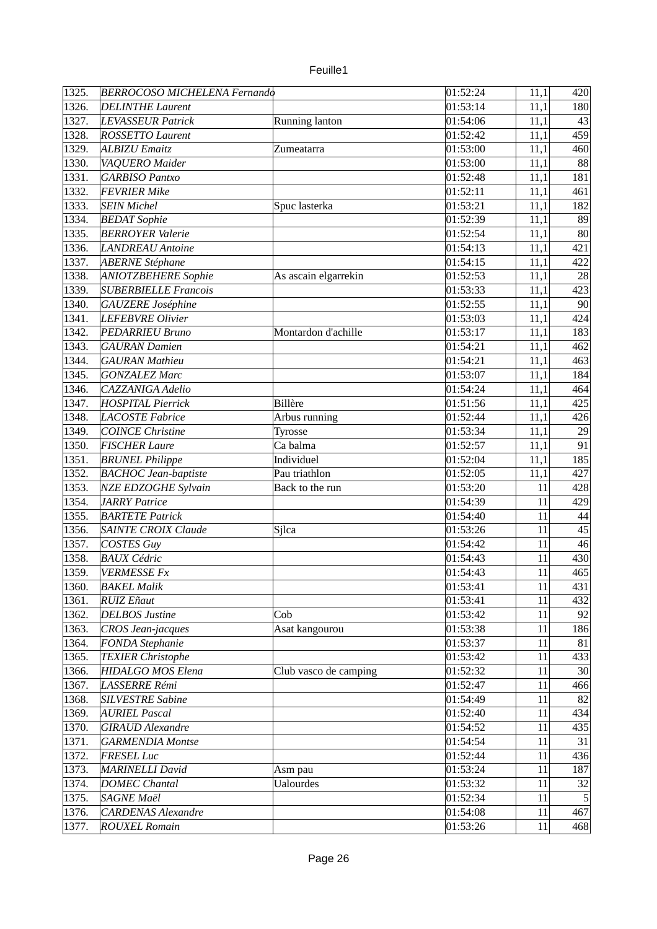| euille |  |
|--------|--|
|        |  |

| 1325. | <b>BERROCOSO MICHELENA Fernando</b> |                       | 01:52:24             | 11,1   | 420            |
|-------|-------------------------------------|-----------------------|----------------------|--------|----------------|
| 1326. | <b>DELINTHE Laurent</b>             |                       | 01:53:14             | 11,1   | 180            |
| 1327. | LEVASSEUR Patrick                   | Running lanton        | 01:54:06             | 11,1   | 43             |
| 1328. | <b>ROSSETTO Laurent</b>             |                       | 01:52:42             | 11,1   | 459            |
| 1329. | <b>ALBIZU Emaitz</b>                | Zumeatarra            | 01:53:00             | 11,1   | 460            |
| 1330. | VAQUERO Maider                      |                       | 01:53:00             | 11,1   | 88             |
| 1331. | <b>GARBISO Pantxo</b>               |                       | 01:52:48             | 11,1   | 181            |
| 1332. | <b>FEVRIER Mike</b>                 |                       | 01:52:11             | 11,1   | 461            |
| 1333. | <b>SEIN Michel</b>                  | Spuc lasterka         | 01:53:21             | 11,1   | 182            |
| 1334. | <b>BEDAT</b> Sophie                 |                       | 01:52:39             | 11,1   | 89             |
| 1335. | <b>BERROYER Valerie</b>             |                       | 01:52:54             | 11,1   | 80             |
| 1336. | LANDREAU Antoine                    |                       | 01:54:13             | 11,1   | 421            |
| 1337. | <b>ABERNE Stéphane</b>              |                       | 01:54:15             | 11,1   | 422            |
| 1338. | <b>ANIOTZBEHERE Sophie</b>          | As ascain elgarrekin  | 01:52:53             | 11,1   | 28             |
| 1339. | <b>SUBERBIELLE Francois</b>         |                       | 01:53:33             | 11,1   | 423            |
| 1340. | GAUZERE Joséphine                   |                       | 01:52:55             | 11,1   | 90             |
| 1341. | LEFEBVRE Olivier                    |                       | 01:53:03             | 11,1   | 424            |
| 1342. | <b>PEDARRIEU Bruno</b>              | Montardon d'achille   | 01:53:17             | 11,1   | 183            |
| 1343. | <b>GAURAN</b> Damien                |                       | 01:54:21             | 11,1   | 462            |
| 1344. | <b>GAURAN Mathieu</b>               |                       | 01:54:21             | 11,1   | 463            |
| 1345. | <b>GONZALEZ Marc</b>                |                       | 01:53:07             | 11,1   | 184            |
| 1346. | CAZZANIGA Adelio                    |                       | 01:54:24             | 11,1   | 464            |
| 1347. | <b>HOSPITAL Pierrick</b>            | <b>Billère</b>        | 01:51:56             | 11,1   | 425            |
| 1348. | LACOSTE Fabrice                     | Arbus running         | 01:52:44             | 11,1   | 426            |
| 1349. | <b>COINCE Christine</b>             | Tyrosse               | 01:53:34             | 11,1   | 29             |
| 1350. | <b>FISCHER Laure</b>                | Ca balma              | 01:52:57             | 11,1   | 91             |
| 1351. | <b>BRUNEL Philippe</b>              | Individuel            | 01:52:04             | 11,1   | 185            |
| 1352. | <b>BACHOC</b> Jean-baptiste         | Pau triathlon         | 01:52:05             | 11,1   | 427            |
| 1353. | <b>NZE EDZOGHE Sylvain</b>          | Back to the run       | 01:53:20             | 11     | 428            |
| 1354. | <b>JARRY Patrice</b>                |                       | 01:54:39             | 11     | 429            |
| 1355. | <b>BARTETE Patrick</b>              |                       | 01:54:40             | 11     | 44             |
| 1356. | SAINTE CROIX Claude                 | Sjlca                 | 01:53:26             | 11     | 45             |
| 1357. | COSTES Guy                          |                       | 01:54:42             | 11     | 46             |
| 1358. | <b>BAUX Cédric</b>                  |                       | 01:54:43             | 11     | 430            |
| 1359. | <b>VERMESSE Fx</b>                  |                       | 01:54:43             | 11     | 465            |
| 1360. | <b>BAKEL Malik</b>                  |                       | 01:53:41             | $11\,$ | 431            |
| 1361. | <b>RUIZ Eñaut</b>                   |                       | 01:53:41             | $11\,$ | 432            |
| 1362. | <b>DELBOS Justine</b>               | Cob                   | 01:53:42             | 11     | 92             |
| 1363. | <b>CROS</b> Jean-jacques            | Asat kangourou        | 01:53:38             | 11     | 186            |
| 1364. | <b>FONDA Stephanie</b>              |                       | 01:53:37             | 11     | 81             |
| 1365. | <b>TEXIER Christophe</b>            |                       | 01:53:42             | 11     | 433            |
|       | <b>HIDALGO MOS Elena</b>            |                       | 01:52:32             | 11     | 30             |
| 1366. |                                     | Club vasco de camping |                      |        |                |
| 1367. | LASSERRE Rémi                       |                       | 01:52:47<br>01:54:49 | $11\,$ | 466            |
| 1368. | <b>SILVESTRE Sabine</b>             |                       |                      | 11     | 82             |
| 1369. | <b>AURIEL Pascal</b>                |                       | 01:52:40             | 11     | 434            |
| 1370. | <b>GIRAUD</b> Alexandre             |                       | 01:54:52             | 11     | 435            |
| 1371. | <b>GARMENDIA Montse</b>             |                       | 01:54:54             | 11     | 31             |
| 1372. | FRESEL Luc                          |                       | 01:52:44             | 11     | 436            |
| 1373. | <b>MARINELLI David</b>              | Asm pau               | 01:53:24             | 11     | 187            |
| 1374. | <b>DOMEC Chantal</b>                | <b>Ualourdes</b>      | 01:53:32             | $11\,$ | 32             |
| 1375. | <b>SAGNE Maël</b>                   |                       | 01:52:34             | 11     | 5 <sup>1</sup> |
| 1376. | <b>CARDENAS Alexandre</b>           |                       | 01:54:08             | $11\,$ | 467            |
| 1377. | <b>ROUXEL Romain</b>                |                       | 01:53:26             | $11\,$ | 468            |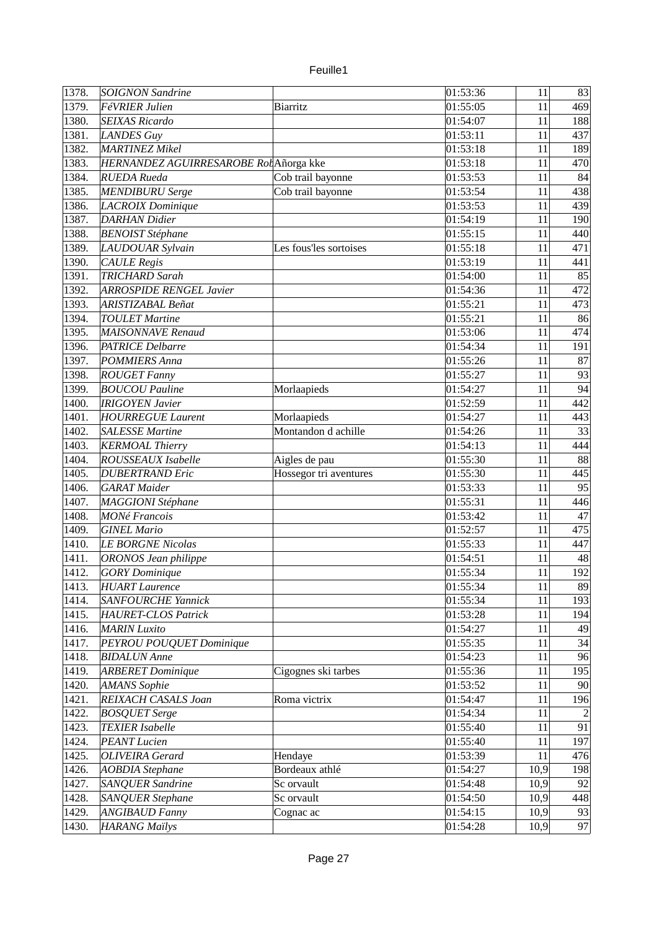| unlle |  |
|-------|--|
|       |  |

| 1378. | <b>SOIGNON Sandrine</b>               |                        | 01:53:36               | 11     | 83  |
|-------|---------------------------------------|------------------------|------------------------|--------|-----|
| 1379. | FéVRIER Julien                        | <b>Biarritz</b>        | 01:55:05               | 11     | 469 |
| 1380. | <b>SEIXAS Ricardo</b>                 |                        | 01:54:07               | 11     | 188 |
| 1381. | LANDES Guy                            |                        | 01:53:11               | 11     | 437 |
| 1382. | MARTINEZ Mikel                        |                        | 01:53:18               | 11     | 189 |
| 1383. | HERNANDEZ AGUIRRESAROBE RotAñorga kke |                        | 01:53:18               | 11     | 470 |
| 1384. | <b>RUEDA Rueda</b>                    | Cob trail bayonne      | 01:53:53               | 11     | 84  |
| 1385. | <b>MENDIBURU Serge</b>                | Cob trail bayonne      | 01:53:54               | 11     | 438 |
| 1386. | LACROIX Dominique                     |                        | 01:53:53               | 11     | 439 |
| 1387. | <b>DARHAN</b> Didier                  |                        | 01:54:19               | 11     | 190 |
| 1388. | <b>BENOIST Stéphane</b>               |                        | 01:55:15               | 11     | 440 |
| 1389. | LAUDOUAR Sylvain                      | Les fous'les sortoises | $\overline{0}$ 1:55:18 | 11     | 471 |
| 1390. | <b>CAULE Regis</b>                    |                        | 01:53:19               | 11     | 441 |
| 1391. | <b>TRICHARD Sarah</b>                 |                        | 01:54:00               | 11     | 85  |
| 1392. | <b>ARROSPIDE RENGEL Javier</b>        |                        | 01:54:36               | 11     | 472 |
| 1393. | ARISTIZABAL Beñat                     |                        | 01:55:21               | 11     | 473 |
| 1394. | <b>TOULET Martine</b>                 |                        | 01:55:21               |        | 86  |
|       |                                       |                        |                        | 11     |     |
| 1395. | MAISONNAVE Renaud                     |                        | 01:53:06               | 11     | 474 |
| 1396. | <b>PATRICE Delbarre</b>               |                        | 01:54:34               | 11     | 191 |
| 1397. | POMMIERS Anna                         |                        | 01:55:26               | 11     | 87  |
| 1398. | <b>ROUGET Fanny</b>                   |                        | 01:55:27               | 11     | 93  |
| 1399. | <b>BOUCOU Pauline</b>                 | Morlaapieds            | 01:54:27               | 11     | 94  |
| 1400. | <b>IRIGOYEN Javier</b>                |                        | 01:52:59               | 11     | 442 |
| 1401. | <b>HOURREGUE Laurent</b>              | Morlaapieds            | 01:54:27               | 11     | 443 |
| 1402. | <b>SALESSE Martine</b>                | Montandon d achille    | 01:54:26               | 11     | 33  |
| 1403. | <b>KERMOAL Thierry</b>                |                        | 01:54:13               | 11     | 444 |
| 1404. | <b>ROUSSEAUX</b> Isabelle             | Aigles de pau          | 01:55:30               | 11     | 88  |
| 1405. | <b>DUBERTRAND Eric</b>                | Hossegor tri aventures | 01:55:30               | 11     | 445 |
| 1406. | <b>GARAT</b> Maider                   |                        | 01:53:33               | 11     | 95  |
| 1407. | <b>MAGGIONI</b> Stéphane              |                        | 01:55:31               | 11     | 446 |
| 1408. | <b>MONé Francois</b>                  |                        | 01:53:42               | 11     | 47  |
| 1409. | <b>GINEL Mario</b>                    |                        | 01:52:57               | 11     | 475 |
| 1410. | <b>LE BORGNE Nicolas</b>              |                        | 01:55:33               | 11     | 447 |
| 1411. | <b>ORONOS Jean philippe</b>           |                        | 01:54:51               | 11     | 48  |
| 1412. | <b>GORY</b> Dominique                 |                        | 01:55:34               | 11     | 192 |
| 1413. | <b>HUART Laurence</b>                 |                        | 01:55:34               | 11     | 89  |
| 1414. | <b>SANFOURCHE Yannick</b>             |                        | 01:55:34               | $11\,$ | 193 |
| 1415. | <b>HAURET-CLOS Patrick</b>            |                        | 01:53:28               | 11     | 194 |
| 1416. | <b>MARIN Luxito</b>                   |                        | 01:54:27               | 11     | 49  |
| 1417. | PEYROU POUQUET Dominique              |                        | 01:55:35               | 11     | 34  |
| 1418. | <b>BIDALUN</b> Anne                   |                        | 01:54:23               | 11     | 96  |
| 1419. | <b>ARBERET</b> Dominique              | Cigognes ski tarbes    | 01:55:36               | 11     | 195 |
| 1420. | <b>AMANS</b> Sophie                   |                        | 01:53:52               | $11\,$ | 90  |
| 1421. | REIXACH CASALS Joan                   | Roma victrix           | 01:54:47               | $11\,$ | 196 |
| 1422. | <b>BOSQUET Serge</b>                  |                        | 01:54:34               | $11\,$ |     |
| 1423. | <b>TEXIER Isabelle</b>                |                        | 01:55:40               | 11     | 91  |
| 1424. | <b>PEANT</b> Lucien                   |                        | 01:55:40               | 11     | 197 |
| 1425. | <b>OLIVEIRA</b> Gerard                | Hendaye                | 01:53:39               | 11     | 476 |
| 1426. | <b>AOBDIA Stephane</b>                | Bordeaux athlé         | 01:54:27               | 10,9   | 198 |
| 1427. | <b>SANQUER Sandrine</b>               | Sc orvault             | 01:54:48               | 10,9   | 92  |
| 1428. | <b>SANQUER Stephane</b>               | Sc orvault             | 01:54:50               | 10,9   | 448 |
| 1429. | <b>ANGIBAUD Fanny</b>                 | Cognac ac              | 01:54:15               | 10,9   | 93  |
| 1430. | <b>HARANG Maïlys</b>                  |                        | 01:54:28               | 10,9   | 97  |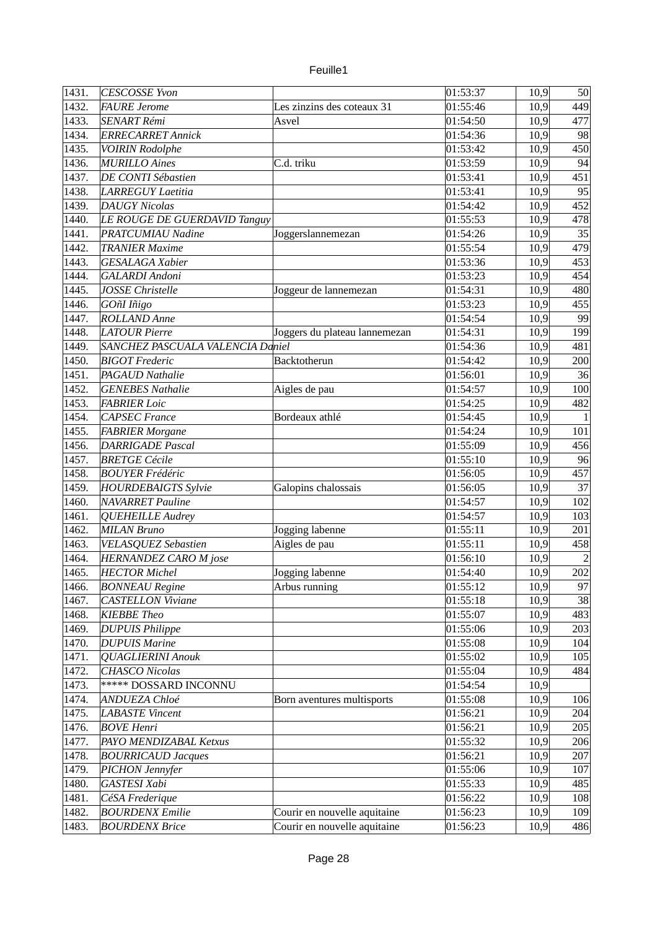| 1431. | <b>CESCOSSE Yvon</b>             |                               | 01:53:37 | 10,9 | 50             |
|-------|----------------------------------|-------------------------------|----------|------|----------------|
| 1432. | FAURE Jerome                     | Les zinzins des coteaux 31    | 01:55:46 | 10,9 | 449            |
| 1433. | <b>SENART Rémi</b>               | Asvel                         | 01:54:50 | 10,9 | 477            |
| 1434. | <b>ERRECARRET Annick</b>         |                               | 01:54:36 | 10,9 | 98             |
| 1435. | <b>VOIRIN Rodolphe</b>           |                               | 01:53:42 | 10,9 | 450            |
| 1436. | <b>MURILLO</b> Aines             | C.d. triku                    | 01:53:59 | 10,9 | 94             |
| 1437. | DE CONTI Sébastien               |                               | 01:53:41 | 10,9 | 451            |
| 1438. | <b>LARREGUY Laetitia</b>         |                               | 01:53:41 | 10,9 | 95             |
| 1439. | <b>DAUGY Nicolas</b>             |                               | 01:54:42 | 10,9 | 452            |
| 1440. | LE ROUGE DE GUERDAVID Tanguy     |                               | 01:55:53 | 10,9 | 478            |
| 1441. | <b>PRATCUMIAU Nadine</b>         | Joggerslannemezan             | 01:54:26 | 10,9 | 35             |
| 1442. | <b>TRANIER Maxime</b>            |                               | 01:55:54 | 10,9 | 479            |
| 1443. | <b>GESALAGA Xabier</b>           |                               | 01:53:36 | 10,9 | 453            |
| 1444. | <b>GALARDI</b> Andoni            |                               | 01:53:23 | 10,9 | 454            |
| 1445. | <b>JOSSE Christelle</b>          | Joggeur de lannemezan         | 01:54:31 | 10,9 | 480            |
| 1446. | GOñI Iñigo                       |                               | 01:53:23 | 10,9 | 455            |
| 1447. | <b>ROLLAND</b> Anne              |                               | 01:54:54 | 10,9 | 99             |
| 1448. | <b>LATOUR Pierre</b>             | Joggers du plateau lannemezan | 01:54:31 | 10,9 | 199            |
| 1449. | SANCHEZ PASCUALA VALENCIA Daniel |                               | 01:54:36 | 10,9 | 481            |
| 1450. | <b>BIGOT</b> Frederic            | Backtotherun                  | 01:54:42 | 10,9 | 200            |
| 1451. | <b>PAGAUD Nathalie</b>           |                               | 01:56:01 | 10,9 | 36             |
| 1452. | <b>GENEBES Nathalie</b>          | Aigles de pau                 | 01:54:57 | 10,9 | 100            |
| 1453. | <b>FABRIER Loic</b>              |                               | 01:54:25 | 10,9 | 482            |
| 1454. | <b>CAPSEC France</b>             | Bordeaux athlé                | 01:54:45 | 10,9 | 1              |
| 1455. | <b>FABRIER Morgane</b>           |                               | 01:54:24 | 10,9 | 101            |
| 1456. | <b>DARRIGADE Pascal</b>          |                               | 01:55:09 | 10,9 | 456            |
| 1457. | <b>BRETGE Cécile</b>             |                               | 01:55:10 | 10,9 | 96             |
| 1458. | <b>BOUYER Frédéric</b>           |                               | 01:56:05 | 10,9 | 457            |
| 1459. | <b>HOURDEBAIGTS Sylvie</b>       | Galopins chalossais           | 01:56:05 | 10,9 | 37             |
| 1460. | <b>NAVARRET Pauline</b>          |                               | 01:54:57 | 10,9 | 102            |
| 1461. | <b>QUEHEILLE Audrey</b>          |                               | 01:54:57 | 10,9 | 103            |
| 1462. | MILAN Bruno                      | Jogging labenne               | 01:55:11 | 10,9 | 201            |
| 1463. | VELASQUEZ Sebastien              | Aigles de pau                 | 01:55:11 | 10,9 | 458            |
| 1464. | <b>HERNANDEZ CARO M jose</b>     |                               | 01:56:10 | 10,9 | $\overline{2}$ |
| 1465. | <b>HECTOR Michel</b>             | Jogging labenne               | 01:54:40 | 10,9 | 202            |
| 1466. | <b>BONNEAU</b> Regine            | Arbus running                 | 01:55:12 | 10,9 | 97             |
| 1467. | <b>CASTELLON Viviane</b>         |                               | 01:55:18 | 10,9 | 38             |
| 1468. | <b>KIEBBE</b> Theo               |                               | 01:55:07 | 10,9 | 483            |
| 1469. | <b>DUPUIS Philippe</b>           |                               | 01:55:06 | 10,9 | 203            |
| 1470. | <b>DUPUIS Marine</b>             |                               | 01:55:08 | 10,9 | 104            |
| 1471. | <b>QUAGLIERINI Anouk</b>         |                               | 01:55:02 | 10,9 | 105            |
|       | <b>CHASCO Nicolas</b>            |                               | 01:55:04 |      | 484            |
| 1472. | <b>***** DOSSARD INCONNU</b>     |                               |          | 10,9 |                |
| 1473. |                                  |                               | 01:54:54 | 10,9 |                |
| 1474. | <b>ANDUEZA Chloé</b>             | Born aventures multisports    | 01:55:08 | 10,9 | 106            |
| 1475. | <b>LABASTE Vincent</b>           |                               | 01:56:21 | 10,9 | 204            |
| 1476. | <b>BOVE Henri</b>                |                               | 01:56:21 | 10,9 | 205            |
| 1477. | PAYO MENDIZABAL Ketxus           |                               | 01:55:32 | 10,9 | 206            |
| 1478. | <b>BOURRICAUD Jacques</b>        |                               | 01:56:21 | 10,9 | 207            |
| 1479. | <b>PICHON Jennyfer</b>           |                               | 01:55:06 | 10,9 | 107            |
| 1480. | GASTESI Xabi                     |                               | 01:55:33 | 10,9 | 485            |
| 1481. | CéSA Frederique                  |                               | 01:56:22 | 10,9 | 108            |
| 1482. | <b>BOURDENX Emilie</b>           | Courir en nouvelle aquitaine  | 01:56:23 | 10,9 | 109            |
| 1483. | <b>BOURDENX Brice</b>            | Courir en nouvelle aquitaine  | 01:56:23 | 10,9 | 486            |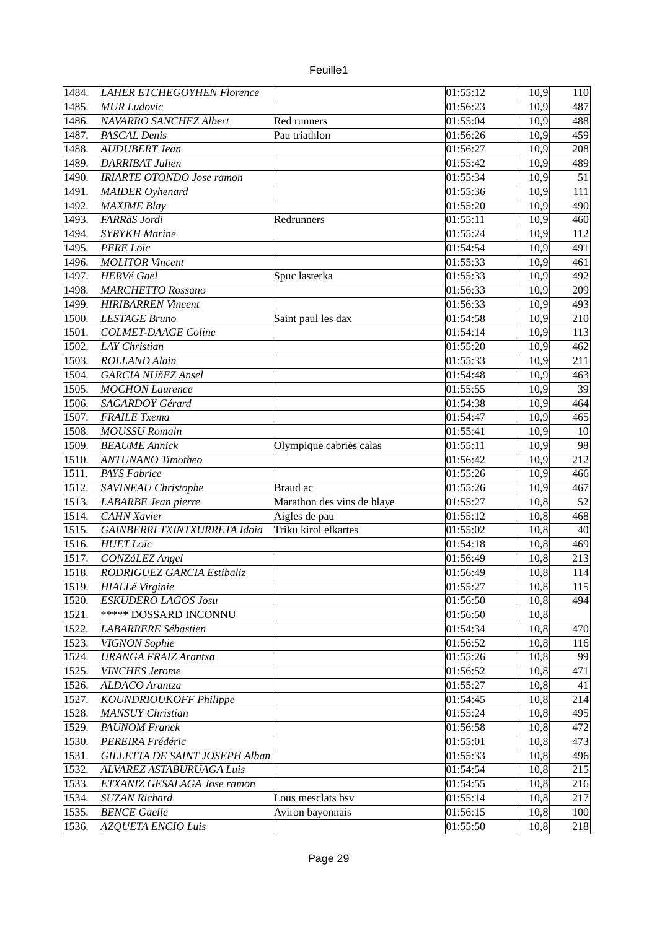| 1485.<br>01:56:23<br><b>MUR Ludovic</b><br>10,9<br>1486.<br>NAVARRO SANCHEZ Albert<br>01:55:04<br>10,9<br>Red runners<br>1487.<br>PASCAL Denis<br>Pau triathlon<br>10,9<br>01:56:26<br>1488.<br>10,9<br><b>AUDUBERT Jean</b><br>01:56:27<br>1489.<br>DARRIBAT Julien<br>10,9<br>01:55:42<br>1490.<br>10,9<br><b>IRIARTE OTONDO Jose ramon</b><br>01:55:34<br>1491.<br>MAIDER Oyhenard<br>01:55:36<br>10,9<br>1492.<br>MAXIME Blay<br>01:55:20<br>10,9<br>1493.<br>FARRàS Jordi<br>10,9<br>$\overline{0}$ 1:55:11<br>Redrunners<br>1494.<br>10,9<br><b>SYRYKH Marine</b><br>01:55:24<br>1495.<br><b>PERE Loïc</b><br>10,9<br>01:54:54<br>1496.<br>10,9<br><b>MOLITOR Vincent</b><br>01:55:33<br>10,9<br>1497.<br><b>HERVé Gaël</b><br>01:55:33<br>Spuc lasterka | 487 |
|----------------------------------------------------------------------------------------------------------------------------------------------------------------------------------------------------------------------------------------------------------------------------------------------------------------------------------------------------------------------------------------------------------------------------------------------------------------------------------------------------------------------------------------------------------------------------------------------------------------------------------------------------------------------------------------------------------------------------------------------------------------|-----|
|                                                                                                                                                                                                                                                                                                                                                                                                                                                                                                                                                                                                                                                                                                                                                                |     |
|                                                                                                                                                                                                                                                                                                                                                                                                                                                                                                                                                                                                                                                                                                                                                                | 488 |
|                                                                                                                                                                                                                                                                                                                                                                                                                                                                                                                                                                                                                                                                                                                                                                | 459 |
|                                                                                                                                                                                                                                                                                                                                                                                                                                                                                                                                                                                                                                                                                                                                                                | 208 |
|                                                                                                                                                                                                                                                                                                                                                                                                                                                                                                                                                                                                                                                                                                                                                                | 489 |
|                                                                                                                                                                                                                                                                                                                                                                                                                                                                                                                                                                                                                                                                                                                                                                | 51  |
|                                                                                                                                                                                                                                                                                                                                                                                                                                                                                                                                                                                                                                                                                                                                                                | 111 |
|                                                                                                                                                                                                                                                                                                                                                                                                                                                                                                                                                                                                                                                                                                                                                                | 490 |
|                                                                                                                                                                                                                                                                                                                                                                                                                                                                                                                                                                                                                                                                                                                                                                | 460 |
|                                                                                                                                                                                                                                                                                                                                                                                                                                                                                                                                                                                                                                                                                                                                                                | 112 |
|                                                                                                                                                                                                                                                                                                                                                                                                                                                                                                                                                                                                                                                                                                                                                                | 491 |
|                                                                                                                                                                                                                                                                                                                                                                                                                                                                                                                                                                                                                                                                                                                                                                | 461 |
|                                                                                                                                                                                                                                                                                                                                                                                                                                                                                                                                                                                                                                                                                                                                                                | 492 |
| 1498.<br>10,9<br><b>MARCHETTO Rossano</b><br>01:56:33                                                                                                                                                                                                                                                                                                                                                                                                                                                                                                                                                                                                                                                                                                          | 209 |
| 1499.<br>10,9<br><b>HIRIBARREN</b> Vincent<br>01:56:33                                                                                                                                                                                                                                                                                                                                                                                                                                                                                                                                                                                                                                                                                                         | 493 |
| 1500.<br>10,9<br>LESTAGE Bruno<br>Saint paul les dax<br>01:54:58                                                                                                                                                                                                                                                                                                                                                                                                                                                                                                                                                                                                                                                                                               | 210 |
| <b>COLMET-DAAGE Coline</b><br>10,9<br>1501.<br>01:54:14                                                                                                                                                                                                                                                                                                                                                                                                                                                                                                                                                                                                                                                                                                        | 113 |
| 1502.<br>LAY Christian<br>10,9<br>01:55:20                                                                                                                                                                                                                                                                                                                                                                                                                                                                                                                                                                                                                                                                                                                     | 462 |
| 1503.<br><b>ROLLAND Alain</b><br>10,9<br>01:55:33                                                                                                                                                                                                                                                                                                                                                                                                                                                                                                                                                                                                                                                                                                              | 211 |
| 1504.<br>10,9<br><b>GARCIA NUñEZ Ansel</b><br>01:54:48                                                                                                                                                                                                                                                                                                                                                                                                                                                                                                                                                                                                                                                                                                         | 463 |
| 1505.<br>10,9<br><b>MOCHON Laurence</b><br>01:55:55                                                                                                                                                                                                                                                                                                                                                                                                                                                                                                                                                                                                                                                                                                            | 39  |
| 1506.<br>SAGARDOY Gérard<br>01:54:38<br>10,9                                                                                                                                                                                                                                                                                                                                                                                                                                                                                                                                                                                                                                                                                                                   | 464 |
| 1507.<br><b>FRAILE</b> Txema<br>01:54:47<br>10,9                                                                                                                                                                                                                                                                                                                                                                                                                                                                                                                                                                                                                                                                                                               | 465 |
| 1508.<br>10,9<br><b>MOUSSU Romain</b><br>01:55:41                                                                                                                                                                                                                                                                                                                                                                                                                                                                                                                                                                                                                                                                                                              | 10  |
| 1509.<br>10,9<br><b>BEAUME</b> Annick<br>Olympique cabriès calas<br>01:55:11                                                                                                                                                                                                                                                                                                                                                                                                                                                                                                                                                                                                                                                                                   | 98  |
| 10,9<br> 1510.<br>01:56:42<br><b>ANTUNANO</b> Timotheo                                                                                                                                                                                                                                                                                                                                                                                                                                                                                                                                                                                                                                                                                                         | 212 |
| 1511.<br><b>PAYS Fabrice</b><br>10,9<br>01:55:26                                                                                                                                                                                                                                                                                                                                                                                                                                                                                                                                                                                                                                                                                                               | 466 |
| 10,9<br>1512.<br>SAVINEAU Christophe<br>Braud ac<br>01:55:26                                                                                                                                                                                                                                                                                                                                                                                                                                                                                                                                                                                                                                                                                                   | 467 |
| 1513.<br>Marathon des vins de blaye<br>LABARBE Jean pierre<br>10,8<br>01:55:27                                                                                                                                                                                                                                                                                                                                                                                                                                                                                                                                                                                                                                                                                 | 52  |
| 1514.<br><b>CAHN Xavier</b><br>Aigles de pau<br>01:55:12<br>10,8                                                                                                                                                                                                                                                                                                                                                                                                                                                                                                                                                                                                                                                                                               | 468 |
| 1515.<br>Triku kirol elkartes<br><b>GAINBERRI TXINTXURRETA Idoia</b><br>01:55:02<br>10,8                                                                                                                                                                                                                                                                                                                                                                                                                                                                                                                                                                                                                                                                       | 40  |
| 1516.<br>10,8<br><b>HUET Loïc</b><br>01:54:18                                                                                                                                                                                                                                                                                                                                                                                                                                                                                                                                                                                                                                                                                                                  | 469 |
| <b>GONZáLEZ Angel</b><br>10,8<br>1517.<br>01:56:49                                                                                                                                                                                                                                                                                                                                                                                                                                                                                                                                                                                                                                                                                                             | 213 |
| 10,8<br>1518.<br>RODRIGUEZ GARCIA Estibaliz<br>01:56:49                                                                                                                                                                                                                                                                                                                                                                                                                                                                                                                                                                                                                                                                                                        | 114 |
| HIALLé Virginie<br>10,8<br>1519.<br>01:55:27                                                                                                                                                                                                                                                                                                                                                                                                                                                                                                                                                                                                                                                                                                                   | 115 |
| 1520.<br><b>ESKUDERO LAGOS Josu</b><br>10,8<br>01:56:50                                                                                                                                                                                                                                                                                                                                                                                                                                                                                                                                                                                                                                                                                                        | 494 |
| 1521.<br><b>***** DOSSARD INCONNU</b><br>10,8<br>01:56:50                                                                                                                                                                                                                                                                                                                                                                                                                                                                                                                                                                                                                                                                                                      |     |
| 1522.<br>10,8<br><b>LABARRERE Sébastien</b><br>01:54:34                                                                                                                                                                                                                                                                                                                                                                                                                                                                                                                                                                                                                                                                                                        | 470 |
| 1523.<br><b>VIGNON Sophie</b><br>10,8<br>01:56:52                                                                                                                                                                                                                                                                                                                                                                                                                                                                                                                                                                                                                                                                                                              | 116 |
| 1524.<br><b>URANGA FRAIZ Arantxa</b><br>01:55:26<br>10,8                                                                                                                                                                                                                                                                                                                                                                                                                                                                                                                                                                                                                                                                                                       | 99  |
| 1525.<br><b>VINCHES Jerome</b><br>10,8<br>01:56:52                                                                                                                                                                                                                                                                                                                                                                                                                                                                                                                                                                                                                                                                                                             | 471 |
| 1526.<br>ALDACO Arantza<br>01:55:27<br>10,8                                                                                                                                                                                                                                                                                                                                                                                                                                                                                                                                                                                                                                                                                                                    | 41  |
| 1527.<br>KOUNDRIOUKOFF Philippe<br>10,8<br>01:54:45                                                                                                                                                                                                                                                                                                                                                                                                                                                                                                                                                                                                                                                                                                            | 214 |
| 10,8<br>1528.<br><b>MANSUY Christian</b><br>01:55:24                                                                                                                                                                                                                                                                                                                                                                                                                                                                                                                                                                                                                                                                                                           | 495 |
| 1529.<br><b>PAUNOM Franck</b><br>01:56:58<br>10,8                                                                                                                                                                                                                                                                                                                                                                                                                                                                                                                                                                                                                                                                                                              | 472 |
| 1530.<br>PEREIRA Frédéric<br>01:55:01<br>10,8                                                                                                                                                                                                                                                                                                                                                                                                                                                                                                                                                                                                                                                                                                                  | 473 |
| 1531.<br>GILLETTA DE SAINT JOSEPH Alban<br>01:55:33<br>10,8                                                                                                                                                                                                                                                                                                                                                                                                                                                                                                                                                                                                                                                                                                    | 496 |
| 1532.<br>ALVAREZ ASTABURUAGA Luis<br>01:54:54<br>10,8                                                                                                                                                                                                                                                                                                                                                                                                                                                                                                                                                                                                                                                                                                          | 215 |
| 1533.<br>10,8<br>ETXANIZ GESALAGA Jose ramon<br>01:54:55                                                                                                                                                                                                                                                                                                                                                                                                                                                                                                                                                                                                                                                                                                       | 216 |
| 1534.<br><b>SUZAN Richard</b><br>Lous mesclats bsv<br>01:55:14<br>10,8                                                                                                                                                                                                                                                                                                                                                                                                                                                                                                                                                                                                                                                                                         | 217 |
| 1535.<br>10,8<br><b>BENCE Gaelle</b><br>Aviron bayonnais<br>01:56:15                                                                                                                                                                                                                                                                                                                                                                                                                                                                                                                                                                                                                                                                                           | 100 |
| 1536.<br>10,8<br><b>AZQUETA ENCIO Luis</b><br>01:55:50                                                                                                                                                                                                                                                                                                                                                                                                                                                                                                                                                                                                                                                                                                         | 218 |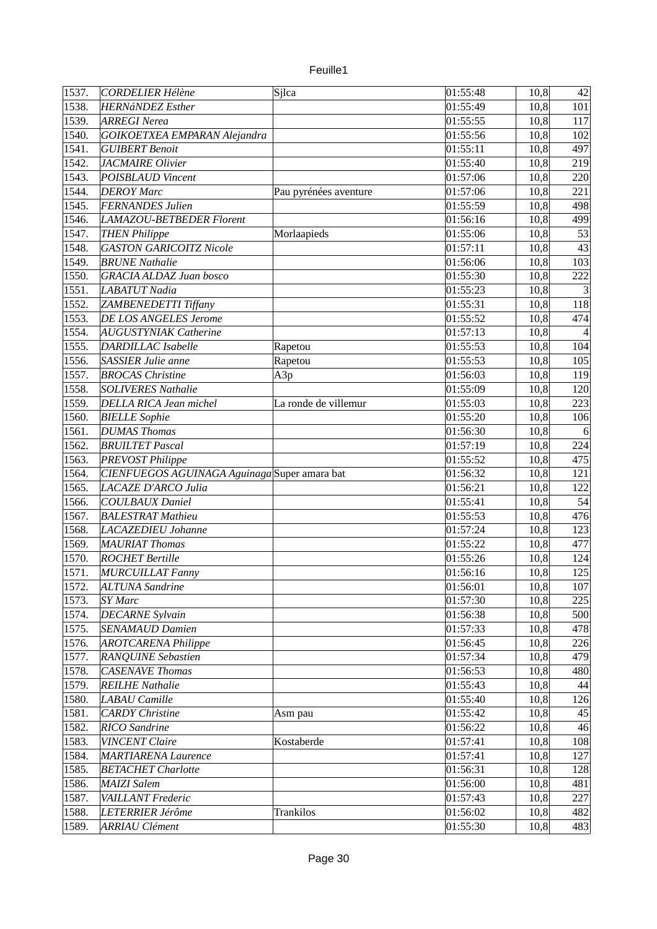| euille |  |
|--------|--|
|        |  |

| $\sqrt{1537}$ . | CORDELIER Hélène                             | Sjlca                 | 01:55:48 | 10,8 | 42                       |
|-----------------|----------------------------------------------|-----------------------|----------|------|--------------------------|
| 1538.           | <b>HERNáNDEZ</b> Esther                      |                       | 01:55:49 | 10,8 | 101                      |
| 1539.           | ARREGI Nerea                                 |                       | 01:55:55 | 10,8 | 117                      |
| 1540.           | GOIKOETXEA EMPARAN Alejandra                 |                       | 01:55:56 | 10,8 | 102                      |
| 1541.           | <b>GUIBERT Benoit</b>                        |                       | 01:55:11 | 10,8 | 497                      |
| 1542.           | <b>JACMAIRE Olivier</b>                      |                       | 01:55:40 | 10,8 | 219                      |
| 1543.           | <b>POISBLAUD Vincent</b>                     |                       | 01:57:06 | 10,8 | 220                      |
| 1544.           | <b>DEROY</b> Marc                            | Pau pyrénées aventure | 01:57:06 | 10,8 | 221                      |
| 1545.           | <b>FERNANDES Julien</b>                      |                       | 01:55:59 | 10,8 | 498                      |
| 1546.           | LAMAZOU-BETBEDER Florent                     |                       | 01:56:16 | 10,8 | 499                      |
| 1547.           | <b>THEN Philippe</b>                         | Morlaapieds           | 01:55:06 | 10,8 | 53                       |
| 1548.           | <b>GASTON GARICOITZ Nicole</b>               |                       | 01:57:11 | 10,8 | 43                       |
| 1549.           | <b>BRUNE Nathalie</b>                        |                       | 01:56:06 | 10,8 | 103                      |
| 1550.           | <b>GRACIA ALDAZ Juan bosco</b>               |                       | 01:55:30 | 10,8 | 222                      |
| 1551.           | <b>LABATUT</b> Nadia                         |                       | 01:55:23 | 10,8 | $\mathbf{3}$             |
| 1552.           | ZAMBENEDETTI Tiffany                         |                       | 01:55:31 | 10,8 | 118                      |
| 1553.           | <b>DE LOS ANGELES Jerome</b>                 |                       | 01:55:52 | 10,8 | 474                      |
| 1554.           | <b>AUGUSTYNIAK Catherine</b>                 |                       | 01:57:13 | 10,8 | $\overline{\mathcal{A}}$ |
| 1555.           | <b>DARDILLAC</b> Isabelle                    | Rapetou               | 01:55:53 | 10,8 | 104                      |
| 1556.           | SASSIER Julie anne                           | Rapetou               | 01:55:53 | 10,8 | 105                      |
| 1557.           | <b>BROCAS Christine</b>                      | A3p                   | 01:56:03 | 10,8 | 119                      |
| 1558.           | <b>SOLIVERES Nathalie</b>                    |                       | 01:55:09 | 10,8 | 120                      |
| 1559.           | DELLA RICA Jean michel                       | La ronde de villemur  | 01:55:03 | 10,8 | 223                      |
| 1560.           | <b>BIELLE Sophie</b>                         |                       | 01:55:20 | 10,8 | 106                      |
| 1561.           | <b>DUMAS Thomas</b>                          |                       | 01:56:30 | 10,8 | 6                        |
| 1562.           | <b>BRUILTET Pascal</b>                       |                       | 01:57:19 | 10,8 | 224                      |
| 1563.           | <b>PREVOST Philippe</b>                      |                       | 01:55:52 | 10,8 | 475                      |
| 1564.           | CIENFUEGOS AGUINAGA Aguinaga Super amara bat |                       | 01:56:32 | 10,8 | 121                      |
| 1565.           | LACAZE D'ARCO Julia                          |                       | 01:56:21 | 10,8 | 122                      |
| 1566.           | <b>COULBAUX Daniel</b>                       |                       | 01:55:41 | 10,8 | 54                       |
| 1567.           | <b>BALESTRAT Mathieu</b>                     |                       | 01:55:53 | 10,8 | 476                      |
| 1568.           | LACAZEDIEU Johanne                           |                       | 01:57:24 | 10,8 | 123                      |
| 1569.           | <b>MAURIAT Thomas</b>                        |                       |          |      | 477                      |
|                 |                                              |                       | 01:55:22 | 10,8 |                          |
| 1570.<br>1571.  | <b>ROCHET Bertille</b>                       |                       | 01:55:26 | 10,8 | 124                      |
|                 | <b>MURCUILLAT Fanny</b>                      |                       | 01:56:16 | 10,8 | 125                      |
| 1572.           | <b>ALTUNA Sandrine</b>                       |                       | 01:56:01 | 10,8 | 107                      |
| 1573.           | SY Marc                                      |                       | 01:57:30 | 10,8 | 225                      |
| 1574.           | <b>DECARNE Sylvain</b>                       |                       | 01:56:38 | 10,8 | 500                      |
| 1575.           | SENAMAUD Damien                              |                       | 01:57:33 | 10,8 | 478                      |
| 1576.           | <b>AROTCARENA Philippe</b>                   |                       | 01:56:45 | 10,8 | 226                      |
| 1577.           | <b>RANQUINE Sebastien</b>                    |                       | 01:57:34 | 10,8 | 479                      |
| 1578.           | <b>CASENAVE Thomas</b>                       |                       | 01:56:53 | 10,8 | 480                      |
| 1579.           | <b>REILHE Nathalie</b>                       |                       | 01:55:43 | 10,8 | 44                       |
| 1580.           | LABAU Camille                                |                       | 01:55:40 | 10,8 | 126                      |
| 1581.           | <b>CARDY</b> Christine                       | Asm pau               | 01:55:42 | 10,8 | 45                       |
| 1582.           | <b>RICO</b> Sandrine                         |                       | 01:56:22 | 10,8 | 46                       |
| 1583.           | <b>VINCENT Claire</b>                        | Kostaberde            | 01:57:41 | 10,8 | 108                      |
| 1584.           | <b>MARTIARENA Laurence</b>                   |                       | 01:57:41 | 10,8 | 127                      |
| 1585.           | <b>BETACHET Charlotte</b>                    |                       | 01:56:31 | 10,8 | 128                      |
| 1586.           | <b>MAIZI Salem</b>                           |                       | 01:56:00 | 10,8 | 481                      |
| 1587.           | VAILLANT Frederic                            |                       | 01:57:43 | 10,8 | 227                      |
| 1588.           | LETERRIER Jérôme                             | <b>Trankilos</b>      | 01:56:02 | 10,8 | 482                      |
| 1589.           | <b>ARRIAU Clément</b>                        |                       | 01:55:30 | 10,8 | 483                      |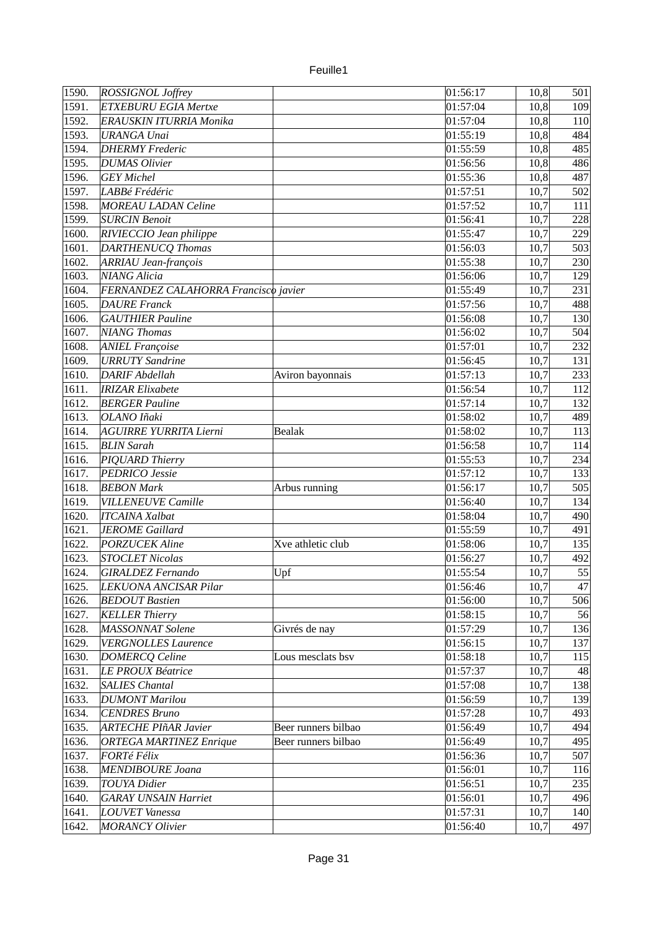| ROSSIGNOL Joffrey<br>1591.<br><b>ETXEBURU EGIA Mertxe</b><br>01:57:04<br>10,8<br>109<br>1592.<br>10,8<br>ERAUSKIN ITURRIA Monika<br>01:57:04<br>110<br>1593.<br><b>URANGA Unai</b><br>01:55:19<br>10,8<br>484<br>485<br>1594.<br><b>DHERMY</b> Frederic<br>01:55:59<br>10,8<br>1595.<br>10,8<br>486<br><b>DUMAS Olivier</b><br>01:56:56<br>1596.<br><b>GEY</b> Michel<br>487<br>01:55:36<br>10,8<br>1597.<br>LABBé Frédéric<br>10,7<br>502<br>01:57:51<br>1598.<br>01:57:52<br>10,7<br><b>MOREAU LADAN Celine</b><br>111<br>1599.<br><b>SURCIN Benoit</b><br>01:56:41<br>10,7<br>228<br>1600.<br>RIVIECCIO Jean philippe<br>01:55:47<br>10,7<br>229<br>503<br> 1601.<br>DARTHENUCQ Thomas<br>01:56:03<br>10,7<br>1602.<br>01:55:38<br>10,7<br><b>ARRIAU Jean-françois</b><br>230<br>10,7<br>1603.<br><b>NIANG Alicia</b><br>01:56:06<br>129<br>1604.<br>10,7<br>FERNANDEZ CALAHORRA Francisco javier<br>01:55:49<br>231 |
|-------------------------------------------------------------------------------------------------------------------------------------------------------------------------------------------------------------------------------------------------------------------------------------------------------------------------------------------------------------------------------------------------------------------------------------------------------------------------------------------------------------------------------------------------------------------------------------------------------------------------------------------------------------------------------------------------------------------------------------------------------------------------------------------------------------------------------------------------------------------------------------------------------------------------|
|                                                                                                                                                                                                                                                                                                                                                                                                                                                                                                                                                                                                                                                                                                                                                                                                                                                                                                                         |
|                                                                                                                                                                                                                                                                                                                                                                                                                                                                                                                                                                                                                                                                                                                                                                                                                                                                                                                         |
|                                                                                                                                                                                                                                                                                                                                                                                                                                                                                                                                                                                                                                                                                                                                                                                                                                                                                                                         |
|                                                                                                                                                                                                                                                                                                                                                                                                                                                                                                                                                                                                                                                                                                                                                                                                                                                                                                                         |
|                                                                                                                                                                                                                                                                                                                                                                                                                                                                                                                                                                                                                                                                                                                                                                                                                                                                                                                         |
|                                                                                                                                                                                                                                                                                                                                                                                                                                                                                                                                                                                                                                                                                                                                                                                                                                                                                                                         |
|                                                                                                                                                                                                                                                                                                                                                                                                                                                                                                                                                                                                                                                                                                                                                                                                                                                                                                                         |
|                                                                                                                                                                                                                                                                                                                                                                                                                                                                                                                                                                                                                                                                                                                                                                                                                                                                                                                         |
|                                                                                                                                                                                                                                                                                                                                                                                                                                                                                                                                                                                                                                                                                                                                                                                                                                                                                                                         |
|                                                                                                                                                                                                                                                                                                                                                                                                                                                                                                                                                                                                                                                                                                                                                                                                                                                                                                                         |
|                                                                                                                                                                                                                                                                                                                                                                                                                                                                                                                                                                                                                                                                                                                                                                                                                                                                                                                         |
|                                                                                                                                                                                                                                                                                                                                                                                                                                                                                                                                                                                                                                                                                                                                                                                                                                                                                                                         |
|                                                                                                                                                                                                                                                                                                                                                                                                                                                                                                                                                                                                                                                                                                                                                                                                                                                                                                                         |
|                                                                                                                                                                                                                                                                                                                                                                                                                                                                                                                                                                                                                                                                                                                                                                                                                                                                                                                         |
| 10,7<br>1605.<br><b>DAURE</b> Franck<br>01:57:56<br>488                                                                                                                                                                                                                                                                                                                                                                                                                                                                                                                                                                                                                                                                                                                                                                                                                                                                 |
| 1606.<br>10,7<br><b>GAUTHIER Pauline</b><br>01:56:08<br>130                                                                                                                                                                                                                                                                                                                                                                                                                                                                                                                                                                                                                                                                                                                                                                                                                                                             |
| 1607.<br>NIANG Thomas<br>10,7<br>01:56:02<br>504                                                                                                                                                                                                                                                                                                                                                                                                                                                                                                                                                                                                                                                                                                                                                                                                                                                                        |
| 1608.<br>01:57:01                                                                                                                                                                                                                                                                                                                                                                                                                                                                                                                                                                                                                                                                                                                                                                                                                                                                                                       |
| <b>ANIEL Françoise</b><br>10,7<br>232                                                                                                                                                                                                                                                                                                                                                                                                                                                                                                                                                                                                                                                                                                                                                                                                                                                                                   |
| 1609.<br><b>URRUTY Sandrine</b><br>10,7<br>01:56:45<br>131                                                                                                                                                                                                                                                                                                                                                                                                                                                                                                                                                                                                                                                                                                                                                                                                                                                              |
| 1610.<br><b>DARIF Abdellah</b><br>01:57:13<br>10,7<br>233<br>Aviron bayonnais                                                                                                                                                                                                                                                                                                                                                                                                                                                                                                                                                                                                                                                                                                                                                                                                                                           |
| 1611.<br><b>IRIZAR Elixabete</b><br>01:56:54<br>10,7<br>112                                                                                                                                                                                                                                                                                                                                                                                                                                                                                                                                                                                                                                                                                                                                                                                                                                                             |
| 1612.<br><b>BERGER Pauline</b><br>01:57:14<br>10,7<br>132                                                                                                                                                                                                                                                                                                                                                                                                                                                                                                                                                                                                                                                                                                                                                                                                                                                               |
| 1613.<br>OLANO Iñaki<br>01:58:02<br>10,7<br>489                                                                                                                                                                                                                                                                                                                                                                                                                                                                                                                                                                                                                                                                                                                                                                                                                                                                         |
| 1614.<br><b>AGUIRRE YURRITA Lierni</b><br><b>Bealak</b><br>01:58:02<br>10,7<br>113                                                                                                                                                                                                                                                                                                                                                                                                                                                                                                                                                                                                                                                                                                                                                                                                                                      |
| 1615.<br><b>BLIN</b> Sarah<br>01:56:58<br>10,7<br>114                                                                                                                                                                                                                                                                                                                                                                                                                                                                                                                                                                                                                                                                                                                                                                                                                                                                   |
| 1616.<br>PIQUARD Thierry<br>01:55:53<br>10,7<br>234                                                                                                                                                                                                                                                                                                                                                                                                                                                                                                                                                                                                                                                                                                                                                                                                                                                                     |
| 1617.<br>PEDRICO Jessie<br>01:57:12<br>10,7<br>133                                                                                                                                                                                                                                                                                                                                                                                                                                                                                                                                                                                                                                                                                                                                                                                                                                                                      |
| 1618.<br>10,7<br>505<br><b>BEBON Mark</b><br>Arbus running<br>01:56:17                                                                                                                                                                                                                                                                                                                                                                                                                                                                                                                                                                                                                                                                                                                                                                                                                                                  |
| 1619.<br>10,7<br><b>VILLENEUVE Camille</b><br>01:56:40<br>134                                                                                                                                                                                                                                                                                                                                                                                                                                                                                                                                                                                                                                                                                                                                                                                                                                                           |
| 10,7<br>1620.<br><b>ITCAINA Xalbat</b><br>01:58:04<br>490                                                                                                                                                                                                                                                                                                                                                                                                                                                                                                                                                                                                                                                                                                                                                                                                                                                               |
| 10,7<br>1621.<br><b>JEROME</b> Gaillard<br>01:55:59<br>491                                                                                                                                                                                                                                                                                                                                                                                                                                                                                                                                                                                                                                                                                                                                                                                                                                                              |
| 1622.<br><b>PORZUCEK Aline</b><br>10,7<br>Xve athletic club<br>01:58:06<br>135                                                                                                                                                                                                                                                                                                                                                                                                                                                                                                                                                                                                                                                                                                                                                                                                                                          |
| 1623.<br><b>STOCLET Nicolas</b><br>01:56:27<br>10,7<br>492                                                                                                                                                                                                                                                                                                                                                                                                                                                                                                                                                                                                                                                                                                                                                                                                                                                              |
| 55<br>1624.<br>10,7<br><b>GIRALDEZ Fernando</b><br>Upf<br>01:55:54                                                                                                                                                                                                                                                                                                                                                                                                                                                                                                                                                                                                                                                                                                                                                                                                                                                      |
| 10,7<br>1625.<br>LEKUONA ANCISAR Pilar<br>01:56:46<br>47                                                                                                                                                                                                                                                                                                                                                                                                                                                                                                                                                                                                                                                                                                                                                                                                                                                                |
| 10,7<br>1626.<br>01:56:00<br>506<br><b>BEDOUT Bastien</b>                                                                                                                                                                                                                                                                                                                                                                                                                                                                                                                                                                                                                                                                                                                                                                                                                                                               |
| 56<br>1627.<br>01:58:15<br>10,7<br><b>KELLER Thierry</b>                                                                                                                                                                                                                                                                                                                                                                                                                                                                                                                                                                                                                                                                                                                                                                                                                                                                |
| 10,7<br>1628.<br>MASSONNAT Solene<br>136<br>01:57:29<br>Givrés de nay                                                                                                                                                                                                                                                                                                                                                                                                                                                                                                                                                                                                                                                                                                                                                                                                                                                   |
| 1629.<br>10,7<br><b>VERGNOLLES Laurence</b><br>01:56:15<br>137                                                                                                                                                                                                                                                                                                                                                                                                                                                                                                                                                                                                                                                                                                                                                                                                                                                          |
| 1630.<br>01:58:18<br>10,7<br><b>DOMERCQ Celine</b><br>Lous mesclats bsv<br>115                                                                                                                                                                                                                                                                                                                                                                                                                                                                                                                                                                                                                                                                                                                                                                                                                                          |
| 1631.<br>LE PROUX Béatrice<br>01:57:37<br>10,7<br>48                                                                                                                                                                                                                                                                                                                                                                                                                                                                                                                                                                                                                                                                                                                                                                                                                                                                    |
| 1632.<br><b>SALIES Chantal</b><br>01:57:08<br>10,7<br>138                                                                                                                                                                                                                                                                                                                                                                                                                                                                                                                                                                                                                                                                                                                                                                                                                                                               |
| 1633.<br>10,7<br><b>DUMONT Marilou</b><br>01:56:59<br>139                                                                                                                                                                                                                                                                                                                                                                                                                                                                                                                                                                                                                                                                                                                                                                                                                                                               |
| 1634.<br>10,7<br><b>CENDRES Bruno</b><br>01:57:28<br>493                                                                                                                                                                                                                                                                                                                                                                                                                                                                                                                                                                                                                                                                                                                                                                                                                                                                |
| 1635.<br><b>ARTECHE PIñAR Javier</b><br>01:56:49<br>Beer runners bilbao<br>10,7<br>494                                                                                                                                                                                                                                                                                                                                                                                                                                                                                                                                                                                                                                                                                                                                                                                                                                  |
| 10,7<br>1636.<br>01:56:49<br>495<br><b>ORTEGA MARTINEZ Enrique</b><br>Beer runners bilbao                                                                                                                                                                                                                                                                                                                                                                                                                                                                                                                                                                                                                                                                                                                                                                                                                               |
| 1637.<br><b>FORTé Félix</b><br>01:56:36<br>10,7<br>507                                                                                                                                                                                                                                                                                                                                                                                                                                                                                                                                                                                                                                                                                                                                                                                                                                                                  |
| 1638.<br><b>MENDIBOURE Joana</b><br>01:56:01<br>10,7<br>116                                                                                                                                                                                                                                                                                                                                                                                                                                                                                                                                                                                                                                                                                                                                                                                                                                                             |
| 1639.<br><b>TOUYA</b> Didier<br>01:56:51<br>235<br>10,7                                                                                                                                                                                                                                                                                                                                                                                                                                                                                                                                                                                                                                                                                                                                                                                                                                                                 |
| 1640.<br><b>GARAY UNSAIN Harriet</b><br>01:56:01<br>10,7<br>496                                                                                                                                                                                                                                                                                                                                                                                                                                                                                                                                                                                                                                                                                                                                                                                                                                                         |
| 10,7<br>1641.<br><b>LOUVET</b> Vanessa<br>01:57:31<br>140                                                                                                                                                                                                                                                                                                                                                                                                                                                                                                                                                                                                                                                                                                                                                                                                                                                               |
| 1642.<br><b>MORANCY Olivier</b><br>01:56:40<br>10,7<br>497                                                                                                                                                                                                                                                                                                                                                                                                                                                                                                                                                                                                                                                                                                                                                                                                                                                              |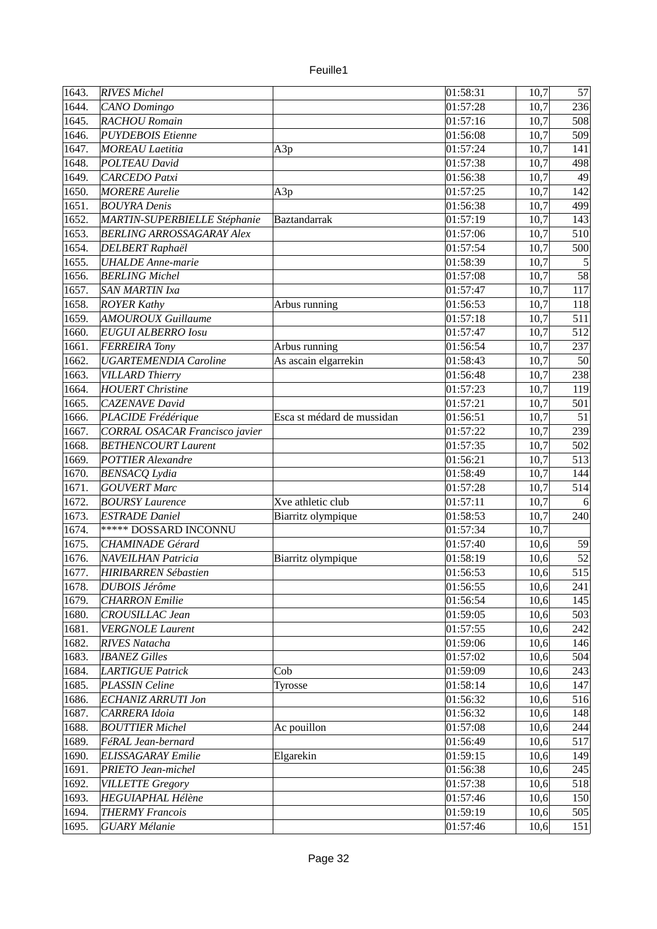| uulle |  |
|-------|--|
|       |  |

| $\sqrt{1643}$ . | <b>RIVES Michel</b>                             |                            | 01:58:31 | 10,7 | 57             |
|-----------------|-------------------------------------------------|----------------------------|----------|------|----------------|
| 1644.           | CANO Domingo                                    |                            | 01:57:28 | 10,7 | 236            |
| 1645.           | <b>RACHOU Romain</b>                            |                            | 01:57:16 | 10,7 | 508            |
| 1646.           | <b>PUYDEBOIS Etienne</b>                        |                            | 01:56:08 | 10,7 | 509            |
| 1647.           | <b>MOREAU Laetitia</b>                          | A3p                        | 01:57:24 | 10,7 | 141            |
| 1648.           | POLTEAU David                                   |                            | 01:57:38 | 10,7 | 498            |
| 1649.           | <b>CARCEDO Patxi</b>                            |                            | 01:56:38 | 10,7 | 49             |
| 1650.           | <b>MORERE Aurelie</b>                           | A3p                        | 01:57:25 | 10,7 | 142            |
| 1651.           | <b>BOUYRA Denis</b>                             |                            | 01:56:38 | 10,7 | 499            |
| 1652.           | MARTIN-SUPERBIELLE Stéphanie                    | <b>Baztandarrak</b>        | 01:57:19 | 10,7 | 143            |
| 1653.           | <b>BERLING ARROSSAGARAY Alex</b>                |                            | 01:57:06 | 10,7 | 510            |
| 1654.           | <b>DELBERT Raphaël</b>                          |                            | 01:57:54 | 10,7 | 500            |
| 1655.           | <b>UHALDE</b> Anne-marie                        |                            | 01:58:39 | 10,7 | $\overline{5}$ |
| 1656.           | <b>BERLING Michel</b>                           |                            | 01:57:08 | 10,7 | 58             |
| 1657.           | <b>SAN MARTIN Ixa</b>                           |                            | 01:57:47 | 10,7 | 117            |
| 1658.           |                                                 |                            | 01:56:53 | 10,7 | 118            |
| 1659.           | <b>ROYER Kathy</b><br><b>AMOUROUX Guillaume</b> | Arbus running              | 01:57:18 | 10,7 |                |
|                 |                                                 |                            |          |      | 511            |
| 1660.           | <b>EUGUI ALBERRO Iosu</b>                       |                            | 01:57:47 | 10,7 | 512            |
| 1661.           | <b>FERREIRA Tony</b>                            | Arbus running              | 01:56:54 | 10,7 | 237            |
| 1662.           | <b>UGARTEMENDIA Caroline</b>                    | As ascain elgarrekin       | 01:58:43 | 10,7 | 50             |
| 1663.           | <b>VILLARD Thierry</b>                          |                            | 01:56:48 | 10,7 | 238            |
| 1664.           | <b>HOUERT Christine</b>                         |                            | 01:57:23 | 10,7 | 119            |
| 1665.           | <b>CAZENAVE David</b>                           |                            | 01:57:21 | 10,7 | 501            |
| 1666.           | PLACIDE Frédérique                              | Esca st médard de mussidan | 01:56:51 | 10,7 | 51             |
| 1667.           | CORRAL OSACAR Francisco javier                  |                            | 01:57:22 | 10,7 | 239            |
| 1668.           | <b>BETHENCOURT Laurent</b>                      |                            | 01:57:35 | 10,7 | 502            |
| 1669.           | <b>POTTIER Alexandre</b>                        |                            | 01:56:21 | 10,7 | 513            |
| 1670.           | <b>BENSACQ Lydia</b>                            |                            | 01:58:49 | 10,7 | 144            |
| 1671.           | <b>GOUVERT Marc</b>                             |                            | 01:57:28 | 10,7 | 514            |
| 1672.           | <b>BOURSY Laurence</b>                          | Xve athletic club          | 01:57:11 | 10,7 | 6              |
| 1673.           | <b>ESTRADE Daniel</b>                           | Biarritz olympique         | 01:58:53 | 10,7 | 240            |
| 1674.           | ***** DOSSARD INCONNU                           |                            | 01:57:34 | 10,7 |                |
| 1675.           | <b>CHAMINADE</b> Gérard                         |                            | 01:57:40 | 10,6 | 59             |
| 1676.           | <b>NAVEILHAN Patricia</b>                       | Biarritz olympique         | 01:58:19 | 10,6 | 52             |
| 1677.           | <b>HIRIBARREN Sébastien</b>                     |                            | 01:56:53 | 10,6 | 515            |
| 1678.           | <b>DUBOIS Jérôme</b>                            |                            | 01:56:55 | 10,6 | 241            |
| 1679.           | <b>CHARRON</b> Emilie                           |                            | 01:56:54 | 10,6 | 145            |
| 1680.           | CROUSILLAC Jean                                 |                            | 01:59:05 | 10,6 | 503            |
| 1681.           | <b>VERGNOLE Laurent</b>                         |                            | 01:57:55 | 10,6 | 242            |
| 1682.           | <b>RIVES Natacha</b>                            |                            | 01:59:06 | 10,6 | 146            |
| 1683.           | <b>IBANEZ Gilles</b>                            |                            | 01:57:02 | 10,6 | 504            |
| 1684.           | LARTIGUE Patrick                                | Cob                        | 01:59:09 | 10,6 | 243            |
| 1685.           | PLASSIN Celine                                  | Tyrosse                    | 01:58:14 | 10,6 | 147            |
| 1686.           | <b>ECHANIZ ARRUTI Jon</b>                       |                            | 01:56:32 | 10,6 | 516            |
| 1687.           | CARRERA Idoia                                   |                            | 01:56:32 | 10,6 | 148            |
| 1688.           | <b>BOUTTIER Michel</b>                          | Ac pouillon                | 01:57:08 | 10,6 | 244            |
| 1689.           | FéRAL Jean-bernard                              |                            | 01:56:49 | 10,6 | 517            |
| 1690.           | <b>ELISSAGARAY</b> Emilie                       | Elgarekin                  | 01:59:15 | 10,6 | 149            |
| 1691.           | <b>PRIETO Jean-michel</b>                       |                            | 01:56:38 | 10,6 | 245            |
| 1692.           | <b>VILLETTE Gregory</b>                         |                            | 01:57:38 | 10,6 | 518            |
| 1693.           | <b>HEGUIAPHAL Hélène</b>                        |                            | 01:57:46 | 10,6 | 150            |
| 1694.           | <b>THERMY Francois</b>                          |                            | 01:59:19 | 10,6 | 505            |
| 1695.           | <b>GUARY Mélanie</b>                            |                            | 01:57:46 | 10,6 | 151            |
|                 |                                                 |                            |          |      |                |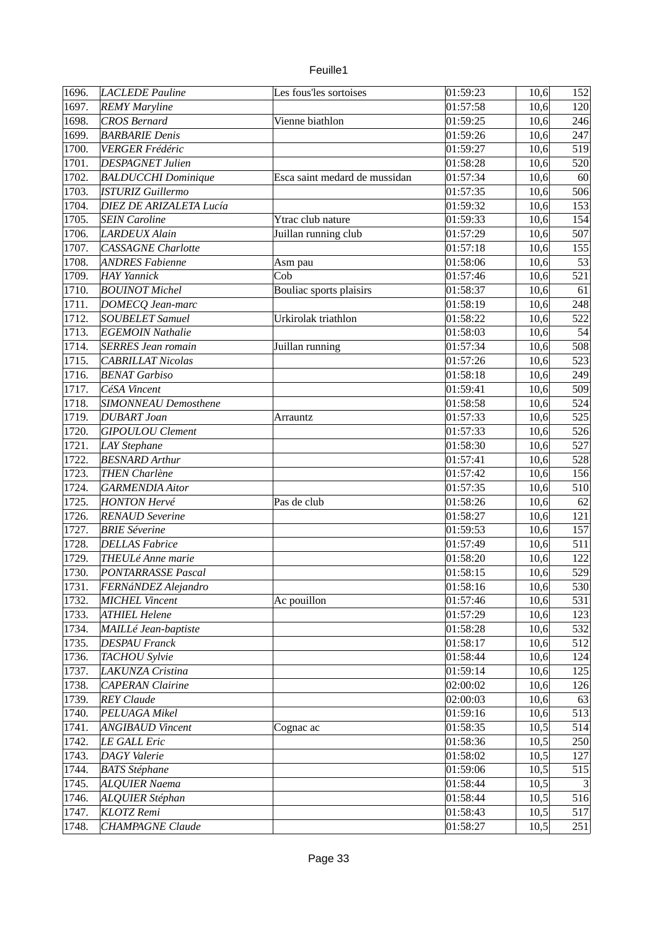| euille <sup>®</sup> |  |
|---------------------|--|
|                     |  |

| $\sqrt{1696}$ . | <b>LACLEDE Pauline</b>     | Les fous'les sortoises        | 01:59:23 | 10,6 | 152            |
|-----------------|----------------------------|-------------------------------|----------|------|----------------|
| 1697.           | <b>REMY Maryline</b>       |                               | 01:57:58 | 10,6 | 120            |
| 1698.           | <b>CROS Bernard</b>        | Vienne biathlon               | 01:59:25 | 10,6 | 246            |
| 1699.           | <b>BARBARIE Denis</b>      |                               | 01:59:26 | 10,6 | 247            |
| 1700.           | <b>VERGER Frédéric</b>     |                               | 01:59:27 | 10,6 | 519            |
| 1701.           | <b>DESPAGNET Julien</b>    |                               | 01:58:28 | 10,6 | 520            |
| 1702.           | <b>BALDUCCHI Dominique</b> | Esca saint medard de mussidan | 01:57:34 | 10,6 | 60             |
| 1703.           | <b>ISTURIZ Guillermo</b>   |                               | 01:57:35 | 10,6 | 506            |
| 1704.           | DIEZ DE ARIZALETA Lucía    |                               | 01:59:32 | 10,6 | 153            |
| 1705.           | <b>SEIN Caroline</b>       | Ytrac club nature             | 01:59:33 | 10,6 | 154            |
| 1706.           | LARDEUX Alain              | Juillan running club          | 01:57:29 | 10,6 | 507            |
| 1707.           | <b>CASSAGNE Charlotte</b>  |                               | 01:57:18 | 10,6 | 155            |
| 1708.           | <b>ANDRES Fabienne</b>     | Asm pau                       | 01:58:06 | 10,6 | 53             |
| 1709.           | <b>HAY Yannick</b>         | Cob                           | 01:57:46 | 10,6 | 521            |
| 1710.           | <b>BOUINOT</b> Michel      | Bouliac sports plaisirs       | 01:58:37 | 10,6 | 61             |
| 1711.           | DOMECQ Jean-marc           |                               | 01:58:19 | 10,6 | 248            |
| 1712.           | <b>SOUBELET Samuel</b>     | Urkirolak triathlon           | 01:58:22 | 10,6 | 522            |
| 1713.           | <b>EGEMOIN Nathalie</b>    |                               | 01:58:03 | 10,6 | 54             |
| 1714.           | <b>SERRES Jean romain</b>  | Juillan running               | 01:57:34 | 10,6 | 508            |
|                 | <b>CABRILLAT Nicolas</b>   |                               |          |      | 523            |
| 1715.           |                            |                               | 01:57:26 | 10,6 |                |
| 1716.           | <b>BENAT Garbiso</b>       |                               | 01:58:18 | 10,6 | 249            |
| 1717.           | CéSA Vincent               |                               | 01:59:41 | 10,6 | 509            |
| 1718.           | SIMONNEAU Demosthene       |                               | 01:58:58 | 10,6 | 524            |
| 1719.           | <b>DUBART Joan</b>         | Arrauntz                      | 01:57:33 | 10,6 | 525            |
| 1720.           | <b>GIPOULOU</b> Clement    |                               | 01:57:33 | 10,6 | 526            |
| 1721.           | LAY Stephane               |                               | 01:58:30 | 10,6 | 527            |
| 1722.           | <b>BESNARD Arthur</b>      |                               | 01:57:41 | 10,6 | 528            |
| 1723.           | <b>THEN Charlène</b>       |                               | 01:57:42 | 10,6 | 156            |
| 1724.           | <b>GARMENDIA Aitor</b>     |                               | 01:57:35 | 10,6 | 510            |
| 1725.           | <b>HONTON Hervé</b>        | Pas de club                   | 01:58:26 | 10,6 | 62             |
| 1726.           | <b>RENAUD</b> Severine     |                               | 01:58:27 | 10,6 | 121            |
| 1727.           | <b>BRIE</b> Séverine       |                               | 01:59:53 | 10,6 | 157            |
| 1728.           | <b>DELLAS Fabrice</b>      |                               | 01:57:49 | 10,6 | 511            |
| 1729.           | <b>THEULé Anne marie</b>   |                               | 01:58:20 | 10,6 | 122            |
| 1730.           | PONTARRASSE Pascal         |                               | 01:58:15 | 10,6 | 529            |
| 1731.           | FERNáNDEZ Alejandro        |                               | 01:58:16 | 10,6 | 530            |
| 1732.           | MICHEL Vincent             | Ac pouillon                   | 01:57:46 | 10,6 | 531            |
| 1733.           | <b>ATHIEL Helene</b>       |                               | 01:57:29 | 10,6 | 123            |
| 1734.           | MAILLé Jean-baptiste       |                               | 01:58:28 | 10,6 | 532            |
| 1735.           | <b>DESPAU Franck</b>       |                               | 01:58:17 | 10,6 | 512            |
| 1736.           | TACHOU Sylvie              |                               | 01:58:44 | 10,6 | 124            |
| 1737.           | <b>LAKUNZA Cristina</b>    |                               | 01:59:14 | 10,6 | 125            |
| 1738.           | <b>CAPERAN Clairine</b>    |                               | 02:00:02 | 10,6 | 126            |
| 1739.           | <b>REY</b> Claude          |                               | 02:00:03 | 10,6 | 63             |
| 1740.           | PELUAGA Mikel              |                               | 01:59:16 | 10,6 | 513            |
| 1741.           | <b>ANGIBAUD Vincent</b>    | Cognac ac                     | 01:58:35 | 10,5 | 514            |
| 1742.           | LE GALL Eric               |                               | 01:58:36 | 10,5 | 250            |
| 1743.           | <b>DAGY</b> Valerie        |                               | 01:58:02 | 10,5 | 127            |
| 1744.           | <b>BATS Stéphane</b>       |                               | 01:59:06 | 10,5 | 515            |
| 1745.           | <b>ALQUIER Naema</b>       |                               | 01:58:44 | 10,5 | $\overline{3}$ |
| 1746.           | ALQUIER Stéphan            |                               | 01:58:44 | 10,5 | 516            |
| 1747.           | KLOTZ Remi                 |                               | 01:58:43 | 10,5 | 517            |
| 1748.           | <b>CHAMPAGNE Claude</b>    |                               | 01:58:27 | 10,5 | 251            |
|                 |                            |                               |          |      |                |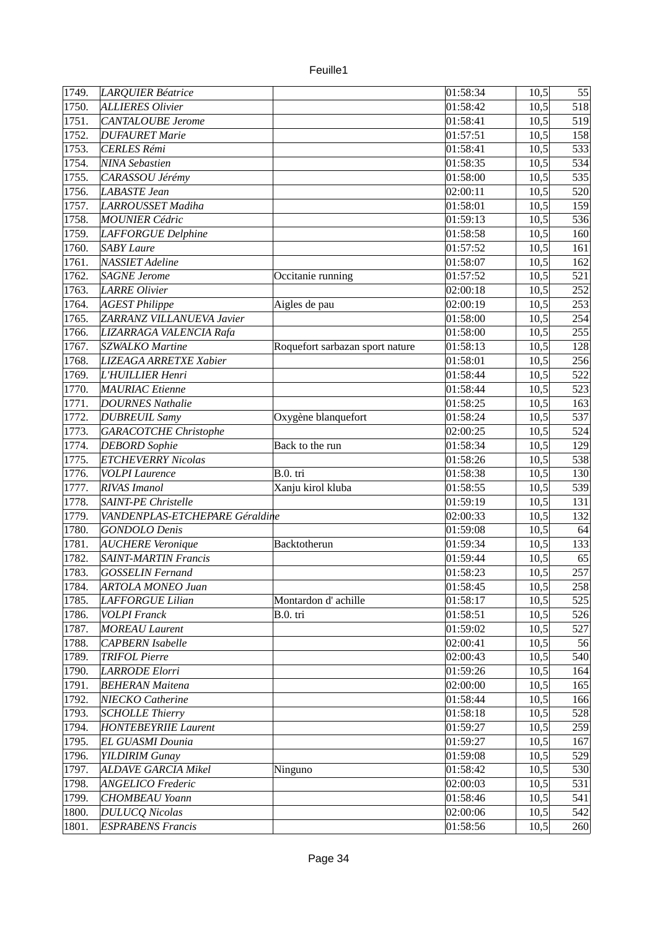| 1749. | LARQUIER Béatrice              |                                 | 01:58:34 | 10,5 | 55  |
|-------|--------------------------------|---------------------------------|----------|------|-----|
| 1750. | ALLIERES Olivier               |                                 | 01:58:42 | 10,5 | 518 |
| 1751. | <b>CANTALOUBE</b> Jerome       |                                 | 01:58:41 | 10,5 | 519 |
| 1752. | <b>DUFAURET Marie</b>          |                                 | 01:57:51 | 10,5 | 158 |
| 1753. | <b>CERLES Rémi</b>             |                                 | 01:58:41 | 10,5 | 533 |
| 1754. | <b>NINA Sebastien</b>          |                                 | 01:58:35 | 10,5 | 534 |
| 1755. | CARASSOU Jérémy                |                                 | 01:58:00 | 10,5 | 535 |
| 1756. | <b>LABASTE Jean</b>            |                                 | 02:00:11 | 10,5 | 520 |
| 1757. | LARROUSSET Madiha              |                                 | 01:58:01 | 10,5 | 159 |
| 1758. | <b>MOUNIER Cédric</b>          |                                 | 01:59:13 | 10,5 | 536 |
| 1759. | LAFFORGUE Delphine             |                                 | 01:58:58 | 10,5 | 160 |
| 1760. | <b>SABY Laure</b>              |                                 | 01:57:52 | 10,5 | 161 |
| 1761. | <b>NASSIET</b> Adeline         |                                 | 01:58:07 | 10,5 | 162 |
| 1762. | <b>SAGNE</b> Jerome            | Occitanie running               | 01:57:52 | 10,5 | 521 |
| 1763. | <b>LARRE Olivier</b>           |                                 | 02:00:18 | 10,5 | 252 |
| 1764. | <b>AGEST Philippe</b>          | Aigles de pau                   | 02:00:19 | 10,5 | 253 |
| 1765. | ZARRANZ VILLANUEVA Javier      |                                 | 01:58:00 | 10,5 | 254 |
| 1766. | LIZARRAGA VALENCIA Rafa        |                                 | 01:58:00 | 10,5 | 255 |
| 1767. | <b>SZWALKO Martine</b>         | Roquefort sarbazan sport nature | 01:58:13 | 10,5 | 128 |
| 1768. | LIZEAGA ARRETXE Xabier         |                                 | 01:58:01 | 10,5 | 256 |
| 1769. | L'HUILLIER Henri               |                                 | 01:58:44 | 10,5 | 522 |
| 1770. | <b>MAURIAC</b> Etienne         |                                 | 01:58:44 | 10,5 | 523 |
| 1771. | <b>DOURNES Nathalie</b>        |                                 | 01:58:25 | 10,5 | 163 |
| 1772. | <b>DUBREUIL Samy</b>           | Oxygène blanquefort             | 01:58:24 | 10,5 | 537 |
| 1773. | <b>GARACOTCHE Christophe</b>   |                                 | 02:00:25 | 10,5 | 524 |
| 1774. | <b>DEBORD</b> Sophie           | Back to the run                 | 01:58:34 | 10,5 | 129 |
| 1775. | <b>ETCHEVERRY Nicolas</b>      |                                 | 01:58:26 | 10,5 | 538 |
| 1776. | <b>VOLPI</b> Laurence          | B.0. tri                        | 01:58:38 | 10,5 | 130 |
| 1777. | <b>RIVAS Imanol</b>            | Xanju kirol kluba               | 01:58:55 | 10,5 | 539 |
| 1778. | SAINT-PE Christelle            |                                 | 01:59:19 | 10,5 | 131 |
| 1779. | VANDENPLAS-ETCHEPARE Géraldine |                                 | 02:00:33 | 10,5 | 132 |
| 1780. | <b>GONDOLO Denis</b>           |                                 | 01:59:08 | 10,5 | 64  |
| 1781. | <b>AUCHERE</b> Veronique       | Backtotherun                    | 01:59:34 | 10,5 | 133 |
| 1782. | <b>SAINT-MARTIN Francis</b>    |                                 | 01:59:44 | 10,5 | 65  |
| 1783. | <b>GOSSELIN Fernand</b>        |                                 | 01:58:23 | 10,5 | 257 |
| 1784. | <b>ARTOLA MONEO Juan</b>       |                                 | 01:58:45 | 10,5 | 258 |
| 1785. | LAFFORGUE Lilian               | Montardon d'achille             | 01:58:17 | 10,5 | 525 |
| 1786. | <b>VOLPI</b> Franck            | B.0. tri                        | 01:58:51 | 10,5 | 526 |
| 1787. | <b>MOREAU</b> Laurent          |                                 | 01:59:02 | 10,5 | 527 |
| 1788. | CAPBERN Isabelle               |                                 | 02:00:41 | 10,5 | 56  |
|       |                                |                                 |          |      |     |
| 1789. | <b>TRIFOL Pierre</b>           |                                 | 02:00:43 | 10,5 | 540 |
| 1790. | <b>LARRODE Elorri</b>          |                                 | 01:59:26 | 10,5 | 164 |
| 1791. | <b>BEHERAN Maitena</b>         |                                 | 02:00:00 | 10,5 | 165 |
| 1792. | <b>NIECKO Catherine</b>        |                                 | 01:58:44 | 10,5 | 166 |
| 1793. | <b>SCHOLLE Thierry</b>         |                                 | 01:58:18 | 10,5 | 528 |
| 1794. | <b>HONTEBEYRIIE Laurent</b>    |                                 | 01:59:27 | 10,5 | 259 |
| 1795. | <b>EL GUASMI Dounia</b>        |                                 | 01:59:27 | 10,5 | 167 |
| 1796. | <b>YILDIRIM Gunay</b>          |                                 | 01:59:08 | 10,5 | 529 |
| 1797. | <b>ALDAVE GARCIA Mikel</b>     | Ninguno                         | 01:58:42 | 10,5 | 530 |
| 1798. | <b>ANGELICO Frederic</b>       |                                 | 02:00:03 | 10,5 | 531 |
| 1799. | CHOMBEAU Yoann                 |                                 | 01:58:46 | 10,5 | 541 |
| 1800. | <b>DULUCQ Nicolas</b>          |                                 | 02:00:06 | 10,5 | 542 |
| 1801. | <b>ESPRABENS Francis</b>       |                                 | 01:58:56 | 10,5 | 260 |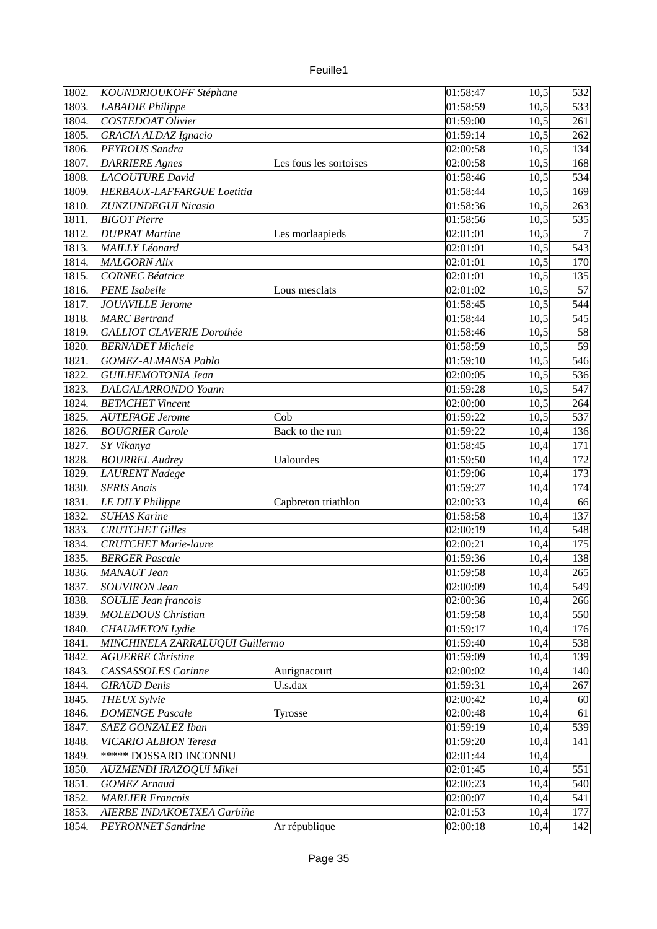| 1802. | KOUNDRIOUKOFF Stéphane           |                        | 01:58:47 | 10,5 | 532 |
|-------|----------------------------------|------------------------|----------|------|-----|
| 1803. | LABADIE Philippe                 |                        | 01:58:59 | 10,5 | 533 |
| 1804. | <b>COSTEDOAT Olivier</b>         |                        | 01:59:00 | 10,5 | 261 |
| 1805. | <b>GRACIA ALDAZ Ignacio</b>      |                        | 01:59:14 | 10,5 | 262 |
| 1806. | PEYROUS Sandra                   |                        | 02:00:58 | 10,5 | 134 |
| 1807. | <b>DARRIERE Agnes</b>            | Les fous les sortoises | 02:00:58 | 10,5 | 168 |
| 1808. | <b>LACOUTURE David</b>           |                        | 01:58:46 | 10,5 | 534 |
| 1809. | HERBAUX-LAFFARGUE Loetitia       |                        | 01:58:44 | 10,5 | 169 |
| 1810. | <b>ZUNZUNDEGUI Nicasio</b>       |                        | 01:58:36 |      | 263 |
|       | <b>BIGOT Pierre</b>              |                        | 01:58:56 | 10,5 |     |
| 1811. |                                  |                        |          | 10,5 | 535 |
| 1812. | <b>DUPRAT Martine</b>            | Les morlaapieds        | 02:01:01 | 10,5 | 7   |
| 1813. | <b>MAILLY Léonard</b>            |                        | 02:01:01 | 10,5 | 543 |
| 1814. | <b>MALGORN Alix</b>              |                        | 02:01:01 | 10,5 | 170 |
| 1815. | <b>CORNEC Béatrice</b>           |                        | 02:01:01 | 10,5 | 135 |
| 1816. | <b>PENE</b> Isabelle             | Lous mesclats          | 02:01:02 | 10,5 | 57  |
| 1817. | <b>JOUAVILLE Jerome</b>          |                        | 01:58:45 | 10,5 | 544 |
| 1818. | <b>MARC</b> Bertrand             |                        | 01:58:44 | 10,5 | 545 |
| 1819. | <b>GALLIOT CLAVERIE Dorothée</b> |                        | 01:58:46 | 10,5 | 58  |
| 1820. | <b>BERNADET</b> Michele          |                        | 01:58:59 | 10,5 | 59  |
| 1821. | <b>GOMEZ-ALMANSA Pablo</b>       |                        | 01:59:10 | 10,5 | 546 |
| 1822. | <b>GUILHEMOTONIA Jean</b>        |                        | 02:00:05 | 10,5 | 536 |
| 1823. | DALGALARRONDO Yoann              |                        | 01:59:28 | 10,5 | 547 |
| 1824. | <b>BETACHET Vincent</b>          |                        | 02:00:00 | 10,5 | 264 |
| 1825. | <b>AUTEFAGE Jerome</b>           | Cob                    | 01:59:22 | 10,5 | 537 |
| 1826. | <b>BOUGRIER Carole</b>           | Back to the run        | 01:59:22 | 10,4 | 136 |
| 1827. | SY Vikanya                       |                        | 01:58:45 | 10,4 | 171 |
| 1828. | <b>BOURREL Audrey</b>            | <b>Ualourdes</b>       | 01:59:50 | 10,4 | 172 |
| 1829. | <b>LAURENT Nadege</b>            |                        | 01:59:06 | 10,4 | 173 |
| 1830. | <b>SERIS Anais</b>               |                        | 01:59:27 | 10,4 | 174 |
| 1831. | <b>LE DILY Philippe</b>          | Capbreton triathlon    | 02:00:33 | 10,4 | 66  |
| 1832. | <b>SUHAS Karine</b>              |                        | 01:58:58 | 10,4 | 137 |
| 1833. | <b>CRUTCHET Gilles</b>           |                        | 02:00:19 | 10,4 | 548 |
| 1834. | <b>CRUTCHET Marie-laure</b>      |                        | 02:00:21 | 10,4 | 175 |
| 1835. | <b>BERGER Pascale</b>            |                        | 01:59:36 | 10,4 | 138 |
| 1836. | <b>MANAUT</b> Jean               |                        | 01:59:58 | 10,4 | 265 |
| 1837. | <b>SOUVIRON Jean</b>             |                        | 02:00:09 | 10,4 | 549 |
| 1838. | <b>SOULIE Jean francois</b>      |                        | 02:00:36 | 10,4 | 266 |
| 1839. | <b>MOLEDOUS Christian</b>        |                        | 01:59:58 | 10,4 | 550 |
| 1840. |                                  |                        | 01:59:17 |      | 176 |
|       | <b>CHAUMETON</b> Lydie           |                        |          | 10,4 |     |
| 1841. | MINCHINELA ZARRALUQUI Guillermo  |                        | 01:59:40 | 10,4 | 538 |
| 1842. | <b>AGUERRE Christine</b>         |                        | 01:59:09 | 10,4 | 139 |
| 1843. | <b>CASSASSOLES</b> Corinne       | Aurignacourt           | 02:00:02 | 10,4 | 140 |
| 1844. | <b>GIRAUD Denis</b>              | U.s.dax                | 01:59:31 | 10,4 | 267 |
| 1845. | <b>THEUX Sylvie</b>              |                        | 02:00:42 | 10,4 | 60  |
| 1846. | <b>DOMENGE Pascale</b>           | Tyrosse                | 02:00:48 | 10,4 | 61  |
| 1847. | SAEZ GONZALEZ Iban               |                        | 01:59:19 | 10,4 | 539 |
| 1848. | VICARIO ALBION Teresa            |                        | 01:59:20 | 10,4 | 141 |
| 1849. | ***** DOSSARD INCONNU            |                        | 02:01:44 | 10,4 |     |
| 1850. | AUZMENDI IRAZOQUI Mikel          |                        | 02:01:45 | 10,4 | 551 |
| 1851. | <b>GOMEZ Arnaud</b>              |                        | 02:00:23 | 10,4 | 540 |
| 1852. | <b>MARLIER Francois</b>          |                        | 02:00:07 | 10,4 | 541 |
| 1853. | AIERBE INDAKOETXEA Garbiñe       |                        | 02:01:53 | 10,4 | 177 |
| 1854. | <b>PEYRONNET Sandrine</b>        | Ar république          | 02:00:18 | 10,4 | 142 |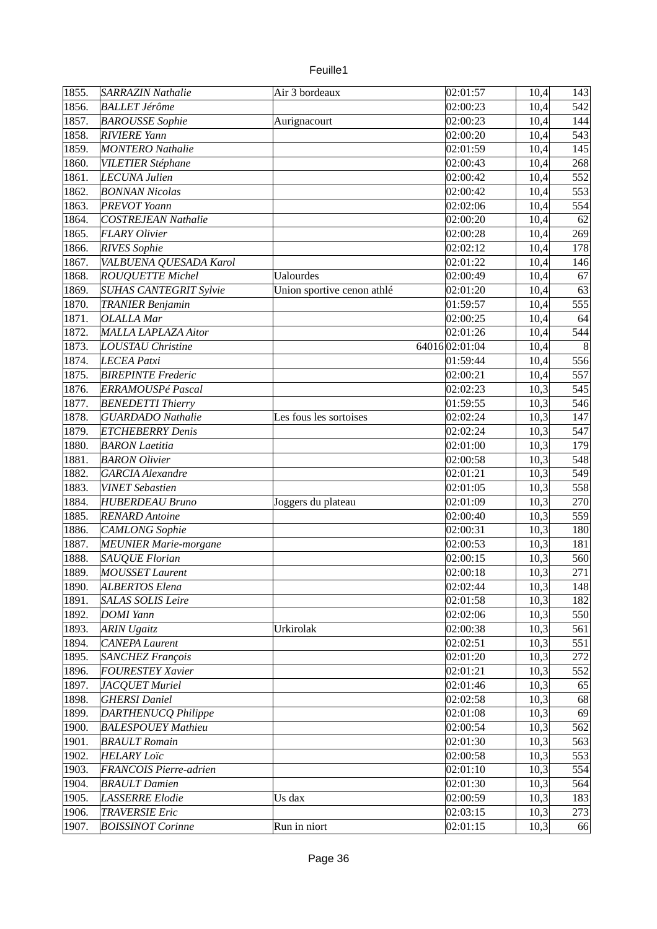| euille |  |
|--------|--|
|        |  |
|        |  |

| 1855. | SARRAZIN Nathalie             | Air 3 bordeaux             | 02:01:57      | 10,4 | 143            |
|-------|-------------------------------|----------------------------|---------------|------|----------------|
| 1856. | <b>BALLET Jérôme</b>          |                            | 02:00:23      | 10,4 | 542            |
| 1857. | <b>BAROUSSE</b> Sophie        | Aurignacourt               | 02:00:23      | 10,4 | 144            |
| 1858. | <b>RIVIERE Yann</b>           |                            | 02:00:20      | 10,4 | 543            |
| 1859. | <b>MONTERO</b> Nathalie       |                            | 02:01:59      | 10,4 | 145            |
| 1860. | <b>VILETIER Stéphane</b>      |                            | 02:00:43      | 10,4 | 268            |
| 1861. | <b>LECUNA Julien</b>          |                            | 02:00:42      | 10,4 | 552            |
| 1862. | <b>BONNAN Nicolas</b>         |                            | 02:00:42      | 10,4 | 553            |
| 1863. | <b>PREVOT</b> Yoann           |                            | 02:02:06      | 10,4 | 554            |
|       |                               |                            |               |      | 62             |
| 1864. | <b>COSTREJEAN Nathalie</b>    |                            | 02:00:20      | 10,4 |                |
| 1865. | <b>FLARY Olivier</b>          |                            | 02:00:28      | 10,4 | 269            |
| 1866. | <b>RIVES</b> Sophie           |                            | 02:02:12      | 10,4 | 178            |
| 1867. | VALBUENA QUESADA Karol        |                            | 02:01:22      | 10,4 | 146            |
| 1868. | <b>ROUQUETTE Michel</b>       | <b>Ualourdes</b>           | 02:00:49      | 10,4 | 67             |
| 1869. | <b>SUHAS CANTEGRIT Sylvie</b> | Union sportive cenon athlé | 02:01:20      | 10,4 | 63             |
| 1870. | <b>TRANIER Benjamin</b>       |                            | 01:59:57      | 10,4 | 555            |
| 1871. | OLALLA Mar                    |                            | 02:00:25      | 10,4 | 64             |
| 1872. | MALLA LAPLAZA Aitor           |                            | 02:01:26      | 10,4 | 544            |
| 1873. | LOUSTAU Christine             |                            | 6401602:01:04 | 10,4 | $\overline{8}$ |
| 1874. | LECEA Patxi                   |                            | 01:59:44      | 10,4 | 556            |
| 1875. | <b>BIREPINTE Frederic</b>     |                            | 02:00:21      | 10,4 | 557            |
| 1876. | <b>ERRAMOUSPé Pascal</b>      |                            | 02:02:23      | 10,3 | 545            |
| 1877. | <b>BENEDETTI Thierry</b>      |                            | 01:59:55      | 10,3 | 546            |
| 1878. | <b>GUARDADO Nathalie</b>      | Les fous les sortoises     | 02:02:24      | 10,3 | 147            |
| 1879. | <b>ETCHEBERRY Denis</b>       |                            | 02:02:24      | 10,3 | 547            |
| 1880. | <b>BARON</b> Laetitia         |                            | 02:01:00      | 10,3 | 179            |
| 1881. | <b>BARON</b> Olivier          |                            | 02:00:58      | 10,3 | 548            |
| 1882. | <b>GARCIA</b> Alexandre       |                            | 02:01:21      | 10,3 | 549            |
| 1883. | <b>VINET Sebastien</b>        |                            | 02:01:05      | 10,3 | 558            |
| 1884. | <b>HUBERDEAU Bruno</b>        | Joggers du plateau         | 02:01:09      | 10,3 | 270            |
| 1885. | <b>RENARD</b> Antoine         |                            | 02:00:40      | 10,3 | 559            |
| 1886. | <b>CAMLONG</b> Sophie         |                            | 02:00:31      | 10,3 | 180            |
| 1887. | <b>MEUNIER Marie-morgane</b>  |                            | 02:00:53      | 10,3 | 181            |
| 1888. | <b>SAUQUE Florian</b>         |                            | 02:00:15      | 10,3 | 560            |
| 1889. | <b>MOUSSET Laurent</b>        |                            | 02:00:18      | 10,3 | 271            |
|       |                               |                            |               |      |                |
| 1890. | ALBERTOS Elena                |                            | 02:02:44      | 10,3 | 148            |
| 1891. | <b>SALAS SOLIS Leire</b>      |                            | 02:01:58      | 10,3 | 182            |
| 1892. | <b>DOMI</b> Yann              |                            | 02:02:06      | 10,3 | 550            |
| 1893. | <b>ARIN Ugaitz</b>            | Urkirolak                  | 02:00:38      | 10,3 | 561            |
| 1894. | <b>CANEPA Laurent</b>         |                            | 02:02:51      | 10,3 | 551            |
| 1895. | <b>SANCHEZ François</b>       |                            | 02:01:20      | 10,3 | 272            |
| 1896. | <b>FOURESTEY Xavier</b>       |                            | 02:01:21      | 10,3 | 552            |
| 1897. | JACQUET Muriel                |                            | 02:01:46      | 10,3 | 65             |
| 1898. | <b>GHERSI Daniel</b>          |                            | 02:02:58      | 10,3 | 68             |
| 1899. | <b>DARTHENUCQ Philippe</b>    |                            | 02:01:08      | 10,3 | 69             |
| 1900. | <b>BALESPOUEY Mathieu</b>     |                            | 02:00:54      | 10,3 | 562            |
| 1901. | <b>BRAULT</b> Romain          |                            | 02:01:30      | 10,3 | 563            |
| 1902. | <b>HELARY Loïc</b>            |                            | 02:00:58      | 10,3 | 553            |
| 1903. | FRANCOIS Pierre-adrien        |                            | 02:01:10      | 10,3 | 554            |
| 1904. | <b>BRAULT</b> Damien          |                            | 02:01:30      | 10,3 | 564            |
| 1905. | LASSERRE Elodie               | Us dax                     | 02:00:59      | 10,3 | 183            |
| 1906. | <b>TRAVERSIE Eric</b>         |                            | 02:03:15      | 10,3 | 273            |
| 1907. | <b>BOISSINOT Corinne</b>      | Run in niort               | 02:01:15      | 10,3 | 66             |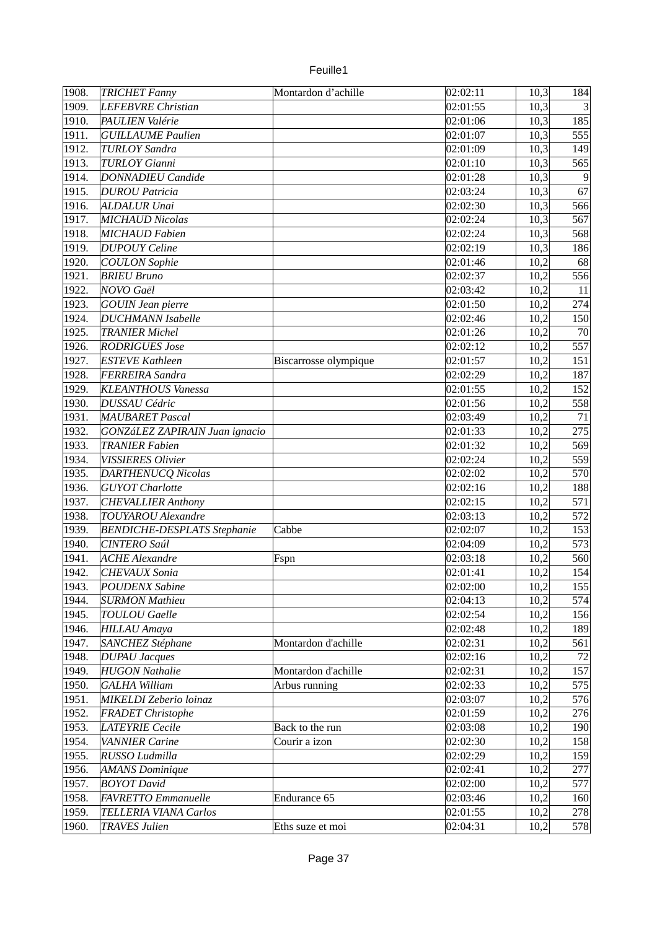| 1908. | <b>TRICHET Fanny</b>               | Montardon d'achille   | 02:02:11              | 10,3 | 184             |
|-------|------------------------------------|-----------------------|-----------------------|------|-----------------|
| 1909. | LEFEBVRE Christian                 |                       | 02:01:55              | 10,3 | $\overline{3}$  |
| 1910. | PAULIEN Valérie                    |                       | 02:01:06              | 10,3 | 185             |
| 1911. | <b>GUILLAUME Paulien</b>           |                       | 02:01:07              | 10,3 | 555             |
| 1912. | <b>TURLOY Sandra</b>               |                       | 02:01:09              | 10,3 | 149             |
| 1913. | <b>TURLOY Gianni</b>               |                       | 02:01:10              | 10,3 | 565             |
| 1914. | <b>DONNADIEU Candide</b>           |                       | 02:01:28              | 10,3 | $\vert 9 \vert$ |
| 1915. | <b>DUROU Patricia</b>              |                       | 02:03:24              | 10,3 | 67              |
| 1916. | ALDALUR Unai                       |                       | 02:02:30              | 10,3 | 566             |
| 1917. | <b>MICHAUD Nicolas</b>             |                       | 02:02:24              | 10,3 | 567             |
| 1918. | MICHAUD Fabien                     |                       | 02:02:24              | 10,3 | 568             |
| 1919. | <b>DUPOUY Celine</b>               |                       | 02:02:19              | 10,3 | 186             |
| 1920. | <b>COULON</b> Sophie               |                       | 02:01:46              | 10,2 | 68              |
| 1921. | <b>BRIEU Bruno</b>                 |                       | 02:02:37              | 10,2 | 556             |
| 1922. | NOVO Gaël                          |                       | 02:03:42              | 10,2 | $11\,$          |
| 1923. | <b>GOUIN Jean pierre</b>           |                       | 02:01:50              | 10,2 | 274             |
| 1924. | <b>DUCHMANN Isabelle</b>           |                       | 02:02:46              | 10,2 | 150             |
| 1925. | <b>TRANIER Michel</b>              |                       | 02:01:26              | 10,2 | 70              |
| 1926. | <b>RODRIGUES Jose</b>              |                       | 02:02:12              | 10,2 | 557             |
| 1927. | <b>ESTEVE Kathleen</b>             | Biscarrosse olympique | 02:01:57              | 10,2 | 151             |
| 1928. | <b>FERREIRA Sandra</b>             |                       | 02:02:29              | 10,2 | 187             |
| 1929. | <b>KLEANTHOUS Vanessa</b>          |                       | 02:01:55              | 10,2 | 152             |
| 1930. | <b>DUSSAU Cédric</b>               |                       | 02:01:56              | 10,2 | 558             |
| 1931. | MAUBARET Pascal                    |                       | 02:03:49              |      | 71              |
|       |                                    |                       |                       | 10,2 | 275             |
| 1932. | GONZáLEZ ZAPIRAIN Juan ignacio     |                       | 02:01:33              | 10,2 |                 |
| 1933. | <b>TRANIER Fabien</b>              |                       | 02:01:32              | 10,2 | 569             |
| 1934. | <b>VISSIERES Olivier</b>           |                       | 02:02:24              | 10,2 | 559             |
| 1935. | <b>DARTHENUCQ Nicolas</b>          |                       | 02:02:02              | 10,2 | 570             |
| 1936. | <b>GUYOT</b> Charlotte             |                       | 02:02:16              | 10,2 | 188             |
| 1937. | <b>CHEVALLIER Anthony</b>          |                       | 02:02:15              | 10,2 | 571             |
| 1938. | <b>TOUYAROU</b> Alexandre          |                       | 02:03:13              | 10,2 | 572             |
| 1939. | <b>BENDICHE-DESPLATS Stephanie</b> | Cabbe                 | 02:02:07              | 10,2 | 153             |
| 1940. | <b>CINTERO Saúl</b>                |                       | 02:04:09              | 10,2 | 573             |
| 1941. | <b>ACHE Alexandre</b>              | Fspn                  | 02:03:18              | 10,2 | 560             |
| 1942. | CHEVAUX Sonia                      |                       | $\overline{0}2:01:41$ | 10,2 | 154             |
| 1943. | <b>POUDENX Sabine</b>              |                       | 02:02:00              | 10,2 | 155             |
| 1944. | <b>SURMON Mathieu</b>              |                       | 02:04:13              | 10,2 | 574             |
| 1945. | <b>TOULOU</b> Gaelle               |                       | 02:02:54              | 10,2 | 156             |
| 1946. | <b>HILLAU</b> Amaya                |                       | 02:02:48              | 10,2 | 189             |
| 1947. | SANCHEZ Stéphane                   | Montardon d'achille   | 02:02:31              | 10,2 | 561             |
| 1948. | <b>DUPAU Jacques</b>               |                       | 02:02:16              | 10,2 | 72              |
| 1949. | <b>HUGON Nathalie</b>              | Montardon d'achille   | 02:02:31              | 10,2 | 157             |
| 1950. | <b>GALHA William</b>               | Arbus running         | 02:02:33              | 10,2 | 575             |
| 1951. | MIKELDI Zeberio loinaz             |                       | 02:03:07              | 10,2 | 576             |
| 1952. | <b>FRADET Christophe</b>           |                       | 02:01:59              | 10,2 | 276             |
| 1953. | <b>LATEYRIE Cecile</b>             | Back to the run       | 02:03:08              | 10,2 | 190             |
| 1954. | <b>VANNIER Carine</b>              | Courir a izon         | 02:02:30              | 10,2 | 158             |
| 1955. | RUSSO Ludmilla                     |                       | 02:02:29              | 10,2 | 159             |
| 1956. | <b>AMANS Dominique</b>             |                       | 02:02:41              | 10,2 | 277             |
| 1957. | <b>BOYOT</b> David                 |                       | 02:02:00              | 10,2 | 577             |
| 1958. | <b>FAVRETTO Emmanuelle</b>         | Endurance 65          | 02:03:46              | 10,2 | 160             |
| 1959. | <b>TELLERIA VIANA Carlos</b>       |                       | 02:01:55              | 10,2 | 278             |
| 1960. | <b>TRAVES Julien</b>               | Eths suze et moi      | 02:04:31              | 10,2 | 578             |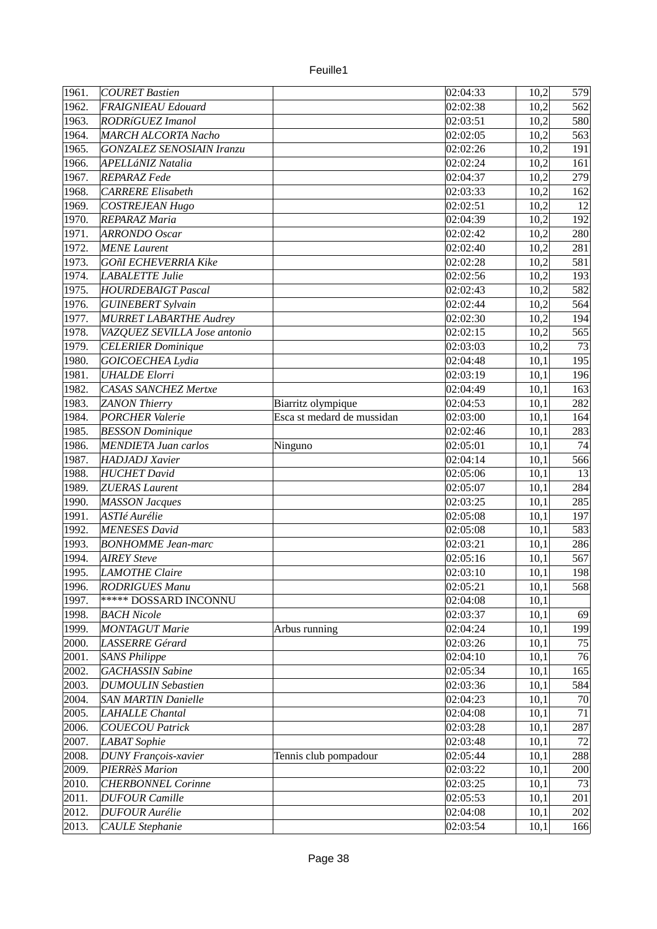| 1961.          | COURET Bastien                                |                            | 02:04:33             | 10,2         | 579        |
|----------------|-----------------------------------------------|----------------------------|----------------------|--------------|------------|
| 1962.          | FRAIGNIEAU Edouard                            |                            | 02:02:38             | 10,2         | 562        |
| 1963.          | <b>RODRíGUEZ Imanol</b>                       |                            | 02:03:51             | 10,2         | 580        |
| 1964.          | <b>MARCH ALCORTA Nacho</b>                    |                            | 02:02:05             | 10,2         | 563        |
| 1965.          | <b>GONZALEZ SENOSIAIN Iranzu</b>              |                            | 02:02:26             | 10,2         | 191        |
| 1966.          | APELLáNIZ Natalia                             |                            | 02:02:24             | 10,2         | 161        |
| 1967.          | REPARAZ Fede                                  |                            | 02:04:37             | 10,2         | 279        |
| 1968.          | <b>CARRERE Elisabeth</b>                      |                            | 02:03:33             | 10,2         | 162        |
| 1969.          | <b>COSTREJEAN Hugo</b>                        |                            | 02:02:51             | 10,2         | 12         |
| 1970.          | <b>REPARAZ Maria</b>                          |                            | 02:04:39             | 10,2         | 192        |
| 1971.          | <b>ARRONDO</b> Oscar                          |                            | 02:02:42             | 10,2         | 280        |
| 1972.          | <b>MENE</b> Laurent                           |                            | 02:02:40             | 10,2         | 281        |
| 1973.          | GOñI ECHEVERRIA Kike                          |                            | 02:02:28             | 10,2         | 581        |
| 1974.          | <b>LABALETTE Julie</b>                        |                            | 02:02:56             | 10,2         | 193        |
| 1975.          | <b>HOURDEBAIGT Pascal</b>                     |                            | 02:02:43             | 10,2         | 582        |
| 1976.          | <b>GUINEBERT Sylvain</b>                      |                            | 02:02:44             | 10,2         | 564        |
| 1977.          | <b>MURRET LABARTHE Audrey</b>                 |                            | 02:02:30             | 10,2         | 194        |
| 1978.          | VAZQUEZ SEVILLA Jose antonio                  |                            | 02:02:15             | 10,2         | 565        |
| 1979.          | <b>CELERIER Dominique</b>                     |                            | 02:03:03             | 10,2         | 73         |
| 1980.          | GOICOECHEA Lydia                              |                            | 02:04:48             | 10,1         | 195        |
| 1981.          | <b>UHALDE Elorri</b>                          |                            | 02:03:19             | 10,1         | 196        |
| 1982.          | <b>CASAS SANCHEZ Mertxe</b>                   |                            | 02:04:49             | 10,1         | 163        |
| 1983.          | <b>ZANON Thierry</b>                          | Biarritz olympique         | 02:04:53             | 10,1         | 282        |
| 1984.          | <b>PORCHER Valerie</b>                        | Esca st medard de mussidan | 02:03:00             | 10,1         | 164        |
| 1985.          | <b>BESSON</b> Dominique                       |                            | 02:02:46             | 10,1         | 283        |
| 1986.          | <b>MENDIETA Juan carlos</b>                   | Ninguno                    | 02:05:01             | 10,1         | 74         |
| 1987.          | <b>HADJADJ</b> Xavier                         |                            | 02:04:14             | 10,1         | 566        |
| 1988.          | <b>HUCHET</b> David                           |                            | 02:05:06             | 10,1         | 13         |
| 1989.          | <b>ZUERAS Laurent</b>                         |                            | 02:05:07             | 10,1         | 284        |
| 1990.          | <b>MASSON Jacques</b>                         |                            | 02:03:25             | 10,1         | 285        |
| 1991.          | <b>ASTIé Aurélie</b>                          |                            | 02:05:08             | 10,1         | 197        |
| 1992.          | <b>MENESES David</b>                          |                            | 02:05:08             | 10,1         | 583        |
| 1993.          | <b>BONHOMME</b> Jean-marc                     |                            | 02:03:21             | 10,1         | 286        |
| 1994.          | <b>AIREY Steve</b>                            |                            | 02:05:16             | 10,1         | 567        |
| 1995.          | <b>LAMOTHE Claire</b>                         |                            | 02:03:10             | 10,1         | 198        |
| 1996.          | <b>RODRIGUES Manu</b>                         |                            | 02:05:21             | 10,1         | 568        |
| 1997.          | ***** DOSSARD INCONNU                         |                            | 02:04:08             | 10,1         |            |
| 1998.          | <b>BACH Nicole</b>                            |                            | 02:03:37             | 10,1         | 69         |
| 1999.          | <b>MONTAGUT Marie</b>                         | Arbus running              | 02:04:24             | 10,1         | 199        |
| 2000.          | LASSERRE Gérard                               |                            | 02:03:26             | 10,1         | 75         |
| 2001.          | <b>SANS Philippe</b>                          |                            | 02:04:10             | 10,1         | 76         |
| 2002.          | <b>GACHASSIN Sabine</b>                       |                            | 02:05:34             | 10,1         | 165        |
| 2003.          | <b>DUMOULIN Sebastien</b>                     |                            | 02:03:36             |              |            |
| 2004.          | <b>SAN MARTIN Danielle</b>                    |                            | 02:04:23             | 10,1         | 584<br>70  |
|                | <b>LAHALLE Chantal</b>                        |                            |                      | 10,1         | 71         |
| 2005.          | <b>COUECOU Patrick</b>                        |                            | 02:04:08             | 10,1         | 287        |
| 2006.<br>2007. |                                               |                            | 02:03:28             | 10,1         | 72         |
|                | LABAT Sophie                                  |                            | 02:03:48             | 10,1         |            |
| 2008.<br>2009. | <b>DUNY François-xavier</b><br>PIERRèS Marion | Tennis club pompadour      | 02:05:44<br>02:03:22 | 10,1<br>10,1 | 288<br>200 |
| 2010.          | <b>CHERBONNEL Corinne</b>                     |                            | 02:03:25             | 10,1         | 73         |
| 2011.          | <b>DUFOUR Camille</b>                         |                            | 02:05:53             | 10,1         | 201        |
| 2012.          | <b>DUFOUR Aurélie</b>                         |                            | 02:04:08             | 10,1         | 202        |
| 2013.          | <b>CAULE Stephanie</b>                        |                            | 02:03:54             | 10,1         | 166        |
|                |                                               |                            |                      |              |            |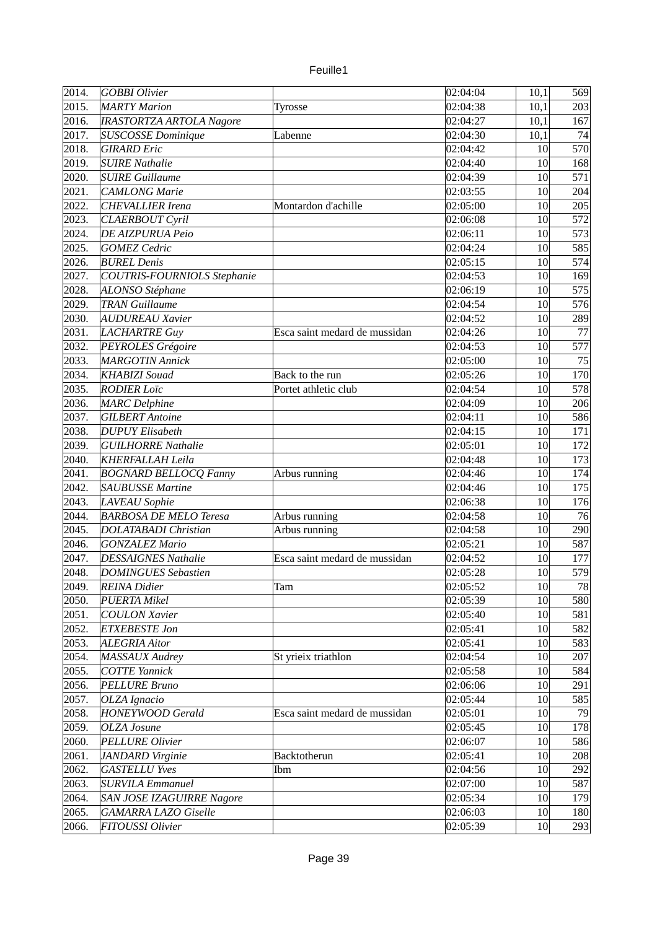| euile |  |
|-------|--|
|       |  |

| 2014. | GOBBI Olivier                    |                               | 02:04:04 | 10,1 | 569 |
|-------|----------------------------------|-------------------------------|----------|------|-----|
| 2015. | <b>MARTY Marion</b>              | Tyrosse                       | 02:04:38 | 10,1 | 203 |
| 2016. | <b>IRASTORTZA ARTOLA Nagore</b>  |                               | 02:04:27 | 10,1 | 167 |
| 2017. | <b>SUSCOSSE</b> Dominique        | Labenne                       | 02:04:30 | 10,1 | 74  |
| 2018. | <b>GIRARD</b> Eric               |                               | 02:04:42 | 10   | 570 |
| 2019. | <b>SUIRE Nathalie</b>            |                               | 02:04:40 | 10   | 168 |
| 2020. | <b>SUIRE Guillaume</b>           |                               | 02:04:39 | 10   | 571 |
| 2021. | <b>CAMLONG Marie</b>             |                               | 02:03:55 | 10   | 204 |
| 2022. | <b>CHEVALLIER Irena</b>          | Montardon d'achille           | 02:05:00 | 10   | 205 |
| 2023. | <b>CLAERBOUT Cyril</b>           |                               | 02:06:08 | 10   | 572 |
| 2024. | <b>DE AIZPURUA Peio</b>          |                               | 02:06:11 | 10   | 573 |
| 2025. | <b>GOMEZ</b> Cedric              |                               | 02:04:24 | 10   | 585 |
| 2026. | <b>BUREL Denis</b>               |                               | 02:05:15 | 10   | 574 |
| 2027. | COUTRIS-FOURNIOLS Stephanie      |                               | 02:04:53 | 10   | 169 |
| 2028. | ALONSO Stéphane                  |                               | 02:06:19 | 10   | 575 |
| 2029. | <b>TRAN Guillaume</b>            |                               | 02:04:54 | 10   | 576 |
| 2030. | <b>AUDUREAU Xavier</b>           |                               | 02:04:52 | 10   | 289 |
| 2031. | LACHARTRE Guy                    | Esca saint medard de mussidan | 02:04:26 | 10   | 77  |
| 2032. | PEYROLES Grégoire                |                               | 02:04:53 | 10   | 577 |
| 2033. | <b>MARGOTIN Annick</b>           |                               | 02:05:00 | 10   | 75  |
| 2034. | <b>KHABIZI</b> Souad             | Back to the run               | 02:05:26 | 10   | 170 |
|       |                                  |                               |          |      |     |
| 2035. | <b>RODIER Loïc</b>               | Portet athletic club          | 02:04:54 | 10   | 578 |
| 2036. | <b>MARC</b> Delphine             |                               | 02:04:09 | 10   | 206 |
| 2037. | <b>GILBERT</b> Antoine           |                               | 02:04:11 | 10   | 586 |
| 2038. | <b>DUPUY Elisabeth</b>           |                               | 02:04:15 | 10   | 171 |
| 2039. | <b>GUILHORRE Nathalie</b>        |                               | 02:05:01 | 10   | 172 |
| 2040. | KHERFALLAH Leila                 |                               | 02:04:48 | 10   | 173 |
| 2041. | <b>BOGNARD BELLOCQ Fanny</b>     | Arbus running                 | 02:04:46 | 10   | 174 |
| 2042. | <b>SAUBUSSE Martine</b>          |                               | 02:04:46 | 10   | 175 |
| 2043. | <b>LAVEAU</b> Sophie             |                               | 02:06:38 | 10   | 176 |
| 2044. | <b>BARBOSA DE MELO Teresa</b>    | Arbus running                 | 02:04:58 | 10   | 76  |
| 2045. | <b>DOLATABADI</b> Christian      | Arbus running                 | 02:04:58 | 10   | 290 |
| 2046. | <b>GONZALEZ Mario</b>            |                               | 02:05:21 | 10   | 587 |
| 2047. | <b>DESSAIGNES Nathalie</b>       | Esca saint medard de mussidan | 02:04:52 | 10   | 177 |
| 2048. | <b>DOMINGUES Sebastien</b>       |                               | 02:05:28 | 10   | 579 |
| 2049. | <b>REINA</b> Didier              | Tam                           | 02:05:52 | 10   | 78  |
| 2050. | PUERTA Mikel                     |                               | 02:05:39 | 10   | 580 |
| 2051. | <b>COULON Xavier</b>             |                               | 02:05:40 | 10   | 581 |
| 2052. | <b>ETXEBESTE Jon</b>             |                               | 02:05:41 | 10   | 582 |
| 2053. | ALEGRIA Aitor                    |                               | 02:05:41 | 10   | 583 |
| 2054. | MASSAUX Audrey                   | St yrieix triathlon           | 02:04:54 | 10   | 207 |
| 2055. | <b>COTTE Yannick</b>             |                               | 02:05:58 | 10   | 584 |
| 2056. | <b>PELLURE Bruno</b>             |                               | 02:06:06 | 10   | 291 |
| 2057. | OLZA Ignacio                     |                               | 02:05:44 | 10   | 585 |
| 2058. | <b>HONEYWOOD Gerald</b>          | Esca saint medard de mussidan | 02:05:01 | 10   | 79  |
| 2059. | OLZA Josune                      |                               | 02:05:45 | 10   | 178 |
| 2060. | <b>PELLURE Olivier</b>           |                               | 02:06:07 | 10   | 586 |
| 2061. | JANDARD Virginie                 | Backtotherun                  | 02:05:41 | 10   | 208 |
| 2062. | <b>GASTELLU Yves</b>             | Ibm                           | 02:04:56 | 10   | 292 |
| 2063. | <b>SURVILA Emmanuel</b>          |                               | 02:07:00 | 10   | 587 |
| 2064. | <b>SAN JOSE IZAGUIRRE Nagore</b> |                               | 02:05:34 | 10   | 179 |
| 2065. | <b>GAMARRA LAZO Giselle</b>      |                               | 02:06:03 | 10   | 180 |
| 2066. | FITOUSSI Olivier                 |                               | 02:05:39 | 10   | 293 |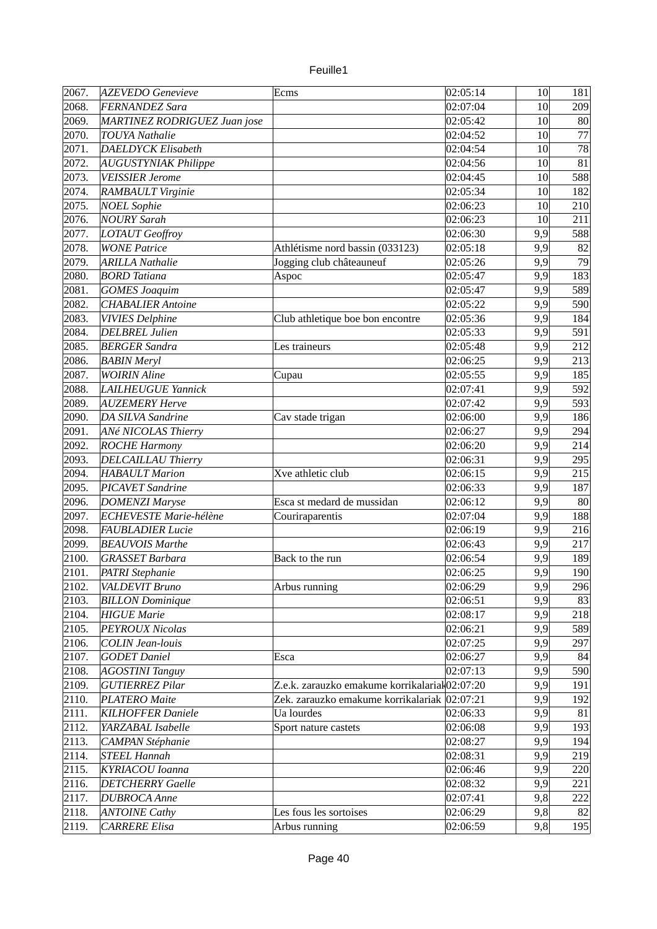| 2067. | <b>AZEVEDO Genevieve</b>      | Ecms                                           | 02:05:14 | 10 <sup>1</sup> | 181 |
|-------|-------------------------------|------------------------------------------------|----------|-----------------|-----|
| 2068. | FERNANDEZ Sara                |                                                | 02:07:04 | 10              | 209 |
| 2069. | MARTINEZ RODRIGUEZ Juan jose  |                                                | 02:05:42 | 10              | 80  |
| 2070. | <b>TOUYA Nathalie</b>         |                                                | 02:04:52 | 10              | 77  |
| 2071. | <b>DAELDYCK Elisabeth</b>     |                                                | 02:04:54 | 10              | 78  |
| 2072. | <b>AUGUSTYNIAK Philippe</b>   |                                                | 02:04:56 | 10              | 81  |
|       |                               |                                                |          | 10              | 588 |
| 2073. | <b>VEISSIER Jerome</b>        |                                                | 02:04:45 |                 |     |
| 2074. | RAMBAULT Virginie             |                                                | 02:05:34 | 10              | 182 |
| 2075. | <b>NOEL Sophie</b>            |                                                | 02:06:23 | 10              | 210 |
| 2076. | <b>NOURY Sarah</b>            |                                                | 02:06:23 | 10              | 211 |
| 2077. | LOTAUT Geoffroy               |                                                | 02:06:30 | 9,9             | 588 |
| 2078. | <b>WONE Patrice</b>           | Athlétisme nord bassin (033123)                | 02:05:18 | 9,9             | 82  |
| 2079. | <b>ARILLA Nathalie</b>        | Jogging club châteauneuf                       | 02:05:26 | 9,9             | 79  |
| 2080. | <b>BORD</b> Tatiana           | Aspoc                                          | 02:05:47 | 9,9             | 183 |
| 2081. | <b>GOMES Joaquim</b>          |                                                | 02:05:47 | 9,9             | 589 |
| 2082. | <b>CHABALIER Antoine</b>      |                                                | 02:05:22 | 9,9             | 590 |
| 2083. | <b>VIVIES Delphine</b>        | Club athletique boe bon encontre               | 02:05:36 | 9,9             | 184 |
| 2084. | <b>DELBREL Julien</b>         |                                                | 02:05:33 | 9,9             | 591 |
| 2085. | <b>BERGER Sandra</b>          | Les traineurs                                  | 02:05:48 | 9,9             | 212 |
| 2086. | <b>BABIN Meryl</b>            |                                                | 02:06:25 | 9,9             | 213 |
| 2087. | <b>WOIRIN Aline</b>           | Cupau                                          | 02:05:55 | 9,9             | 185 |
| 2088. | <b>LAILHEUGUE Yannick</b>     |                                                | 02:07:41 | 9,9             | 592 |
| 2089. | <b>AUZEMERY Herve</b>         |                                                | 02:07:42 | 9,9             | 593 |
| 2090. | <b>DA SILVA Sandrine</b>      | Cav stade trigan                               | 02:06:00 | 9,9             | 186 |
| 2091. | ANé NICOLAS Thierry           |                                                | 02:06:27 | 9,9             | 294 |
| 2092. | <b>ROCHE Harmony</b>          |                                                | 02:06:20 | 9,9             | 214 |
| 2093. | <b>DELCAILLAU Thierry</b>     |                                                | 02:06:31 | 9,9             | 295 |
| 2094. | <b>HABAULT Marion</b>         | Xve athletic club                              | 02:06:15 | 9,9             | 215 |
| 2095. | <b>PICAVET Sandrine</b>       |                                                | 02:06:33 | 9,9             | 187 |
| 2096. | <b>DOMENZI Maryse</b>         | Esca st medard de mussidan                     | 02:06:12 | 9,9             | 80  |
| 2097. | <b>ECHEVESTE Marie-hélène</b> | Couriraparentis                                | 02:07:04 | 9,9             | 188 |
| 2098. | <b>FAUBLADIER Lucie</b>       |                                                | 02:06:19 | 9,9             | 216 |
| 2099. | <b>BEAUVOIS Marthe</b>        |                                                | 02:06:43 | 9,9             | 217 |
| 2100. | <b>GRASSET Barbara</b>        | Back to the run                                | 02:06:54 | 9,9             | 189 |
| 2101. | PATRI Stephanie               |                                                | 02:06:25 | 9,9             | 190 |
| 2102. | VALDEVIT Bruno                | Arbus running                                  | 02:06:29 | 9,9             | 296 |
| 2103. | <b>BILLON</b> Dominique       |                                                | 02:06:51 | 9,9             | 83  |
| 2104. | <b>HIGUE Marie</b>            |                                                | 02:08:17 | 9,9             | 218 |
| 2105. | <b>PEYROUX Nicolas</b>        |                                                | 02:06:21 | 9,9             | 589 |
| 2106. | <b>COLIN Jean-louis</b>       |                                                | 02:07:25 | 9,9             | 297 |
|       |                               |                                                |          |                 |     |
| 2107. | <b>GODET</b> Daniel           | Esca                                           | 02:06:27 | 9,9             | 84  |
| 2108. | <b>AGOSTINI Tanguy</b>        |                                                | 02:07:13 | 9,9             | 590 |
| 2109. | <b>GUTIERREZ Pilar</b>        | Z.e.k. zarauzko emakume korrikalariał 02:07:20 |          | 9,9             | 191 |
| 2110. | <b>PLATERO Maite</b>          | Zek. zarauzko emakume korrikalariak 02:07:21   |          | 9,9             | 192 |
| 2111. | <b>KILHOFFER Daniele</b>      | Ua lourdes                                     | 02:06:33 | 9,9             | 81  |
| 2112. | YARZABAL Isabelle             | Sport nature castets                           | 02:06:08 | 9,9             | 193 |
| 2113. | <b>CAMPAN Stéphanie</b>       |                                                | 02:08:27 | 9,9             | 194 |
| 2114. | <b>STEEL Hannah</b>           |                                                | 02:08:31 | 9,9             | 219 |
| 2115. | KYRIACOU Ioanna               |                                                | 02:06:46 | 9,9             | 220 |
| 2116. | <b>DETCHERRY</b> Gaelle       |                                                | 02:08:32 | 9,9             | 221 |
| 2117. | <b>DUBROCA</b> Anne           |                                                | 02:07:41 | 9,8             | 222 |
| 2118. | <b>ANTOINE Cathy</b>          | Les fous les sortoises                         | 02:06:29 | 9,8             | 82  |
| 2119. | <b>CARRERE Elisa</b>          | Arbus running                                  | 02:06:59 | 9,8             | 195 |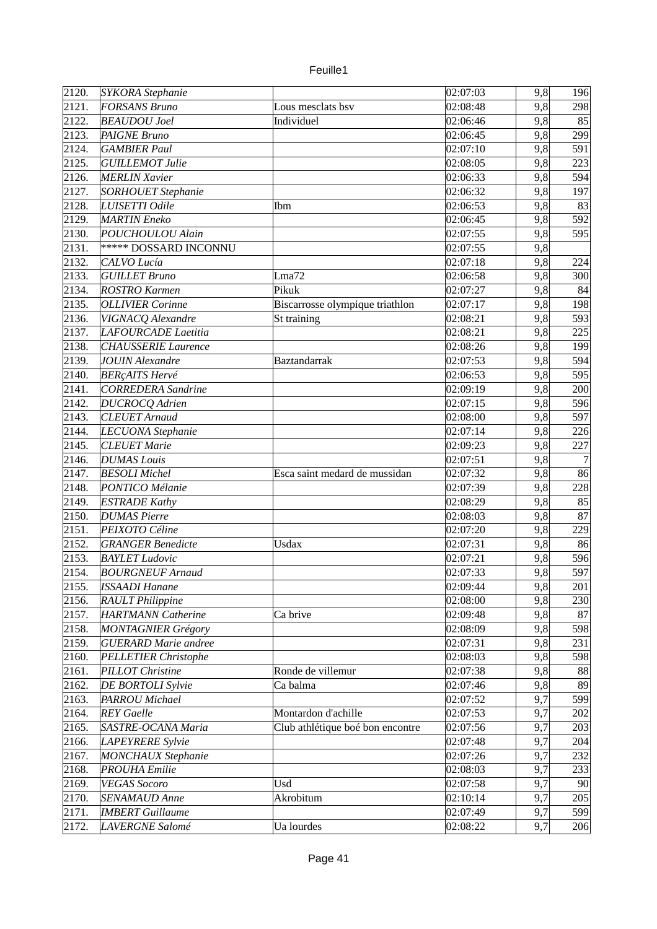| 2121.<br>FORSANS Bruno<br>9,8<br>02:08:48<br>298<br>Lous mesclats bsv<br>2122.<br><b>BEAUDOU</b> Joel<br>9,8<br>Individuel<br>02:06:46<br>85<br>2123.<br>9,8<br>299<br><b>PAIGNE Bruno</b><br>02:06:45<br>9,8<br>2124.<br><b>GAMBIER Paul</b><br>02:07:10<br>591<br>9,8<br>2125.<br>223<br><b>GUILLEMOT Julie</b><br>02:08:05<br>9,8<br>2126.<br><b>MERLIN Xavier</b><br>02:06:33<br>594<br>9,8<br>2127.<br><b>SORHOUET Stephanie</b><br>197<br>02:06:32<br>2128.<br>9,8<br>LUISETTI Odile<br>02:06:53<br>83<br>Ibm<br>2129.<br><b>MARTIN</b> Eneko<br>9,8<br>592<br>02:06:45<br>2130.<br>POUCHOULOU Alain<br>02:07:55<br>9,8<br>595<br>***** DOSSARD INCONNU<br>9,8<br>2131.<br>02:07:55<br>9,8<br>2132.<br>CALVO Lucía<br>02:07:18<br>224<br>2133.<br><b>GUILLET Bruno</b><br>02:06:58<br>9,8<br>300<br>Lma72<br>2134.<br>Pikuk<br>9,8<br><b>ROSTRO Karmen</b><br>02:07:27<br>84<br>2135.<br>9,8<br>198<br><b>OLLIVIER Corinne</b><br>Biscarrosse olympique triathlon<br>02:07:17<br>2136.<br>9,8<br>VIGNACQ Alexandre<br>St training<br>02:08:21<br>593<br>2137.<br>LAFOURCADE Laetitia<br>02:08:21<br>9,8<br>225<br>199<br>2138.<br><b>CHAUSSERIE Laurence</b><br>02:08:26<br>9,8<br>2139.<br><b>JOUIN Alexandre</b><br>9,8<br>594<br>Baztandarrak<br>02:07:53<br>2140.<br><b>BERÇAITS Hervé</b><br>9,8<br>595<br>02:06:53<br>9,8<br>2141.<br><b>CORREDERA</b> Sandrine<br>200<br>02:09:19<br>2142.<br>9,8<br><b>DUCROCQ Adrien</b><br>02:07:15<br>596<br>2143.<br><b>CLEUET</b> Arnaud<br>9,8<br>02:08:00<br>597<br>9,8<br> 2144.<br>LECUONA Stephanie<br>02:07:14<br>226<br>2145.<br>9,8<br>227<br><b>CLEUET Marie</b><br>02:09:23<br>2146.<br><b>DUMAS</b> Louis<br>9,8<br>7<br>02:07:51<br>9,8<br>86<br> 2147.<br><b>BESOLI</b> Michel<br>Esca saint medard de mussidan<br>02:07:32<br>2148.<br>9,8<br>228<br>PONTICO Mélanie<br>02:07:39<br>9,8<br>2149.<br><b>ESTRADE Kathy</b><br>85<br>02:08:29<br>9,8<br>87<br>2150.<br><b>DUMAS Pierre</b><br>02:08:03<br>2151.<br>9,8<br>PEIXOTO Céline<br>02:07:20<br>229<br>2152.<br>86<br><b>GRANGER Benedicte</b><br><b>Usdax</b><br>02:07:31<br>9,8<br>596<br>2153.<br><b>BAYLET Ludovic</b><br>02:07:21<br>9,8<br>9,8<br>2154.<br>597<br><b>BOURGNEUF Arnaud</b><br>02:07:33<br>02:09:44<br>9,8<br>2155.<br><b>ISSAADI Hanane</b><br>201<br>2156.<br><b>RAULT Philippine</b><br>02:08:00<br>9,8<br>230<br><b>HARTMANN Catherine</b><br>02:09:48<br>9,8<br>2157.<br>87<br>Ca brive<br>2158.<br>9,8<br><b>MONTAGNIER Grégory</b><br>02:08:09<br>598<br>2159.<br><b>GUERARD Marie andree</b><br>02:07:31<br>9,8<br>231<br>2160.<br><b>PELLETIER Christophe</b><br>02:08:03<br>9,8<br>598<br>2161.<br><b>PILLOT</b> Christine<br>Ronde de villemur<br>02:07:38<br>9,8<br>88<br>2162.<br>DE BORTOLI Sylvie<br>02:07:46<br>9,8<br>89<br>Ca balma<br>9,7<br>2163.<br>PARROU Michael<br>02:07:52<br>599<br>2164.<br><b>REY Gaelle</b><br>Montardon d'achille<br>9,7<br>202<br>02:07:53<br>2165.<br>9,7<br>SASTRE-OCANA Maria<br>Club athlétique boé bon encontre<br>02:07:56<br>203<br>2166.<br>02:07:48<br><b>LAPEYRERE Sylvie</b><br>9,7<br>204<br>2167.<br>02:07:26<br>232<br><b>MONCHAUX Stephanie</b><br>9,7<br>2168.<br>PROUHA Emilie<br>02:08:03<br>9,7<br>233<br>2169.<br><b>VEGAS</b> Socoro<br>Usd<br>02:07:58<br>9,7<br>90<br>Akrobitum<br>02:10:14<br>205<br>2170.<br><b>SENAMAUD Anne</b><br>9,7<br>2171.<br><b>IMBERT Guillaume</b><br>02:07:49<br>9,7<br>599<br>LAVERGNE Salomé<br>Ua lourdes<br>02:08:22<br>9,7<br>2172.<br>206 | 2120. | SYKORA Stephanie | 02:07:03 | 9,8 | 196 |
|----------------------------------------------------------------------------------------------------------------------------------------------------------------------------------------------------------------------------------------------------------------------------------------------------------------------------------------------------------------------------------------------------------------------------------------------------------------------------------------------------------------------------------------------------------------------------------------------------------------------------------------------------------------------------------------------------------------------------------------------------------------------------------------------------------------------------------------------------------------------------------------------------------------------------------------------------------------------------------------------------------------------------------------------------------------------------------------------------------------------------------------------------------------------------------------------------------------------------------------------------------------------------------------------------------------------------------------------------------------------------------------------------------------------------------------------------------------------------------------------------------------------------------------------------------------------------------------------------------------------------------------------------------------------------------------------------------------------------------------------------------------------------------------------------------------------------------------------------------------------------------------------------------------------------------------------------------------------------------------------------------------------------------------------------------------------------------------------------------------------------------------------------------------------------------------------------------------------------------------------------------------------------------------------------------------------------------------------------------------------------------------------------------------------------------------------------------------------------------------------------------------------------------------------------------------------------------------------------------------------------------------------------------------------------------------------------------------------------------------------------------------------------------------------------------------------------------------------------------------------------------------------------------------------------------------------------------------------------------------------------------------------------------------------------------------------------------------------------------------------------------------------------------------------------------------------------------------------------------------------------------------------------------------------------------------------------------------------------------------------------------------------------------------------------------------------------------------------------------------------|-------|------------------|----------|-----|-----|
|                                                                                                                                                                                                                                                                                                                                                                                                                                                                                                                                                                                                                                                                                                                                                                                                                                                                                                                                                                                                                                                                                                                                                                                                                                                                                                                                                                                                                                                                                                                                                                                                                                                                                                                                                                                                                                                                                                                                                                                                                                                                                                                                                                                                                                                                                                                                                                                                                                                                                                                                                                                                                                                                                                                                                                                                                                                                                                                                                                                                                                                                                                                                                                                                                                                                                                                                                                                                                                                                                              |       |                  |          |     |     |
|                                                                                                                                                                                                                                                                                                                                                                                                                                                                                                                                                                                                                                                                                                                                                                                                                                                                                                                                                                                                                                                                                                                                                                                                                                                                                                                                                                                                                                                                                                                                                                                                                                                                                                                                                                                                                                                                                                                                                                                                                                                                                                                                                                                                                                                                                                                                                                                                                                                                                                                                                                                                                                                                                                                                                                                                                                                                                                                                                                                                                                                                                                                                                                                                                                                                                                                                                                                                                                                                                              |       |                  |          |     |     |
|                                                                                                                                                                                                                                                                                                                                                                                                                                                                                                                                                                                                                                                                                                                                                                                                                                                                                                                                                                                                                                                                                                                                                                                                                                                                                                                                                                                                                                                                                                                                                                                                                                                                                                                                                                                                                                                                                                                                                                                                                                                                                                                                                                                                                                                                                                                                                                                                                                                                                                                                                                                                                                                                                                                                                                                                                                                                                                                                                                                                                                                                                                                                                                                                                                                                                                                                                                                                                                                                                              |       |                  |          |     |     |
|                                                                                                                                                                                                                                                                                                                                                                                                                                                                                                                                                                                                                                                                                                                                                                                                                                                                                                                                                                                                                                                                                                                                                                                                                                                                                                                                                                                                                                                                                                                                                                                                                                                                                                                                                                                                                                                                                                                                                                                                                                                                                                                                                                                                                                                                                                                                                                                                                                                                                                                                                                                                                                                                                                                                                                                                                                                                                                                                                                                                                                                                                                                                                                                                                                                                                                                                                                                                                                                                                              |       |                  |          |     |     |
|                                                                                                                                                                                                                                                                                                                                                                                                                                                                                                                                                                                                                                                                                                                                                                                                                                                                                                                                                                                                                                                                                                                                                                                                                                                                                                                                                                                                                                                                                                                                                                                                                                                                                                                                                                                                                                                                                                                                                                                                                                                                                                                                                                                                                                                                                                                                                                                                                                                                                                                                                                                                                                                                                                                                                                                                                                                                                                                                                                                                                                                                                                                                                                                                                                                                                                                                                                                                                                                                                              |       |                  |          |     |     |
|                                                                                                                                                                                                                                                                                                                                                                                                                                                                                                                                                                                                                                                                                                                                                                                                                                                                                                                                                                                                                                                                                                                                                                                                                                                                                                                                                                                                                                                                                                                                                                                                                                                                                                                                                                                                                                                                                                                                                                                                                                                                                                                                                                                                                                                                                                                                                                                                                                                                                                                                                                                                                                                                                                                                                                                                                                                                                                                                                                                                                                                                                                                                                                                                                                                                                                                                                                                                                                                                                              |       |                  |          |     |     |
|                                                                                                                                                                                                                                                                                                                                                                                                                                                                                                                                                                                                                                                                                                                                                                                                                                                                                                                                                                                                                                                                                                                                                                                                                                                                                                                                                                                                                                                                                                                                                                                                                                                                                                                                                                                                                                                                                                                                                                                                                                                                                                                                                                                                                                                                                                                                                                                                                                                                                                                                                                                                                                                                                                                                                                                                                                                                                                                                                                                                                                                                                                                                                                                                                                                                                                                                                                                                                                                                                              |       |                  |          |     |     |
|                                                                                                                                                                                                                                                                                                                                                                                                                                                                                                                                                                                                                                                                                                                                                                                                                                                                                                                                                                                                                                                                                                                                                                                                                                                                                                                                                                                                                                                                                                                                                                                                                                                                                                                                                                                                                                                                                                                                                                                                                                                                                                                                                                                                                                                                                                                                                                                                                                                                                                                                                                                                                                                                                                                                                                                                                                                                                                                                                                                                                                                                                                                                                                                                                                                                                                                                                                                                                                                                                              |       |                  |          |     |     |
|                                                                                                                                                                                                                                                                                                                                                                                                                                                                                                                                                                                                                                                                                                                                                                                                                                                                                                                                                                                                                                                                                                                                                                                                                                                                                                                                                                                                                                                                                                                                                                                                                                                                                                                                                                                                                                                                                                                                                                                                                                                                                                                                                                                                                                                                                                                                                                                                                                                                                                                                                                                                                                                                                                                                                                                                                                                                                                                                                                                                                                                                                                                                                                                                                                                                                                                                                                                                                                                                                              |       |                  |          |     |     |
|                                                                                                                                                                                                                                                                                                                                                                                                                                                                                                                                                                                                                                                                                                                                                                                                                                                                                                                                                                                                                                                                                                                                                                                                                                                                                                                                                                                                                                                                                                                                                                                                                                                                                                                                                                                                                                                                                                                                                                                                                                                                                                                                                                                                                                                                                                                                                                                                                                                                                                                                                                                                                                                                                                                                                                                                                                                                                                                                                                                                                                                                                                                                                                                                                                                                                                                                                                                                                                                                                              |       |                  |          |     |     |
|                                                                                                                                                                                                                                                                                                                                                                                                                                                                                                                                                                                                                                                                                                                                                                                                                                                                                                                                                                                                                                                                                                                                                                                                                                                                                                                                                                                                                                                                                                                                                                                                                                                                                                                                                                                                                                                                                                                                                                                                                                                                                                                                                                                                                                                                                                                                                                                                                                                                                                                                                                                                                                                                                                                                                                                                                                                                                                                                                                                                                                                                                                                                                                                                                                                                                                                                                                                                                                                                                              |       |                  |          |     |     |
|                                                                                                                                                                                                                                                                                                                                                                                                                                                                                                                                                                                                                                                                                                                                                                                                                                                                                                                                                                                                                                                                                                                                                                                                                                                                                                                                                                                                                                                                                                                                                                                                                                                                                                                                                                                                                                                                                                                                                                                                                                                                                                                                                                                                                                                                                                                                                                                                                                                                                                                                                                                                                                                                                                                                                                                                                                                                                                                                                                                                                                                                                                                                                                                                                                                                                                                                                                                                                                                                                              |       |                  |          |     |     |
|                                                                                                                                                                                                                                                                                                                                                                                                                                                                                                                                                                                                                                                                                                                                                                                                                                                                                                                                                                                                                                                                                                                                                                                                                                                                                                                                                                                                                                                                                                                                                                                                                                                                                                                                                                                                                                                                                                                                                                                                                                                                                                                                                                                                                                                                                                                                                                                                                                                                                                                                                                                                                                                                                                                                                                                                                                                                                                                                                                                                                                                                                                                                                                                                                                                                                                                                                                                                                                                                                              |       |                  |          |     |     |
|                                                                                                                                                                                                                                                                                                                                                                                                                                                                                                                                                                                                                                                                                                                                                                                                                                                                                                                                                                                                                                                                                                                                                                                                                                                                                                                                                                                                                                                                                                                                                                                                                                                                                                                                                                                                                                                                                                                                                                                                                                                                                                                                                                                                                                                                                                                                                                                                                                                                                                                                                                                                                                                                                                                                                                                                                                                                                                                                                                                                                                                                                                                                                                                                                                                                                                                                                                                                                                                                                              |       |                  |          |     |     |
|                                                                                                                                                                                                                                                                                                                                                                                                                                                                                                                                                                                                                                                                                                                                                                                                                                                                                                                                                                                                                                                                                                                                                                                                                                                                                                                                                                                                                                                                                                                                                                                                                                                                                                                                                                                                                                                                                                                                                                                                                                                                                                                                                                                                                                                                                                                                                                                                                                                                                                                                                                                                                                                                                                                                                                                                                                                                                                                                                                                                                                                                                                                                                                                                                                                                                                                                                                                                                                                                                              |       |                  |          |     |     |
|                                                                                                                                                                                                                                                                                                                                                                                                                                                                                                                                                                                                                                                                                                                                                                                                                                                                                                                                                                                                                                                                                                                                                                                                                                                                                                                                                                                                                                                                                                                                                                                                                                                                                                                                                                                                                                                                                                                                                                                                                                                                                                                                                                                                                                                                                                                                                                                                                                                                                                                                                                                                                                                                                                                                                                                                                                                                                                                                                                                                                                                                                                                                                                                                                                                                                                                                                                                                                                                                                              |       |                  |          |     |     |
|                                                                                                                                                                                                                                                                                                                                                                                                                                                                                                                                                                                                                                                                                                                                                                                                                                                                                                                                                                                                                                                                                                                                                                                                                                                                                                                                                                                                                                                                                                                                                                                                                                                                                                                                                                                                                                                                                                                                                                                                                                                                                                                                                                                                                                                                                                                                                                                                                                                                                                                                                                                                                                                                                                                                                                                                                                                                                                                                                                                                                                                                                                                                                                                                                                                                                                                                                                                                                                                                                              |       |                  |          |     |     |
|                                                                                                                                                                                                                                                                                                                                                                                                                                                                                                                                                                                                                                                                                                                                                                                                                                                                                                                                                                                                                                                                                                                                                                                                                                                                                                                                                                                                                                                                                                                                                                                                                                                                                                                                                                                                                                                                                                                                                                                                                                                                                                                                                                                                                                                                                                                                                                                                                                                                                                                                                                                                                                                                                                                                                                                                                                                                                                                                                                                                                                                                                                                                                                                                                                                                                                                                                                                                                                                                                              |       |                  |          |     |     |
|                                                                                                                                                                                                                                                                                                                                                                                                                                                                                                                                                                                                                                                                                                                                                                                                                                                                                                                                                                                                                                                                                                                                                                                                                                                                                                                                                                                                                                                                                                                                                                                                                                                                                                                                                                                                                                                                                                                                                                                                                                                                                                                                                                                                                                                                                                                                                                                                                                                                                                                                                                                                                                                                                                                                                                                                                                                                                                                                                                                                                                                                                                                                                                                                                                                                                                                                                                                                                                                                                              |       |                  |          |     |     |
|                                                                                                                                                                                                                                                                                                                                                                                                                                                                                                                                                                                                                                                                                                                                                                                                                                                                                                                                                                                                                                                                                                                                                                                                                                                                                                                                                                                                                                                                                                                                                                                                                                                                                                                                                                                                                                                                                                                                                                                                                                                                                                                                                                                                                                                                                                                                                                                                                                                                                                                                                                                                                                                                                                                                                                                                                                                                                                                                                                                                                                                                                                                                                                                                                                                                                                                                                                                                                                                                                              |       |                  |          |     |     |
|                                                                                                                                                                                                                                                                                                                                                                                                                                                                                                                                                                                                                                                                                                                                                                                                                                                                                                                                                                                                                                                                                                                                                                                                                                                                                                                                                                                                                                                                                                                                                                                                                                                                                                                                                                                                                                                                                                                                                                                                                                                                                                                                                                                                                                                                                                                                                                                                                                                                                                                                                                                                                                                                                                                                                                                                                                                                                                                                                                                                                                                                                                                                                                                                                                                                                                                                                                                                                                                                                              |       |                  |          |     |     |
|                                                                                                                                                                                                                                                                                                                                                                                                                                                                                                                                                                                                                                                                                                                                                                                                                                                                                                                                                                                                                                                                                                                                                                                                                                                                                                                                                                                                                                                                                                                                                                                                                                                                                                                                                                                                                                                                                                                                                                                                                                                                                                                                                                                                                                                                                                                                                                                                                                                                                                                                                                                                                                                                                                                                                                                                                                                                                                                                                                                                                                                                                                                                                                                                                                                                                                                                                                                                                                                                                              |       |                  |          |     |     |
|                                                                                                                                                                                                                                                                                                                                                                                                                                                                                                                                                                                                                                                                                                                                                                                                                                                                                                                                                                                                                                                                                                                                                                                                                                                                                                                                                                                                                                                                                                                                                                                                                                                                                                                                                                                                                                                                                                                                                                                                                                                                                                                                                                                                                                                                                                                                                                                                                                                                                                                                                                                                                                                                                                                                                                                                                                                                                                                                                                                                                                                                                                                                                                                                                                                                                                                                                                                                                                                                                              |       |                  |          |     |     |
|                                                                                                                                                                                                                                                                                                                                                                                                                                                                                                                                                                                                                                                                                                                                                                                                                                                                                                                                                                                                                                                                                                                                                                                                                                                                                                                                                                                                                                                                                                                                                                                                                                                                                                                                                                                                                                                                                                                                                                                                                                                                                                                                                                                                                                                                                                                                                                                                                                                                                                                                                                                                                                                                                                                                                                                                                                                                                                                                                                                                                                                                                                                                                                                                                                                                                                                                                                                                                                                                                              |       |                  |          |     |     |
|                                                                                                                                                                                                                                                                                                                                                                                                                                                                                                                                                                                                                                                                                                                                                                                                                                                                                                                                                                                                                                                                                                                                                                                                                                                                                                                                                                                                                                                                                                                                                                                                                                                                                                                                                                                                                                                                                                                                                                                                                                                                                                                                                                                                                                                                                                                                                                                                                                                                                                                                                                                                                                                                                                                                                                                                                                                                                                                                                                                                                                                                                                                                                                                                                                                                                                                                                                                                                                                                                              |       |                  |          |     |     |
|                                                                                                                                                                                                                                                                                                                                                                                                                                                                                                                                                                                                                                                                                                                                                                                                                                                                                                                                                                                                                                                                                                                                                                                                                                                                                                                                                                                                                                                                                                                                                                                                                                                                                                                                                                                                                                                                                                                                                                                                                                                                                                                                                                                                                                                                                                                                                                                                                                                                                                                                                                                                                                                                                                                                                                                                                                                                                                                                                                                                                                                                                                                                                                                                                                                                                                                                                                                                                                                                                              |       |                  |          |     |     |
|                                                                                                                                                                                                                                                                                                                                                                                                                                                                                                                                                                                                                                                                                                                                                                                                                                                                                                                                                                                                                                                                                                                                                                                                                                                                                                                                                                                                                                                                                                                                                                                                                                                                                                                                                                                                                                                                                                                                                                                                                                                                                                                                                                                                                                                                                                                                                                                                                                                                                                                                                                                                                                                                                                                                                                                                                                                                                                                                                                                                                                                                                                                                                                                                                                                                                                                                                                                                                                                                                              |       |                  |          |     |     |
|                                                                                                                                                                                                                                                                                                                                                                                                                                                                                                                                                                                                                                                                                                                                                                                                                                                                                                                                                                                                                                                                                                                                                                                                                                                                                                                                                                                                                                                                                                                                                                                                                                                                                                                                                                                                                                                                                                                                                                                                                                                                                                                                                                                                                                                                                                                                                                                                                                                                                                                                                                                                                                                                                                                                                                                                                                                                                                                                                                                                                                                                                                                                                                                                                                                                                                                                                                                                                                                                                              |       |                  |          |     |     |
|                                                                                                                                                                                                                                                                                                                                                                                                                                                                                                                                                                                                                                                                                                                                                                                                                                                                                                                                                                                                                                                                                                                                                                                                                                                                                                                                                                                                                                                                                                                                                                                                                                                                                                                                                                                                                                                                                                                                                                                                                                                                                                                                                                                                                                                                                                                                                                                                                                                                                                                                                                                                                                                                                                                                                                                                                                                                                                                                                                                                                                                                                                                                                                                                                                                                                                                                                                                                                                                                                              |       |                  |          |     |     |
|                                                                                                                                                                                                                                                                                                                                                                                                                                                                                                                                                                                                                                                                                                                                                                                                                                                                                                                                                                                                                                                                                                                                                                                                                                                                                                                                                                                                                                                                                                                                                                                                                                                                                                                                                                                                                                                                                                                                                                                                                                                                                                                                                                                                                                                                                                                                                                                                                                                                                                                                                                                                                                                                                                                                                                                                                                                                                                                                                                                                                                                                                                                                                                                                                                                                                                                                                                                                                                                                                              |       |                  |          |     |     |
|                                                                                                                                                                                                                                                                                                                                                                                                                                                                                                                                                                                                                                                                                                                                                                                                                                                                                                                                                                                                                                                                                                                                                                                                                                                                                                                                                                                                                                                                                                                                                                                                                                                                                                                                                                                                                                                                                                                                                                                                                                                                                                                                                                                                                                                                                                                                                                                                                                                                                                                                                                                                                                                                                                                                                                                                                                                                                                                                                                                                                                                                                                                                                                                                                                                                                                                                                                                                                                                                                              |       |                  |          |     |     |
|                                                                                                                                                                                                                                                                                                                                                                                                                                                                                                                                                                                                                                                                                                                                                                                                                                                                                                                                                                                                                                                                                                                                                                                                                                                                                                                                                                                                                                                                                                                                                                                                                                                                                                                                                                                                                                                                                                                                                                                                                                                                                                                                                                                                                                                                                                                                                                                                                                                                                                                                                                                                                                                                                                                                                                                                                                                                                                                                                                                                                                                                                                                                                                                                                                                                                                                                                                                                                                                                                              |       |                  |          |     |     |
|                                                                                                                                                                                                                                                                                                                                                                                                                                                                                                                                                                                                                                                                                                                                                                                                                                                                                                                                                                                                                                                                                                                                                                                                                                                                                                                                                                                                                                                                                                                                                                                                                                                                                                                                                                                                                                                                                                                                                                                                                                                                                                                                                                                                                                                                                                                                                                                                                                                                                                                                                                                                                                                                                                                                                                                                                                                                                                                                                                                                                                                                                                                                                                                                                                                                                                                                                                                                                                                                                              |       |                  |          |     |     |
|                                                                                                                                                                                                                                                                                                                                                                                                                                                                                                                                                                                                                                                                                                                                                                                                                                                                                                                                                                                                                                                                                                                                                                                                                                                                                                                                                                                                                                                                                                                                                                                                                                                                                                                                                                                                                                                                                                                                                                                                                                                                                                                                                                                                                                                                                                                                                                                                                                                                                                                                                                                                                                                                                                                                                                                                                                                                                                                                                                                                                                                                                                                                                                                                                                                                                                                                                                                                                                                                                              |       |                  |          |     |     |
|                                                                                                                                                                                                                                                                                                                                                                                                                                                                                                                                                                                                                                                                                                                                                                                                                                                                                                                                                                                                                                                                                                                                                                                                                                                                                                                                                                                                                                                                                                                                                                                                                                                                                                                                                                                                                                                                                                                                                                                                                                                                                                                                                                                                                                                                                                                                                                                                                                                                                                                                                                                                                                                                                                                                                                                                                                                                                                                                                                                                                                                                                                                                                                                                                                                                                                                                                                                                                                                                                              |       |                  |          |     |     |
|                                                                                                                                                                                                                                                                                                                                                                                                                                                                                                                                                                                                                                                                                                                                                                                                                                                                                                                                                                                                                                                                                                                                                                                                                                                                                                                                                                                                                                                                                                                                                                                                                                                                                                                                                                                                                                                                                                                                                                                                                                                                                                                                                                                                                                                                                                                                                                                                                                                                                                                                                                                                                                                                                                                                                                                                                                                                                                                                                                                                                                                                                                                                                                                                                                                                                                                                                                                                                                                                                              |       |                  |          |     |     |
|                                                                                                                                                                                                                                                                                                                                                                                                                                                                                                                                                                                                                                                                                                                                                                                                                                                                                                                                                                                                                                                                                                                                                                                                                                                                                                                                                                                                                                                                                                                                                                                                                                                                                                                                                                                                                                                                                                                                                                                                                                                                                                                                                                                                                                                                                                                                                                                                                                                                                                                                                                                                                                                                                                                                                                                                                                                                                                                                                                                                                                                                                                                                                                                                                                                                                                                                                                                                                                                                                              |       |                  |          |     |     |
|                                                                                                                                                                                                                                                                                                                                                                                                                                                                                                                                                                                                                                                                                                                                                                                                                                                                                                                                                                                                                                                                                                                                                                                                                                                                                                                                                                                                                                                                                                                                                                                                                                                                                                                                                                                                                                                                                                                                                                                                                                                                                                                                                                                                                                                                                                                                                                                                                                                                                                                                                                                                                                                                                                                                                                                                                                                                                                                                                                                                                                                                                                                                                                                                                                                                                                                                                                                                                                                                                              |       |                  |          |     |     |
|                                                                                                                                                                                                                                                                                                                                                                                                                                                                                                                                                                                                                                                                                                                                                                                                                                                                                                                                                                                                                                                                                                                                                                                                                                                                                                                                                                                                                                                                                                                                                                                                                                                                                                                                                                                                                                                                                                                                                                                                                                                                                                                                                                                                                                                                                                                                                                                                                                                                                                                                                                                                                                                                                                                                                                                                                                                                                                                                                                                                                                                                                                                                                                                                                                                                                                                                                                                                                                                                                              |       |                  |          |     |     |
|                                                                                                                                                                                                                                                                                                                                                                                                                                                                                                                                                                                                                                                                                                                                                                                                                                                                                                                                                                                                                                                                                                                                                                                                                                                                                                                                                                                                                                                                                                                                                                                                                                                                                                                                                                                                                                                                                                                                                                                                                                                                                                                                                                                                                                                                                                                                                                                                                                                                                                                                                                                                                                                                                                                                                                                                                                                                                                                                                                                                                                                                                                                                                                                                                                                                                                                                                                                                                                                                                              |       |                  |          |     |     |
|                                                                                                                                                                                                                                                                                                                                                                                                                                                                                                                                                                                                                                                                                                                                                                                                                                                                                                                                                                                                                                                                                                                                                                                                                                                                                                                                                                                                                                                                                                                                                                                                                                                                                                                                                                                                                                                                                                                                                                                                                                                                                                                                                                                                                                                                                                                                                                                                                                                                                                                                                                                                                                                                                                                                                                                                                                                                                                                                                                                                                                                                                                                                                                                                                                                                                                                                                                                                                                                                                              |       |                  |          |     |     |
|                                                                                                                                                                                                                                                                                                                                                                                                                                                                                                                                                                                                                                                                                                                                                                                                                                                                                                                                                                                                                                                                                                                                                                                                                                                                                                                                                                                                                                                                                                                                                                                                                                                                                                                                                                                                                                                                                                                                                                                                                                                                                                                                                                                                                                                                                                                                                                                                                                                                                                                                                                                                                                                                                                                                                                                                                                                                                                                                                                                                                                                                                                                                                                                                                                                                                                                                                                                                                                                                                              |       |                  |          |     |     |
|                                                                                                                                                                                                                                                                                                                                                                                                                                                                                                                                                                                                                                                                                                                                                                                                                                                                                                                                                                                                                                                                                                                                                                                                                                                                                                                                                                                                                                                                                                                                                                                                                                                                                                                                                                                                                                                                                                                                                                                                                                                                                                                                                                                                                                                                                                                                                                                                                                                                                                                                                                                                                                                                                                                                                                                                                                                                                                                                                                                                                                                                                                                                                                                                                                                                                                                                                                                                                                                                                              |       |                  |          |     |     |
|                                                                                                                                                                                                                                                                                                                                                                                                                                                                                                                                                                                                                                                                                                                                                                                                                                                                                                                                                                                                                                                                                                                                                                                                                                                                                                                                                                                                                                                                                                                                                                                                                                                                                                                                                                                                                                                                                                                                                                                                                                                                                                                                                                                                                                                                                                                                                                                                                                                                                                                                                                                                                                                                                                                                                                                                                                                                                                                                                                                                                                                                                                                                                                                                                                                                                                                                                                                                                                                                                              |       |                  |          |     |     |
|                                                                                                                                                                                                                                                                                                                                                                                                                                                                                                                                                                                                                                                                                                                                                                                                                                                                                                                                                                                                                                                                                                                                                                                                                                                                                                                                                                                                                                                                                                                                                                                                                                                                                                                                                                                                                                                                                                                                                                                                                                                                                                                                                                                                                                                                                                                                                                                                                                                                                                                                                                                                                                                                                                                                                                                                                                                                                                                                                                                                                                                                                                                                                                                                                                                                                                                                                                                                                                                                                              |       |                  |          |     |     |
|                                                                                                                                                                                                                                                                                                                                                                                                                                                                                                                                                                                                                                                                                                                                                                                                                                                                                                                                                                                                                                                                                                                                                                                                                                                                                                                                                                                                                                                                                                                                                                                                                                                                                                                                                                                                                                                                                                                                                                                                                                                                                                                                                                                                                                                                                                                                                                                                                                                                                                                                                                                                                                                                                                                                                                                                                                                                                                                                                                                                                                                                                                                                                                                                                                                                                                                                                                                                                                                                                              |       |                  |          |     |     |
|                                                                                                                                                                                                                                                                                                                                                                                                                                                                                                                                                                                                                                                                                                                                                                                                                                                                                                                                                                                                                                                                                                                                                                                                                                                                                                                                                                                                                                                                                                                                                                                                                                                                                                                                                                                                                                                                                                                                                                                                                                                                                                                                                                                                                                                                                                                                                                                                                                                                                                                                                                                                                                                                                                                                                                                                                                                                                                                                                                                                                                                                                                                                                                                                                                                                                                                                                                                                                                                                                              |       |                  |          |     |     |
|                                                                                                                                                                                                                                                                                                                                                                                                                                                                                                                                                                                                                                                                                                                                                                                                                                                                                                                                                                                                                                                                                                                                                                                                                                                                                                                                                                                                                                                                                                                                                                                                                                                                                                                                                                                                                                                                                                                                                                                                                                                                                                                                                                                                                                                                                                                                                                                                                                                                                                                                                                                                                                                                                                                                                                                                                                                                                                                                                                                                                                                                                                                                                                                                                                                                                                                                                                                                                                                                                              |       |                  |          |     |     |
|                                                                                                                                                                                                                                                                                                                                                                                                                                                                                                                                                                                                                                                                                                                                                                                                                                                                                                                                                                                                                                                                                                                                                                                                                                                                                                                                                                                                                                                                                                                                                                                                                                                                                                                                                                                                                                                                                                                                                                                                                                                                                                                                                                                                                                                                                                                                                                                                                                                                                                                                                                                                                                                                                                                                                                                                                                                                                                                                                                                                                                                                                                                                                                                                                                                                                                                                                                                                                                                                                              |       |                  |          |     |     |
|                                                                                                                                                                                                                                                                                                                                                                                                                                                                                                                                                                                                                                                                                                                                                                                                                                                                                                                                                                                                                                                                                                                                                                                                                                                                                                                                                                                                                                                                                                                                                                                                                                                                                                                                                                                                                                                                                                                                                                                                                                                                                                                                                                                                                                                                                                                                                                                                                                                                                                                                                                                                                                                                                                                                                                                                                                                                                                                                                                                                                                                                                                                                                                                                                                                                                                                                                                                                                                                                                              |       |                  |          |     |     |
|                                                                                                                                                                                                                                                                                                                                                                                                                                                                                                                                                                                                                                                                                                                                                                                                                                                                                                                                                                                                                                                                                                                                                                                                                                                                                                                                                                                                                                                                                                                                                                                                                                                                                                                                                                                                                                                                                                                                                                                                                                                                                                                                                                                                                                                                                                                                                                                                                                                                                                                                                                                                                                                                                                                                                                                                                                                                                                                                                                                                                                                                                                                                                                                                                                                                                                                                                                                                                                                                                              |       |                  |          |     |     |
|                                                                                                                                                                                                                                                                                                                                                                                                                                                                                                                                                                                                                                                                                                                                                                                                                                                                                                                                                                                                                                                                                                                                                                                                                                                                                                                                                                                                                                                                                                                                                                                                                                                                                                                                                                                                                                                                                                                                                                                                                                                                                                                                                                                                                                                                                                                                                                                                                                                                                                                                                                                                                                                                                                                                                                                                                                                                                                                                                                                                                                                                                                                                                                                                                                                                                                                                                                                                                                                                                              |       |                  |          |     |     |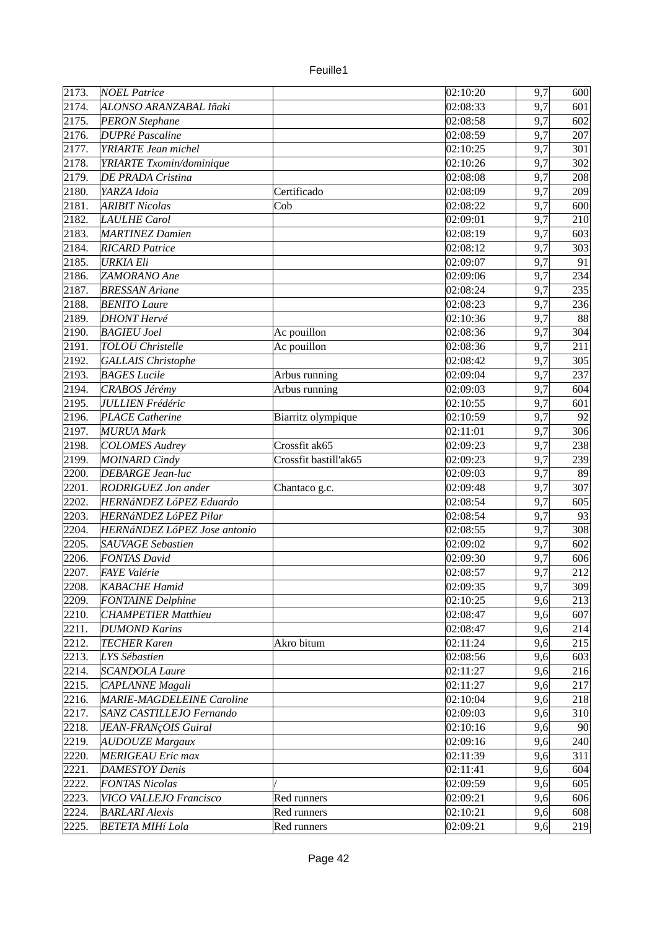| euile |  |
|-------|--|
|       |  |

| 2173. | <b>NOEL Patrice</b>              |                       | 02:10:20               | 9,7 | 600 |
|-------|----------------------------------|-----------------------|------------------------|-----|-----|
| 2174. | ALONSO ARANZABAL Iñaki           |                       | 02:08:33               | 9,7 | 601 |
| 2175. | <b>PERON Stephane</b>            |                       | 02:08:58               | 9,7 | 602 |
| 2176. | <b>DUPRé Pascaline</b>           |                       | 02:08:59               | 9,7 | 207 |
| 2177. | <b>YRIARTE</b> Jean michel       |                       | 02:10:25               | 9,7 | 301 |
| 2178. | YRIARTE Txomin/dominique         |                       | 02:10:26               | 9,7 | 302 |
| 2179. | DE PRADA Cristina                |                       | 02:08:08               | 9,7 | 208 |
| 2180. | YARZA Idoia                      | Certificado           | 02:08:09               | 9,7 | 209 |
| 2181. | <b>ARIBIT Nicolas</b>            | Cob                   | 02:08:22               | 9,7 | 600 |
| 2182. | LAULHE Carol                     |                       | 02:09:01               | 9,7 | 210 |
| 2183. | <b>MARTINEZ Damien</b>           |                       | 02:08:19               | 9,7 | 603 |
| 2184. | <b>RICARD Patrice</b>            |                       | 02:08:12               | 9,7 |     |
|       |                                  |                       |                        |     | 303 |
| 2185. | <b>URKIA Eli</b>                 |                       | 02:09:07               | 9,7 | 91  |
| 2186. | ZAMORANO Ane                     |                       | 02:09:06               | 9,7 | 234 |
| 2187. | <b>BRESSAN Ariane</b>            |                       | 02:08:24               | 9,7 | 235 |
| 2188. | <b>BENITO Laure</b>              |                       | 02:08:23               | 9,7 | 236 |
| 2189. | <b>DHONT</b> Hervé               |                       | 02:10:36               | 9,7 | 88  |
| 2190. | <b>BAGIEU</b> Joel               | Ac pouillon           | 02:08:36               | 9,7 | 304 |
| 2191. | <b>TOLOU</b> Christelle          | Ac pouillon           | 02:08:36               | 9,7 | 211 |
| 2192. | <b>GALLAIS Christophe</b>        |                       | 02:08:42               | 9,7 | 305 |
| 2193. | <b>BAGES</b> Lucile              | Arbus running         | 02:09:04               | 9,7 | 237 |
| 2194. | CRABOS Jérémy                    | Arbus running         | 02:09:03               | 9,7 | 604 |
| 2195. | <b>JULLIEN Frédéric</b>          |                       | 02:10:55               | 9,7 | 601 |
| 2196. | <b>PLACE Catherine</b>           | Biarritz olympique    | 02:10:59               | 9,7 | 92  |
| 2197. | <b>MURUA Mark</b>                |                       | 02:11:01               | 9,7 | 306 |
| 2198. | <b>COLOMES Audrey</b>            | Crossfit ak65         | 02:09:23               | 9,7 | 238 |
| 2199. | MOINARD Cindy                    | Crossfit bastill'ak65 | 02:09:23               | 9,7 | 239 |
| 2200. | <b>DEBARGE Jean-luc</b>          |                       | 02:09:03               | 9,7 | 89  |
| 2201. | RODRIGUEZ Jon ander              | Chantaco g.c.         | 02:09:48               | 9,7 | 307 |
| 2202. | HERNáNDEZ LóPEZ Eduardo          |                       | 02:08:54               | 9,7 | 605 |
| 2203. | HERNÁNDEZ LóPEZ Pilar            |                       | 02:08:54               | 9,7 | 93  |
| 2204. | HERNáNDEZ LóPEZ Jose antonio     |                       | 02:08:55               | 9,7 | 308 |
| 2205. | <b>SAUVAGE</b> Sebastien         |                       | $\sqrt{0}$ 2:09:02     | 9,7 | 602 |
| 2206. | <b>FONTAS David</b>              |                       | 02:09:30               | 9,7 | 606 |
| 2207. | FAYE Valérie                     |                       | 02:08:57               | 9,7 | 212 |
| 2208. | KABACHE Hamid                    |                       | 02:09:35               | 9,7 | 309 |
| 2209. | <b>FONTAINE</b> Delphine         |                       | 02:10:25               | 9,6 | 213 |
| 2210. | <b>CHAMPETIER Matthieu</b>       |                       | 02:08:47               | 9,6 | 607 |
| 2211. | <b>DUMOND Karins</b>             |                       | 02:08:47               | 9,6 | 214 |
| 2212. | <b>TECHER Karen</b>              | Akro bitum            | 02:11:24               | 9,6 | 215 |
| 2213. | LYS Sébastien                    |                       | 02:08:56               | 9,6 | 603 |
| 2214. | <b>SCANDOLA Laure</b>            |                       | 02:11:27               | 9,6 | 216 |
| 2215. | CAPLANNE Magali                  |                       | 02:11:27               | 9,6 | 217 |
| 2216. | <b>MARIE-MAGDELEINE Caroline</b> |                       | 02:10:04               | 9,6 | 218 |
| 2217. | SANZ CASTILLEJO Fernando         |                       | 02:09:03               | 9,6 | 310 |
| 2218. | JEAN-FRANÇOIS Guiral             |                       | 02:10:16               | 9,6 | 90  |
| 2219. | <b>AUDOUZE Margaux</b>           |                       | 02:09:16               | 9,6 | 240 |
| 2220. | MERIGEAU Eric max                |                       | 02:11:39               | 9,6 | 311 |
| 2221. | <b>DAMESTOY Denis</b>            |                       | 02:11:41               | 9,6 | 604 |
| 2222. | <b>FONTAS Nicolas</b>            |                       | 02:09:59               | 9,6 | 605 |
| 2223. | VICO VALLEJO Francisco           | Red runners           | $\overline{0}$ 2:09:21 | 9,6 | 606 |
| 2224. | <b>BARLARI Alexis</b>            | Red runners           | 02:10:21               | 9,6 | 608 |
| 2225. | <b>BETETA MIHí Lola</b>          | Red runners           | 02:09:21               | 9,6 | 219 |
|       |                                  |                       |                        |     |     |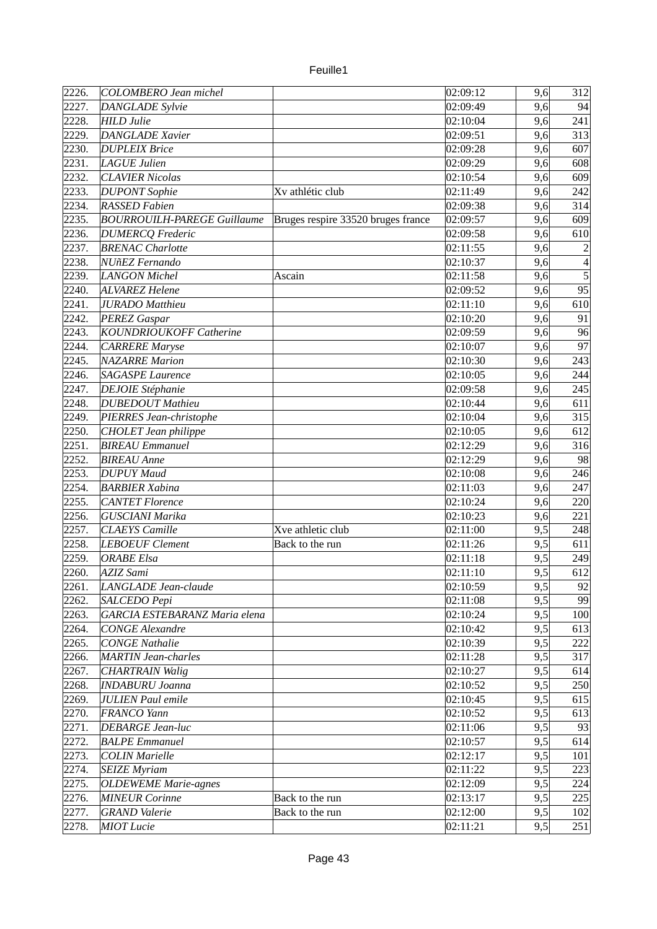| euille |  |
|--------|--|
|        |  |

| 2226. | COLOMBERO Jean michel              |                                    | 02:09:12              | 9,6 | 312            |
|-------|------------------------------------|------------------------------------|-----------------------|-----|----------------|
| 2227. | <b>DANGLADE Sylvie</b>             |                                    | 02:09:49              | 9,6 | 94             |
| 2228. | HILD Julie                         |                                    | 02:10:04              | 9,6 | 241            |
| 2229. | DANGLADE Xavier                    |                                    | 02:09:51              | 9,6 | 313            |
| 2230. | <b>DUPLEIX Brice</b>               |                                    | 02:09:28              | 9,6 | 607            |
| 2231. | LAGUE Julien                       |                                    | 02:09:29              | 9,6 | 608            |
| 2232. | <b>CLAVIER Nicolas</b>             |                                    | 02:10:54              | 9,6 | 609            |
| 2233. | <b>DUPONT</b> Sophie               | Xv athlétic club                   | 02:11:49              | 9,6 | 242            |
| 2234. | <b>RASSED Fabien</b>               |                                    | 02:09:38              | 9,6 | 314            |
| 2235. | <b>BOURROUILH-PAREGE Guillaume</b> | Bruges respire 33520 bruges france | 02:09:57              | 9,6 | 609            |
| 2236. | <b>DUMERCQ</b> Frederic            |                                    | 02:09:58              | 9,6 | 610            |
| 2237. | <b>BRENAC Charlotte</b>            |                                    | 02:11:55              | 9,6 | $\overline{2}$ |
| 2238. | NUñEZ Fernando                     |                                    | 02:10:37              | 9,6 | 4              |
| 2239. | LANGON Michel                      | Ascain                             | 02:11:58              | 9,6 | $\overline{5}$ |
| 2240. | ALVAREZ Helene                     |                                    | 02:09:52              | 9,6 | 95             |
| 2241. | <b>JURADO</b> Matthieu             |                                    | 02:11:10              | 9,6 | 610            |
| 2242. | <b>PEREZ Gaspar</b>                |                                    | 02:10:20              | 9,6 | 91             |
| 2243. | KOUNDRIOUKOFF Catherine            |                                    | 02:09:59              | 9,6 | 96             |
| 2244. | CARRERE Maryse                     |                                    | 02:10:07              | 9,6 | 97             |
| 2245. | <b>NAZARRE Marion</b>              |                                    | 02:10:30              | 9,6 | 243            |
| 2246. | <b>SAGASPE Laurence</b>            |                                    | 02:10:05              | 9,6 | 244            |
| 2247. | <b>DEJOIE</b> Stéphanie            |                                    | 02:09:58              | 9,6 | 245            |
| 2248. | <b>DUBEDOUT Mathieu</b>            |                                    | 02:10:44              | 9,6 | 611            |
| 2249. | PIERRES Jean-christophe            |                                    | 02:10:04              | 9,6 | 315            |
| 2250. | CHOLET Jean philippe               |                                    | 02:10:05              | 9,6 | 612            |
| 2251. | <b>BIREAU</b> Emmanuel             |                                    | 02:12:29              | 9,6 | 316            |
| 2252. | <b>BIREAU</b> Anne                 |                                    | 02:12:29              | 9,6 | 98             |
| 2253. | <b>DUPUY</b> Maud                  |                                    | 02:10:08              | 9,6 | 246            |
| 2254. | <b>BARBIER Xabina</b>              |                                    | 02:11:03              | 9,6 | 247            |
| 2255. | <b>CANTET Florence</b>             |                                    | 02:10:24              | 9,6 | 220            |
| 2256. | <b>GUSCIANI Marika</b>             |                                    | 02:10:23              | 9,6 | 221            |
| 2257. | <b>CLAEYS</b> Camille              | Xve athletic club                  | 02:11:00              | 9,5 | 248            |
| 2258. | <b>LEBOEUF Clement</b>             | Back to the run                    | 02:11:26              | 9,5 | 611            |
| 2259. | <b>ORABE</b> Elsa                  |                                    | 02:11:18              | 9,5 | 249            |
| 2260. | AZIZ Sami                          |                                    | 02:11:10              | 9,5 | 612            |
| 2261. | LANGLADE Jean-claude               |                                    | 02:10:59              | 9,5 | 92             |
| 2262. | SALCEDO Pepi                       |                                    | 02:11:08              | 9,5 | 99             |
| 2263. | GARCIA ESTEBARANZ Maria elena      |                                    | 02:10:24              | 9,5 | 100            |
| 2264. | <b>CONGE Alexandre</b>             |                                    | 02:10:42              | 9,5 | 613            |
| 2265. | <b>CONGE Nathalie</b>              |                                    | 02:10:39              | 9,5 | 222            |
| 2266. | <b>MARTIN Jean-charles</b>         |                                    | 02:11:28              | 9,5 | 317            |
| 2267. | <b>CHARTRAIN Walig</b>             |                                    | 02:10:27              | 9,5 | 614            |
| 2268. | <b>INDABURU Joanna</b>             |                                    | 02:10:52              | 9,5 | 250            |
| 2269. | <b>JULIEN Paul emile</b>           |                                    | 02:10:45              | 9,5 | 615            |
| 2270. | FRANCO Yann                        |                                    | 02:10:52              | 9,5 | 613            |
| 2271. | DEBARGE Jean-luc                   |                                    | 02:11:06              | 9,5 | 93             |
| 2272. | <b>BALPE Emmanuel</b>              |                                    | 02:10:57              | 9,5 | 614            |
| 2273. | <b>COLIN Marielle</b>              |                                    | 02:12:17              | 9,5 | 101            |
| 2274. | <b>SEIZE Myriam</b>                |                                    | 02:11:22              | 9,5 | 223            |
| 2275. | <b>OLDEWEME Marie-agnes</b>        |                                    | 02:12:09              | 9,5 | 224            |
| 2276. | <b>MINEUR Corinne</b>              | Back to the run                    | 02:13:17              | 9,5 | 225            |
| 2277. | <b>GRAND</b> Valerie               | Back to the run                    | $\overline{0}2:12:00$ | 9,5 | 102            |
| 2278. | <b>MIOT</b> Lucie                  |                                    | 02:11:21              | 9,5 | 251            |
|       |                                    |                                    |                       |     |                |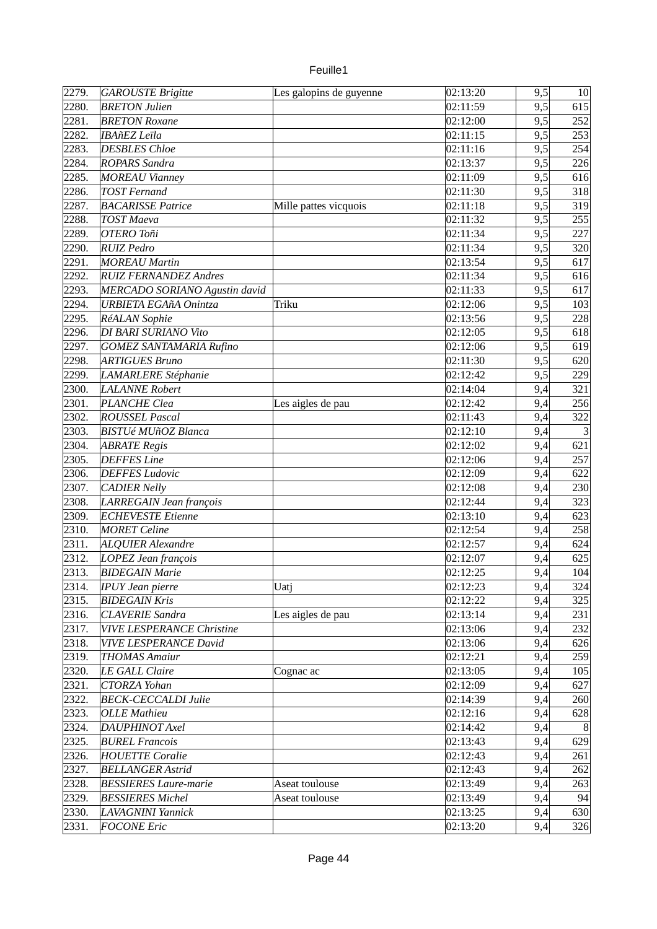| u rille |  |
|---------|--|
|         |  |

| 2279. | <b>GAROUSTE Brigitte</b>         | Les galopins de guyenne | 02:13:20          | 9,5 | 10  |
|-------|----------------------------------|-------------------------|-------------------|-----|-----|
| 2280. | <b>BRETON Julien</b>             |                         | 02:11:59          | 9,5 | 615 |
| 2281. | <b>BRETON Roxane</b>             |                         | 02:12:00          | 9,5 | 252 |
| 2282. | <b>IBAñEZ</b> Leïla              |                         | 02:11:15          | 9,5 | 253 |
| 2283. | <b>DESBLES</b> Chloe             |                         | 02:11:16          | 9,5 | 254 |
| 2284. | <b>ROPARS Sandra</b>             |                         | 02:13:37          | 9,5 | 226 |
| 2285. | <b>MOREAU Vianney</b>            |                         | 02:11:09          | 9,5 | 616 |
| 2286. | <b>TOST Fernand</b>              |                         | 02:11:30          | 9,5 | 318 |
| 2287. | <b>BACARISSE Patrice</b>         | Mille pattes vicquois   | 02:11:18          | 9,5 | 319 |
| 2288. | <b>TOST Maeva</b>                |                         | 02:11:32          | 9,5 | 255 |
| 2289. | OTERO Toñi                       |                         | 02:11:34          | 9,5 | 227 |
| 2290. | <b>RUIZ</b> Pedro                |                         | 02:11:34          | 9,5 | 320 |
| 2291. | <b>MOREAU Martin</b>             |                         | 02:13:54          | 9,5 | 617 |
| 2292. | <b>RUIZ FERNANDEZ Andres</b>     |                         | 02:11:34          | 9,5 | 616 |
| 2293. | MERCADO SORIANO Agustin david    |                         | 02:11:33          | 9,5 | 617 |
| 2294. | <b>URBIETA EGAñA Onintza</b>     | Triku                   | 02:12:06          | 9,5 | 103 |
| 2295. | RéALAN Sophie                    |                         | 02:13:56          | 9,5 | 228 |
| 2296. | DI BARI SURIANO Vito             |                         | 02:12:05          | 9,5 | 618 |
| 2297. | <b>GOMEZ SANTAMARIA Rufino</b>   |                         | 02:12:06          | 9,5 | 619 |
| 2298. | ARTIGUES Bruno                   |                         | 02:11:30          | 9,5 | 620 |
| 2299. | LAMARLERE Stéphanie              |                         | $\sqrt{02:12:42}$ | 9,5 | 229 |
|       |                                  |                         |                   |     |     |
| 2300. | <b>LALANNE Robert</b>            |                         | 02:14:04          | 9,4 | 321 |
| 2301. | <b>PLANCHE Clea</b>              | Les aigles de pau       | 02:12:42          | 9,4 | 256 |
| 2302. | <b>ROUSSEL Pascal</b>            |                         | 02:11:43          | 9,4 | 322 |
| 2303. | <b>BISTUé MUñOZ Blanca</b>       |                         | 02:12:10          | 9,4 |     |
| 2304. | <b>ABRATE Regis</b>              |                         | 02:12:02          | 9,4 | 621 |
| 2305. | <b>DEFFES Line</b>               |                         | 02:12:06          | 9,4 | 257 |
| 2306. | <b>DEFFES Ludovic</b>            |                         | 02:12:09          | 9,4 | 622 |
| 2307. | <b>CADIER Nelly</b>              |                         | 02:12:08          | 9,4 | 230 |
| 2308. | LARREGAIN Jean françois          |                         | 02:12:44          | 9,4 | 323 |
| 2309. | <b>ECHEVESTE Etienne</b>         |                         | 02:13:10          | 9,4 | 623 |
| 2310. | <b>MORET</b> Celine              |                         | 02:12:54          | 9,4 | 258 |
| 2311. | <b>ALQUIER Alexandre</b>         |                         | 02:12:57          | 9,4 | 624 |
| 2312. | LOPEZ Jean françois              |                         | 02:12:07          | 9,4 | 625 |
| 2313. | <b>BIDEGAIN Marie</b>            |                         | 02:12:25          | 9,4 | 104 |
| 2314. | <b>IPUY Jean pierre</b>          | Uatj                    | 02:12:23          | 9,4 | 324 |
| 2315. | <b>BIDEGAIN Kris</b>             |                         | 02:12:22          | 9,4 | 325 |
| 2316. | <b>CLAVERIE Sandra</b>           | Les aigles de pau       | 02:13:14          | 9,4 | 231 |
| 2317. | <b>VIVE LESPERANCE Christine</b> |                         | 02:13:06          | 9,4 | 232 |
| 2318. | <b>VIVE LESPERANCE David</b>     |                         | 02:13:06          | 9,4 | 626 |
| 2319. | <b>THOMAS Amaiur</b>             |                         | 02:12:21          | 9,4 | 259 |
| 2320. | LE GALL Claire                   | Cognac ac               | 02:13:05          | 9,4 | 105 |
| 2321. | CTORZA Yohan                     |                         | 02:12:09          | 9,4 | 627 |
| 2322. | <b>BECK-CECCALDI Julie</b>       |                         | 02:14:39          | 9,4 | 260 |
| 2323. | <b>OLLE Mathieu</b>              |                         | 02:12:16          | 9,4 | 628 |
| 2324. | DAUPHINOT Axel                   |                         | 02:14:42          | 9,4 | 8   |
| 2325. | <b>BUREL Francois</b>            |                         | 02:13:43          | 9,4 | 629 |
| 2326. | <b>HOUETTE Coralie</b>           |                         | 02:12:43          | 9,4 | 261 |
| 2327. | <b>BELLANGER Astrid</b>          |                         | 02:12:43          | 9,4 | 262 |
| 2328. | <b>BESSIERES Laure-marie</b>     | Aseat toulouse          | 02:13:49          | 9,4 | 263 |
| 2329. | <b>BESSIERES Michel</b>          | Aseat toulouse          | 02:13:49          | 9,4 | 94  |
| 2330. | LAVAGNINI Yannick                |                         | 02:13:25          | 9,4 | 630 |
| 2331. | <b>FOCONE Eric</b>               |                         | 02:13:20          | 9,4 | 326 |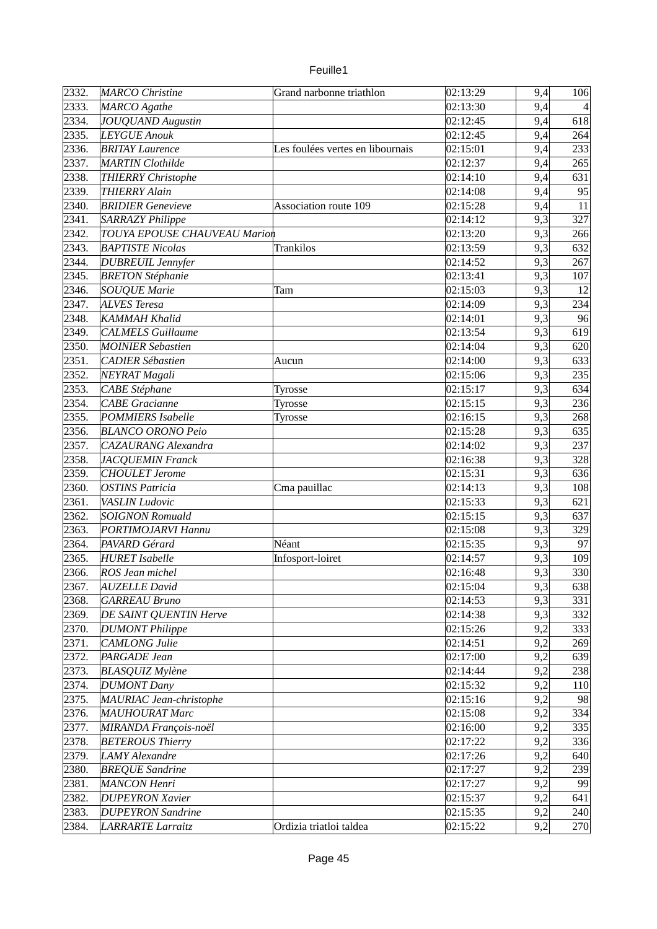| euille |  |
|--------|--|
|        |  |

| 2332. | <b>MARCO</b> Christine              | Grand narbonne triathlon         | 02:13:29 | 9,4 | 106 |
|-------|-------------------------------------|----------------------------------|----------|-----|-----|
| 2333. | MARCO Agathe                        |                                  | 02:13:30 | 9,4 |     |
| 2334. | <b>JOUQUAND Augustin</b>            |                                  | 02:12:45 | 9,4 | 618 |
| 2335. | <b>LEYGUE Anouk</b>                 |                                  | 02:12:45 | 9,4 | 264 |
| 2336. | <b>BRITAY Laurence</b>              | Les foulées vertes en libournais | 02:15:01 | 9,4 | 233 |
| 2337. | <b>MARTIN</b> Clothilde             |                                  | 02:12:37 | 9,4 | 265 |
| 2338. | <b>THIERRY Christophe</b>           |                                  | 02:14:10 | 9,4 | 631 |
| 2339. | <b>THIERRY Alain</b>                |                                  | 02:14:08 | 9,4 | 95  |
| 2340. | <b>BRIDIER</b> Genevieve            | Association route 109            | 02:15:28 | 9,4 | 11  |
| 2341. | <b>SARRAZY Philippe</b>             |                                  | 02:14:12 | 9,3 | 327 |
| 2342. | <b>TOUYA EPOUSE CHAUVEAU Marion</b> |                                  | 02:13:20 | 9,3 | 266 |
| 2343. | <b>BAPTISTE Nicolas</b>             | <b>Trankilos</b>                 | 02:13:59 | 9,3 | 632 |
| 2344. | <b>DUBREUIL Jennyfer</b>            |                                  | 02:14:52 | 9,3 | 267 |
| 2345. | <b>BRETON Stéphanie</b>             |                                  | 02:13:41 | 9,3 | 107 |
| 2346. | <b>SOUQUE Marie</b>                 | Tam                              | 02:15:03 | 9,3 | 12  |
| 2347. | ALVES Teresa                        |                                  | 02:14:09 | 9,3 | 234 |
| 2348. | KAMMAH Khalid                       |                                  | 02:14:01 | 9,3 | 96  |
| 2349. | <b>CALMELS</b> Guillaume            |                                  | 02:13:54 | 9,3 | 619 |
| 2350. | <b>MOINIER Sebastien</b>            |                                  | 02:14:04 | 9,3 | 620 |
| 2351. | <b>CADIER Sébastien</b>             | Aucun                            | 02:14:00 | 9,3 | 633 |
| 2352. | NEYRAT Magali                       |                                  | 02:15:06 | 9,3 | 235 |
| 2353. | <b>CABE</b> Stéphane                | Tyrosse                          | 02:15:17 | 9,3 | 634 |
| 2354. | <b>CABE</b> Gracianne               | Tyrosse                          | 02:15:15 | 9,3 | 236 |
| 2355. | <b>POMMIERS</b> Isabelle            | Tyrosse                          | 02:16:15 | 9,3 | 268 |
| 2356. | <b>BLANCO ORONO Peio</b>            |                                  | 02:15:28 | 9,3 | 635 |
| 2357. | <b>CAZAURANG Alexandra</b>          |                                  | 02:14:02 | 9,3 | 237 |
| 2358. | <b>JACQUEMIN Franck</b>             |                                  | 02:16:38 | 9,3 | 328 |
| 2359. | <b>CHOULET</b> Jerome               |                                  | 02:15:31 | 9,3 | 636 |
| 2360. | <b>OSTINS Patricia</b>              | Cma pauillac                     | 02:14:13 | 9,3 |     |
|       |                                     |                                  |          |     | 108 |
| 2361. | VASLIN Ludovic                      |                                  | 02:15:33 | 9,3 | 621 |
| 2362. | <b>SOIGNON Romuald</b>              |                                  | 02:15:15 | 9,3 | 637 |
| 2363. | PORTIMOJARVI Hannu                  |                                  | 02:15:08 | 9,3 | 329 |
| 2364. | PAVARD Gérard                       | Néant                            | 02:15:35 | 9,3 | 97  |
| 2365. | <b>HURET</b> Isabelle               | Infosport-loiret                 | 02:14:57 | 9,3 | 109 |
| 2366. | <b>ROS Jean michel</b>              |                                  | 02:16:48 | 9,3 | 330 |
| 2367. | <b>AUZELLE David</b>                |                                  | 02:15:04 | 9,3 | 638 |
| 2368. | <b>GARREAU Bruno</b>                |                                  | 02:14:53 | 9,3 | 331 |
| 2369. | DE SAINT QUENTIN Herve              |                                  | 02:14:38 | 9,3 | 332 |
| 2370. | <b>DUMONT Philippe</b>              |                                  | 02:15:26 | 9,2 | 333 |
| 2371. | CAMLONG Julie                       |                                  | 02:14:51 | 9,2 | 269 |
| 2372. | PARGADE Jean                        |                                  | 02:17:00 | 9,2 | 639 |
| 2373. | <b>BLASQUIZ Mylène</b>              |                                  | 02:14:44 | 9,2 | 238 |
| 2374. | <b>DUMONT Dany</b>                  |                                  | 02:15:32 | 9,2 | 110 |
| 2375. | MAURIAC Jean-christophe             |                                  | 02:15:16 | 9,2 | 98  |
| 2376. | <b>MAUHOURAT Marc</b>               |                                  | 02:15:08 | 9,2 | 334 |
| 2377. | MIRANDA François-noël               |                                  | 02:16:00 | 9,2 | 335 |
| 2378. | <b>BETEROUS Thierry</b>             |                                  | 02:17:22 | 9,2 | 336 |
| 2379. | LAMY Alexandre                      |                                  | 02:17:26 | 9,2 | 640 |
| 2380. | <b>BREQUE Sandrine</b>              |                                  | 02:17:27 | 9,2 | 239 |
| 2381. | MANCON Henri                        |                                  | 02:17:27 | 9,2 | 99  |
| 2382. | <b>DUPEYRON Xavier</b>              |                                  | 02:15:37 | 9,2 | 641 |
| 2383. | <b>DUPEYRON Sandrine</b>            |                                  | 02:15:35 | 9,2 | 240 |
| 2384. | <b>LARRARTE Larraitz</b>            | Ordizia triatloi taldea          | 02:15:22 | 9,2 | 270 |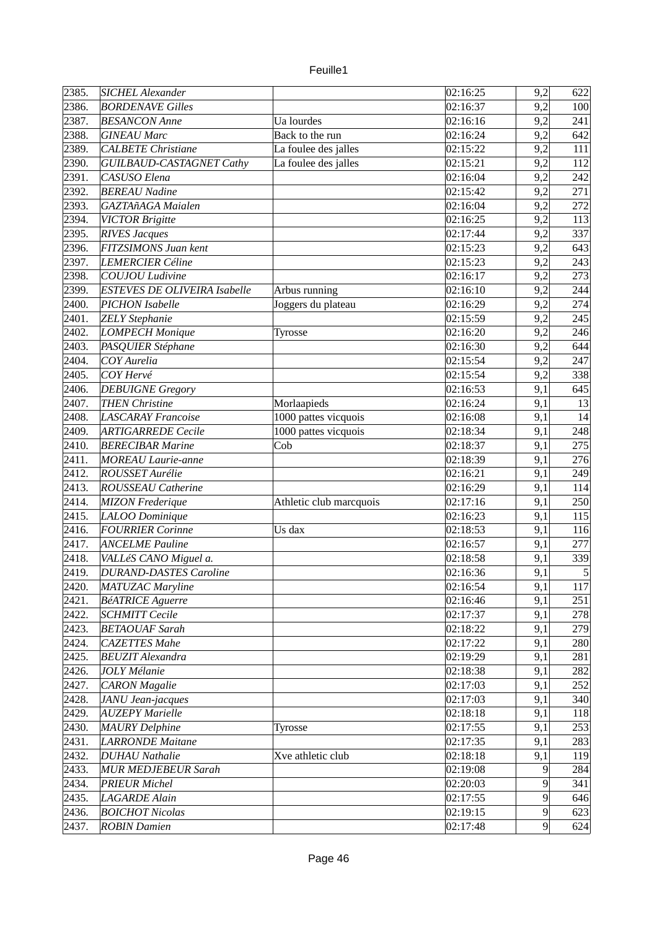| 2386.<br><b>BORDENAVE Gilles</b><br>02:16:37<br>9,2<br>100<br>2387.<br><b>BESANCON Anne</b><br>Ua lourdes<br>02:16:16<br>9,2<br>241<br>2388.<br>Back to the run<br>02:16:24<br>9,2<br>642<br><b>GINEAU Marc</b><br>2389.<br>9,2<br><b>CALBETE</b> Christiane<br>La foulee des jalles<br>02:15:22<br>111<br>$\overline{\text{La}}$ foulee des jalles<br>2390.<br>02:15:21<br>9,2<br>112<br>GUILBAUD-CASTAGNET Cathy<br>2391.<br>CASUSO Elena<br>02:16:04<br>9,2<br>242<br>2392.<br><b>BEREAU Nadine</b><br>02:15:42<br>9,2<br>271<br>2393.<br>9,2<br>272<br>GAZTAñAGA Maialen<br>02:16:04<br>2394.<br><b>VICTOR Brigitte</b><br>02:16:25<br>9,2<br>113<br>2395.<br><b>RIVES Jacques</b><br>337<br>02:17:44<br>9,2<br>2396.<br>FITZSIMONS Juan kent<br>$\overline{0}$ 2:15:23<br>9,2<br>643<br>2397.<br><b>LEMERCIER Céline</b><br>9,2<br>243<br>02:15:23<br>2398.<br>COUJOU Ludivine<br>02:16:17<br>9,2<br>273<br>2399.<br><b>ESTEVES DE OLIVEIRA Isabelle</b><br>Arbus running<br>02:16:10<br>9,2<br>244<br>2400.<br>9,2<br>274<br><b>PICHON Isabelle</b><br>Joggers du plateau<br>02:16:29<br>2401.<br><b>ZELY Stephanie</b><br>02:15:59<br>9,2<br>245<br>2402.<br><b>LOMPECH Monique</b><br>02:16:20<br>9,2<br>246<br><b>Tyrosse</b><br>2403.<br>PASQUIER Stéphane<br>02:16:30<br>9,2<br>644<br>COY Aurelia<br>2404.<br>02:15:54<br>9,2<br>247<br>2405.<br>COY Hervé<br>9,2<br>338<br>02:15:54<br>2406.<br><b>DEBUIGNE Gregory</b><br>02:16:53<br>9,1<br>645<br>2407.<br><b>THEN Christine</b><br>Morlaapieds<br>02:16:24<br>9,1<br>13<br>2408.<br><b>LASCARAY Francoise</b><br>1000 pattes vicquois<br>02:16:08<br>9,1<br>14<br>2409.<br>1000 pattes vicquois<br>9,1<br>248<br><b>ARTIGARREDE Cecile</b><br>02:18:34<br>2410.<br><b>BERECIBAR Marine</b><br>Cob<br>02:18:37<br>9,1<br>275<br>276<br>2411.<br><b>MOREAU</b> Laurie-anne<br>02:18:39<br>9,1<br>ROUSSET Aurélie<br>9,1<br>2412.<br>02:16:21<br>249<br>2413.<br>02:16:29<br>9,1<br>114<br><b>ROUSSEAU Catherine</b><br>2414.<br>9,1<br>250<br><b>MIZON</b> Frederique<br>Athletic club marcquois<br>02:17:16<br>2415.<br>LALOO Dominique<br>9,1<br>02:16:23<br>115<br>2416.<br><b>FOURRIER Corinne</b><br>Us dax<br>02:18:53<br>9,1<br>116<br>2417.<br><b>ANCELME Pauline</b><br>02:16:57<br>277<br>9,1<br>2418.<br>VALLéS CANO Miguel a.<br>02:18:58<br>339<br>9,1<br>5 <sup>1</sup><br>2419.<br>9,1<br><b>DURAND-DASTES Caroline</b><br>02:16:36<br>02:16:54<br>2420.<br><b>MATUZAC Maryline</b><br>9,1<br>117<br>2421.<br><b>BéATRICE Aguerre</b><br>02:16:46<br>9,1<br>251<br>2422.<br><b>SCHMITT Cecile</b><br>02:17:37<br>9,1<br>278<br>2423.<br><b>BETAOUAF Sarah</b><br>02:18:22<br>9,1<br>279<br>2424.<br><b>CAZETTES Mahe</b><br>02:17:22<br>280<br>9,1<br>2425.<br><b>BEUZIT</b> Alexandra<br>02:19:29<br>281<br>9,1<br>2426.<br>JOLY Mélanie<br>02:18:38<br>9,1<br>282<br><b>CARON</b> Magalie<br>02:17:03<br>252<br>2427.<br>9,1<br>JANU Jean-jacques<br>02:17:03<br>2428.<br>9,1<br>340<br>2429.<br><b>AUZEPY Marielle</b><br>02:18:18<br>9,1<br>118<br>2430.<br><b>MAURY Delphine</b><br>02:17:55<br>253<br>9,1<br>Tyrosse<br>2431.<br><b>LARRONDE</b> Maitane<br>02:17:35<br>283<br>9,1<br>2432.<br><b>DUHAU Nathalie</b><br>02:18:18<br>9,1<br>119<br>Xve athletic club<br>$\overline{9}$<br>2433.<br><b>MUR MEDJEBEUR Sarah</b><br>02:19:08<br>284<br>$\overline{9}$<br>2434.<br><b>PRIEUR Michel</b><br>02:20:03<br>341<br> 9 <br><b>LAGARDE Alain</b><br>2435.<br>02:17:55<br>646<br> 9 <br>2436.<br><b>BOICHOT Nicolas</b><br>02:19:15<br>623<br> 9 <br>02:17:48<br>2437.<br><b>ROBIN Damien</b><br>624 | 2385. | <b>SICHEL Alexander</b> | 02:16:25 | 9,2 | 622 |
|---------------------------------------------------------------------------------------------------------------------------------------------------------------------------------------------------------------------------------------------------------------------------------------------------------------------------------------------------------------------------------------------------------------------------------------------------------------------------------------------------------------------------------------------------------------------------------------------------------------------------------------------------------------------------------------------------------------------------------------------------------------------------------------------------------------------------------------------------------------------------------------------------------------------------------------------------------------------------------------------------------------------------------------------------------------------------------------------------------------------------------------------------------------------------------------------------------------------------------------------------------------------------------------------------------------------------------------------------------------------------------------------------------------------------------------------------------------------------------------------------------------------------------------------------------------------------------------------------------------------------------------------------------------------------------------------------------------------------------------------------------------------------------------------------------------------------------------------------------------------------------------------------------------------------------------------------------------------------------------------------------------------------------------------------------------------------------------------------------------------------------------------------------------------------------------------------------------------------------------------------------------------------------------------------------------------------------------------------------------------------------------------------------------------------------------------------------------------------------------------------------------------------------------------------------------------------------------------------------------------------------------------------------------------------------------------------------------------------------------------------------------------------------------------------------------------------------------------------------------------------------------------------------------------------------------------------------------------------------------------------------------------------------------------------------------------------------------------------------------------------------------------------------------------------------------------------------------------------------------------------------------------------------------------------------------------------------------------------------------------------------------------------------------------------------------------------------------------------------------------------------------------------------------------------------------------------------------------|-------|-------------------------|----------|-----|-----|
|                                                                                                                                                                                                                                                                                                                                                                                                                                                                                                                                                                                                                                                                                                                                                                                                                                                                                                                                                                                                                                                                                                                                                                                                                                                                                                                                                                                                                                                                                                                                                                                                                                                                                                                                                                                                                                                                                                                                                                                                                                                                                                                                                                                                                                                                                                                                                                                                                                                                                                                                                                                                                                                                                                                                                                                                                                                                                                                                                                                                                                                                                                                                                                                                                                                                                                                                                                                                                                                                                                                                                                                             |       |                         |          |     |     |
|                                                                                                                                                                                                                                                                                                                                                                                                                                                                                                                                                                                                                                                                                                                                                                                                                                                                                                                                                                                                                                                                                                                                                                                                                                                                                                                                                                                                                                                                                                                                                                                                                                                                                                                                                                                                                                                                                                                                                                                                                                                                                                                                                                                                                                                                                                                                                                                                                                                                                                                                                                                                                                                                                                                                                                                                                                                                                                                                                                                                                                                                                                                                                                                                                                                                                                                                                                                                                                                                                                                                                                                             |       |                         |          |     |     |
|                                                                                                                                                                                                                                                                                                                                                                                                                                                                                                                                                                                                                                                                                                                                                                                                                                                                                                                                                                                                                                                                                                                                                                                                                                                                                                                                                                                                                                                                                                                                                                                                                                                                                                                                                                                                                                                                                                                                                                                                                                                                                                                                                                                                                                                                                                                                                                                                                                                                                                                                                                                                                                                                                                                                                                                                                                                                                                                                                                                                                                                                                                                                                                                                                                                                                                                                                                                                                                                                                                                                                                                             |       |                         |          |     |     |
|                                                                                                                                                                                                                                                                                                                                                                                                                                                                                                                                                                                                                                                                                                                                                                                                                                                                                                                                                                                                                                                                                                                                                                                                                                                                                                                                                                                                                                                                                                                                                                                                                                                                                                                                                                                                                                                                                                                                                                                                                                                                                                                                                                                                                                                                                                                                                                                                                                                                                                                                                                                                                                                                                                                                                                                                                                                                                                                                                                                                                                                                                                                                                                                                                                                                                                                                                                                                                                                                                                                                                                                             |       |                         |          |     |     |
|                                                                                                                                                                                                                                                                                                                                                                                                                                                                                                                                                                                                                                                                                                                                                                                                                                                                                                                                                                                                                                                                                                                                                                                                                                                                                                                                                                                                                                                                                                                                                                                                                                                                                                                                                                                                                                                                                                                                                                                                                                                                                                                                                                                                                                                                                                                                                                                                                                                                                                                                                                                                                                                                                                                                                                                                                                                                                                                                                                                                                                                                                                                                                                                                                                                                                                                                                                                                                                                                                                                                                                                             |       |                         |          |     |     |
|                                                                                                                                                                                                                                                                                                                                                                                                                                                                                                                                                                                                                                                                                                                                                                                                                                                                                                                                                                                                                                                                                                                                                                                                                                                                                                                                                                                                                                                                                                                                                                                                                                                                                                                                                                                                                                                                                                                                                                                                                                                                                                                                                                                                                                                                                                                                                                                                                                                                                                                                                                                                                                                                                                                                                                                                                                                                                                                                                                                                                                                                                                                                                                                                                                                                                                                                                                                                                                                                                                                                                                                             |       |                         |          |     |     |
|                                                                                                                                                                                                                                                                                                                                                                                                                                                                                                                                                                                                                                                                                                                                                                                                                                                                                                                                                                                                                                                                                                                                                                                                                                                                                                                                                                                                                                                                                                                                                                                                                                                                                                                                                                                                                                                                                                                                                                                                                                                                                                                                                                                                                                                                                                                                                                                                                                                                                                                                                                                                                                                                                                                                                                                                                                                                                                                                                                                                                                                                                                                                                                                                                                                                                                                                                                                                                                                                                                                                                                                             |       |                         |          |     |     |
|                                                                                                                                                                                                                                                                                                                                                                                                                                                                                                                                                                                                                                                                                                                                                                                                                                                                                                                                                                                                                                                                                                                                                                                                                                                                                                                                                                                                                                                                                                                                                                                                                                                                                                                                                                                                                                                                                                                                                                                                                                                                                                                                                                                                                                                                                                                                                                                                                                                                                                                                                                                                                                                                                                                                                                                                                                                                                                                                                                                                                                                                                                                                                                                                                                                                                                                                                                                                                                                                                                                                                                                             |       |                         |          |     |     |
|                                                                                                                                                                                                                                                                                                                                                                                                                                                                                                                                                                                                                                                                                                                                                                                                                                                                                                                                                                                                                                                                                                                                                                                                                                                                                                                                                                                                                                                                                                                                                                                                                                                                                                                                                                                                                                                                                                                                                                                                                                                                                                                                                                                                                                                                                                                                                                                                                                                                                                                                                                                                                                                                                                                                                                                                                                                                                                                                                                                                                                                                                                                                                                                                                                                                                                                                                                                                                                                                                                                                                                                             |       |                         |          |     |     |
|                                                                                                                                                                                                                                                                                                                                                                                                                                                                                                                                                                                                                                                                                                                                                                                                                                                                                                                                                                                                                                                                                                                                                                                                                                                                                                                                                                                                                                                                                                                                                                                                                                                                                                                                                                                                                                                                                                                                                                                                                                                                                                                                                                                                                                                                                                                                                                                                                                                                                                                                                                                                                                                                                                                                                                                                                                                                                                                                                                                                                                                                                                                                                                                                                                                                                                                                                                                                                                                                                                                                                                                             |       |                         |          |     |     |
|                                                                                                                                                                                                                                                                                                                                                                                                                                                                                                                                                                                                                                                                                                                                                                                                                                                                                                                                                                                                                                                                                                                                                                                                                                                                                                                                                                                                                                                                                                                                                                                                                                                                                                                                                                                                                                                                                                                                                                                                                                                                                                                                                                                                                                                                                                                                                                                                                                                                                                                                                                                                                                                                                                                                                                                                                                                                                                                                                                                                                                                                                                                                                                                                                                                                                                                                                                                                                                                                                                                                                                                             |       |                         |          |     |     |
|                                                                                                                                                                                                                                                                                                                                                                                                                                                                                                                                                                                                                                                                                                                                                                                                                                                                                                                                                                                                                                                                                                                                                                                                                                                                                                                                                                                                                                                                                                                                                                                                                                                                                                                                                                                                                                                                                                                                                                                                                                                                                                                                                                                                                                                                                                                                                                                                                                                                                                                                                                                                                                                                                                                                                                                                                                                                                                                                                                                                                                                                                                                                                                                                                                                                                                                                                                                                                                                                                                                                                                                             |       |                         |          |     |     |
|                                                                                                                                                                                                                                                                                                                                                                                                                                                                                                                                                                                                                                                                                                                                                                                                                                                                                                                                                                                                                                                                                                                                                                                                                                                                                                                                                                                                                                                                                                                                                                                                                                                                                                                                                                                                                                                                                                                                                                                                                                                                                                                                                                                                                                                                                                                                                                                                                                                                                                                                                                                                                                                                                                                                                                                                                                                                                                                                                                                                                                                                                                                                                                                                                                                                                                                                                                                                                                                                                                                                                                                             |       |                         |          |     |     |
|                                                                                                                                                                                                                                                                                                                                                                                                                                                                                                                                                                                                                                                                                                                                                                                                                                                                                                                                                                                                                                                                                                                                                                                                                                                                                                                                                                                                                                                                                                                                                                                                                                                                                                                                                                                                                                                                                                                                                                                                                                                                                                                                                                                                                                                                                                                                                                                                                                                                                                                                                                                                                                                                                                                                                                                                                                                                                                                                                                                                                                                                                                                                                                                                                                                                                                                                                                                                                                                                                                                                                                                             |       |                         |          |     |     |
|                                                                                                                                                                                                                                                                                                                                                                                                                                                                                                                                                                                                                                                                                                                                                                                                                                                                                                                                                                                                                                                                                                                                                                                                                                                                                                                                                                                                                                                                                                                                                                                                                                                                                                                                                                                                                                                                                                                                                                                                                                                                                                                                                                                                                                                                                                                                                                                                                                                                                                                                                                                                                                                                                                                                                                                                                                                                                                                                                                                                                                                                                                                                                                                                                                                                                                                                                                                                                                                                                                                                                                                             |       |                         |          |     |     |
|                                                                                                                                                                                                                                                                                                                                                                                                                                                                                                                                                                                                                                                                                                                                                                                                                                                                                                                                                                                                                                                                                                                                                                                                                                                                                                                                                                                                                                                                                                                                                                                                                                                                                                                                                                                                                                                                                                                                                                                                                                                                                                                                                                                                                                                                                                                                                                                                                                                                                                                                                                                                                                                                                                                                                                                                                                                                                                                                                                                                                                                                                                                                                                                                                                                                                                                                                                                                                                                                                                                                                                                             |       |                         |          |     |     |
|                                                                                                                                                                                                                                                                                                                                                                                                                                                                                                                                                                                                                                                                                                                                                                                                                                                                                                                                                                                                                                                                                                                                                                                                                                                                                                                                                                                                                                                                                                                                                                                                                                                                                                                                                                                                                                                                                                                                                                                                                                                                                                                                                                                                                                                                                                                                                                                                                                                                                                                                                                                                                                                                                                                                                                                                                                                                                                                                                                                                                                                                                                                                                                                                                                                                                                                                                                                                                                                                                                                                                                                             |       |                         |          |     |     |
|                                                                                                                                                                                                                                                                                                                                                                                                                                                                                                                                                                                                                                                                                                                                                                                                                                                                                                                                                                                                                                                                                                                                                                                                                                                                                                                                                                                                                                                                                                                                                                                                                                                                                                                                                                                                                                                                                                                                                                                                                                                                                                                                                                                                                                                                                                                                                                                                                                                                                                                                                                                                                                                                                                                                                                                                                                                                                                                                                                                                                                                                                                                                                                                                                                                                                                                                                                                                                                                                                                                                                                                             |       |                         |          |     |     |
|                                                                                                                                                                                                                                                                                                                                                                                                                                                                                                                                                                                                                                                                                                                                                                                                                                                                                                                                                                                                                                                                                                                                                                                                                                                                                                                                                                                                                                                                                                                                                                                                                                                                                                                                                                                                                                                                                                                                                                                                                                                                                                                                                                                                                                                                                                                                                                                                                                                                                                                                                                                                                                                                                                                                                                                                                                                                                                                                                                                                                                                                                                                                                                                                                                                                                                                                                                                                                                                                                                                                                                                             |       |                         |          |     |     |
|                                                                                                                                                                                                                                                                                                                                                                                                                                                                                                                                                                                                                                                                                                                                                                                                                                                                                                                                                                                                                                                                                                                                                                                                                                                                                                                                                                                                                                                                                                                                                                                                                                                                                                                                                                                                                                                                                                                                                                                                                                                                                                                                                                                                                                                                                                                                                                                                                                                                                                                                                                                                                                                                                                                                                                                                                                                                                                                                                                                                                                                                                                                                                                                                                                                                                                                                                                                                                                                                                                                                                                                             |       |                         |          |     |     |
|                                                                                                                                                                                                                                                                                                                                                                                                                                                                                                                                                                                                                                                                                                                                                                                                                                                                                                                                                                                                                                                                                                                                                                                                                                                                                                                                                                                                                                                                                                                                                                                                                                                                                                                                                                                                                                                                                                                                                                                                                                                                                                                                                                                                                                                                                                                                                                                                                                                                                                                                                                                                                                                                                                                                                                                                                                                                                                                                                                                                                                                                                                                                                                                                                                                                                                                                                                                                                                                                                                                                                                                             |       |                         |          |     |     |
|                                                                                                                                                                                                                                                                                                                                                                                                                                                                                                                                                                                                                                                                                                                                                                                                                                                                                                                                                                                                                                                                                                                                                                                                                                                                                                                                                                                                                                                                                                                                                                                                                                                                                                                                                                                                                                                                                                                                                                                                                                                                                                                                                                                                                                                                                                                                                                                                                                                                                                                                                                                                                                                                                                                                                                                                                                                                                                                                                                                                                                                                                                                                                                                                                                                                                                                                                                                                                                                                                                                                                                                             |       |                         |          |     |     |
|                                                                                                                                                                                                                                                                                                                                                                                                                                                                                                                                                                                                                                                                                                                                                                                                                                                                                                                                                                                                                                                                                                                                                                                                                                                                                                                                                                                                                                                                                                                                                                                                                                                                                                                                                                                                                                                                                                                                                                                                                                                                                                                                                                                                                                                                                                                                                                                                                                                                                                                                                                                                                                                                                                                                                                                                                                                                                                                                                                                                                                                                                                                                                                                                                                                                                                                                                                                                                                                                                                                                                                                             |       |                         |          |     |     |
|                                                                                                                                                                                                                                                                                                                                                                                                                                                                                                                                                                                                                                                                                                                                                                                                                                                                                                                                                                                                                                                                                                                                                                                                                                                                                                                                                                                                                                                                                                                                                                                                                                                                                                                                                                                                                                                                                                                                                                                                                                                                                                                                                                                                                                                                                                                                                                                                                                                                                                                                                                                                                                                                                                                                                                                                                                                                                                                                                                                                                                                                                                                                                                                                                                                                                                                                                                                                                                                                                                                                                                                             |       |                         |          |     |     |
|                                                                                                                                                                                                                                                                                                                                                                                                                                                                                                                                                                                                                                                                                                                                                                                                                                                                                                                                                                                                                                                                                                                                                                                                                                                                                                                                                                                                                                                                                                                                                                                                                                                                                                                                                                                                                                                                                                                                                                                                                                                                                                                                                                                                                                                                                                                                                                                                                                                                                                                                                                                                                                                                                                                                                                                                                                                                                                                                                                                                                                                                                                                                                                                                                                                                                                                                                                                                                                                                                                                                                                                             |       |                         |          |     |     |
|                                                                                                                                                                                                                                                                                                                                                                                                                                                                                                                                                                                                                                                                                                                                                                                                                                                                                                                                                                                                                                                                                                                                                                                                                                                                                                                                                                                                                                                                                                                                                                                                                                                                                                                                                                                                                                                                                                                                                                                                                                                                                                                                                                                                                                                                                                                                                                                                                                                                                                                                                                                                                                                                                                                                                                                                                                                                                                                                                                                                                                                                                                                                                                                                                                                                                                                                                                                                                                                                                                                                                                                             |       |                         |          |     |     |
|                                                                                                                                                                                                                                                                                                                                                                                                                                                                                                                                                                                                                                                                                                                                                                                                                                                                                                                                                                                                                                                                                                                                                                                                                                                                                                                                                                                                                                                                                                                                                                                                                                                                                                                                                                                                                                                                                                                                                                                                                                                                                                                                                                                                                                                                                                                                                                                                                                                                                                                                                                                                                                                                                                                                                                                                                                                                                                                                                                                                                                                                                                                                                                                                                                                                                                                                                                                                                                                                                                                                                                                             |       |                         |          |     |     |
|                                                                                                                                                                                                                                                                                                                                                                                                                                                                                                                                                                                                                                                                                                                                                                                                                                                                                                                                                                                                                                                                                                                                                                                                                                                                                                                                                                                                                                                                                                                                                                                                                                                                                                                                                                                                                                                                                                                                                                                                                                                                                                                                                                                                                                                                                                                                                                                                                                                                                                                                                                                                                                                                                                                                                                                                                                                                                                                                                                                                                                                                                                                                                                                                                                                                                                                                                                                                                                                                                                                                                                                             |       |                         |          |     |     |
|                                                                                                                                                                                                                                                                                                                                                                                                                                                                                                                                                                                                                                                                                                                                                                                                                                                                                                                                                                                                                                                                                                                                                                                                                                                                                                                                                                                                                                                                                                                                                                                                                                                                                                                                                                                                                                                                                                                                                                                                                                                                                                                                                                                                                                                                                                                                                                                                                                                                                                                                                                                                                                                                                                                                                                                                                                                                                                                                                                                                                                                                                                                                                                                                                                                                                                                                                                                                                                                                                                                                                                                             |       |                         |          |     |     |
|                                                                                                                                                                                                                                                                                                                                                                                                                                                                                                                                                                                                                                                                                                                                                                                                                                                                                                                                                                                                                                                                                                                                                                                                                                                                                                                                                                                                                                                                                                                                                                                                                                                                                                                                                                                                                                                                                                                                                                                                                                                                                                                                                                                                                                                                                                                                                                                                                                                                                                                                                                                                                                                                                                                                                                                                                                                                                                                                                                                                                                                                                                                                                                                                                                                                                                                                                                                                                                                                                                                                                                                             |       |                         |          |     |     |
|                                                                                                                                                                                                                                                                                                                                                                                                                                                                                                                                                                                                                                                                                                                                                                                                                                                                                                                                                                                                                                                                                                                                                                                                                                                                                                                                                                                                                                                                                                                                                                                                                                                                                                                                                                                                                                                                                                                                                                                                                                                                                                                                                                                                                                                                                                                                                                                                                                                                                                                                                                                                                                                                                                                                                                                                                                                                                                                                                                                                                                                                                                                                                                                                                                                                                                                                                                                                                                                                                                                                                                                             |       |                         |          |     |     |
|                                                                                                                                                                                                                                                                                                                                                                                                                                                                                                                                                                                                                                                                                                                                                                                                                                                                                                                                                                                                                                                                                                                                                                                                                                                                                                                                                                                                                                                                                                                                                                                                                                                                                                                                                                                                                                                                                                                                                                                                                                                                                                                                                                                                                                                                                                                                                                                                                                                                                                                                                                                                                                                                                                                                                                                                                                                                                                                                                                                                                                                                                                                                                                                                                                                                                                                                                                                                                                                                                                                                                                                             |       |                         |          |     |     |
|                                                                                                                                                                                                                                                                                                                                                                                                                                                                                                                                                                                                                                                                                                                                                                                                                                                                                                                                                                                                                                                                                                                                                                                                                                                                                                                                                                                                                                                                                                                                                                                                                                                                                                                                                                                                                                                                                                                                                                                                                                                                                                                                                                                                                                                                                                                                                                                                                                                                                                                                                                                                                                                                                                                                                                                                                                                                                                                                                                                                                                                                                                                                                                                                                                                                                                                                                                                                                                                                                                                                                                                             |       |                         |          |     |     |
|                                                                                                                                                                                                                                                                                                                                                                                                                                                                                                                                                                                                                                                                                                                                                                                                                                                                                                                                                                                                                                                                                                                                                                                                                                                                                                                                                                                                                                                                                                                                                                                                                                                                                                                                                                                                                                                                                                                                                                                                                                                                                                                                                                                                                                                                                                                                                                                                                                                                                                                                                                                                                                                                                                                                                                                                                                                                                                                                                                                                                                                                                                                                                                                                                                                                                                                                                                                                                                                                                                                                                                                             |       |                         |          |     |     |
|                                                                                                                                                                                                                                                                                                                                                                                                                                                                                                                                                                                                                                                                                                                                                                                                                                                                                                                                                                                                                                                                                                                                                                                                                                                                                                                                                                                                                                                                                                                                                                                                                                                                                                                                                                                                                                                                                                                                                                                                                                                                                                                                                                                                                                                                                                                                                                                                                                                                                                                                                                                                                                                                                                                                                                                                                                                                                                                                                                                                                                                                                                                                                                                                                                                                                                                                                                                                                                                                                                                                                                                             |       |                         |          |     |     |
|                                                                                                                                                                                                                                                                                                                                                                                                                                                                                                                                                                                                                                                                                                                                                                                                                                                                                                                                                                                                                                                                                                                                                                                                                                                                                                                                                                                                                                                                                                                                                                                                                                                                                                                                                                                                                                                                                                                                                                                                                                                                                                                                                                                                                                                                                                                                                                                                                                                                                                                                                                                                                                                                                                                                                                                                                                                                                                                                                                                                                                                                                                                                                                                                                                                                                                                                                                                                                                                                                                                                                                                             |       |                         |          |     |     |
|                                                                                                                                                                                                                                                                                                                                                                                                                                                                                                                                                                                                                                                                                                                                                                                                                                                                                                                                                                                                                                                                                                                                                                                                                                                                                                                                                                                                                                                                                                                                                                                                                                                                                                                                                                                                                                                                                                                                                                                                                                                                                                                                                                                                                                                                                                                                                                                                                                                                                                                                                                                                                                                                                                                                                                                                                                                                                                                                                                                                                                                                                                                                                                                                                                                                                                                                                                                                                                                                                                                                                                                             |       |                         |          |     |     |
|                                                                                                                                                                                                                                                                                                                                                                                                                                                                                                                                                                                                                                                                                                                                                                                                                                                                                                                                                                                                                                                                                                                                                                                                                                                                                                                                                                                                                                                                                                                                                                                                                                                                                                                                                                                                                                                                                                                                                                                                                                                                                                                                                                                                                                                                                                                                                                                                                                                                                                                                                                                                                                                                                                                                                                                                                                                                                                                                                                                                                                                                                                                                                                                                                                                                                                                                                                                                                                                                                                                                                                                             |       |                         |          |     |     |
|                                                                                                                                                                                                                                                                                                                                                                                                                                                                                                                                                                                                                                                                                                                                                                                                                                                                                                                                                                                                                                                                                                                                                                                                                                                                                                                                                                                                                                                                                                                                                                                                                                                                                                                                                                                                                                                                                                                                                                                                                                                                                                                                                                                                                                                                                                                                                                                                                                                                                                                                                                                                                                                                                                                                                                                                                                                                                                                                                                                                                                                                                                                                                                                                                                                                                                                                                                                                                                                                                                                                                                                             |       |                         |          |     |     |
|                                                                                                                                                                                                                                                                                                                                                                                                                                                                                                                                                                                                                                                                                                                                                                                                                                                                                                                                                                                                                                                                                                                                                                                                                                                                                                                                                                                                                                                                                                                                                                                                                                                                                                                                                                                                                                                                                                                                                                                                                                                                                                                                                                                                                                                                                                                                                                                                                                                                                                                                                                                                                                                                                                                                                                                                                                                                                                                                                                                                                                                                                                                                                                                                                                                                                                                                                                                                                                                                                                                                                                                             |       |                         |          |     |     |
|                                                                                                                                                                                                                                                                                                                                                                                                                                                                                                                                                                                                                                                                                                                                                                                                                                                                                                                                                                                                                                                                                                                                                                                                                                                                                                                                                                                                                                                                                                                                                                                                                                                                                                                                                                                                                                                                                                                                                                                                                                                                                                                                                                                                                                                                                                                                                                                                                                                                                                                                                                                                                                                                                                                                                                                                                                                                                                                                                                                                                                                                                                                                                                                                                                                                                                                                                                                                                                                                                                                                                                                             |       |                         |          |     |     |
|                                                                                                                                                                                                                                                                                                                                                                                                                                                                                                                                                                                                                                                                                                                                                                                                                                                                                                                                                                                                                                                                                                                                                                                                                                                                                                                                                                                                                                                                                                                                                                                                                                                                                                                                                                                                                                                                                                                                                                                                                                                                                                                                                                                                                                                                                                                                                                                                                                                                                                                                                                                                                                                                                                                                                                                                                                                                                                                                                                                                                                                                                                                                                                                                                                                                                                                                                                                                                                                                                                                                                                                             |       |                         |          |     |     |
|                                                                                                                                                                                                                                                                                                                                                                                                                                                                                                                                                                                                                                                                                                                                                                                                                                                                                                                                                                                                                                                                                                                                                                                                                                                                                                                                                                                                                                                                                                                                                                                                                                                                                                                                                                                                                                                                                                                                                                                                                                                                                                                                                                                                                                                                                                                                                                                                                                                                                                                                                                                                                                                                                                                                                                                                                                                                                                                                                                                                                                                                                                                                                                                                                                                                                                                                                                                                                                                                                                                                                                                             |       |                         |          |     |     |
|                                                                                                                                                                                                                                                                                                                                                                                                                                                                                                                                                                                                                                                                                                                                                                                                                                                                                                                                                                                                                                                                                                                                                                                                                                                                                                                                                                                                                                                                                                                                                                                                                                                                                                                                                                                                                                                                                                                                                                                                                                                                                                                                                                                                                                                                                                                                                                                                                                                                                                                                                                                                                                                                                                                                                                                                                                                                                                                                                                                                                                                                                                                                                                                                                                                                                                                                                                                                                                                                                                                                                                                             |       |                         |          |     |     |
|                                                                                                                                                                                                                                                                                                                                                                                                                                                                                                                                                                                                                                                                                                                                                                                                                                                                                                                                                                                                                                                                                                                                                                                                                                                                                                                                                                                                                                                                                                                                                                                                                                                                                                                                                                                                                                                                                                                                                                                                                                                                                                                                                                                                                                                                                                                                                                                                                                                                                                                                                                                                                                                                                                                                                                                                                                                                                                                                                                                                                                                                                                                                                                                                                                                                                                                                                                                                                                                                                                                                                                                             |       |                         |          |     |     |
|                                                                                                                                                                                                                                                                                                                                                                                                                                                                                                                                                                                                                                                                                                                                                                                                                                                                                                                                                                                                                                                                                                                                                                                                                                                                                                                                                                                                                                                                                                                                                                                                                                                                                                                                                                                                                                                                                                                                                                                                                                                                                                                                                                                                                                                                                                                                                                                                                                                                                                                                                                                                                                                                                                                                                                                                                                                                                                                                                                                                                                                                                                                                                                                                                                                                                                                                                                                                                                                                                                                                                                                             |       |                         |          |     |     |
|                                                                                                                                                                                                                                                                                                                                                                                                                                                                                                                                                                                                                                                                                                                                                                                                                                                                                                                                                                                                                                                                                                                                                                                                                                                                                                                                                                                                                                                                                                                                                                                                                                                                                                                                                                                                                                                                                                                                                                                                                                                                                                                                                                                                                                                                                                                                                                                                                                                                                                                                                                                                                                                                                                                                                                                                                                                                                                                                                                                                                                                                                                                                                                                                                                                                                                                                                                                                                                                                                                                                                                                             |       |                         |          |     |     |
|                                                                                                                                                                                                                                                                                                                                                                                                                                                                                                                                                                                                                                                                                                                                                                                                                                                                                                                                                                                                                                                                                                                                                                                                                                                                                                                                                                                                                                                                                                                                                                                                                                                                                                                                                                                                                                                                                                                                                                                                                                                                                                                                                                                                                                                                                                                                                                                                                                                                                                                                                                                                                                                                                                                                                                                                                                                                                                                                                                                                                                                                                                                                                                                                                                                                                                                                                                                                                                                                                                                                                                                             |       |                         |          |     |     |
|                                                                                                                                                                                                                                                                                                                                                                                                                                                                                                                                                                                                                                                                                                                                                                                                                                                                                                                                                                                                                                                                                                                                                                                                                                                                                                                                                                                                                                                                                                                                                                                                                                                                                                                                                                                                                                                                                                                                                                                                                                                                                                                                                                                                                                                                                                                                                                                                                                                                                                                                                                                                                                                                                                                                                                                                                                                                                                                                                                                                                                                                                                                                                                                                                                                                                                                                                                                                                                                                                                                                                                                             |       |                         |          |     |     |
|                                                                                                                                                                                                                                                                                                                                                                                                                                                                                                                                                                                                                                                                                                                                                                                                                                                                                                                                                                                                                                                                                                                                                                                                                                                                                                                                                                                                                                                                                                                                                                                                                                                                                                                                                                                                                                                                                                                                                                                                                                                                                                                                                                                                                                                                                                                                                                                                                                                                                                                                                                                                                                                                                                                                                                                                                                                                                                                                                                                                                                                                                                                                                                                                                                                                                                                                                                                                                                                                                                                                                                                             |       |                         |          |     |     |
|                                                                                                                                                                                                                                                                                                                                                                                                                                                                                                                                                                                                                                                                                                                                                                                                                                                                                                                                                                                                                                                                                                                                                                                                                                                                                                                                                                                                                                                                                                                                                                                                                                                                                                                                                                                                                                                                                                                                                                                                                                                                                                                                                                                                                                                                                                                                                                                                                                                                                                                                                                                                                                                                                                                                                                                                                                                                                                                                                                                                                                                                                                                                                                                                                                                                                                                                                                                                                                                                                                                                                                                             |       |                         |          |     |     |
|                                                                                                                                                                                                                                                                                                                                                                                                                                                                                                                                                                                                                                                                                                                                                                                                                                                                                                                                                                                                                                                                                                                                                                                                                                                                                                                                                                                                                                                                                                                                                                                                                                                                                                                                                                                                                                                                                                                                                                                                                                                                                                                                                                                                                                                                                                                                                                                                                                                                                                                                                                                                                                                                                                                                                                                                                                                                                                                                                                                                                                                                                                                                                                                                                                                                                                                                                                                                                                                                                                                                                                                             |       |                         |          |     |     |
|                                                                                                                                                                                                                                                                                                                                                                                                                                                                                                                                                                                                                                                                                                                                                                                                                                                                                                                                                                                                                                                                                                                                                                                                                                                                                                                                                                                                                                                                                                                                                                                                                                                                                                                                                                                                                                                                                                                                                                                                                                                                                                                                                                                                                                                                                                                                                                                                                                                                                                                                                                                                                                                                                                                                                                                                                                                                                                                                                                                                                                                                                                                                                                                                                                                                                                                                                                                                                                                                                                                                                                                             |       |                         |          |     |     |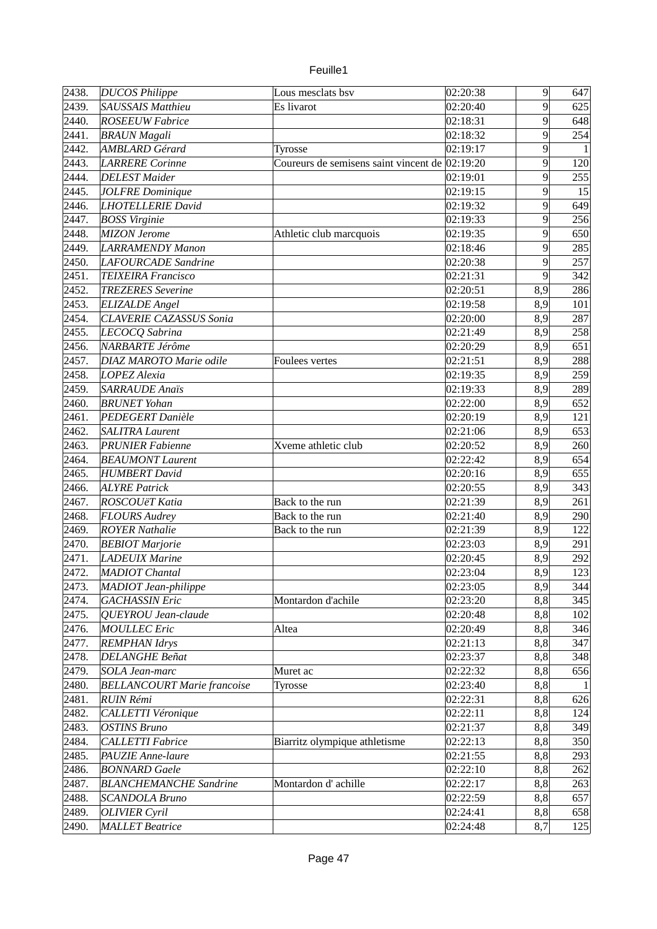| euille. |  |
|---------|--|
|         |  |

| $\sqrt{2}438.$ | <b>DUCOS Philippe</b>              | Lous mesclats bsv                              | 02:20:38           | $\vert 9 \vert$ | 647          |
|----------------|------------------------------------|------------------------------------------------|--------------------|-----------------|--------------|
| 2439.          | <b>SAUSSAIS Matthieu</b>           | Es livarot                                     | $\sqrt{0}$ 2:20:40 | $\overline{9}$  | 625          |
| 2440.          | <b>ROSEEUW Fabrice</b>             |                                                | 02:18:31           | $\overline{9}$  | 648          |
| 2441.          | <b>BRAUN</b> Magali                |                                                | 02:18:32           | $\overline{9}$  | 254          |
| 2442.          | <b>AMBLARD Gérard</b>              | Tyrosse                                        | 02:19:17           | $\overline{9}$  | $\mathbf{1}$ |
| 2443.          | <b>LARRERE</b> Corinne             | Coureurs de semisens saint vincent de 02:19:20 |                    | $\overline{9}$  | 120          |
| 2444.          | <b>DELEST</b> Maider               |                                                | 02:19:01           | $\overline{9}$  | 255          |
| 2445.          | <b>JOLFRE</b> Dominique            |                                                | 02:19:15           | $\overline{9}$  | 15           |
| 2446.          | <b>LHOTELLERIE David</b>           |                                                | 02:19:32           | $\overline{9}$  | 649          |
| 2447.          | <b>BOSS Virginie</b>               |                                                | 02:19:33           | $\overline{9}$  | 256          |
| 2448.          | MIZON Jerome                       | Athletic club marcquois                        | 02:19:35           | $\overline{9}$  | 650          |
| 2449.          | <b>LARRAMENDY Manon</b>            |                                                | 02:18:46           | $\overline{9}$  | 285          |
| 2450.          | <b>LAFOURCADE</b> Sandrine         |                                                | 02:20:38           | $\overline{9}$  | 257          |
| 2451.          | <b>TEIXEIRA Francisco</b>          |                                                | 02:21:31           | $\overline{9}$  | 342          |
| 2452.          | <b>TREZERES</b> Severine           |                                                | 02:20:51           | 8,9             | 286          |
| 2453.          | <b>ELIZALDE</b> Angel              |                                                | 02:19:58           | 8,9             | 101          |
| 2454.          | <b>CLAVERIE CAZASSUS Sonia</b>     |                                                | 02:20:00           | 8,9             | 287          |
| 2455.          | LECOCQ Sabrina                     |                                                | 02:21:49           | 8,9             | 258          |
| 2456.          | NARBARTE Jérôme                    |                                                | 02:20:29           | 8,9             | 651          |
| 2457.          | DIAZ MAROTO Marie odile            | Foulees vertes                                 | 02:21:51           | 8,9             | 288          |
| 2458.          | LOPEZ Alexia                       |                                                | 02:19:35           | 8,9             | 259          |
| 2459.          | <b>SARRAUDE Anaïs</b>              |                                                | 02:19:33           | 8,9             | 289          |
| 2460.          | <b>BRUNET</b> Yohan                |                                                | 02:22:00           | 8,9             | 652          |
| 2461.          | PEDEGERT Danièle                   |                                                | 02:20:19           | 8,9             | 121          |
| 2462.          | <b>SALITRA Laurent</b>             |                                                | 02:21:06           | 8,9             | 653          |
| 2463.          | <b>PRUNIER Fabienne</b>            | Xveme athletic club                            | 02:20:52           | 8,9             | 260          |
| 2464.          | <b>BEAUMONT Laurent</b>            |                                                | 02:22:42           | 8,9             | 654          |
| 2465.          | <b>HUMBERT</b> David               |                                                | 02:20:16           | 8,9             | 655          |
|                |                                    |                                                |                    | 8,9             |              |
| 2466.          | <b>ALYRE Patrick</b>               |                                                | 02:20:55           |                 | 343          |
| 2467.          | ROSCOUëT Katia                     | Back to the run                                | 02:21:39           | 8,9             | 261          |
| 2468.          | <b>FLOURS Audrey</b>               | Back to the run                                | 02:21:40           | 8,9             | 290          |
| 2469.          | <b>ROYER Nathalie</b>              | Back to the run                                | 02:21:39           | 8,9             | 122          |
| 2470.          | <b>BEBIOT Marjorie</b>             |                                                | $\sqrt{0}$ 2:23:03 | 8,9             | 291          |
| 2471.          | <b>LADEUIX Marine</b>              |                                                | 02:20:45           | 8,9             | 292          |
| 2472.          | MADIOT Chantal                     |                                                | 02:23:04           | 8.9             | 123          |
| 2473.          | <b>MADIOT</b> Jean-philippe        |                                                | 02:23:05           | 8,9             | 344          |
| 2474.          | <b>GACHASSIN Eric</b>              | Montardon d'achile                             | 02:23:20           | 8,8             | 345          |
| 2475.          | QUEYROU Jean-claude                |                                                | 02:20:48           | 8,8             | 102          |
| 2476.          | <b>MOULLEC</b> Eric                | Altea                                          | 02:20:49           | 8,8             | 346          |
| 2477.          | <b>REMPHAN Idrys</b>               |                                                | 02:21:13           | 8,8             | 347          |
| 2478.          | <b>DELANGHE Beñat</b>              |                                                | 02:23:37           | 8,8             | 348          |
| 2479.          | SOLA Jean-marc                     | Muret ac                                       | 02:22:32           | 8,8             | 656          |
| 2480.          | <b>BELLANCOURT Marie francoise</b> | Tyrosse                                        | 02:23:40           | 8,8             | 1            |
| 2481.          | <b>RUIN Rémi</b>                   |                                                | 02:22:31           | 8,8             | 626          |
| 2482.          | CALLETTI Véronique                 |                                                | 02:22:11           | 8,8             | 124          |
| 2483.          | <b>OSTINS Bruno</b>                |                                                | 02:21:37           | 8,8             | 349          |
| 2484.          | <b>CALLETTI Fabrice</b>            | Biarritz olympique athletisme                  | 02:22:13           | 8,8             | 350          |
| 2485.          | PAUZIE Anne-laure                  |                                                | 02:21:55           | 8,8             | 293          |
| 2486.          | <b>BONNARD Gaele</b>               |                                                | 02:22:10           | 8,8             | 262          |
| 2487.          | <b>BLANCHEMANCHE Sandrine</b>      | Montardon d'achille                            | 02:22:17           | 8,8             | 263          |
| 2488.          | <b>SCANDOLA Bruno</b>              |                                                | 02:22:59           | 8,8             | 657          |
| 2489.          | <b>OLIVIER</b> Cyril               |                                                | 02:24:41           | 8,8             | 658          |
| 2490.          | <b>MALLET</b> Beatrice             |                                                | 02:24:48           | 8,7             | 125          |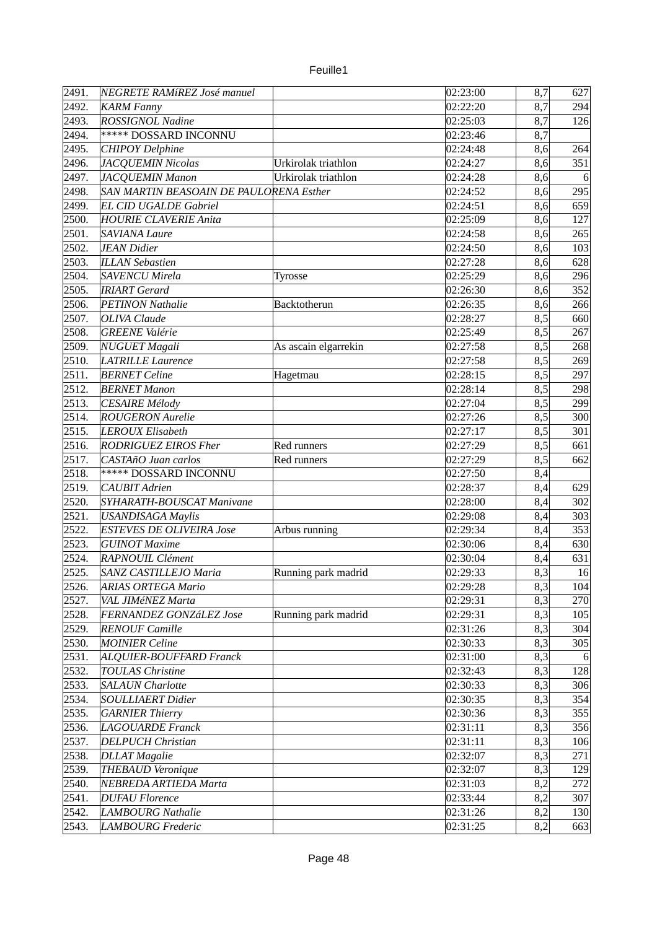| 2491.          | NEGRETE RAMíREZ José manuel             |                      | 02:23:00               | 8,7 | 627       |
|----------------|-----------------------------------------|----------------------|------------------------|-----|-----------|
| 2492.          | <b>KARM Fanny</b>                       |                      | $\overline{0}$ 2:22:20 | 8,7 | 294       |
| 2493.          | <b>ROSSIGNOL Nadine</b>                 |                      | 02:25:03               | 8,7 | 126       |
| 2494.          | <b>***** DOSSARD INCONNU</b>            |                      | 02:23:46               | 8,7 |           |
| 2495.          | <b>CHIPOY Delphine</b>                  |                      | 02:24:48               | 8,6 | 264       |
| 2496.          | <b>JACQUEMIN Nicolas</b>                | Urkirolak triathlon  | 02:24:27               | 8,6 | 351       |
| 2497.          | <b>JACQUEMIN Manon</b>                  | Urkirolak triathlon  | 02:24:28               | 8,6 | 6         |
| 2498.          | SAN MARTIN BEASOAIN DE PAULORENA Esther |                      | 02:24:52               | 8,6 | 295       |
| 2499.          | <b>EL CID UGALDE Gabriel</b>            |                      | 02:24:51               | 8,6 | 659       |
| 2500.          | <b>HOURIE CLAVERIE Anita</b>            |                      | 02:25:09               | 8,6 | 127       |
| 2501.          | <b>SAVIANA Laure</b>                    |                      | 02:24:58               | 8,6 | 265       |
| 2502.          | <b>JEAN</b> Didier                      |                      | 02:24:50               | 8,6 | 103       |
| 2503.          | <b>ILLAN Sebastien</b>                  |                      | 02:27:28               | 8,6 | 628       |
| 2504.          | <b>SAVENCU Mirela</b>                   | Tyrosse              | 02:25:29               | 8,6 | 296       |
| 2505.          | <b>IRIART</b> Gerard                    |                      | 02:26:30               | 8,6 | 352       |
| 2506.          | PETINON Nathalie                        | Backtotherun         | 02:26:35               | 8,6 | 266       |
| 2507.          | OLIVA Claude                            |                      | 02:28:27               | 8,5 | 660       |
| 2508.          | <b>GREENE</b> Valérie                   |                      | 02:25:49               | 8,5 | 267       |
| 2509.          | NUGUET Magali                           | As ascain elgarrekin | 02:27:58               | 8,5 | 268       |
| 2510.          | <b>LATRILLE Laurence</b>                |                      | 02:27:58               | 8,5 | 269       |
| 2511.          | <b>BERNET Celine</b>                    | Hagetmau             | 02:28:15               | 8,5 | 297       |
| 2512.          | <b>BERNET Manon</b>                     |                      | 02:28:14               | 8,5 | 298       |
| 2513.          | CESAIRE Mélody                          |                      | 02:27:04               | 8,5 | 299       |
| 2514.          | <b>ROUGERON</b> Aurelie                 |                      | 02:27:26               | 8,5 | 300       |
| 2515.          | <b>LEROUX Elisabeth</b>                 |                      | 02:27:17               | 8,5 | 301       |
| 2516.          | RODRIGUEZ EIROS Fher                    | Red runners          | 02:27:29               | 8,5 | 661       |
| 2517.          | CASTAñO Juan carlos                     | Red runners          | 02:27:29               | 8,5 | 662       |
| 2518.          | ***** DOSSARD INCONNU                   |                      | 02:27:50               | 8,4 |           |
| 2519.          | <b>CAUBIT</b> Adrien                    |                      | 02:28:37               | 8,4 | 629       |
| 2520.          | SYHARATH-BOUSCAT Manivane               |                      | 02:28:00               | 8,4 | 302       |
| 2521.          | <b>USANDISAGA Maylis</b>                |                      | 02:29:08               | 8,4 | 303       |
| 2522.          | <b>ESTEVES DE OLIVEIRA Jose</b>         | Arbus running        | 02:29:34               | 8,4 | 353       |
| 2523.          | <b>GUINOT Maxime</b>                    |                      | 02:30:06               | 8,4 | 630       |
| 2524.          | RAPNOUIL Clément                        |                      | 02:30:04               | 8,4 | 631       |
| 2525.          | SANZ CASTILLEJO Maria                   | Running park madrid  | $\sqrt{02}$ :29:33     | 8,3 | 16        |
| 2526.          | <b>ARIAS ORTEGA Mario</b>               |                      | 02:29:28               | 8,3 | 104       |
| 2527.          | VAL JIMéNEZ Marta                       |                      | 02:29:31               | 8,3 | 270       |
| 2528.          | <b>FERNANDEZ GONZáLEZ Jose</b>          | Running park madrid  | 02:29:31               | 8,3 | 105       |
| 2529.          | <b>RENOUF Camille</b>                   |                      | 02:31:26               | 8,3 | 304       |
| 2530.          | <b>MOINIER Celine</b>                   |                      | 02:30:33               | 8,3 | 305       |
|                | ALQUIER-BOUFFARD Franck                 |                      | 02:31:00               | 8,3 |           |
| 2531.<br>2532. | <b>TOULAS Christine</b>                 |                      | 02:32:43               |     | 6 <br>128 |
|                |                                         |                      |                        | 8,3 |           |
| 2533.          | <b>SALAUN Charlotte</b>                 |                      | 02:30:33               | 8,3 | 306       |
| 2534.          | SOULLIAERT Didier                       |                      | 02:30:35               | 8,3 | 354       |
| 2535.          | <b>GARNIER Thierry</b>                  |                      | 02:30:36               | 8,3 | 355       |
| 2536.          | LAGOUARDE Franck                        |                      | 02:31:11               | 8,3 | 356       |
| 2537.          | <b>DELPUCH Christian</b>                |                      | 02:31:11               | 8,3 | 106       |
| 2538.          | <b>DLLAT</b> Magalie                    |                      | 02:32:07               | 8,3 | 271       |
| 2539.          | THEBAUD Veronique                       |                      | 02:32:07               | 8,3 | 129       |
| 2540.          | NEBREDA ARTIEDA Marta                   |                      | 02:31:03               | 8,2 | 272       |
| 2541.          | <b>DUFAU Florence</b>                   |                      | 02:33:44               | 8,2 | 307       |
| 2542.          | <b>LAMBOURG Nathalie</b>                |                      | 02:31:26               | 8,2 | 130       |
| 2543.          | <b>LAMBOURG</b> Frederic                |                      | $\overline{0}$ 2:31:25 | 8,2 | 663       |